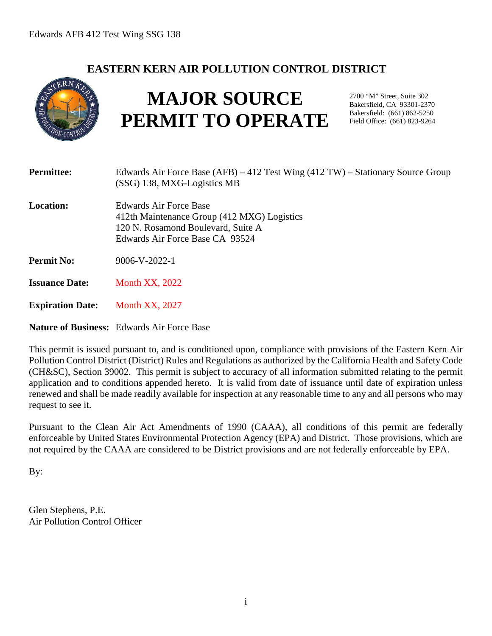## **EASTERN KERN AIR POLLUTION CONTROL DISTRICT**



# **MAJOR SOURCE PERMIT TO OPERATE**

2700 "M" Street, Suite 302 Bakersfield, CA 93301-2370 Bakersfield: (661) 862-5250 Field Office: (661) 823-9264

| <b>Permittee:</b>       | Edwards Air Force Base $(AFB) - 412$ Test Wing $(412 TW)$ – Stationary Source Group<br>(SSG) 138, MXG-Logistics MB                             |
|-------------------------|------------------------------------------------------------------------------------------------------------------------------------------------|
| Location:               | Edwards Air Force Base<br>412th Maintenance Group (412 MXG) Logistics<br>120 N. Rosamond Boulevard, Suite A<br>Edwards Air Force Base CA 93524 |
| <b>Permit No:</b>       | $9006 - V - 2022 - 1$                                                                                                                          |
| <b>Issuance Date:</b>   | <b>Month XX, 2022</b>                                                                                                                          |
| <b>Expiration Date:</b> | <b>Month XX, 2027</b>                                                                                                                          |

**Nature of Business:** Edwards Air Force Base

This permit is issued pursuant to, and is conditioned upon, compliance with provisions of the Eastern Kern Air Pollution Control District (District) Rules and Regulations as authorized by the California Health and Safety Code (CH&SC), Section 39002. This permit is subject to accuracy of all information submitted relating to the permit application and to conditions appended hereto. It is valid from date of issuance until date of expiration unless renewed and shall be made readily available for inspection at any reasonable time to any and all persons who may request to see it.

Pursuant to the Clean Air Act Amendments of 1990 (CAAA), all conditions of this permit are federally enforceable by United States Environmental Protection Agency (EPA) and District. Those provisions, which are not required by the CAAA are considered to be District provisions and are not federally enforceable by EPA.

By:

Glen Stephens, P.E. Air Pollution Control Officer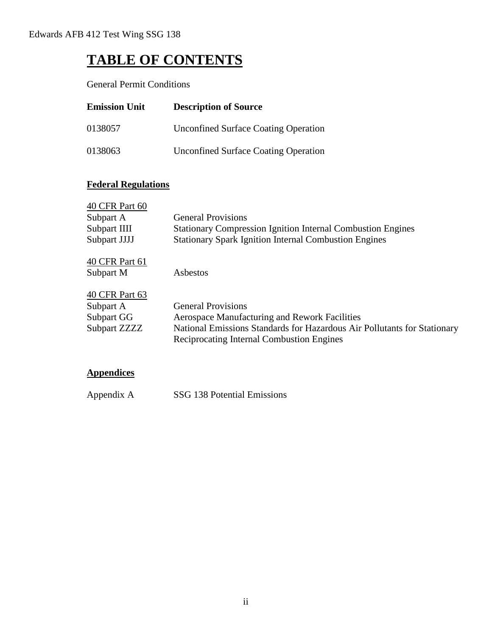## **TABLE OF CONTENTS**

General Permit Conditions

| <b>Emission Unit</b> | <b>Description of Source</b>                |
|----------------------|---------------------------------------------|
| 0138057              | <b>Unconfined Surface Coating Operation</b> |
| 0138063              | <b>Unconfined Surface Coating Operation</b> |

### **Federal Regulations**

| 40 CFR Part 60 |                                                                                                                              |
|----------------|------------------------------------------------------------------------------------------------------------------------------|
| Subpart A      | <b>General Provisions</b>                                                                                                    |
| Subpart IIII   | <b>Stationary Compression Ignition Internal Combustion Engines</b>                                                           |
| Subpart JJJJ   | <b>Stationary Spark Ignition Internal Combustion Engines</b>                                                                 |
| 40 CFR Part 61 |                                                                                                                              |
| Subpart M      | Asbestos                                                                                                                     |
| 40 CFR Part 63 |                                                                                                                              |
| Subpart A      | <b>General Provisions</b>                                                                                                    |
| Subpart GG     | Aerospace Manufacturing and Rework Facilities                                                                                |
| Subpart ZZZZ   | National Emissions Standards for Hazardous Air Pollutants for Stationary<br><b>Reciprocating Internal Combustion Engines</b> |
|                |                                                                                                                              |

#### **Appendices**

Appendix A SSG 138 Potential Emissions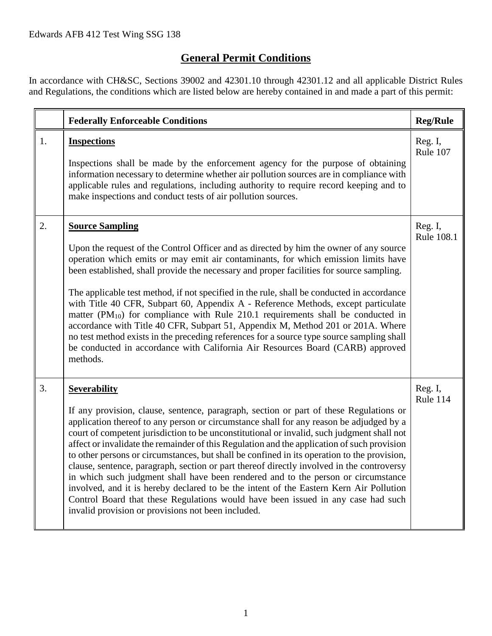## **General Permit Conditions**

In accordance with CH&SC, Sections 39002 and 42301.10 through 42301.12 and all applicable District Rules and Regulations, the conditions which are listed below are hereby contained in and made a part of this permit:

|    | <b>Federally Enforceable Conditions</b>                                                                                                                                                                                                                                                                                                                                                                                                                                                                                                                                                                                                                                                                                                                                                                                                                                                                                    | <b>Reg/Rule</b>       |
|----|----------------------------------------------------------------------------------------------------------------------------------------------------------------------------------------------------------------------------------------------------------------------------------------------------------------------------------------------------------------------------------------------------------------------------------------------------------------------------------------------------------------------------------------------------------------------------------------------------------------------------------------------------------------------------------------------------------------------------------------------------------------------------------------------------------------------------------------------------------------------------------------------------------------------------|-----------------------|
| 1. | <b>Inspections</b><br>Inspections shall be made by the enforcement agency for the purpose of obtaining<br>information necessary to determine whether air pollution sources are in compliance with<br>applicable rules and regulations, including authority to require record keeping and to<br>make inspections and conduct tests of air pollution sources.                                                                                                                                                                                                                                                                                                                                                                                                                                                                                                                                                                | Reg. I,<br>Rule 107   |
| 2. | <b>Source Sampling</b><br>Upon the request of the Control Officer and as directed by him the owner of any source<br>operation which emits or may emit air contaminants, for which emission limits have<br>been established, shall provide the necessary and proper facilities for source sampling.<br>The applicable test method, if not specified in the rule, shall be conducted in accordance<br>with Title 40 CFR, Subpart 60, Appendix A - Reference Methods, except particulate<br>matter $(PM_{10})$ for compliance with Rule 210.1 requirements shall be conducted in<br>accordance with Title 40 CFR, Subpart 51, Appendix M, Method 201 or 201A. Where<br>no test method exists in the preceding references for a source type source sampling shall<br>be conducted in accordance with California Air Resources Board (CARB) approved<br>methods.                                                                | Reg. I,<br>Rule 108.1 |
| 3. | <b>Severability</b><br>If any provision, clause, sentence, paragraph, section or part of these Regulations or<br>application thereof to any person or circumstance shall for any reason be adjudged by a<br>court of competent jurisdiction to be unconstitutional or invalid, such judgment shall not<br>affect or invalidate the remainder of this Regulation and the application of such provision<br>to other persons or circumstances, but shall be confined in its operation to the provision,<br>clause, sentence, paragraph, section or part thereof directly involved in the controversy<br>in which such judgment shall have been rendered and to the person or circumstance<br>involved, and it is hereby declared to be the intent of the Eastern Kern Air Pollution<br>Control Board that these Regulations would have been issued in any case had such<br>invalid provision or provisions not been included. | Reg. I,<br>Rule 114   |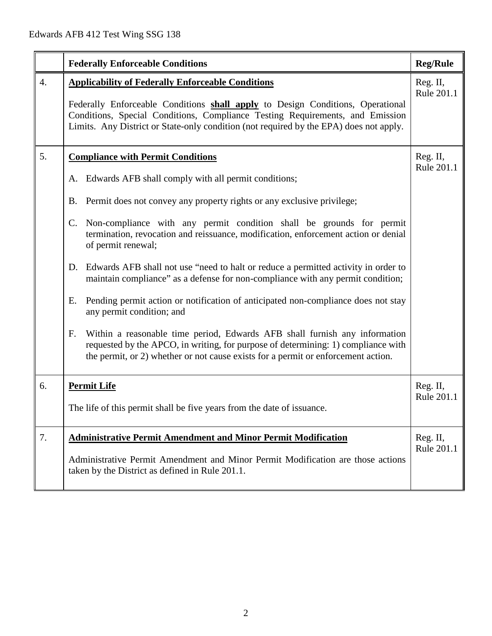|                  | <b>Federally Enforceable Conditions</b>                                                                                                                                                                                                                                                                                                                                                                                                                                                                                                                                                                                                                                                                                                                                                                                                                                                                                                      | <b>Reg/Rule</b>        |
|------------------|----------------------------------------------------------------------------------------------------------------------------------------------------------------------------------------------------------------------------------------------------------------------------------------------------------------------------------------------------------------------------------------------------------------------------------------------------------------------------------------------------------------------------------------------------------------------------------------------------------------------------------------------------------------------------------------------------------------------------------------------------------------------------------------------------------------------------------------------------------------------------------------------------------------------------------------------|------------------------|
| $\overline{4}$ . | <b>Applicability of Federally Enforceable Conditions</b><br>Federally Enforceable Conditions shall apply to Design Conditions, Operational<br>Conditions, Special Conditions, Compliance Testing Requirements, and Emission<br>Limits. Any District or State-only condition (not required by the EPA) does not apply.                                                                                                                                                                                                                                                                                                                                                                                                                                                                                                                                                                                                                        | Reg. II,<br>Rule 201.1 |
| 5.               | <b>Compliance with Permit Conditions</b><br>A. Edwards AFB shall comply with all permit conditions;<br>B. Permit does not convey any property rights or any exclusive privilege;<br>C. Non-compliance with any permit condition shall be grounds for permit<br>termination, revocation and reissuance, modification, enforcement action or denial<br>of permit renewal;<br>Edwards AFB shall not use "need to halt or reduce a permitted activity in order to<br>D.<br>maintain compliance" as a defense for non-compliance with any permit condition;<br>Pending permit action or notification of anticipated non-compliance does not stay<br>Ε.<br>any permit condition; and<br>Within a reasonable time period, Edwards AFB shall furnish any information<br>F.<br>requested by the APCO, in writing, for purpose of determining: 1) compliance with<br>the permit, or 2) whether or not cause exists for a permit or enforcement action. | Reg. II,<br>Rule 201.1 |
| 6.               | <b>Permit Life</b><br>The life of this permit shall be five years from the date of issuance.                                                                                                                                                                                                                                                                                                                                                                                                                                                                                                                                                                                                                                                                                                                                                                                                                                                 | Reg. II,<br>Rule 201.1 |
| 7.               | <b>Administrative Permit Amendment and Minor Permit Modification</b><br>Administrative Permit Amendment and Minor Permit Modification are those actions<br>taken by the District as defined in Rule 201.1.                                                                                                                                                                                                                                                                                                                                                                                                                                                                                                                                                                                                                                                                                                                                   | Reg. II,<br>Rule 201.1 |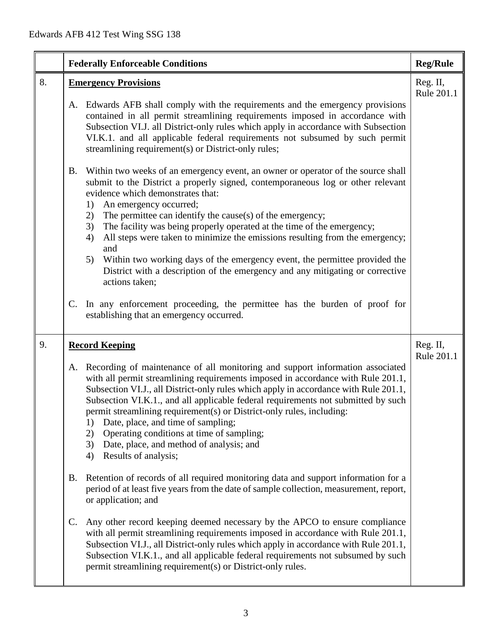|    | <b>Federally Enforceable Conditions</b>                                                                                                                                                                                                                                                                                                                                                                                                                                                                                                                                                                      | <b>Reg/Rule</b>        |
|----|--------------------------------------------------------------------------------------------------------------------------------------------------------------------------------------------------------------------------------------------------------------------------------------------------------------------------------------------------------------------------------------------------------------------------------------------------------------------------------------------------------------------------------------------------------------------------------------------------------------|------------------------|
| 8. | <b>Emergency Provisions</b>                                                                                                                                                                                                                                                                                                                                                                                                                                                                                                                                                                                  | Reg. II,<br>Rule 201.1 |
|    | Edwards AFB shall comply with the requirements and the emergency provisions<br>A.<br>contained in all permit streamlining requirements imposed in accordance with<br>Subsection VI.J. all District-only rules which apply in accordance with Subsection<br>VI.K.1. and all applicable federal requirements not subsumed by such permit<br>streamlining requirement(s) or District-only rules;                                                                                                                                                                                                                |                        |
|    | Within two weeks of an emergency event, an owner or operator of the source shall<br><b>B.</b><br>submit to the District a properly signed, contemporaneous log or other relevant<br>evidence which demonstrates that:<br>An emergency occurred;<br>1)                                                                                                                                                                                                                                                                                                                                                        |                        |
|    | The permittee can identify the cause(s) of the emergency;<br>2)<br>The facility was being properly operated at the time of the emergency;<br>3)<br>All steps were taken to minimize the emissions resulting from the emergency;<br>4)<br>and                                                                                                                                                                                                                                                                                                                                                                 |                        |
|    | Within two working days of the emergency event, the permittee provided the<br>5)<br>District with a description of the emergency and any mitigating or corrective<br>actions taken;                                                                                                                                                                                                                                                                                                                                                                                                                          |                        |
|    | In any enforcement proceeding, the permittee has the burden of proof for<br>C.<br>establishing that an emergency occurred.                                                                                                                                                                                                                                                                                                                                                                                                                                                                                   |                        |
| 9. | <b>Record Keeping</b>                                                                                                                                                                                                                                                                                                                                                                                                                                                                                                                                                                                        | Reg. II,<br>Rule 201.1 |
|    | Recording of maintenance of all monitoring and support information associated<br>A.<br>with all permit streamlining requirements imposed in accordance with Rule 201.1,<br>Subsection VI.J., all District-only rules which apply in accordance with Rule 201.1,<br>Subsection VI.K.1., and all applicable federal requirements not submitted by such<br>permit streamlining requirement(s) or District-only rules, including:<br>Date, place, and time of sampling;<br>1)<br>Operating conditions at time of sampling;<br>2)<br>Date, place, and method of analysis; and<br>3)<br>Results of analysis;<br>4) |                        |
|    | Retention of records of all required monitoring data and support information for a<br><b>B.</b><br>period of at least five years from the date of sample collection, measurement, report,<br>or application; and                                                                                                                                                                                                                                                                                                                                                                                             |                        |
|    | Any other record keeping deemed necessary by the APCO to ensure compliance<br>C.<br>with all permit streamlining requirements imposed in accordance with Rule 201.1,<br>Subsection VI.J., all District-only rules which apply in accordance with Rule 201.1,<br>Subsection VI.K.1., and all applicable federal requirements not subsumed by such<br>permit streamlining requirement(s) or District-only rules.                                                                                                                                                                                               |                        |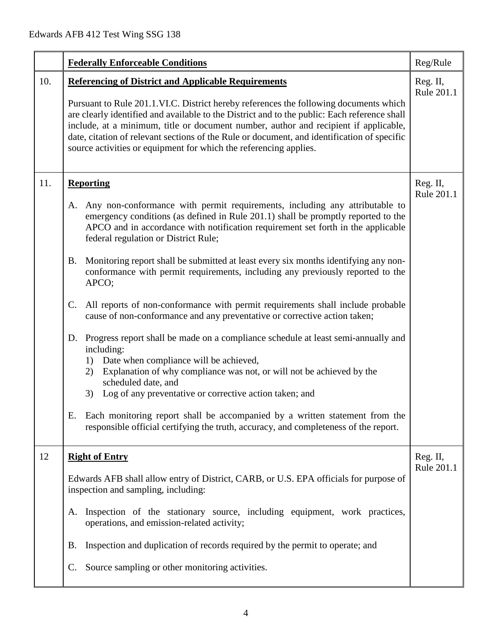|     | <b>Federally Enforceable Conditions</b>                                                                                                                                                                                                                                                                                                                                                                                                                                                                                                                                                                                                                                                                                                                                                                                                                                                                                                                                                                                                                                                                                                                                                                          | Reg/Rule               |
|-----|------------------------------------------------------------------------------------------------------------------------------------------------------------------------------------------------------------------------------------------------------------------------------------------------------------------------------------------------------------------------------------------------------------------------------------------------------------------------------------------------------------------------------------------------------------------------------------------------------------------------------------------------------------------------------------------------------------------------------------------------------------------------------------------------------------------------------------------------------------------------------------------------------------------------------------------------------------------------------------------------------------------------------------------------------------------------------------------------------------------------------------------------------------------------------------------------------------------|------------------------|
| 10. | <b>Referencing of District and Applicable Requirements</b><br>Pursuant to Rule 201.1.VI.C. District hereby references the following documents which<br>are clearly identified and available to the District and to the public: Each reference shall<br>include, at a minimum, title or document number, author and recipient if applicable,<br>date, citation of relevant sections of the Rule or document, and identification of specific<br>source activities or equipment for which the referencing applies.                                                                                                                                                                                                                                                                                                                                                                                                                                                                                                                                                                                                                                                                                                  | Reg. II,<br>Rule 201.1 |
| 11. | <b>Reporting</b><br>Any non-conformance with permit requirements, including any attributable to<br>A.<br>emergency conditions (as defined in Rule 201.1) shall be promptly reported to the<br>APCO and in accordance with notification requirement set forth in the applicable<br>federal regulation or District Rule;<br>Monitoring report shall be submitted at least every six months identifying any non-<br><b>B.</b><br>conformance with permit requirements, including any previously reported to the<br>APCO;<br>All reports of non-conformance with permit requirements shall include probable<br>$\mathsf{C}$ .<br>cause of non-conformance and any preventative or corrective action taken;<br>D. Progress report shall be made on a compliance schedule at least semi-annually and<br>including:<br>Date when compliance will be achieved,<br>1)<br>Explanation of why compliance was not, or will not be achieved by the<br>2)<br>scheduled date, and<br>Log of any preventative or corrective action taken; and<br>3)<br>Each monitoring report shall be accompanied by a written statement from the<br>Е.<br>responsible official certifying the truth, accuracy, and completeness of the report. | Reg. II,<br>Rule 201.1 |
| 12  | <b>Right of Entry</b><br>Edwards AFB shall allow entry of District, CARB, or U.S. EPA officials for purpose of<br>inspection and sampling, including:<br>Inspection of the stationary source, including equipment, work practices,<br>A.<br>operations, and emission-related activity;<br>Inspection and duplication of records required by the permit to operate; and<br>В.<br>Source sampling or other monitoring activities.<br>$\mathbb{C}$ .                                                                                                                                                                                                                                                                                                                                                                                                                                                                                                                                                                                                                                                                                                                                                                | Reg. II,<br>Rule 201.1 |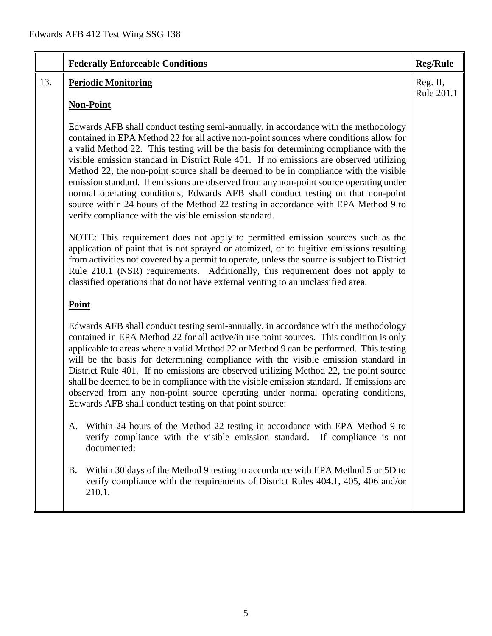|     | <b>Federally Enforceable Conditions</b>                                                                                                                                                                                                                                                                                                                                                                                                                                                                                                                                                                                                                                                                                                                                               | <b>Reg/Rule</b>        |
|-----|---------------------------------------------------------------------------------------------------------------------------------------------------------------------------------------------------------------------------------------------------------------------------------------------------------------------------------------------------------------------------------------------------------------------------------------------------------------------------------------------------------------------------------------------------------------------------------------------------------------------------------------------------------------------------------------------------------------------------------------------------------------------------------------|------------------------|
| 13. | <b>Periodic Monitoring</b>                                                                                                                                                                                                                                                                                                                                                                                                                                                                                                                                                                                                                                                                                                                                                            | Reg. II,<br>Rule 201.1 |
|     | <b>Non-Point</b>                                                                                                                                                                                                                                                                                                                                                                                                                                                                                                                                                                                                                                                                                                                                                                      |                        |
|     | Edwards AFB shall conduct testing semi-annually, in accordance with the methodology<br>contained in EPA Method 22 for all active non-point sources where conditions allow for<br>a valid Method 22. This testing will be the basis for determining compliance with the<br>visible emission standard in District Rule 401. If no emissions are observed utilizing<br>Method 22, the non-point source shall be deemed to be in compliance with the visible<br>emission standard. If emissions are observed from any non-point source operating under<br>normal operating conditions, Edwards AFB shall conduct testing on that non-point<br>source within 24 hours of the Method 22 testing in accordance with EPA Method 9 to<br>verify compliance with the visible emission standard. |                        |
|     | NOTE: This requirement does not apply to permitted emission sources such as the<br>application of paint that is not sprayed or atomized, or to fugitive emissions resulting<br>from activities not covered by a permit to operate, unless the source is subject to District<br>Rule 210.1 (NSR) requirements. Additionally, this requirement does not apply to<br>classified operations that do not have external venting to an unclassified area.                                                                                                                                                                                                                                                                                                                                    |                        |
|     | <b>Point</b>                                                                                                                                                                                                                                                                                                                                                                                                                                                                                                                                                                                                                                                                                                                                                                          |                        |
|     | Edwards AFB shall conduct testing semi-annually, in accordance with the methodology<br>contained in EPA Method 22 for all active/in use point sources. This condition is only<br>applicable to areas where a valid Method 22 or Method 9 can be performed. This testing<br>will be the basis for determining compliance with the visible emission standard in<br>District Rule 401. If no emissions are observed utilizing Method 22, the point source<br>shall be deemed to be in compliance with the visible emission standard. If emissions are<br>observed from any non-point source operating under normal operating conditions,<br>Edwards AFB shall conduct testing on that point source:                                                                                      |                        |
|     | A. Within 24 hours of the Method 22 testing in accordance with EPA Method 9 to<br>verify compliance with the visible emission standard.<br>If compliance is not<br>documented:                                                                                                                                                                                                                                                                                                                                                                                                                                                                                                                                                                                                        |                        |
|     | Within 30 days of the Method 9 testing in accordance with EPA Method 5 or 5D to<br>Β.<br>verify compliance with the requirements of District Rules 404.1, 405, 406 and/or<br>210.1.                                                                                                                                                                                                                                                                                                                                                                                                                                                                                                                                                                                                   |                        |
|     |                                                                                                                                                                                                                                                                                                                                                                                                                                                                                                                                                                                                                                                                                                                                                                                       |                        |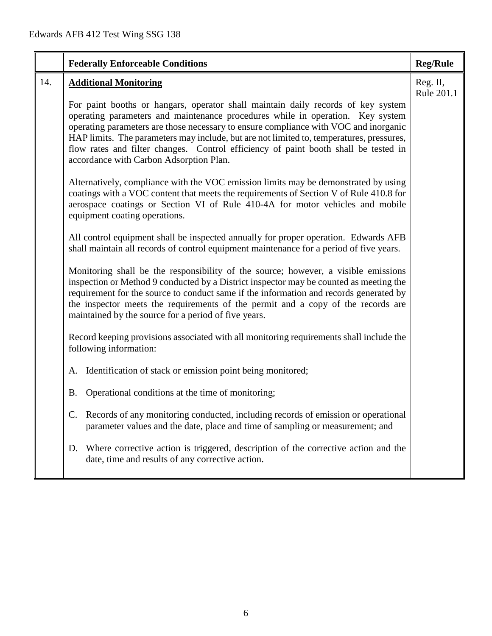|     | <b>Federally Enforceable Conditions</b>                                                                                                                                                                                                                                                                                                                                                                                                                                                  | <b>Reg/Rule</b>        |
|-----|------------------------------------------------------------------------------------------------------------------------------------------------------------------------------------------------------------------------------------------------------------------------------------------------------------------------------------------------------------------------------------------------------------------------------------------------------------------------------------------|------------------------|
| 14. | <b>Additional Monitoring</b>                                                                                                                                                                                                                                                                                                                                                                                                                                                             | Reg. II,<br>Rule 201.1 |
|     | For paint booths or hangars, operator shall maintain daily records of key system<br>operating parameters and maintenance procedures while in operation. Key system<br>operating parameters are those necessary to ensure compliance with VOC and inorganic<br>HAP limits. The parameters may include, but are not limited to, temperatures, pressures,<br>flow rates and filter changes. Control efficiency of paint booth shall be tested in<br>accordance with Carbon Adsorption Plan. |                        |
|     | Alternatively, compliance with the VOC emission limits may be demonstrated by using<br>coatings with a VOC content that meets the requirements of Section V of Rule 410.8 for<br>aerospace coatings or Section VI of Rule 410-4A for motor vehicles and mobile<br>equipment coating operations.                                                                                                                                                                                          |                        |
|     | All control equipment shall be inspected annually for proper operation. Edwards AFB<br>shall maintain all records of control equipment maintenance for a period of five years.                                                                                                                                                                                                                                                                                                           |                        |
|     | Monitoring shall be the responsibility of the source; however, a visible emissions<br>inspection or Method 9 conducted by a District inspector may be counted as meeting the<br>requirement for the source to conduct same if the information and records generated by<br>the inspector meets the requirements of the permit and a copy of the records are<br>maintained by the source for a period of five years.                                                                       |                        |
|     | Record keeping provisions associated with all monitoring requirements shall include the<br>following information:                                                                                                                                                                                                                                                                                                                                                                        |                        |
|     | Identification of stack or emission point being monitored;<br>А.                                                                                                                                                                                                                                                                                                                                                                                                                         |                        |
|     | Operational conditions at the time of monitoring;<br>Β.                                                                                                                                                                                                                                                                                                                                                                                                                                  |                        |
|     | Records of any monitoring conducted, including records of emission or operational<br>C.<br>parameter values and the date, place and time of sampling or measurement; and                                                                                                                                                                                                                                                                                                                 |                        |
|     | Where corrective action is triggered, description of the corrective action and the<br>D.<br>date, time and results of any corrective action.                                                                                                                                                                                                                                                                                                                                             |                        |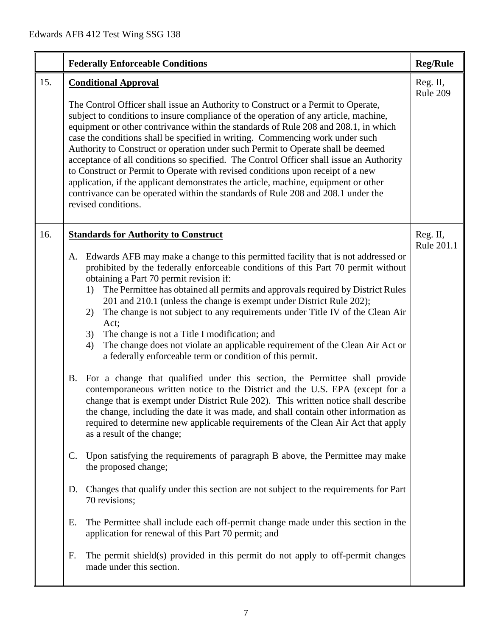|                                               | <b>Federally Enforceable Conditions</b>                                                                                                                                                                                                                                                                                                                                                                                                                                                                                                                                                                                                                                                                                                                                                                                                                                                                                                                                                                                                                                                                                                                                                                                                                                                                                                                                                                                                                                                                                                                                                                                                                                                    | <b>Reg/Rule</b>        |
|-----------------------------------------------|--------------------------------------------------------------------------------------------------------------------------------------------------------------------------------------------------------------------------------------------------------------------------------------------------------------------------------------------------------------------------------------------------------------------------------------------------------------------------------------------------------------------------------------------------------------------------------------------------------------------------------------------------------------------------------------------------------------------------------------------------------------------------------------------------------------------------------------------------------------------------------------------------------------------------------------------------------------------------------------------------------------------------------------------------------------------------------------------------------------------------------------------------------------------------------------------------------------------------------------------------------------------------------------------------------------------------------------------------------------------------------------------------------------------------------------------------------------------------------------------------------------------------------------------------------------------------------------------------------------------------------------------------------------------------------------------|------------------------|
| 15.                                           | <b>Conditional Approval</b><br>The Control Officer shall issue an Authority to Construct or a Permit to Operate,<br>subject to conditions to insure compliance of the operation of any article, machine,<br>equipment or other contrivance within the standards of Rule 208 and 208.1, in which<br>case the conditions shall be specified in writing. Commencing work under such<br>Authority to Construct or operation under such Permit to Operate shall be deemed<br>acceptance of all conditions so specified. The Control Officer shall issue an Authority<br>to Construct or Permit to Operate with revised conditions upon receipt of a new<br>application, if the applicant demonstrates the article, machine, equipment or other<br>contrivance can be operated within the standards of Rule 208 and 208.1 under the<br>revised conditions.                                                                                                                                                                                                                                                                                                                                                                                                                                                                                                                                                                                                                                                                                                                                                                                                                                       | Reg. II,<br>Rule 209   |
| 16.<br>A.<br>$\mathbf{C}$ .<br>D.<br>Е.<br>F. | <b>Standards for Authority to Construct</b><br>Edwards AFB may make a change to this permitted facility that is not addressed or<br>prohibited by the federally enforceable conditions of this Part 70 permit without<br>obtaining a Part 70 permit revision if:<br>The Permittee has obtained all permits and approvals required by District Rules<br>1)<br>201 and 210.1 (unless the change is exempt under District Rule 202);<br>The change is not subject to any requirements under Title IV of the Clean Air<br>2)<br>Act;<br>The change is not a Title I modification; and<br>3)<br>The change does not violate an applicable requirement of the Clean Air Act or<br>4)<br>a federally enforceable term or condition of this permit.<br>B. For a change that qualified under this section, the Permittee shall provide<br>contemporaneous written notice to the District and the U.S. EPA (except for a<br>change that is exempt under District Rule 202). This written notice shall describe<br>the change, including the date it was made, and shall contain other information as<br>required to determine new applicable requirements of the Clean Air Act that apply<br>as a result of the change;<br>Upon satisfying the requirements of paragraph B above, the Permittee may make<br>the proposed change;<br>Changes that qualify under this section are not subject to the requirements for Part<br>70 revisions;<br>The Permittee shall include each off-permit change made under this section in the<br>application for renewal of this Part 70 permit; and<br>The permit shield(s) provided in this permit do not apply to off-permit changes<br>made under this section. | Reg. II,<br>Rule 201.1 |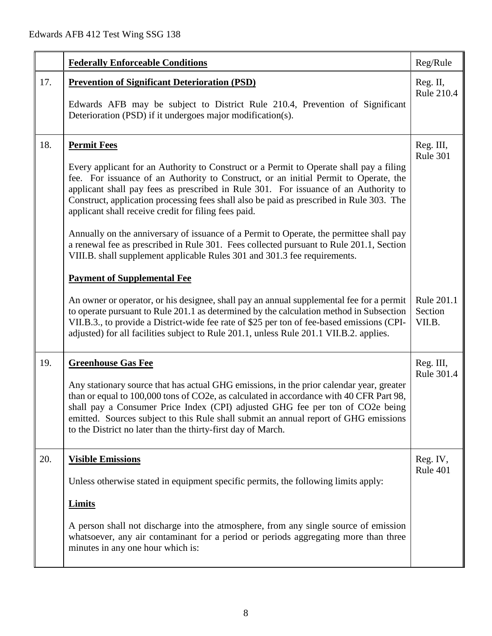|     | <b>Federally Enforceable Conditions</b>                                                                                                                                                                                                                                                                                                                                                                                                                                                                                                                                                                                                                                                                                                                   | Reg/Rule                        |
|-----|-----------------------------------------------------------------------------------------------------------------------------------------------------------------------------------------------------------------------------------------------------------------------------------------------------------------------------------------------------------------------------------------------------------------------------------------------------------------------------------------------------------------------------------------------------------------------------------------------------------------------------------------------------------------------------------------------------------------------------------------------------------|---------------------------------|
| 17. | <b>Prevention of Significant Deterioration (PSD)</b><br>Edwards AFB may be subject to District Rule 210.4, Prevention of Significant<br>Deterioration (PSD) if it undergoes major modification(s).                                                                                                                                                                                                                                                                                                                                                                                                                                                                                                                                                        | Reg. II,<br><b>Rule 210.4</b>   |
| 18. | <b>Permit Fees</b><br>Every applicant for an Authority to Construct or a Permit to Operate shall pay a filing<br>fee. For issuance of an Authority to Construct, or an initial Permit to Operate, the<br>applicant shall pay fees as prescribed in Rule 301. For issuance of an Authority to<br>Construct, application processing fees shall also be paid as prescribed in Rule 303. The<br>applicant shall receive credit for filing fees paid.<br>Annually on the anniversary of issuance of a Permit to Operate, the permittee shall pay<br>a renewal fee as prescribed in Rule 301. Fees collected pursuant to Rule 201.1, Section<br>VIII.B. shall supplement applicable Rules 301 and 301.3 fee requirements.<br><b>Payment of Supplemental Fee</b> | Reg. III,<br><b>Rule 301</b>    |
|     | An owner or operator, or his designee, shall pay an annual supplemental fee for a permit<br>to operate pursuant to Rule 201.1 as determined by the calculation method in Subsection<br>VII.B.3., to provide a District-wide fee rate of \$25 per ton of fee-based emissions (CPI-<br>adjusted) for all facilities subject to Rule 201.1, unless Rule 201.1 VII.B.2. applies.                                                                                                                                                                                                                                                                                                                                                                              | Rule 201.1<br>Section<br>VII.B. |
| 19. | <b>Greenhouse Gas Fee</b><br>Any stationary source that has actual GHG emissions, in the prior calendar year, greater<br>than or equal to 100,000 tons of CO2e, as calculated in accordance with 40 CFR Part 98,<br>shall pay a Consumer Price Index (CPI) adjusted GHG fee per ton of CO2e being<br>emitted. Sources subject to this Rule shall submit an annual report of GHG emissions<br>to the District no later than the thirty-first day of March.                                                                                                                                                                                                                                                                                                 | Reg. III,<br>Rule 301.4         |
| 20. | <b>Visible Emissions</b><br>Unless otherwise stated in equipment specific permits, the following limits apply:<br><b>Limits</b><br>A person shall not discharge into the atmosphere, from any single source of emission<br>whatsoever, any air contaminant for a period or periods aggregating more than three<br>minutes in any one hour which is:                                                                                                                                                                                                                                                                                                                                                                                                       | Reg. IV,<br>Rule 401            |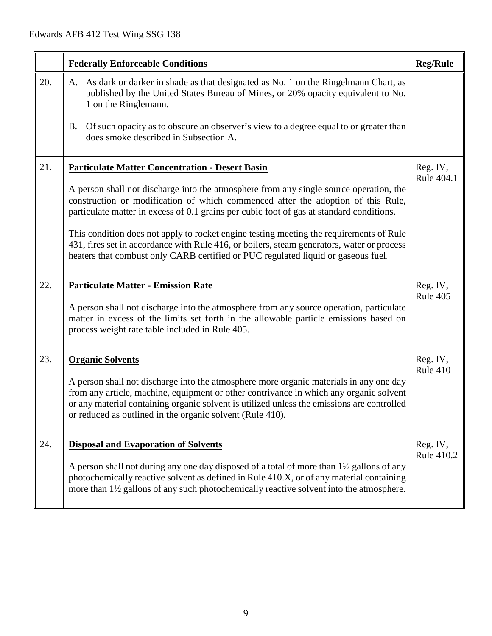|     | <b>Federally Enforceable Conditions</b>                                                                                                                                                                                                                                                                                                                                                                                                                    | <b>Reg/Rule</b>        |
|-----|------------------------------------------------------------------------------------------------------------------------------------------------------------------------------------------------------------------------------------------------------------------------------------------------------------------------------------------------------------------------------------------------------------------------------------------------------------|------------------------|
| 20. | As dark or darker in shade as that designated as No. 1 on the Ringelmann Chart, as<br>A.<br>published by the United States Bureau of Mines, or 20% opacity equivalent to No.<br>1 on the Ringlemann.<br>Of such opacity as to obscure an observer's view to a degree equal to or greater than<br>B.<br>does smoke described in Subsection A.                                                                                                               |                        |
| 21. | <b>Particulate Matter Concentration - Desert Basin</b><br>A person shall not discharge into the atmosphere from any single source operation, the                                                                                                                                                                                                                                                                                                           | Reg. IV,<br>Rule 404.1 |
|     | construction or modification of which commenced after the adoption of this Rule,<br>particulate matter in excess of 0.1 grains per cubic foot of gas at standard conditions.<br>This condition does not apply to rocket engine testing meeting the requirements of Rule<br>431, fires set in accordance with Rule 416, or boilers, steam generators, water or process<br>heaters that combust only CARB certified or PUC regulated liquid or gaseous fuel. |                        |
| 22. | <b>Particulate Matter - Emission Rate</b><br>A person shall not discharge into the atmosphere from any source operation, particulate<br>matter in excess of the limits set forth in the allowable particle emissions based on<br>process weight rate table included in Rule 405.                                                                                                                                                                           | Reg. IV,<br>Rule 405   |
| 23. | <b>Organic Solvents</b><br>A person shall not discharge into the atmosphere more organic materials in any one day<br>from any article, machine, equipment or other contrivance in which any organic solvent<br>or any material containing organic solvent is utilized unless the emissions are controlled<br>or reduced as outlined in the organic solvent (Rule 410).                                                                                     | Reg. IV,<br>Rule 410   |
| 24. | <b>Disposal and Evaporation of Solvents</b><br>A person shall not during any one day disposed of a total of more than 1½ gallons of any<br>photochemically reactive solvent as defined in Rule 410.X, or of any material containing<br>more than 1½ gallons of any such photochemically reactive solvent into the atmosphere.                                                                                                                              | Reg. IV,<br>Rule 410.2 |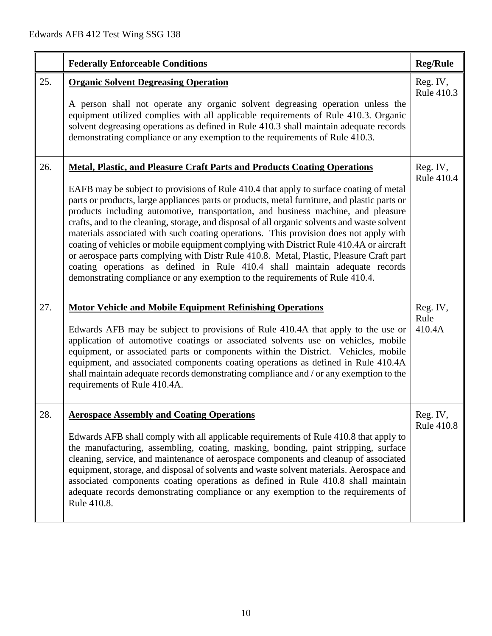|     | <b>Federally Enforceable Conditions</b>                                                                                                                                                                                                                                                                                                                                                                                                                                                                                                                                                                                                                                                                                                                                                                                                                                                               | <b>Reg/Rule</b>               |
|-----|-------------------------------------------------------------------------------------------------------------------------------------------------------------------------------------------------------------------------------------------------------------------------------------------------------------------------------------------------------------------------------------------------------------------------------------------------------------------------------------------------------------------------------------------------------------------------------------------------------------------------------------------------------------------------------------------------------------------------------------------------------------------------------------------------------------------------------------------------------------------------------------------------------|-------------------------------|
| 25. | <b>Organic Solvent Degreasing Operation</b><br>A person shall not operate any organic solvent degreasing operation unless the<br>equipment utilized complies with all applicable requirements of Rule 410.3. Organic<br>solvent degreasing operations as defined in Rule 410.3 shall maintain adequate records<br>demonstrating compliance or any exemption to the requirements of Rule 410.3.                                                                                                                                                                                                                                                                                                                                                                                                                                                                                                        | Reg. IV,<br>Rule 410.3        |
| 26. | Metal, Plastic, and Pleasure Craft Parts and Products Coating Operations<br>EAFB may be subject to provisions of Rule 410.4 that apply to surface coating of metal<br>parts or products, large appliances parts or products, metal furniture, and plastic parts or<br>products including automotive, transportation, and business machine, and pleasure<br>crafts, and to the cleaning, storage, and disposal of all organic solvents and waste solvent<br>materials associated with such coating operations. This provision does not apply with<br>coating of vehicles or mobile equipment complying with District Rule 410.4A or aircraft<br>or aerospace parts complying with Distr Rule 410.8. Metal, Plastic, Pleasure Craft part<br>coating operations as defined in Rule 410.4 shall maintain adequate records<br>demonstrating compliance or any exemption to the requirements of Rule 410.4. | Reg. IV,<br>Rule 410.4        |
| 27. | <b>Motor Vehicle and Mobile Equipment Refinishing Operations</b><br>Edwards AFB may be subject to provisions of Rule 410.4A that apply to the use or<br>application of automotive coatings or associated solvents use on vehicles, mobile<br>equipment, or associated parts or components within the District. Vehicles, mobile<br>equipment, and associated components coating operations as defined in Rule 410.4A<br>shall maintain adequate records demonstrating compliance and / or any exemption to the<br>requirements of Rule 410.4A.                                                                                                                                                                                                                                                                                                                                                        | Reg. IV,<br>Rule<br>410.4A    |
| 28. | <b>Aerospace Assembly and Coating Operations</b><br>Edwards AFB shall comply with all applicable requirements of Rule 410.8 that apply to<br>the manufacturing, assembling, coating, masking, bonding, paint stripping, surface<br>cleaning, service, and maintenance of aerospace components and cleanup of associated<br>equipment, storage, and disposal of solvents and waste solvent materials. Aerospace and<br>associated components coating operations as defined in Rule 410.8 shall maintain<br>adequate records demonstrating compliance or any exemption to the requirements of<br>Rule 410.8.                                                                                                                                                                                                                                                                                            | Reg. IV,<br><b>Rule 410.8</b> |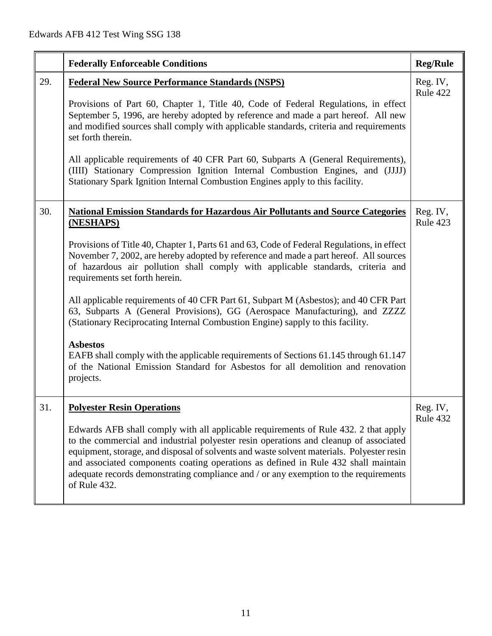|     | <b>Federally Enforceable Conditions</b>                                                                                                                                                                                                                                                                                                                                                                                                                                                                                                                                                                                                                                                                                                                                                                                                                                             | <b>Reg/Rule</b>      |
|-----|-------------------------------------------------------------------------------------------------------------------------------------------------------------------------------------------------------------------------------------------------------------------------------------------------------------------------------------------------------------------------------------------------------------------------------------------------------------------------------------------------------------------------------------------------------------------------------------------------------------------------------------------------------------------------------------------------------------------------------------------------------------------------------------------------------------------------------------------------------------------------------------|----------------------|
| 29. | <b>Federal New Source Performance Standards (NSPS)</b><br>Provisions of Part 60, Chapter 1, Title 40, Code of Federal Regulations, in effect<br>September 5, 1996, are hereby adopted by reference and made a part hereof. All new<br>and modified sources shall comply with applicable standards, criteria and requirements<br>set forth therein.<br>All applicable requirements of 40 CFR Part 60, Subparts A (General Requirements),<br>(IIII) Stationary Compression Ignition Internal Combustion Engines, and (JJJJ)<br>Stationary Spark Ignition Internal Combustion Engines apply to this facility.                                                                                                                                                                                                                                                                          | Reg. IV,<br>Rule 422 |
| 30. | <b>National Emission Standards for Hazardous Air Pollutants and Source Categories</b><br>(NESHAPS)<br>Provisions of Title 40, Chapter 1, Parts 61 and 63, Code of Federal Regulations, in effect<br>November 7, 2002, are hereby adopted by reference and made a part hereof. All sources<br>of hazardous air pollution shall comply with applicable standards, criteria and<br>requirements set forth herein.<br>All applicable requirements of 40 CFR Part 61, Subpart M (Asbestos); and 40 CFR Part<br>63, Subparts A (General Provisions), GG (Aerospace Manufacturing), and ZZZZ<br>(Stationary Reciprocating Internal Combustion Engine) sapply to this facility.<br><b>Asbestos</b><br>EAFB shall comply with the applicable requirements of Sections 61.145 through 61.147<br>of the National Emission Standard for Asbestos for all demolition and renovation<br>projects. | Reg. IV,<br>Rule 423 |
| 31  | <b>Polyester Resin Operations</b><br>Edwards AFB shall comply with all applicable requirements of Rule 432. 2 that apply<br>to the commercial and industrial polyester resin operations and cleanup of associated<br>equipment, storage, and disposal of solvents and waste solvent materials. Polyester resin<br>and associated components coating operations as defined in Rule 432 shall maintain<br>adequate records demonstrating compliance and / or any exemption to the requirements<br>of Rule 432.                                                                                                                                                                                                                                                                                                                                                                        | Reg. IV<br>Rule 432  |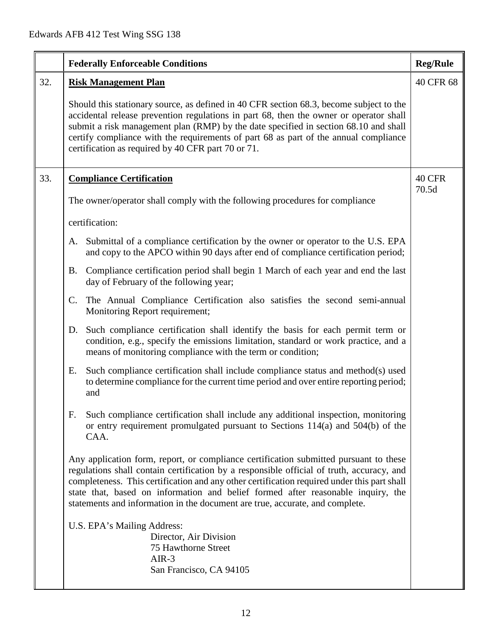|     | <b>Federally Enforceable Conditions</b>                                                                                                                                                                                                                                                                                                                                                                                                               | <b>Reg/Rule</b> |
|-----|-------------------------------------------------------------------------------------------------------------------------------------------------------------------------------------------------------------------------------------------------------------------------------------------------------------------------------------------------------------------------------------------------------------------------------------------------------|-----------------|
| 32. | <b>Risk Management Plan</b>                                                                                                                                                                                                                                                                                                                                                                                                                           | 40 CFR 68       |
|     | Should this stationary source, as defined in 40 CFR section 68.3, become subject to the<br>accidental release prevention regulations in part 68, then the owner or operator shall<br>submit a risk management plan (RMP) by the date specified in section 68.10 and shall<br>certify compliance with the requirements of part 68 as part of the annual compliance<br>certification as required by 40 CFR part 70 or 71.                               |                 |
| 33. | <b>Compliance Certification</b>                                                                                                                                                                                                                                                                                                                                                                                                                       |                 |
|     | The owner/operator shall comply with the following procedures for compliance                                                                                                                                                                                                                                                                                                                                                                          | 70.5d           |
|     | certification:                                                                                                                                                                                                                                                                                                                                                                                                                                        |                 |
|     | Submittal of a compliance certification by the owner or operator to the U.S. EPA<br>А.<br>and copy to the APCO within 90 days after end of compliance certification period;                                                                                                                                                                                                                                                                           |                 |
|     | Compliance certification period shall begin 1 March of each year and end the last<br>В.<br>day of February of the following year;                                                                                                                                                                                                                                                                                                                     |                 |
|     | $C_{\cdot}$<br>The Annual Compliance Certification also satisfies the second semi-annual<br>Monitoring Report requirement;                                                                                                                                                                                                                                                                                                                            |                 |
|     | D. Such compliance certification shall identify the basis for each permit term or<br>condition, e.g., specify the emissions limitation, standard or work practice, and a<br>means of monitoring compliance with the term or condition;                                                                                                                                                                                                                |                 |
|     | Such compliance certification shall include compliance status and method(s) used<br>Е.<br>to determine compliance for the current time period and over entire reporting period;<br>and                                                                                                                                                                                                                                                                |                 |
|     | Such compliance certification shall include any additional inspection, monitoring<br>F.<br>or entry requirement promulgated pursuant to Sections 114(a) and 504(b) of the<br>CAA.                                                                                                                                                                                                                                                                     |                 |
|     | Any application form, report, or compliance certification submitted pursuant to these<br>regulations shall contain certification by a responsible official of truth, accuracy, and<br>completeness. This certification and any other certification required under this part shall<br>state that, based on information and belief formed after reasonable inquiry, the<br>statements and information in the document are true, accurate, and complete. |                 |
|     | U.S. EPA's Mailing Address:<br>Director, Air Division<br>75 Hawthorne Street<br>$AIR-3$<br>San Francisco, CA 94105                                                                                                                                                                                                                                                                                                                                    |                 |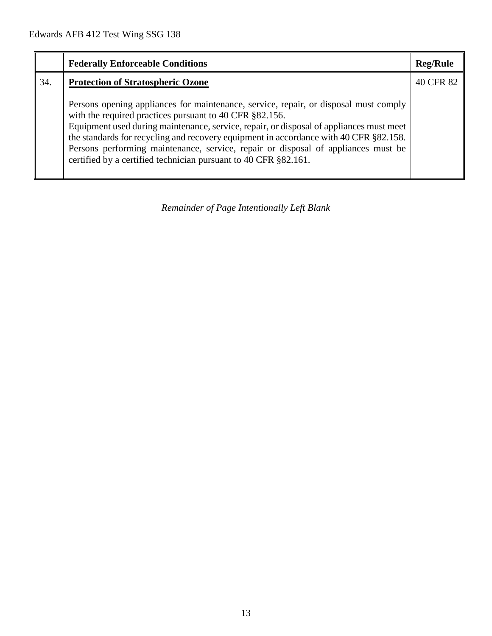|     | <b>Federally Enforceable Conditions</b>                                                                                                                                                                                                                                                                                                                                                                                                                                                     | <b>Reg/Rule</b> |
|-----|---------------------------------------------------------------------------------------------------------------------------------------------------------------------------------------------------------------------------------------------------------------------------------------------------------------------------------------------------------------------------------------------------------------------------------------------------------------------------------------------|-----------------|
| 34. | <b>Protection of Stratospheric Ozone</b>                                                                                                                                                                                                                                                                                                                                                                                                                                                    | 40 CFR 82       |
|     | Persons opening appliances for maintenance, service, repair, or disposal must comply<br>with the required practices pursuant to 40 CFR §82.156.<br>Equipment used during maintenance, service, repair, or disposal of appliances must meet<br>the standards for recycling and recovery equipment in accordance with 40 CFR §82.158.<br>Persons performing maintenance, service, repair or disposal of appliances must be<br>certified by a certified technician pursuant to 40 CFR §82.161. |                 |

*Remainder of Page Intentionally Left Blank*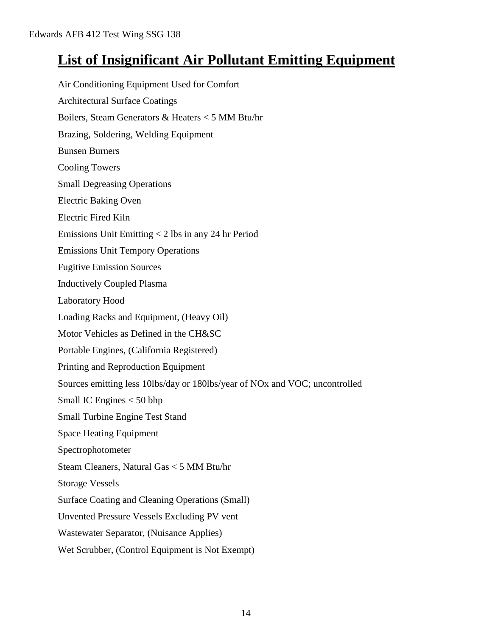## **List of Insignificant Air Pollutant Emitting Equipment**

Air Conditioning Equipment Used for Comfort Architectural Surface Coatings Boilers, Steam Generators & Heaters < 5 MM Btu/hr Brazing, Soldering, Welding Equipment Bunsen Burners Cooling Towers Small Degreasing Operations Electric Baking Oven Electric Fired Kiln Emissions Unit Emitting < 2 lbs in any 24 hr Period Emissions Unit Tempory Operations Fugitive Emission Sources Inductively Coupled Plasma Laboratory Hood Loading Racks and Equipment, (Heavy Oil) Motor Vehicles as Defined in the CH&SC Portable Engines, (California Registered) Printing and Reproduction Equipment Sources emitting less 10lbs/day or 180lbs/year of NOx and VOC; uncontrolled Small IC Engines < 50 bhp Small Turbine Engine Test Stand Space Heating Equipment Spectrophotometer Steam Cleaners, Natural Gas < 5 MM Btu/hr Storage Vessels Surface Coating and Cleaning Operations (Small) Unvented Pressure Vessels Excluding PV vent Wastewater Separator, (Nuisance Applies) Wet Scrubber, (Control Equipment is Not Exempt)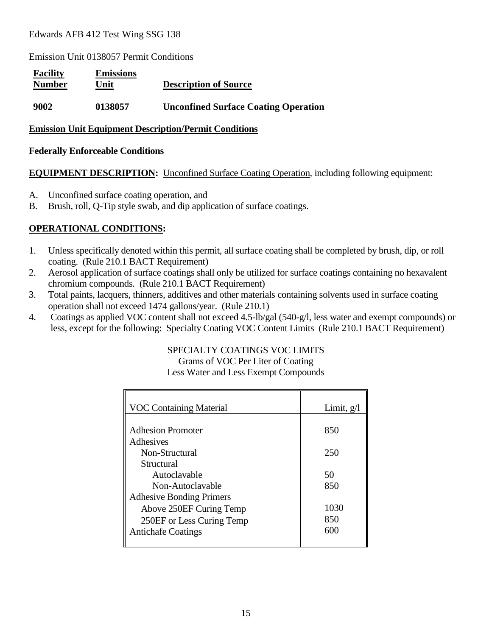Emission Unit 0138057 Permit Conditions

| <b>Facility</b><br><b>Number</b> | <b>Emissions</b><br>Unit | <b>Description of Source</b>                |
|----------------------------------|--------------------------|---------------------------------------------|
| 9002                             | 0138057                  | <b>Unconfined Surface Coating Operation</b> |

#### **Emission Unit Equipment Description/Permit Conditions**

#### **Federally Enforceable Conditions**

#### **EQUIPMENT DESCRIPTION:** Unconfined Surface Coating Operation, including following equipment:

- A. Unconfined surface coating operation, and
- B. Brush, roll, Q-Tip style swab, and dip application of surface coatings.

#### **OPERATIONAL CONDITIONS:**

- 1. Unless specifically denoted within this permit, all surface coating shall be completed by brush, dip, or roll coating. (Rule 210.1 BACT Requirement)
- 2. Aerosol application of surface coatings shall only be utilized for surface coatings containing no hexavalent chromium compounds. (Rule 210.1 BACT Requirement)
- 3. Total paints, lacquers, thinners, additives and other materials containing solvents used in surface coating operation shall not exceed 1474 gallons/year. (Rule 210.1)
- 4. Coatings as applied VOC content shall not exceed 4.5-lb/gal (540-g/l, less water and exempt compounds) or less, except for the following: Specialty Coating VOC Content Limits (Rule 210.1 BACT Requirement)

## SPECIALTY COATINGS VOC LIMITS

Grams of VOC Per Liter of Coating Less Water and Less Exempt Compounds

| <b>VOC Containing Material</b>  | Limit, $g/l$ |
|---------------------------------|--------------|
|                                 |              |
| <b>Adhesion Promoter</b>        | 850          |
| Adhesives                       |              |
| Non-Structural                  | 250          |
| Structural                      |              |
| Autoclavable                    | 50           |
| Non-Autoclavable                | 850          |
| <b>Adhesive Bonding Primers</b> |              |
| Above 250EF Curing Temp         | 1030         |
| 250EF or Less Curing Temp       | 850          |
| <b>Antichafe Coatings</b>       | 600          |
|                                 |              |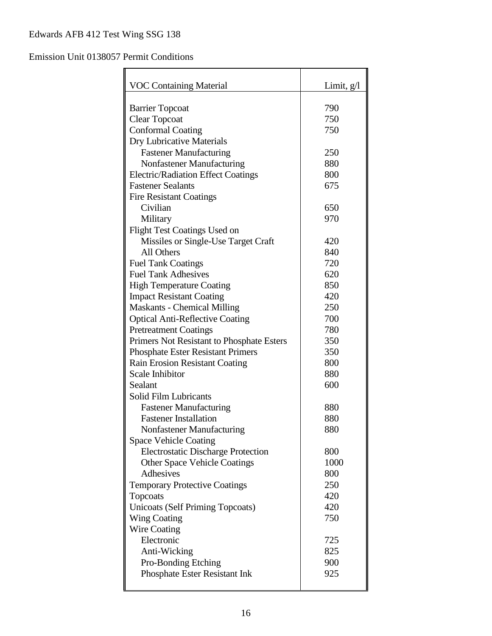## Emission Unit 0138057 Permit Conditions

| <b>VOC Containing Material</b>                 | Limit, $g/l$ |
|------------------------------------------------|--------------|
|                                                |              |
| <b>Barrier Topcoat</b><br><b>Clear Topcoat</b> | 790<br>750   |
| <b>Conformal Coating</b>                       | 750          |
| Dry Lubricative Materials                      |              |
| <b>Fastener Manufacturing</b>                  | 250          |
| Nonfastener Manufacturing                      | 880          |
| <b>Electric/Radiation Effect Coatings</b>      | 800          |
| <b>Fastener Sealants</b>                       | 675          |
|                                                |              |
| <b>Fire Resistant Coatings</b><br>Civilian     | 650          |
|                                                | 970          |
| Military                                       |              |
| <b>Flight Test Coatings Used on</b>            | 420          |
| Missiles or Single-Use Target Craft            |              |
| All Others                                     | 840          |
| <b>Fuel Tank Coatings</b>                      | 720          |
| <b>Fuel Tank Adhesives</b>                     | 620          |
| <b>High Temperature Coating</b>                | 850          |
| <b>Impact Resistant Coating</b>                | 420          |
| <b>Maskants - Chemical Milling</b>             | 250          |
| <b>Optical Anti-Reflective Coating</b>         | 700          |
| <b>Pretreatment Coatings</b>                   | 780          |
| Primers Not Resistant to Phosphate Esters      | 350          |
| <b>Phosphate Ester Resistant Primers</b>       | 350          |
| Rain Erosion Resistant Coating                 | 800          |
| Scale Inhibitor                                | 880          |
| Sealant                                        | 600          |
| Solid Film Lubricants                          |              |
| <b>Fastener Manufacturing</b>                  | 880          |
| <b>Fastener Installation</b>                   | 880          |
| Nonfastener Manufacturing                      | 880          |
| <b>Space Vehicle Coating</b>                   |              |
| <b>Electrostatic Discharge Protection</b>      | 800          |
| <b>Other Space Vehicle Coatings</b>            | 1000         |
| Adhesives                                      | 800          |
| <b>Temporary Protective Coatings</b>           | 250          |
| Topcoats                                       | 420          |
| <b>Unicoats (Self Priming Topcoats)</b>        | 420          |
| <b>Wing Coating</b>                            | 750          |
| Wire Coating                                   |              |
| Electronic                                     | 725          |
| Anti-Wicking                                   | 825          |
| Pro-Bonding Etching                            | 900          |
| Phosphate Ester Resistant Ink                  | 925          |
|                                                |              |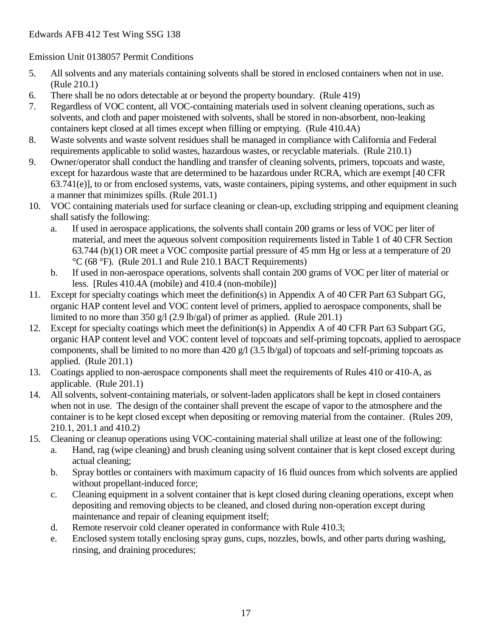#### Emission Unit 0138057 Permit Conditions

- 5. All solvents and any materials containing solvents shall be stored in enclosed containers when not in use. (Rule 210.1)
- 6. There shall be no odors detectable at or beyond the property boundary. (Rule 419)
- 7. Regardless of VOC content, all VOC-containing materials used in solvent cleaning operations, such as solvents, and cloth and paper moistened with solvents, shall be stored in non-absorbent, non-leaking containers kept closed at all times except when filling or emptying. (Rule 410.4A)
- 8. Waste solvents and waste solvent residues shall be managed in compliance with California and Federal requirements applicable to solid wastes, hazardous wastes, or recyclable materials. (Rule 210.1)
- 9. Owner/operator shall conduct the handling and transfer of cleaning solvents, primers, topcoats and waste, except for hazardous waste that are determined to be hazardous under RCRA, which are exempt [40 CFR 63.741(e)], to or from enclosed systems, vats, waste containers, piping systems, and other equipment in such a manner that minimizes spills. (Rule 201.1)
- 10. VOC containing materials used for surface cleaning or clean-up, excluding stripping and equipment cleaning shall satisfy the following:
	- a. If used in aerospace applications, the solvents shall contain 200 grams or less of VOC per liter of material, and meet the aqueous solvent composition requirements listed in Table 1 of 40 CFR Section 63.744 (b)(1) OR meet a VOC composite partial pressure of 45 mm Hg or less at a temperature of 20 °C (68 °F). (Rule 201.1 and Rule 210.1 BACT Requirements)
	- b. If used in non-aerospace operations, solvents shall contain 200 grams of VOC per liter of material or less. [Rules 410.4A (mobile) and 410.4 (non-mobile)]
- 11. Except for specialty coatings which meet the definition(s) in Appendix A of 40 CFR Part 63 Subpart GG, organic HAP content level and VOC content level of primers, applied to aerospace components, shall be limited to no more than 350 g/l (2.9 lb/gal) of primer as applied. (Rule 201.1)
- 12. Except for specialty coatings which meet the definition(s) in Appendix A of 40 CFR Part 63 Subpart GG, organic HAP content level and VOC content level of topcoats and self-priming topcoats, applied to aerospace components, shall be limited to no more than 420 g/l (3.5 lb/gal) of topcoats and self-priming topcoats as applied. (Rule 201.1)
- 13. Coatings applied to non-aerospace components shall meet the requirements of Rules 410 or 410-A, as applicable. (Rule 201.1)
- 14. All solvents, solvent-containing materials, or solvent-laden applicators shall be kept in closed containers when not in use. The design of the container shall prevent the escape of vapor to the atmosphere and the container is to be kept closed except when depositing or removing material from the container. (Rules 209, 210.1, 201.1 and 410.2)
- 15. Cleaning or cleanup operations using VOC-containing material shall utilize at least one of the following:
	- a. Hand, rag (wipe cleaning) and brush cleaning using solvent container that is kept closed except during actual cleaning;
	- b. Spray bottles or containers with maximum capacity of 16 fluid ounces from which solvents are applied without propellant-induced force;
	- c. Cleaning equipment in a solvent container that is kept closed during cleaning operations, except when depositing and removing objects to be cleaned, and closed during non-operation except during maintenance and repair of cleaning equipment itself;
	- d. Remote reservoir cold cleaner operated in conformance with Rule 410.3;
	- e. Enclosed system totally enclosing spray guns, cups, nozzles, bowls, and other parts during washing, rinsing, and draining procedures;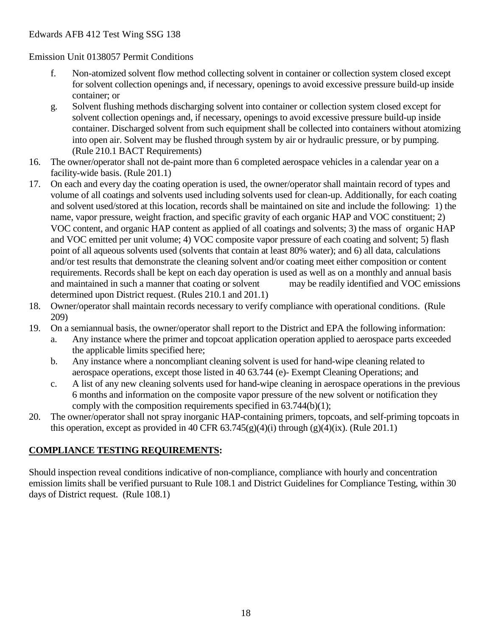Emission Unit 0138057 Permit Conditions

- f. Non-atomized solvent flow method collecting solvent in container or collection system closed except for solvent collection openings and, if necessary, openings to avoid excessive pressure build-up inside container; or
- g. Solvent flushing methods discharging solvent into container or collection system closed except for solvent collection openings and, if necessary, openings to avoid excessive pressure build-up inside container. Discharged solvent from such equipment shall be collected into containers without atomizing into open air. Solvent may be flushed through system by air or hydraulic pressure, or by pumping. (Rule 210.1 BACT Requirements)
- 16. The owner/operator shall not de-paint more than 6 completed aerospace vehicles in a calendar year on a facility-wide basis. (Rule 201.1)
- 17. On each and every day the coating operation is used, the owner/operator shall maintain record of types and volume of all coatings and solvents used including solvents used for clean-up. Additionally, for each coating and solvent used/stored at this location, records shall be maintained on site and include the following: 1) the name, vapor pressure, weight fraction, and specific gravity of each organic HAP and VOC constituent; 2) VOC content, and organic HAP content as applied of all coatings and solvents; 3) the mass of organic HAP and VOC emitted per unit volume; 4) VOC composite vapor pressure of each coating and solvent; 5) flash point of all aqueous solvents used (solvents that contain at least 80% water); and 6) all data, calculations and/or test results that demonstrate the cleaning solvent and/or coating meet either composition or content requirements. Records shall be kept on each day operation is used as well as on a monthly and annual basis and maintained in such a manner that coating or solvent may be readily identified and VOC emissions determined upon District request. (Rules 210.1 and 201.1)
- 18. Owner/operator shall maintain records necessary to verify compliance with operational conditions. (Rule 209)
- 19. On a semiannual basis, the owner/operator shall report to the District and EPA the following information:
	- a. Any instance where the primer and topcoat application operation applied to aerospace parts exceeded the applicable limits specified here;
	- b. Any instance where a noncompliant cleaning solvent is used for hand-wipe cleaning related to aerospace operations, except those listed in 40 63.744 (e)- Exempt Cleaning Operations; and
	- c. A list of any new cleaning solvents used for hand-wipe cleaning in aerospace operations in the previous 6 months and information on the composite vapor pressure of the new solvent or notification they comply with the composition requirements specified in 63.744(b)(1);
- 20. The owner/operator shall not spray inorganic HAP-containing primers, topcoats, and self-priming topcoats in this operation, except as provided in 40 CFR  $63.745(g)(4)(i)$  through  $(g)(4)(ix)$ . (Rule 201.1)

#### **COMPLIANCE TESTING REQUIREMENTS:**

Should inspection reveal conditions indicative of non-compliance, compliance with hourly and concentration emission limits shall be verified pursuant to Rule 108.1 and District Guidelines for Compliance Testing, within 30 days of District request. (Rule 108.1)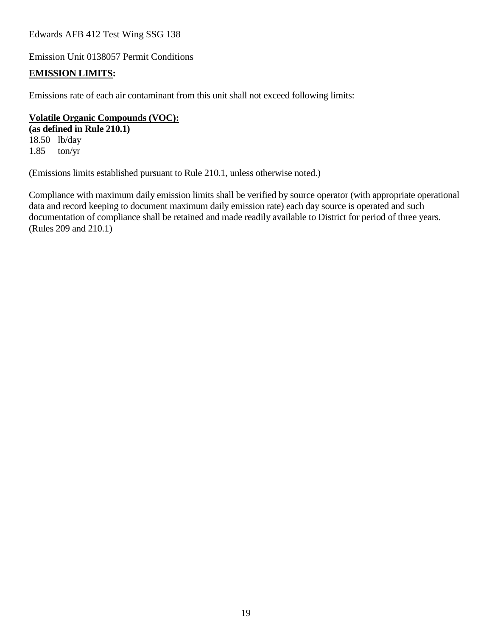Emission Unit 0138057 Permit Conditions

#### **EMISSION LIMITS:**

Emissions rate of each air contaminant from this unit shall not exceed following limits:

#### **Volatile Organic Compounds (VOC):**

**(as defined in Rule 210.1)** 18.50 lb/day 1.85 ton/yr

(Emissions limits established pursuant to Rule 210.1, unless otherwise noted.)

Compliance with maximum daily emission limits shall be verified by source operator (with appropriate operational data and record keeping to document maximum daily emission rate) each day source is operated and such documentation of compliance shall be retained and made readily available to District for period of three years. (Rules 209 and 210.1)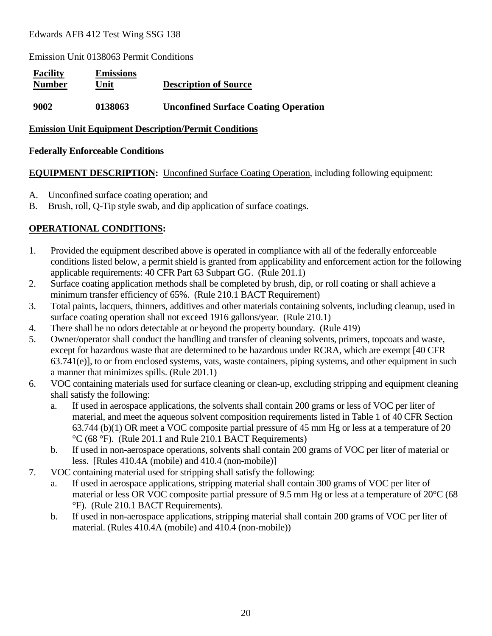Emission Unit 0138063 Permit Conditions

| <b>Facility</b><br><b>Number</b> | <b>Emissions</b><br>Unit | <b>Description of Source</b>                |
|----------------------------------|--------------------------|---------------------------------------------|
| 9002                             | 0138063                  | <b>Unconfined Surface Coating Operation</b> |

#### **Emission Unit Equipment Description/Permit Conditions**

#### **Federally Enforceable Conditions**

#### **EQUIPMENT DESCRIPTION:** Unconfined Surface Coating Operation, including following equipment:

- A. Unconfined surface coating operation; and
- B. Brush, roll, Q-Tip style swab, and dip application of surface coatings.

#### **OPERATIONAL CONDITIONS:**

- 1. Provided the equipment described above is operated in compliance with all of the federally enforceable conditions listed below, a permit shield is granted from applicability and enforcement action for the following applicable requirements: 40 CFR Part 63 Subpart GG. (Rule 201.1)
- 2. Surface coating application methods shall be completed by brush, dip, or roll coating or shall achieve a minimum transfer efficiency of 65%. (Rule 210.1 BACT Requirement)
- 3. Total paints, lacquers, thinners, additives and other materials containing solvents, including cleanup, used in surface coating operation shall not exceed 1916 gallons/year. (Rule 210.1)
- 4. There shall be no odors detectable at or beyond the property boundary. (Rule 419)
- 5. Owner/operator shall conduct the handling and transfer of cleaning solvents, primers, topcoats and waste, except for hazardous waste that are determined to be hazardous under RCRA, which are exempt [40 CFR 63.741(e)], to or from enclosed systems, vats, waste containers, piping systems, and other equipment in such a manner that minimizes spills. (Rule 201.1)
- 6. VOC containing materials used for surface cleaning or clean-up, excluding stripping and equipment cleaning shall satisfy the following:
	- a. If used in aerospace applications, the solvents shall contain 200 grams or less of VOC per liter of material, and meet the aqueous solvent composition requirements listed in Table 1 of 40 CFR Section 63.744 (b)(1) OR meet a VOC composite partial pressure of 45 mm Hg or less at a temperature of 20 °C (68 °F). (Rule 201.1 and Rule 210.1 BACT Requirements)
	- b. If used in non-aerospace operations, solvents shall contain 200 grams of VOC per liter of material or less. [Rules 410.4A (mobile) and 410.4 (non-mobile)]
- 7. VOC containing material used for stripping shall satisfy the following:
	- a. If used in aerospace applications, stripping material shall contain 300 grams of VOC per liter of material or less OR VOC composite partial pressure of 9.5 mm Hg or less at a temperature of 20°C (68 °F). (Rule 210.1 BACT Requirements).
	- b. If used in non-aerospace applications, stripping material shall contain 200 grams of VOC per liter of material. (Rules 410.4A (mobile) and 410.4 (non-mobile))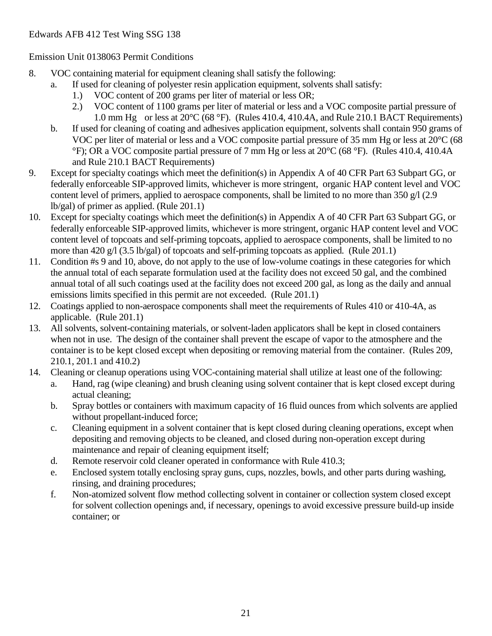#### Emission Unit 0138063 Permit Conditions

- 8. VOC containing material for equipment cleaning shall satisfy the following:
	- a. If used for cleaning of polyester resin application equipment, solvents shall satisfy:
		- 1.) VOC content of 200 grams per liter of material or less OR;
		- 2.) VOC content of 1100 grams per liter of material or less and a VOC composite partial pressure of 1.0 mm Hg or less at 20°C (68 °F). (Rules 410.4, 410.4A, and Rule 210.1 BACT Requirements)
		- b. If used for cleaning of coating and adhesives application equipment, solvents shall contain 950 grams of VOC per liter of material or less and a VOC composite partial pressure of 35 mm Hg or less at 20°C (68 °F); OR a VOC composite partial pressure of 7 mm Hg or less at 20°C (68 °F). (Rules 410.4, 410.4A and Rule 210.1 BACT Requirements)
- 9. Except for specialty coatings which meet the definition(s) in Appendix A of 40 CFR Part 63 Subpart GG, or federally enforceable SIP-approved limits, whichever is more stringent, organic HAP content level and VOC content level of primers, applied to aerospace components, shall be limited to no more than 350 g/l (2.9) lb/gal) of primer as applied. (Rule 201.1)
- 10. Except for specialty coatings which meet the definition(s) in Appendix A of 40 CFR Part 63 Subpart GG, or federally enforceable SIP-approved limits, whichever is more stringent, organic HAP content level and VOC content level of topcoats and self-priming topcoats, applied to aerospace components, shall be limited to no more than 420 g/l (3.5 lb/gal) of topcoats and self-priming topcoats as applied. (Rule 201.1)
- 11. Condition #s 9 and 10, above, do not apply to the use of low-volume coatings in these categories for which the annual total of each separate formulation used at the facility does not exceed 50 gal, and the combined annual total of all such coatings used at the facility does not exceed 200 gal, as long as the daily and annual emissions limits specified in this permit are not exceeded. (Rule 201.1)
- 12. Coatings applied to non-aerospace components shall meet the requirements of Rules 410 or 410-4A, as applicable. (Rule 201.1)
- 13. All solvents, solvent-containing materials, or solvent-laden applicators shall be kept in closed containers when not in use. The design of the container shall prevent the escape of vapor to the atmosphere and the container is to be kept closed except when depositing or removing material from the container. (Rules 209, 210.1, 201.1 and 410.2)
- 14. Cleaning or cleanup operations using VOC-containing material shall utilize at least one of the following:
	- a. Hand, rag (wipe cleaning) and brush cleaning using solvent container that is kept closed except during actual cleaning;
	- b. Spray bottles or containers with maximum capacity of 16 fluid ounces from which solvents are applied without propellant-induced force;
	- c. Cleaning equipment in a solvent container that is kept closed during cleaning operations, except when depositing and removing objects to be cleaned, and closed during non-operation except during maintenance and repair of cleaning equipment itself;
	- d. Remote reservoir cold cleaner operated in conformance with Rule 410.3;
	- e. Enclosed system totally enclosing spray guns, cups, nozzles, bowls, and other parts during washing, rinsing, and draining procedures;
	- f. Non-atomized solvent flow method collecting solvent in container or collection system closed except for solvent collection openings and, if necessary, openings to avoid excessive pressure build-up inside container; or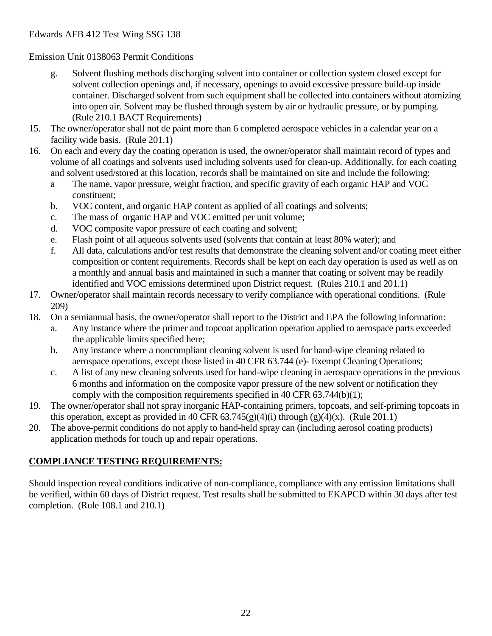Emission Unit 0138063 Permit Conditions

- g. Solvent flushing methods discharging solvent into container or collection system closed except for solvent collection openings and, if necessary, openings to avoid excessive pressure build-up inside container. Discharged solvent from such equipment shall be collected into containers without atomizing into open air. Solvent may be flushed through system by air or hydraulic pressure, or by pumping. (Rule 210.1 BACT Requirements)
- 15. The owner/operator shall not de paint more than 6 completed aerospace vehicles in a calendar year on a facility wide basis. (Rule 201.1)
- 16. On each and every day the coating operation is used, the owner/operator shall maintain record of types and volume of all coatings and solvents used including solvents used for clean-up. Additionally, for each coating and solvent used/stored at this location, records shall be maintained on site and include the following:
	- a The name, vapor pressure, weight fraction, and specific gravity of each organic HAP and VOC constituent;
	- b. VOC content, and organic HAP content as applied of all coatings and solvents;
	- c. The mass of organic HAP and VOC emitted per unit volume;
	- d. VOC composite vapor pressure of each coating and solvent;
	- e. Flash point of all aqueous solvents used (solvents that contain at least 80% water); and
	- f. All data, calculations and/or test results that demonstrate the cleaning solvent and/or coating meet either composition or content requirements. Records shall be kept on each day operation is used as well as on a monthly and annual basis and maintained in such a manner that coating or solvent may be readily identified and VOC emissions determined upon District request. (Rules 210.1 and 201.1)
- 17. Owner/operator shall maintain records necessary to verify compliance with operational conditions. (Rule 209)
- 18. On a semiannual basis, the owner/operator shall report to the District and EPA the following information:
	- a. Any instance where the primer and topcoat application operation applied to aerospace parts exceeded the applicable limits specified here;
	- b. Any instance where a noncompliant cleaning solvent is used for hand-wipe cleaning related to aerospace operations, except those listed in 40 CFR 63.744 (e)- Exempt Cleaning Operations;
	- c. A list of any new cleaning solvents used for hand-wipe cleaning in aerospace operations in the previous 6 months and information on the composite vapor pressure of the new solvent or notification they comply with the composition requirements specified in 40 CFR 63.744(b)(1);
- 19. The owner/operator shall not spray inorganic HAP-containing primers, topcoats, and self-priming topcoats in this operation, except as provided in 40 CFR  $63.745(g)(4)(i)$  through  $(g)(4)(x)$ . (Rule 201.1)
- 20. The above-permit conditions do not apply to hand-held spray can (including aerosol coating products) application methods for touch up and repair operations.

## **COMPLIANCE TESTING REQUIREMENTS:**

Should inspection reveal conditions indicative of non-compliance, compliance with any emission limitations shall be verified, within 60 days of District request. Test results shall be submitted to EKAPCD within 30 days after test completion. (Rule 108.1 and 210.1)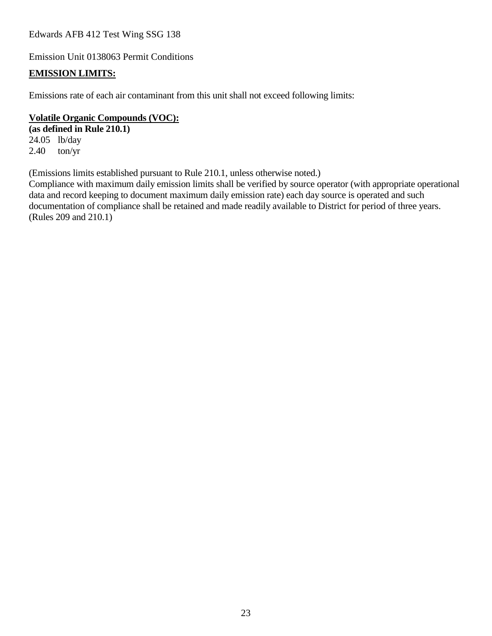Emission Unit 0138063 Permit Conditions

#### **EMISSION LIMITS:**

Emissions rate of each air contaminant from this unit shall not exceed following limits:

#### **Volatile Organic Compounds (VOC):**

**(as defined in Rule 210.1)** 24.05 lb/day  $2.40$  ton/yr

(Emissions limits established pursuant to Rule 210.1, unless otherwise noted.)

Compliance with maximum daily emission limits shall be verified by source operator (with appropriate operational data and record keeping to document maximum daily emission rate) each day source is operated and such documentation of compliance shall be retained and made readily available to District for period of three years. (Rules 209 and 210.1)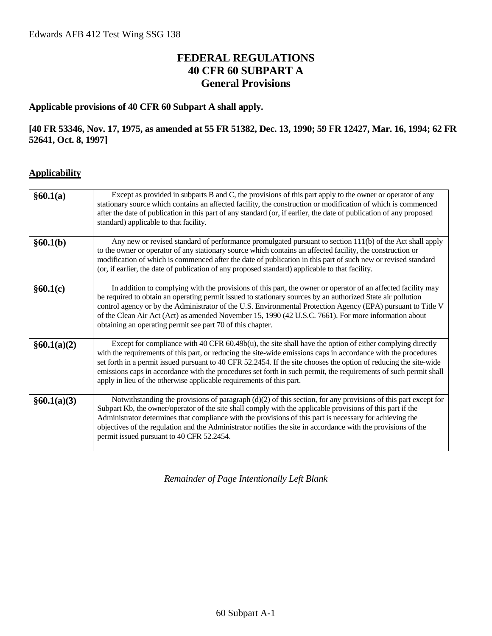## **FEDERAL REGULATIONS 40 CFR 60 SUBPART A General Provisions**

#### **Applicable provisions of 40 CFR 60 Subpart A shall apply.**

#### **[40 FR 53346, Nov. 17, 1975, as amended at 55 FR 51382, Dec. 13, 1990; 59 FR 12427, Mar. 16, 1994; 62 FR 52641, Oct. 8, 1997]**

#### **Applicability**

| §60.1(a)    | Except as provided in subparts B and C, the provisions of this part apply to the owner or operator of any<br>stationary source which contains an affected facility, the construction or modification of which is commenced<br>after the date of publication in this part of any standard (or, if earlier, the date of publication of any proposed<br>standard) applicable to that facility.                                                                                                                                                    |
|-------------|------------------------------------------------------------------------------------------------------------------------------------------------------------------------------------------------------------------------------------------------------------------------------------------------------------------------------------------------------------------------------------------------------------------------------------------------------------------------------------------------------------------------------------------------|
| §60.1(b)    | Any new or revised standard of performance promulgated pursuant to section 111(b) of the Act shall apply<br>to the owner or operator of any stationary source which contains an affected facility, the construction or<br>modification of which is commenced after the date of publication in this part of such new or revised standard<br>(or, if earlier, the date of publication of any proposed standard) applicable to that facility.                                                                                                     |
| §60.1(c)    | In addition to complying with the provisions of this part, the owner or operator of an affected facility may<br>be required to obtain an operating permit issued to stationary sources by an authorized State air pollution<br>control agency or by the Administrator of the U.S. Environmental Protection Agency (EPA) pursuant to Title V<br>of the Clean Air Act (Act) as amended November 15, 1990 (42 U.S.C. 7661). For more information about<br>obtaining an operating permit see part 70 of this chapter.                              |
| §60.1(a)(2) | Except for compliance with 40 CFR $60.49b(u)$ , the site shall have the option of either complying directly<br>with the requirements of this part, or reducing the site-wide emissions caps in accordance with the procedures<br>set forth in a permit issued pursuant to 40 CFR 52.2454. If the site chooses the option of reducing the site-wide<br>emissions caps in accordance with the procedures set forth in such permit, the requirements of such permit shall<br>apply in lieu of the otherwise applicable requirements of this part. |
| §60.1(a)(3) | Notwithstanding the provisions of paragraph (d)(2) of this section, for any provisions of this part except for<br>Subpart Kb, the owner/operator of the site shall comply with the applicable provisions of this part if the<br>Administrator determines that compliance with the provisions of this part is necessary for achieving the<br>objectives of the regulation and the Administrator notifies the site in accordance with the provisions of the<br>permit issued pursuant to 40 CFR 52.2454.                                         |

*Remainder of Page Intentionally Left Blank*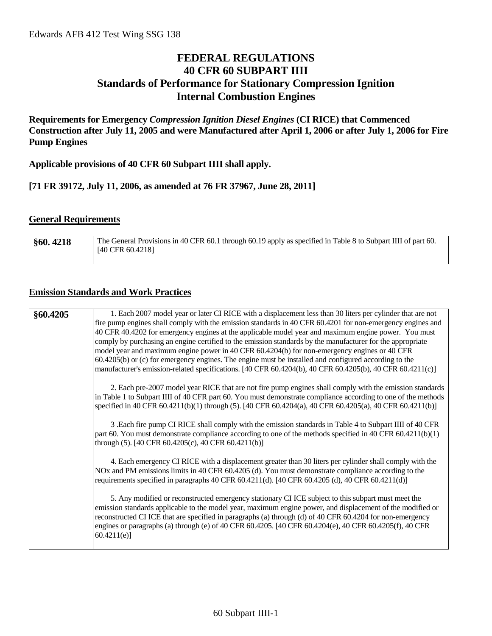## **FEDERAL REGULATIONS 40 CFR 60 SUBPART IIII Standards of Performance for Stationary Compression Ignition Internal Combustion Engines**

**Requirements for Emergency** *Compression Ignition Diesel Engines* **(CI RICE) that Commenced Construction after July 11, 2005 and were Manufactured after April 1, 2006 or after July 1, 2006 for Fire Pump Engines**

**Applicable provisions of 40 CFR 60 Subpart IIII shall apply.**

**[71 FR 39172, July 11, 2006, as amended at 76 FR 37967, June 28, 2011]**

#### **General Requirements**

| §60.4218 | The General Provisions in 40 CFR 60.1 through 60.19 apply as specified in Table 8 to Subpart IIII of part 60. |
|----------|---------------------------------------------------------------------------------------------------------------|
|          | $[40 \text{ CFR } 60.4218]$                                                                                   |
|          |                                                                                                               |

#### **Emission Standards and Work Practices**

| 1. Each 2007 model year or later CI RICE with a displacement less than 30 liters per cylinder that are not<br>fire pump engines shall comply with the emission standards in 40 CFR 60.4201 for non-emergency engines and<br>40 CFR 40.4202 for emergency engines at the applicable model year and maximum engine power. You must<br>comply by purchasing an engine certified to the emission standards by the manufacturer for the appropriate<br>model year and maximum engine power in 40 CFR 60.4204(b) for non-emergency engines or 40 CFR<br>$60.4205(b)$ or (c) for emergency engines. The engine must be installed and configured according to the<br>manufacturer's emission-related specifications. [40 CFR 60.4204(b), 40 CFR 60.4205(b), 40 CFR 60.4211(c)] |
|------------------------------------------------------------------------------------------------------------------------------------------------------------------------------------------------------------------------------------------------------------------------------------------------------------------------------------------------------------------------------------------------------------------------------------------------------------------------------------------------------------------------------------------------------------------------------------------------------------------------------------------------------------------------------------------------------------------------------------------------------------------------|
| 2. Each pre-2007 model year RICE that are not fire pump engines shall comply with the emission standards<br>in Table 1 to Subpart IIII of 40 CFR part 60. You must demonstrate compliance according to one of the methods<br>specified in 40 CFR 60.4211(b)(1) through (5). [40 CFR 60.4204(a), 40 CFR 60.4205(a), 40 CFR 60.4211(b)]<br>3 .Each fire pump CI RICE shall comply with the emission standards in Table 4 to Subpart IIII of 40 CFR<br>part 60. You must demonstrate compliance according to one of the methods specified in 40 CFR 60.4211(b)(1)                                                                                                                                                                                                         |
| through (5). [40 CFR 60.4205(c), 40 CFR 60.4211(b)]<br>4. Each emergency CI RICE with a displacement greater than 30 liters per cylinder shall comply with the<br>NOx and PM emissions limits in 40 CFR 60.4205 (d). You must demonstrate compliance according to the<br>requirements specified in paragraphs 40 CFR $60.4211(d)$ . [40 CFR $60.4205(d)$ , 40 CFR $60.4211(d)$ ]                                                                                                                                                                                                                                                                                                                                                                                       |
| 5. Any modified or reconstructed emergency stationary CI ICE subject to this subpart must meet the<br>emission standards applicable to the model year, maximum engine power, and displacement of the modified or<br>reconstructed CI ICE that are specified in paragraphs (a) through (d) of 40 CFR 60.4204 for non-emergency<br>engines or paragraphs (a) through (e) of 40 CFR 60.4205. [40 CFR 60.4204(e), 40 CFR 60.4205(f), 40 CFR<br>60.4211(e)                                                                                                                                                                                                                                                                                                                  |
|                                                                                                                                                                                                                                                                                                                                                                                                                                                                                                                                                                                                                                                                                                                                                                        |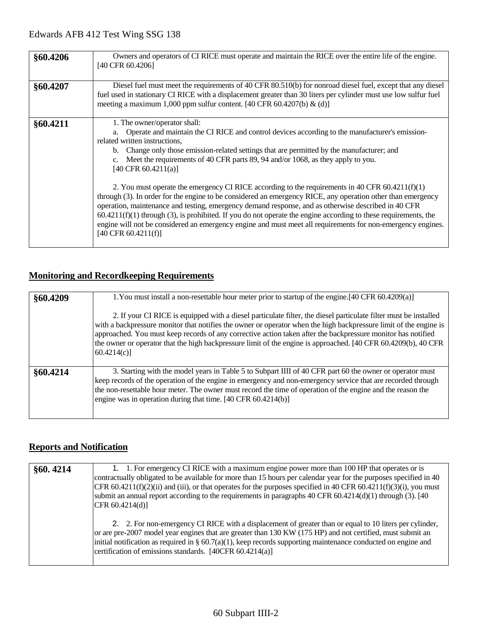| §60.4206 | Owners and operators of CI RICE must operate and maintain the RICE over the entire life of the engine.<br>[40 CFR 60.4206]                                                                                                                                                                                                                                                                                                                                                                                                                                                                                                                                                                                                                                                                                                                                                                                                                                                                     |  |
|----------|------------------------------------------------------------------------------------------------------------------------------------------------------------------------------------------------------------------------------------------------------------------------------------------------------------------------------------------------------------------------------------------------------------------------------------------------------------------------------------------------------------------------------------------------------------------------------------------------------------------------------------------------------------------------------------------------------------------------------------------------------------------------------------------------------------------------------------------------------------------------------------------------------------------------------------------------------------------------------------------------|--|
| §60.4207 | Diesel fuel must meet the requirements of 40 CFR 80.510(b) for nonroad diesel fuel, except that any diesel<br>fuel used in stationary CI RICE with a displacement greater than 30 liters per cylinder must use low sulfur fuel<br>meeting a maximum 1,000 ppm sulfur content. [40 CFR 60.4207(b) $\&$ (d)]                                                                                                                                                                                                                                                                                                                                                                                                                                                                                                                                                                                                                                                                                     |  |
| §60.4211 | 1. The owner/operator shall:<br>Operate and maintain the CI RICE and control devices according to the manufacturer's emission-<br>a.<br>related written instructions,<br>b. Change only those emission-related settings that are permitted by the manufacturer; and<br>Meet the requirements of 40 CFR parts 89, 94 and/or 1068, as they apply to you.<br>$c_{\cdot}$<br>[40 CFR $60.4211(a)$ ]<br>2. You must operate the emergency CI RICE according to the requirements in 40 CFR 60.4211(f)(1)<br>through (3). In order for the engine to be considered an emergency RICE, any operation other than emergency<br>operation, maintenance and testing, emergency demand response, and as otherwise described in 40 CFR<br>$60.4211(f)(1)$ through (3), is prohibited. If you do not operate the engine according to these requirements, the<br>engine will not be considered an emergency engine and must meet all requirements for non-emergency engines.<br>$[40 \text{ CFR } 60.4211(f)]$ |  |

## **Monitoring and Recordkeeping Requirements**

| §60.4209 | 1. You must install a non-resettable hour meter prior to startup of the engine. [40 CFR 60.4209(a)]                                                                                                                                                                                                                                                                                                                                                                                   |
|----------|---------------------------------------------------------------------------------------------------------------------------------------------------------------------------------------------------------------------------------------------------------------------------------------------------------------------------------------------------------------------------------------------------------------------------------------------------------------------------------------|
|          | 2. If your CI RICE is equipped with a diesel particulate filter, the diesel particulate filter must be installed<br>with a backpressure monitor that notifies the owner or operator when the high backpressure limit of the engine is<br>approached. You must keep records of any corrective action taken after the backpressure monitor has notified<br>the owner or operator that the high backpressure limit of the engine is approached. [40 CFR 60.4209(b), 40 CFR<br>60.4214(c) |
| §60.4214 | 3. Starting with the model years in Table 5 to Subpart IIII of 40 CFR part 60 the owner or operator must<br>keep records of the operation of the engine in emergency and non-emergency service that are recorded through<br>the non-resettable hour meter. The owner must record the time of operation of the engine and the reason the<br>engine was in operation during that time. [40 CFR 60.4214(b)]                                                                              |

#### **Reports and Notification**

| §60.4214 | 1. 1. For emergency CI RICE with a maximum engine power more than 100 HP that operates or is<br>contractually obligated to be available for more than 15 hours per calendar year for the purposes specified in 40<br>CFR 60.4211(f)(2)(ii) and (iii), or that operates for the purposes specified in 40 CFR 60.4211(f)(3)(i), you must<br>submit an annual report according to the requirements in paragraphs $40$ CFR $60.4214(d)(1)$ through (3). [40]<br>CFR 60.4214(d) |
|----------|----------------------------------------------------------------------------------------------------------------------------------------------------------------------------------------------------------------------------------------------------------------------------------------------------------------------------------------------------------------------------------------------------------------------------------------------------------------------------|
|          | 2. 2. For non-emergency CI RICE with a displacement of greater than or equal to 10 liters per cylinder,<br>or are pre-2007 model year engines that are greater than 130 KW (175 HP) and not certified, must submit an<br>initial notification as required in § 60.7(a)(1), keep records supporting maintenance conducted on engine and<br>certification of emissions standards. [40CFR 60.4214(a)]                                                                         |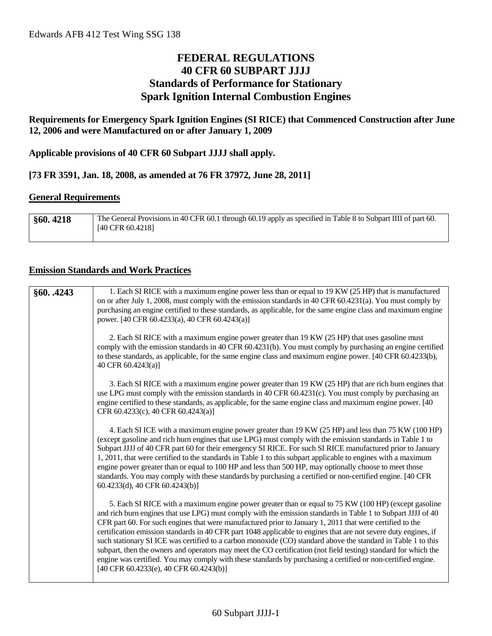## **FEDERAL REGULATIONS 40 CFR 60 SUBPART JJJJ Standards of Performance for Stationary Spark Ignition Internal Combustion Engines**

**Requirements for Emergency Spark Ignition Engines (SI RICE) that Commenced Construction after June 12, 2006 and were Manufactured on or after January 1, 2009**

**Applicable provisions of 40 CFR 60 Subpart JJJJ shall apply.**

**[73 FR 3591, Jan. 18, 2008, as amended at 76 FR 37972, June 28, 2011]**

#### **General Requirements**

| §60.4218 | The General Provisions in 40 CFR 60.1 through 60.19 apply as specified in Table 8 to Subpart IIII of part 60. |
|----------|---------------------------------------------------------------------------------------------------------------|
|          | $[40 \text{ CFR } 60.4218]$                                                                                   |
|          |                                                                                                               |

#### **Emission Standards and Work Practices**

| 1. Each SI RICE with a maximum engine power less than or equal to 19 KW (25 HP) that is manufactured<br>on or after July 1, 2008, must comply with the emission standards in 40 CFR 60.4231(a). You must comply by<br>purchasing an engine certified to these standards, as applicable, for the same engine class and maximum engine<br>power. [40 CFR 60.4233(a), 40 CFR 60.4243(a)]                                                                                                                                                                                                                                                                                                                                                                                                                                                             |
|---------------------------------------------------------------------------------------------------------------------------------------------------------------------------------------------------------------------------------------------------------------------------------------------------------------------------------------------------------------------------------------------------------------------------------------------------------------------------------------------------------------------------------------------------------------------------------------------------------------------------------------------------------------------------------------------------------------------------------------------------------------------------------------------------------------------------------------------------|
| 2. Each SI RICE with a maximum engine power greater than 19 KW (25 HP) that uses gasoline must<br>comply with the emission standards in 40 CFR 60.4231(b). You must comply by purchasing an engine certified<br>to these standards, as applicable, for the same engine class and maximum engine power. [40 CFR 60.4233(b),<br>40 CFR 60.4243(a)]                                                                                                                                                                                                                                                                                                                                                                                                                                                                                                  |
| 3. Each SI RICE with a maximum engine power greater than 19 KW (25 HP) that are rich burn engines that<br>use LPG must comply with the emission standards in 40 CFR 60.4231(c). You must comply by purchasing an<br>engine certified to these standards, as applicable, for the same engine class and maximum engine power. [40]<br>CFR 60.4233(c), 40 CFR 60.4243(a)]                                                                                                                                                                                                                                                                                                                                                                                                                                                                            |
| 4. Each SI ICE with a maximum engine power greater than 19 KW (25 HP) and less than 75 KW (100 HP)<br>(except gasoline and rich burn engines that use LPG) must comply with the emission standards in Table 1 to<br>Subpart JJJJ of 40 CFR part 60 for their emergency SI RICE. For such SI RICE manufactured prior to January<br>1, 2011, that were certified to the standards in Table 1 to this subpart applicable to engines with a maximum<br>engine power greater than or equal to 100 HP and less than 500 HP, may optionally choose to meet those<br>standards. You may comply with these standards by purchasing a certified or non-certified engine. [40 CFR<br>60.4233(d), 40 CFR 60.4243(b)]                                                                                                                                          |
| 5. Each SI RICE with a maximum engine power greater than or equal to 75 KW (100 HP) (except gasoline<br>and rich burn engines that use LPG) must comply with the emission standards in Table 1 to Subpart JJJJ of 40<br>CFR part 60. For such engines that were manufactured prior to January 1, 2011 that were certified to the<br>certification emission standards in 40 CFR part 1048 applicable to engines that are not severe duty engines, if<br>such stationary SI ICE was certified to a carbon monoxide (CO) standard above the standard in Table 1 to this<br>subpart, then the owners and operators may meet the CO certification (not field testing) standard for which the<br>engine was certified. You may comply with these standards by purchasing a certified or non-certified engine.<br>[40 CFR 60.4233(e), 40 CFR 60.4243(b)] |
|                                                                                                                                                                                                                                                                                                                                                                                                                                                                                                                                                                                                                                                                                                                                                                                                                                                   |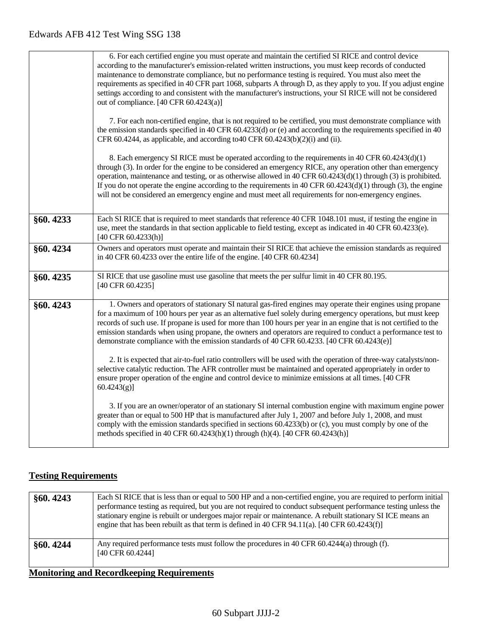|          | 6. For each certified engine you must operate and maintain the certified SI RICE and control device<br>according to the manufacturer's emission-related written instructions, you must keep records of conducted<br>maintenance to demonstrate compliance, but no performance testing is required. You must also meet the<br>requirements as specified in 40 CFR part 1068, subparts A through D, as they apply to you. If you adjust engine<br>settings according to and consistent with the manufacturer's instructions, your SI RICE will not be considered<br>out of compliance. [40 CFR 60.4243(a)]<br>7. For each non-certified engine, that is not required to be certified, you must demonstrate compliance with<br>the emission standards specified in 40 CFR 60.4233(d) or (e) and according to the requirements specified in 40<br>CFR 60.4244, as applicable, and according to 40 CFR 60.4243(b)(2)(i) and (ii). |
|----------|------------------------------------------------------------------------------------------------------------------------------------------------------------------------------------------------------------------------------------------------------------------------------------------------------------------------------------------------------------------------------------------------------------------------------------------------------------------------------------------------------------------------------------------------------------------------------------------------------------------------------------------------------------------------------------------------------------------------------------------------------------------------------------------------------------------------------------------------------------------------------------------------------------------------------|
|          | 8. Each emergency SI RICE must be operated according to the requirements in 40 CFR 60.4243(d)(1)<br>through (3). In order for the engine to be considered an emergency RICE, any operation other than emergency<br>operation, maintenance and testing, or as otherwise allowed in 40 CFR $60.4243(d)(1)$ through (3) is prohibited.<br>If you do not operate the engine according to the requirements in 40 CFR $60.4243(d)(1)$ through (3), the engine<br>will not be considered an emergency engine and must meet all requirements for non-emergency engines.                                                                                                                                                                                                                                                                                                                                                              |
| §60.4233 | Each SI RICE that is required to meet standards that reference 40 CFR 1048.101 must, if testing the engine in<br>use, meet the standards in that section applicable to field testing, except as indicated in 40 CFR 60.4233(e).<br>$[40 \text{ CFR } 60.4233 \text{ (h)}]$                                                                                                                                                                                                                                                                                                                                                                                                                                                                                                                                                                                                                                                   |
| §60.4234 | Owners and operators must operate and maintain their SI RICE that achieve the emission standards as required<br>in 40 CFR 60.4233 over the entire life of the engine. [40 CFR 60.4234]                                                                                                                                                                                                                                                                                                                                                                                                                                                                                                                                                                                                                                                                                                                                       |
| §60.4235 | SI RICE that use gasoline must use gasoline that meets the per sulfur limit in 40 CFR 80.195.<br>[40 CFR 60.4235]                                                                                                                                                                                                                                                                                                                                                                                                                                                                                                                                                                                                                                                                                                                                                                                                            |
| §60.4243 | 1. Owners and operators of stationary SI natural gas-fired engines may operate their engines using propane<br>for a maximum of 100 hours per year as an alternative fuel solely during emergency operations, but must keep<br>records of such use. If propane is used for more than 100 hours per year in an engine that is not certified to the<br>emission standards when using propane, the owners and operators are required to conduct a performance test to<br>demonstrate compliance with the emission standards of 40 CFR 60.4233. [40 CFR 60.4243(e)]<br>2. It is expected that air-to-fuel ratio controllers will be used with the operation of three-way catalysts/non-<br>selective catalytic reduction. The AFR controller must be maintained and operated appropriately in order to<br>ensure proper operation of the engine and control device to minimize emissions at all times. [40 CFR<br>$60.4243(g)$ ]  |
|          | 3. If you are an owner/operator of an stationary SI internal combustion engine with maximum engine power<br>greater than or equal to 500 HP that is manufactured after July 1, 2007 and before July 1, 2008, and must<br>comply with the emission standards specified in sections 60.4233(b) or (c), you must comply by one of the<br>methods specified in 40 CFR 60.4243(h)(1) through (h)(4). [40 CFR 60.4243(h)]                                                                                                                                                                                                                                                                                                                                                                                                                                                                                                          |

## **Testing Requirements**

| §60.4243                                          | Each SI RICE that is less than or equal to 500 HP and a non-certified engine, you are required to perform initial<br>performance testing as required, but you are not required to conduct subsequent performance testing unless the<br>stationary engine is rebuilt or undergoes major repair or maintenance. A rebuilt stationary SI ICE means an<br>engine that has been rebuilt as that term is defined in 40 CFR 94.11(a). [40 CFR 60.4243(f)] |
|---------------------------------------------------|----------------------------------------------------------------------------------------------------------------------------------------------------------------------------------------------------------------------------------------------------------------------------------------------------------------------------------------------------------------------------------------------------------------------------------------------------|
| §60.4244                                          | Any required performance tests must follow the procedures in 40 CFR 60.4244(a) through (f).<br>[40 CFR 60.4244]                                                                                                                                                                                                                                                                                                                                    |
| <b>Monitoring and Record keeping Requirements</b> |                                                                                                                                                                                                                                                                                                                                                                                                                                                    |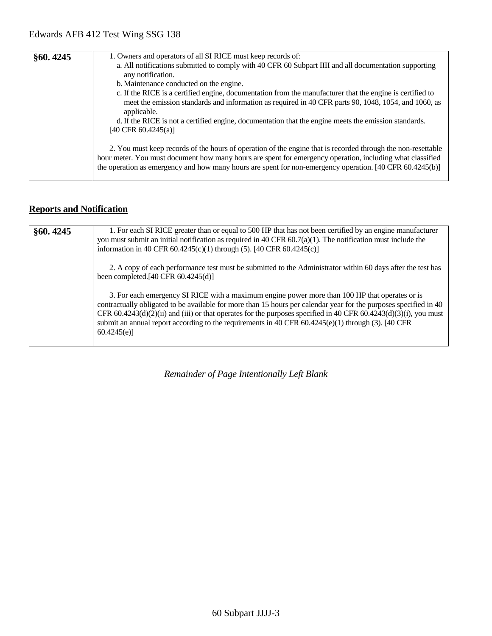| §60.4245 | 1. Owners and operators of all SI RICE must keep records of:                                                                                                                                                                                                                                                                          |
|----------|---------------------------------------------------------------------------------------------------------------------------------------------------------------------------------------------------------------------------------------------------------------------------------------------------------------------------------------|
|          | a. All notifications submitted to comply with 40 CFR 60 Subpart IIII and all documentation supporting<br>any notification.                                                                                                                                                                                                            |
|          | b. Maintenance conducted on the engine.                                                                                                                                                                                                                                                                                               |
|          | c. If the RICE is a certified engine, documentation from the manufacturer that the engine is certified to<br>meet the emission standards and information as required in 40 CFR parts 90, 1048, 1054, and 1060, as<br>applicable.                                                                                                      |
|          | d. If the RICE is not a certified engine, documentation that the engine meets the emission standards.<br>[40 CFR $60.4245(a)$ ]                                                                                                                                                                                                       |
|          | 2. You must keep records of the hours of operation of the engine that is recorded through the non-resettable<br>hour meter. You must document how many hours are spent for emergency operation, including what classified<br>the operation as emergency and how many hours are spent for non-emergency operation. [40 CFR 60.4245(b)] |

## **Reports and Notification**

| §60.4245 | 1. For each SI RICE greater than or equal to 500 HP that has not been certified by an engine manufacturer<br>you must submit an initial notification as required in 40 CFR $60.7(a)(1)$ . The notification must include the<br>information in 40 CFR $60.4245(c)(1)$ through (5). [40 CFR $60.4245(c)$ ]                                                                                                                                                      |
|----------|---------------------------------------------------------------------------------------------------------------------------------------------------------------------------------------------------------------------------------------------------------------------------------------------------------------------------------------------------------------------------------------------------------------------------------------------------------------|
|          | 2. A copy of each performance test must be submitted to the Administrator within 60 days after the test has<br>been completed.[40 CFR 60.4245(d)]                                                                                                                                                                                                                                                                                                             |
|          | 3. For each emergency SI RICE with a maximum engine power more than 100 HP that operates or is<br>contractually obligated to be available for more than 15 hours per calendar year for the purposes specified in 40<br>CFR 60.4243(d)(2)(ii) and (iii) or that operates for the purposes specified in 40 CFR 60.4243(d)(3)(i), you must<br>submit an annual report according to the requirements in 40 CFR $60.4245(e)(1)$ through (3). [40 CFR<br>60.4245(e) |

*Remainder of Page Intentionally Left Blank*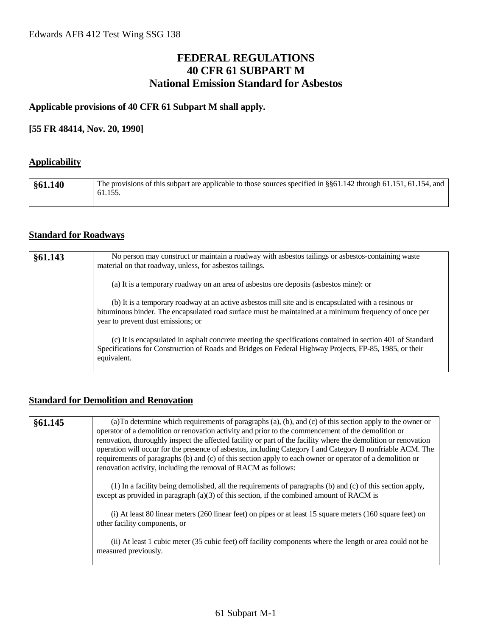## **FEDERAL REGULATIONS 40 CFR 61 SUBPART M National Emission Standard for Asbestos**

#### **Applicable provisions of 40 CFR 61 Subpart M shall apply.**

#### **[55 FR 48414, Nov. 20, 1990]**

#### **Applicability**

| §61.140 | The provisions of this subpart are applicable to those sources specified in §§61.142 through 61.151, 61.154, and<br>61.155. |
|---------|-----------------------------------------------------------------------------------------------------------------------------|
|         |                                                                                                                             |

#### **Standard for Roadways**

| §61.143 | No person may construct or maintain a roadway with asbestos tailings or asbestos-containing waste<br>material on that roadway, unless, for asbestos tailings.                                                                                        |
|---------|------------------------------------------------------------------------------------------------------------------------------------------------------------------------------------------------------------------------------------------------------|
|         | (a) It is a temporary roadway on an area of asbestos ore deposits (asbestos mine): or                                                                                                                                                                |
|         | (b) It is a temporary roadway at an active asbestos mill site and is encapsulated with a resinous or<br>bituminous binder. The encapsulated road surface must be maintained at a minimum frequency of once per<br>year to prevent dust emissions; or |
|         | (c) It is encapsulated in asphalt concrete meeting the specifications contained in section 401 of Standard<br>Specifications for Construction of Roads and Bridges on Federal Highway Projects, FP-85, 1985, or their<br>equivalent.                 |

#### **Standard for Demolition and Renovation**

| §61.145 | (a) To determine which requirements of paragraphs (a), (b), and (c) of this section apply to the owner or<br>operator of a demolition or renovation activity and prior to the commencement of the demolition or<br>renovation, thoroughly inspect the affected facility or part of the facility where the demolition or renovation<br>operation will occur for the presence of asbestos, including Category I and Category II nonfriable ACM. The<br>requirements of paragraphs (b) and (c) of this section apply to each owner or operator of a demolition or<br>renovation activity, including the removal of RACM as follows: |
|---------|----------------------------------------------------------------------------------------------------------------------------------------------------------------------------------------------------------------------------------------------------------------------------------------------------------------------------------------------------------------------------------------------------------------------------------------------------------------------------------------------------------------------------------------------------------------------------------------------------------------------------------|
|         | (1) In a facility being demolished, all the requirements of paragraphs (b) and (c) of this section apply,<br>except as provided in paragraph $(a)(3)$ of this section, if the combined amount of RACM is                                                                                                                                                                                                                                                                                                                                                                                                                         |
|         | (i) At least 80 linear meters (260 linear feet) on pipes or at least 15 square meters (160 square feet) on<br>other facility components, or                                                                                                                                                                                                                                                                                                                                                                                                                                                                                      |
|         | (ii) At least 1 cubic meter (35 cubic feet) off facility components where the length or area could not be<br>measured previously.                                                                                                                                                                                                                                                                                                                                                                                                                                                                                                |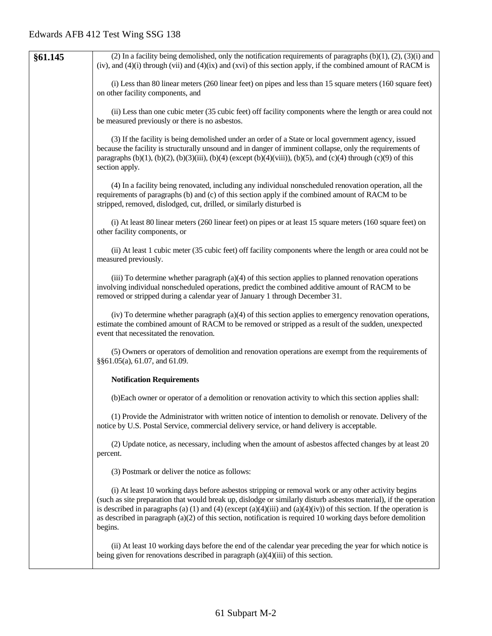| §61.145 | (2) In a facility being demolished, only the notification requirements of paragraphs $(b)(1)$ , $(2)$ , $(3)(i)$ and<br>(iv), and $(4)(i)$ through (vii) and $(4)(ix)$ and (xvi) of this section apply, if the combined amount of RACM is                                                                                                                                                                                                                                    |
|---------|------------------------------------------------------------------------------------------------------------------------------------------------------------------------------------------------------------------------------------------------------------------------------------------------------------------------------------------------------------------------------------------------------------------------------------------------------------------------------|
|         | (i) Less than 80 linear meters (260 linear feet) on pipes and less than 15 square meters (160 square feet)<br>on other facility components, and                                                                                                                                                                                                                                                                                                                              |
|         | (ii) Less than one cubic meter (35 cubic feet) off facility components where the length or area could not<br>be measured previously or there is no asbestos.                                                                                                                                                                                                                                                                                                                 |
|         | (3) If the facility is being demolished under an order of a State or local government agency, issued<br>because the facility is structurally unsound and in danger of imminent collapse, only the requirements of<br>paragraphs (b)(1), (b)(2), (b)(3)(iii), (b)(4) (except (b)(4)(viii)), (b)(5), and (c)(4) through (c)(9) of this<br>section apply.                                                                                                                       |
|         | (4) In a facility being renovated, including any individual nonscheduled renovation operation, all the<br>requirements of paragraphs (b) and (c) of this section apply if the combined amount of RACM to be<br>stripped, removed, dislodged, cut, drilled, or similarly disturbed is                                                                                                                                                                                         |
|         | (i) At least 80 linear meters (260 linear feet) on pipes or at least 15 square meters (160 square feet) on<br>other facility components, or                                                                                                                                                                                                                                                                                                                                  |
|         | (ii) At least 1 cubic meter (35 cubic feet) off facility components where the length or area could not be<br>measured previously.                                                                                                                                                                                                                                                                                                                                            |
|         | (iii) To determine whether paragraph $(a)(4)$ of this section applies to planned renovation operations<br>involving individual nonscheduled operations, predict the combined additive amount of RACM to be<br>removed or stripped during a calendar year of January 1 through December 31.                                                                                                                                                                                   |
|         | (iv) To determine whether paragraph (a)(4) of this section applies to emergency renovation operations,<br>estimate the combined amount of RACM to be removed or stripped as a result of the sudden, unexpected<br>event that necessitated the renovation.                                                                                                                                                                                                                    |
|         | (5) Owners or operators of demolition and renovation operations are exempt from the requirements of<br>§§61.05(a), 61.07, and 61.09.                                                                                                                                                                                                                                                                                                                                         |
|         | <b>Notification Requirements</b>                                                                                                                                                                                                                                                                                                                                                                                                                                             |
|         | (b) Each owner or operator of a demolition or renovation activity to which this section applies shall:                                                                                                                                                                                                                                                                                                                                                                       |
|         | (1) Provide the Administrator with written notice of intention to demolish or renovate. Delivery of the<br>notice by U.S. Postal Service, commercial delivery service, or hand delivery is acceptable.                                                                                                                                                                                                                                                                       |
|         | (2) Update notice, as necessary, including when the amount of asbestos affected changes by at least 20<br>percent.                                                                                                                                                                                                                                                                                                                                                           |
|         | (3) Postmark or deliver the notice as follows:                                                                                                                                                                                                                                                                                                                                                                                                                               |
|         | (i) At least 10 working days before asbestos stripping or removal work or any other activity begins<br>(such as site preparation that would break up, dislodge or similarly disturb asbestos material), if the operation<br>is described in paragraphs (a) (1) and (4) (except (a)(4)(iii) and (a)(4)(iv)) of this section. If the operation is<br>as described in paragraph $(a)(2)$ of this section, notification is required 10 working days before demolition<br>begins. |
|         | (ii) At least 10 working days before the end of the calendar year preceding the year for which notice is<br>being given for renovations described in paragraph $(a)(4)(iii)$ of this section.                                                                                                                                                                                                                                                                                |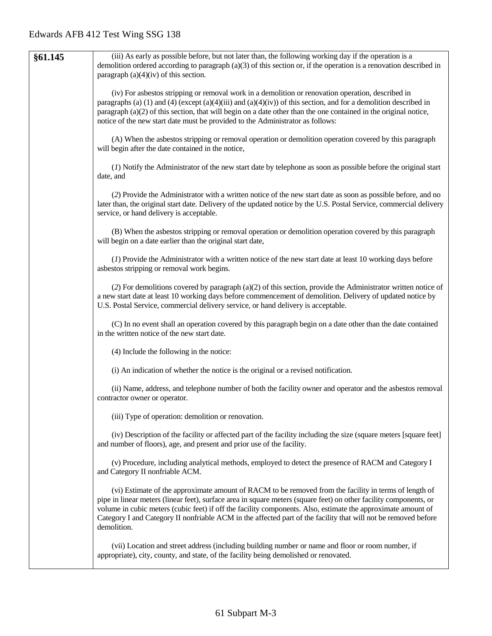| §61.145 | (iii) As early as possible before, but not later than, the following working day if the operation is a<br>demolition ordered according to paragraph $(a)(3)$ of this section or, if the operation is a renovation described in<br>paragraph $(a)(4)(iv)$ of this section.                                                                                                                                                                                                   |
|---------|-----------------------------------------------------------------------------------------------------------------------------------------------------------------------------------------------------------------------------------------------------------------------------------------------------------------------------------------------------------------------------------------------------------------------------------------------------------------------------|
|         | (iv) For asbestos stripping or removal work in a demolition or renovation operation, described in<br>paragraphs (a) (1) and (4) (except (a)(4)(iii) and (a)(4)(iv)) of this section, and for a demolition described in<br>paragraph (a)(2) of this section, that will begin on a date other than the one contained in the original notice,<br>notice of the new start date must be provided to the Administrator as follows:                                                |
|         | (A) When the asbestos stripping or removal operation or demolition operation covered by this paragraph<br>will begin after the date contained in the notice,                                                                                                                                                                                                                                                                                                                |
|         | (1) Notify the Administrator of the new start date by telephone as soon as possible before the original start<br>date, and                                                                                                                                                                                                                                                                                                                                                  |
|         | (2) Provide the Administrator with a written notice of the new start date as soon as possible before, and no<br>later than, the original start date. Delivery of the updated notice by the U.S. Postal Service, commercial delivery<br>service, or hand delivery is acceptable.                                                                                                                                                                                             |
|         | (B) When the asbestos stripping or removal operation or demolition operation covered by this paragraph<br>will begin on a date earlier than the original start date,                                                                                                                                                                                                                                                                                                        |
|         | (1) Provide the Administrator with a written notice of the new start date at least 10 working days before<br>asbestos stripping or removal work begins.                                                                                                                                                                                                                                                                                                                     |
|         | (2) For demolitions covered by paragraph (a)(2) of this section, provide the Administrator written notice of<br>a new start date at least 10 working days before commencement of demolition. Delivery of updated notice by<br>U.S. Postal Service, commercial delivery service, or hand delivery is acceptable.                                                                                                                                                             |
|         | (C) In no event shall an operation covered by this paragraph begin on a date other than the date contained<br>in the written notice of the new start date.                                                                                                                                                                                                                                                                                                                  |
|         | (4) Include the following in the notice:                                                                                                                                                                                                                                                                                                                                                                                                                                    |
|         | (i) An indication of whether the notice is the original or a revised notification.                                                                                                                                                                                                                                                                                                                                                                                          |
|         | (ii) Name, address, and telephone number of both the facility owner and operator and the asbestos removal<br>contractor owner or operator.                                                                                                                                                                                                                                                                                                                                  |
|         | (iii) Type of operation: demolition or renovation.                                                                                                                                                                                                                                                                                                                                                                                                                          |
|         | (iv) Description of the facility or affected part of the facility including the size (square meters [square feet]<br>and number of floors), age, and present and prior use of the facility.                                                                                                                                                                                                                                                                                 |
|         | (v) Procedure, including analytical methods, employed to detect the presence of RACM and Category I<br>and Category II nonfriable ACM.                                                                                                                                                                                                                                                                                                                                      |
|         | (vi) Estimate of the approximate amount of RACM to be removed from the facility in terms of length of<br>pipe in linear meters (linear feet), surface area in square meters (square feet) on other facility components, or<br>volume in cubic meters (cubic feet) if off the facility components. Also, estimate the approximate amount of<br>Category I and Category II nonfriable ACM in the affected part of the facility that will not be removed before<br>demolition. |
|         | (vii) Location and street address (including building number or name and floor or room number, if<br>appropriate), city, county, and state, of the facility being demolished or renovated.                                                                                                                                                                                                                                                                                  |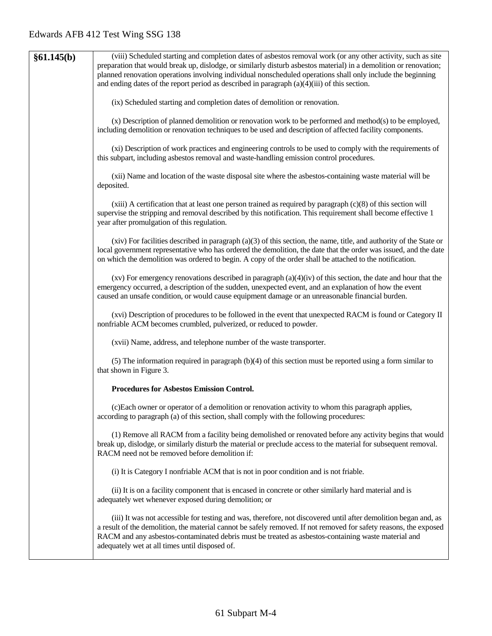| §61.145(b) | (viii) Scheduled starting and completion dates of asbestos removal work (or any other activity, such as site<br>preparation that would break up, dislodge, or similarly disturb asbestos material) in a demolition or renovation;<br>planned renovation operations involving individual nonscheduled operations shall only include the beginning<br>and ending dates of the report period as described in paragraph $(a)(4)(iii)$ of this section. |
|------------|----------------------------------------------------------------------------------------------------------------------------------------------------------------------------------------------------------------------------------------------------------------------------------------------------------------------------------------------------------------------------------------------------------------------------------------------------|
|            | (ix) Scheduled starting and completion dates of demolition or renovation.                                                                                                                                                                                                                                                                                                                                                                          |
|            | (x) Description of planned demolition or renovation work to be performed and method(s) to be employed,<br>including demolition or renovation techniques to be used and description of affected facility components.                                                                                                                                                                                                                                |
|            | (xi) Description of work practices and engineering controls to be used to comply with the requirements of<br>this subpart, including asbestos removal and waste-handling emission control procedures.                                                                                                                                                                                                                                              |
|            | (xii) Name and location of the waste disposal site where the asbestos-containing waste material will be<br>deposited.                                                                                                                                                                                                                                                                                                                              |
|            | $(xiii)$ A certification that at least one person trained as required by paragraph $(c)(8)$ of this section will<br>supervise the stripping and removal described by this notification. This requirement shall become effective 1<br>year after promulgation of this regulation.                                                                                                                                                                   |
|            | $(xiv)$ For facilities described in paragraph $(a)(3)$ of this section, the name, title, and authority of the State or<br>local government representative who has ordered the demolition, the date that the order was issued, and the date<br>on which the demolition was ordered to begin. A copy of the order shall be attached to the notification.                                                                                             |
|            | $(xv)$ For emergency renovations described in paragraph $(a)(4)(iv)$ of this section, the date and hour that the<br>emergency occurred, a description of the sudden, unexpected event, and an explanation of how the event<br>caused an unsafe condition, or would cause equipment damage or an unreasonable financial burden.                                                                                                                     |
|            | (xvi) Description of procedures to be followed in the event that unexpected RACM is found or Category II<br>nonfriable ACM becomes crumbled, pulverized, or reduced to powder.                                                                                                                                                                                                                                                                     |
|            | (xvii) Name, address, and telephone number of the waste transporter.                                                                                                                                                                                                                                                                                                                                                                               |
|            | (5) The information required in paragraph $(b)(4)$ of this section must be reported using a form similar to<br>that shown in Figure 3.                                                                                                                                                                                                                                                                                                             |
|            | <b>Procedures for Asbestos Emission Control.</b>                                                                                                                                                                                                                                                                                                                                                                                                   |
|            | (c)Each owner or operator of a demolition or renovation activity to whom this paragraph applies,<br>according to paragraph (a) of this section, shall comply with the following procedures:                                                                                                                                                                                                                                                        |
|            | (1) Remove all RACM from a facility being demolished or renovated before any activity begins that would<br>break up, dislodge, or similarly disturb the material or preclude access to the material for subsequent removal.<br>RACM need not be removed before demolition if:                                                                                                                                                                      |
|            | (i) It is Category I nonfriable ACM that is not in poor condition and is not friable.                                                                                                                                                                                                                                                                                                                                                              |
|            | (ii) It is on a facility component that is encased in concrete or other similarly hard material and is<br>adequately wet whenever exposed during demolition; or                                                                                                                                                                                                                                                                                    |
|            | (iii) It was not accessible for testing and was, therefore, not discovered until after demolition began and, as<br>a result of the demolition, the material cannot be safely removed. If not removed for safety reasons, the exposed<br>RACM and any asbestos-contaminated debris must be treated as asbestos-containing waste material and<br>adequately wet at all times until disposed of.                                                      |
|            |                                                                                                                                                                                                                                                                                                                                                                                                                                                    |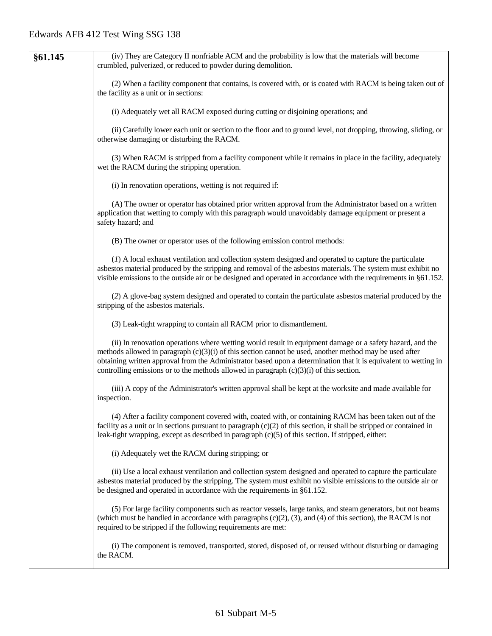| §61.145 | (iv) They are Category II nonfriable ACM and the probability is low that the materials will become                                                                                                                                                                                                                                                                                                                                     |
|---------|----------------------------------------------------------------------------------------------------------------------------------------------------------------------------------------------------------------------------------------------------------------------------------------------------------------------------------------------------------------------------------------------------------------------------------------|
|         | crumbled, pulverized, or reduced to powder during demolition.                                                                                                                                                                                                                                                                                                                                                                          |
|         | (2) When a facility component that contains, is covered with, or is coated with RACM is being taken out of<br>the facility as a unit or in sections:                                                                                                                                                                                                                                                                                   |
|         | (i) Adequately wet all RACM exposed during cutting or disjoining operations; and                                                                                                                                                                                                                                                                                                                                                       |
|         | (ii) Carefully lower each unit or section to the floor and to ground level, not dropping, throwing, sliding, or<br>otherwise damaging or disturbing the RACM.                                                                                                                                                                                                                                                                          |
|         | (3) When RACM is stripped from a facility component while it remains in place in the facility, adequately<br>wet the RACM during the stripping operation.                                                                                                                                                                                                                                                                              |
|         | (i) In renovation operations, wetting is not required if:                                                                                                                                                                                                                                                                                                                                                                              |
|         | (A) The owner or operator has obtained prior written approval from the Administrator based on a written<br>application that wetting to comply with this paragraph would unavoidably damage equipment or present a<br>safety hazard; and                                                                                                                                                                                                |
|         | (B) The owner or operator uses of the following emission control methods:                                                                                                                                                                                                                                                                                                                                                              |
|         | (1) A local exhaust ventilation and collection system designed and operated to capture the particulate<br>asbestos material produced by the stripping and removal of the asbestos materials. The system must exhibit no<br>visible emissions to the outside air or be designed and operated in accordance with the requirements in §61.152.                                                                                            |
|         | (2) A glove-bag system designed and operated to contain the particulate asbestos material produced by the<br>stripping of the asbestos materials.                                                                                                                                                                                                                                                                                      |
|         | (3) Leak-tight wrapping to contain all RACM prior to dismantlement.                                                                                                                                                                                                                                                                                                                                                                    |
|         | (ii) In renovation operations where wetting would result in equipment damage or a safety hazard, and the<br>methods allowed in paragraph $(c)(3)(i)$ of this section cannot be used, another method may be used after<br>obtaining written approval from the Administrator based upon a determination that it is equivalent to wetting in<br>controlling emissions or to the methods allowed in paragraph $(c)(3)(i)$ of this section. |
|         | (iii) A copy of the Administrator's written approval shall be kept at the worksite and made available for<br>inspection.                                                                                                                                                                                                                                                                                                               |
|         | (4) After a facility component covered with, coated with, or containing RACM has been taken out of the<br>facility as a unit or in sections pursuant to paragraph $(c)(2)$ of this section, it shall be stripped or contained in<br>leak-tight wrapping, except as described in paragraph $(c)(5)$ of this section. If stripped, either:                                                                                               |
|         | (i) Adequately wet the RACM during stripping; or                                                                                                                                                                                                                                                                                                                                                                                       |
|         | (ii) Use a local exhaust ventilation and collection system designed and operated to capture the particulate<br>asbestos material produced by the stripping. The system must exhibit no visible emissions to the outside air or<br>be designed and operated in accordance with the requirements in §61.152.                                                                                                                             |
|         | (5) For large facility components such as reactor vessels, large tanks, and steam generators, but not beams<br>(which must be handled in accordance with paragraphs $(c)(2)$ , $(3)$ , and $(4)$ of this section), the RACM is not<br>required to be stripped if the following requirements are met:                                                                                                                                   |
|         | (i) The component is removed, transported, stored, disposed of, or reused without disturbing or damaging<br>the RACM.                                                                                                                                                                                                                                                                                                                  |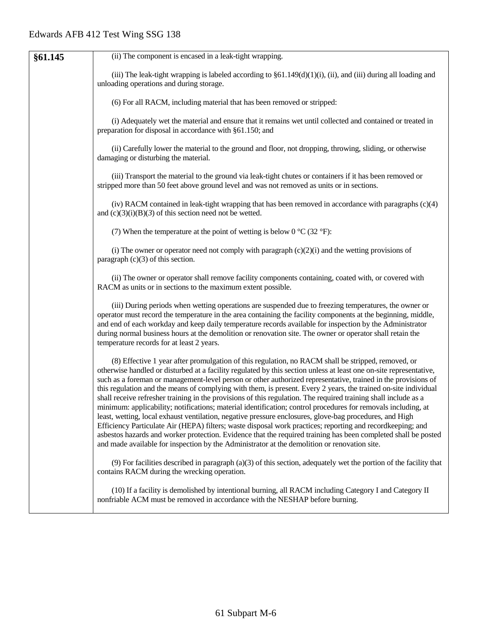| §61.145 | (ii) The component is encased in a leak-tight wrapping.                                                                                                                                                                                                                                                                                                                                                                                                                                                                                                                                                                                                                                                                                                                                                                                                                                                                                                                                                                                                                                                                                     |
|---------|---------------------------------------------------------------------------------------------------------------------------------------------------------------------------------------------------------------------------------------------------------------------------------------------------------------------------------------------------------------------------------------------------------------------------------------------------------------------------------------------------------------------------------------------------------------------------------------------------------------------------------------------------------------------------------------------------------------------------------------------------------------------------------------------------------------------------------------------------------------------------------------------------------------------------------------------------------------------------------------------------------------------------------------------------------------------------------------------------------------------------------------------|
|         | (iii) The leak-tight wrapping is labeled according to $\S61.149(d)(1)(i)$ , (ii), and (iii) during all loading and<br>unloading operations and during storage.                                                                                                                                                                                                                                                                                                                                                                                                                                                                                                                                                                                                                                                                                                                                                                                                                                                                                                                                                                              |
|         | (6) For all RACM, including material that has been removed or stripped:                                                                                                                                                                                                                                                                                                                                                                                                                                                                                                                                                                                                                                                                                                                                                                                                                                                                                                                                                                                                                                                                     |
|         | (i) Adequately wet the material and ensure that it remains wet until collected and contained or treated in<br>preparation for disposal in accordance with §61.150; and                                                                                                                                                                                                                                                                                                                                                                                                                                                                                                                                                                                                                                                                                                                                                                                                                                                                                                                                                                      |
|         | (ii) Carefully lower the material to the ground and floor, not dropping, throwing, sliding, or otherwise<br>damaging or disturbing the material.                                                                                                                                                                                                                                                                                                                                                                                                                                                                                                                                                                                                                                                                                                                                                                                                                                                                                                                                                                                            |
|         | (iii) Transport the material to the ground via leak-tight chutes or containers if it has been removed or<br>stripped more than 50 feet above ground level and was not removed as units or in sections.                                                                                                                                                                                                                                                                                                                                                                                                                                                                                                                                                                                                                                                                                                                                                                                                                                                                                                                                      |
|         | (iv) RACM contained in leak-tight wrapping that has been removed in accordance with paragraphs (c)(4)<br>and $(c)(3)(i)(B)(3)$ of this section need not be wetted.                                                                                                                                                                                                                                                                                                                                                                                                                                                                                                                                                                                                                                                                                                                                                                                                                                                                                                                                                                          |
|         | (7) When the temperature at the point of wetting is below $0^{\circ}C(32^{\circ}F)$ :                                                                                                                                                                                                                                                                                                                                                                                                                                                                                                                                                                                                                                                                                                                                                                                                                                                                                                                                                                                                                                                       |
|         | (i) The owner or operator need not comply with paragraph $(c)(2)(i)$ and the wetting provisions of<br>paragraph $(c)(3)$ of this section.                                                                                                                                                                                                                                                                                                                                                                                                                                                                                                                                                                                                                                                                                                                                                                                                                                                                                                                                                                                                   |
|         | (ii) The owner or operator shall remove facility components containing, coated with, or covered with<br>RACM as units or in sections to the maximum extent possible.                                                                                                                                                                                                                                                                                                                                                                                                                                                                                                                                                                                                                                                                                                                                                                                                                                                                                                                                                                        |
|         | (iii) During periods when wetting operations are suspended due to freezing temperatures, the owner or<br>operator must record the temperature in the area containing the facility components at the beginning, middle,<br>and end of each workday and keep daily temperature records available for inspection by the Administrator<br>during normal business hours at the demolition or renovation site. The owner or operator shall retain the<br>temperature records for at least 2 years.                                                                                                                                                                                                                                                                                                                                                                                                                                                                                                                                                                                                                                                |
|         | (8) Effective 1 year after promulgation of this regulation, no RACM shall be stripped, removed, or<br>otherwise handled or disturbed at a facility regulated by this section unless at least one on-site representative,<br>such as a foreman or management-level person or other authorized representative, trained in the provisions of<br>this regulation and the means of complying with them, is present. Every 2 years, the trained on-site individual<br>shall receive refresher training in the provisions of this regulation. The required training shall include as a<br>minimum: applicability; notifications; material identification; control procedures for removals including, at<br>least, wetting, local exhaust ventilation, negative pressure enclosures, glove-bag procedures, and High<br>Efficiency Particulate Air (HEPA) filters; waste disposal work practices; reporting and recordkeeping; and<br>asbestos hazards and worker protection. Evidence that the required training has been completed shall be posted<br>and made available for inspection by the Administrator at the demolition or renovation site. |
|         | $(9)$ For facilities described in paragraph (a)(3) of this section, adequately wet the portion of the facility that<br>contains RACM during the wrecking operation.                                                                                                                                                                                                                                                                                                                                                                                                                                                                                                                                                                                                                                                                                                                                                                                                                                                                                                                                                                         |
|         | (10) If a facility is demolished by intentional burning, all RACM including Category I and Category II<br>nonfriable ACM must be removed in accordance with the NESHAP before burning.                                                                                                                                                                                                                                                                                                                                                                                                                                                                                                                                                                                                                                                                                                                                                                                                                                                                                                                                                      |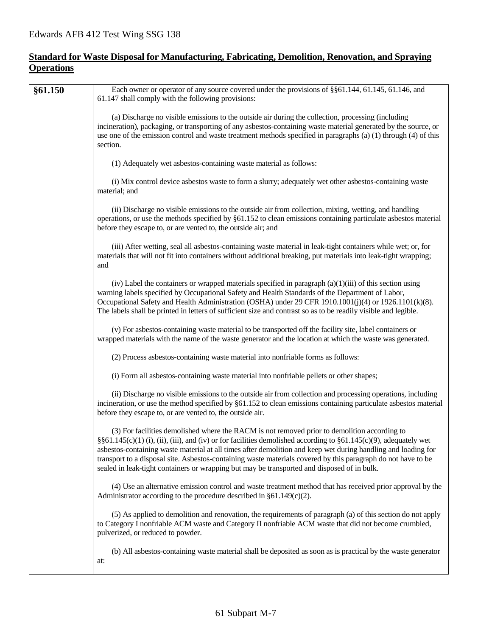## **Standard for Waste Disposal for Manufacturing, Fabricating, Demolition, Renovation, and Spraying Operations**

| (a) Discharge no visible emissions to the outside air during the collection, processing (including<br>incineration), packaging, or transporting of any asbestos-containing waste material generated by the source, or<br>use one of the emission control and waste treatment methods specified in paragraphs (a) (1) through (4) of this<br>section.<br>(1) Adequately wet asbestos-containing waste material as follows:<br>(i) Mix control device asbestos waste to form a slurry; adequately wet other asbestos-containing waste<br>material; and<br>(ii) Discharge no visible emissions to the outside air from collection, mixing, wetting, and handling<br>operations, or use the methods specified by §61.152 to clean emissions containing particulate asbestos material<br>before they escape to, or are vented to, the outside air; and<br>(iii) After wetting, seal all asbestos-containing waste material in leak-tight containers while wet; or, for<br>materials that will not fit into containers without additional breaking, put materials into leak-tight wrapping;<br>and<br>(iv) Label the containers or wrapped materials specified in paragraph $(a)(1)(iii)$ of this section using<br>warning labels specified by Occupational Safety and Health Standards of the Department of Labor,<br>Occupational Safety and Health Administration (OSHA) under 29 CFR 1910.1001(j)(4) or 1926.1101(k)(8).<br>The labels shall be printed in letters of sufficient size and contrast so as to be readily visible and legible.<br>(v) For asbestos-containing waste material to be transported off the facility site, label containers or<br>wrapped materials with the name of the waste generator and the location at which the waste was generated.<br>(2) Process asbestos-containing waste material into nonfriable forms as follows:<br>(i) Form all asbestos-containing waste material into nonfriable pellets or other shapes;<br>(ii) Discharge no visible emissions to the outside air from collection and processing operations, including<br>incineration, or use the method specified by §61.152 to clean emissions containing particulate asbestos material<br>before they escape to, or are vented to, the outside air.<br>(3) For facilities demolished where the RACM is not removed prior to demolition according to<br>$\S61.145(c)(1)$ (i), (ii), (iii), and (iv) or for facilities demolished according to $\S61.145(c)(9)$ , adequately wet<br>asbestos-containing waste material at all times after demolition and keep wet during handling and loading for<br>transport to a disposal site. Asbestos-containing waste materials covered by this paragraph do not have to be<br>sealed in leak-tight containers or wrapping but may be transported and disposed of in bulk.<br>(4) Use an alternative emission control and waste treatment method that has received prior approval by the<br>Administrator according to the procedure described in $§61.149(c)(2)$ .<br>(5) As applied to demolition and renovation, the requirements of paragraph (a) of this section do not apply<br>to Category I nonfriable ACM waste and Category II nonfriable ACM waste that did not become crumbled,<br>pulverized, or reduced to powder.<br>(b) All asbestos-containing waste material shall be deposited as soon as is practical by the waste generator<br>at: | §61.150 | Each owner or operator of any source covered under the provisions of §§61.144, 61.145, 61.146, and<br>61.147 shall comply with the following provisions: |
|--------------------------------------------------------------------------------------------------------------------------------------------------------------------------------------------------------------------------------------------------------------------------------------------------------------------------------------------------------------------------------------------------------------------------------------------------------------------------------------------------------------------------------------------------------------------------------------------------------------------------------------------------------------------------------------------------------------------------------------------------------------------------------------------------------------------------------------------------------------------------------------------------------------------------------------------------------------------------------------------------------------------------------------------------------------------------------------------------------------------------------------------------------------------------------------------------------------------------------------------------------------------------------------------------------------------------------------------------------------------------------------------------------------------------------------------------------------------------------------------------------------------------------------------------------------------------------------------------------------------------------------------------------------------------------------------------------------------------------------------------------------------------------------------------------------------------------------------------------------------------------------------------------------------------------------------------------------------------------------------------------------------------------------------------------------------------------------------------------------------------------------------------------------------------------------------------------------------------------------------------------------------------------------------------------------------------------------------------------------------------------------------------------------------------------------------------------------------------------------------------------------------------------------------------------------------------------------------------------------------------------------------------------------------------------------------------------------------------------------------------------------------------------------------------------------------------------------------------------------------------------------------------------------------------------------------------------------------------------------------------------------------------------------------------------------------------------------------------------------------------------------------------------------------------------------------------------------------------------------------------------------------------------------------------------------------------------------------------------------------------------------------|---------|----------------------------------------------------------------------------------------------------------------------------------------------------------|
|                                                                                                                                                                                                                                                                                                                                                                                                                                                                                                                                                                                                                                                                                                                                                                                                                                                                                                                                                                                                                                                                                                                                                                                                                                                                                                                                                                                                                                                                                                                                                                                                                                                                                                                                                                                                                                                                                                                                                                                                                                                                                                                                                                                                                                                                                                                                                                                                                                                                                                                                                                                                                                                                                                                                                                                                                                                                                                                                                                                                                                                                                                                                                                                                                                                                                                                                                                                            |         |                                                                                                                                                          |
|                                                                                                                                                                                                                                                                                                                                                                                                                                                                                                                                                                                                                                                                                                                                                                                                                                                                                                                                                                                                                                                                                                                                                                                                                                                                                                                                                                                                                                                                                                                                                                                                                                                                                                                                                                                                                                                                                                                                                                                                                                                                                                                                                                                                                                                                                                                                                                                                                                                                                                                                                                                                                                                                                                                                                                                                                                                                                                                                                                                                                                                                                                                                                                                                                                                                                                                                                                                            |         |                                                                                                                                                          |
|                                                                                                                                                                                                                                                                                                                                                                                                                                                                                                                                                                                                                                                                                                                                                                                                                                                                                                                                                                                                                                                                                                                                                                                                                                                                                                                                                                                                                                                                                                                                                                                                                                                                                                                                                                                                                                                                                                                                                                                                                                                                                                                                                                                                                                                                                                                                                                                                                                                                                                                                                                                                                                                                                                                                                                                                                                                                                                                                                                                                                                                                                                                                                                                                                                                                                                                                                                                            |         |                                                                                                                                                          |
|                                                                                                                                                                                                                                                                                                                                                                                                                                                                                                                                                                                                                                                                                                                                                                                                                                                                                                                                                                                                                                                                                                                                                                                                                                                                                                                                                                                                                                                                                                                                                                                                                                                                                                                                                                                                                                                                                                                                                                                                                                                                                                                                                                                                                                                                                                                                                                                                                                                                                                                                                                                                                                                                                                                                                                                                                                                                                                                                                                                                                                                                                                                                                                                                                                                                                                                                                                                            |         |                                                                                                                                                          |
|                                                                                                                                                                                                                                                                                                                                                                                                                                                                                                                                                                                                                                                                                                                                                                                                                                                                                                                                                                                                                                                                                                                                                                                                                                                                                                                                                                                                                                                                                                                                                                                                                                                                                                                                                                                                                                                                                                                                                                                                                                                                                                                                                                                                                                                                                                                                                                                                                                                                                                                                                                                                                                                                                                                                                                                                                                                                                                                                                                                                                                                                                                                                                                                                                                                                                                                                                                                            |         |                                                                                                                                                          |
|                                                                                                                                                                                                                                                                                                                                                                                                                                                                                                                                                                                                                                                                                                                                                                                                                                                                                                                                                                                                                                                                                                                                                                                                                                                                                                                                                                                                                                                                                                                                                                                                                                                                                                                                                                                                                                                                                                                                                                                                                                                                                                                                                                                                                                                                                                                                                                                                                                                                                                                                                                                                                                                                                                                                                                                                                                                                                                                                                                                                                                                                                                                                                                                                                                                                                                                                                                                            |         |                                                                                                                                                          |
|                                                                                                                                                                                                                                                                                                                                                                                                                                                                                                                                                                                                                                                                                                                                                                                                                                                                                                                                                                                                                                                                                                                                                                                                                                                                                                                                                                                                                                                                                                                                                                                                                                                                                                                                                                                                                                                                                                                                                                                                                                                                                                                                                                                                                                                                                                                                                                                                                                                                                                                                                                                                                                                                                                                                                                                                                                                                                                                                                                                                                                                                                                                                                                                                                                                                                                                                                                                            |         |                                                                                                                                                          |
|                                                                                                                                                                                                                                                                                                                                                                                                                                                                                                                                                                                                                                                                                                                                                                                                                                                                                                                                                                                                                                                                                                                                                                                                                                                                                                                                                                                                                                                                                                                                                                                                                                                                                                                                                                                                                                                                                                                                                                                                                                                                                                                                                                                                                                                                                                                                                                                                                                                                                                                                                                                                                                                                                                                                                                                                                                                                                                                                                                                                                                                                                                                                                                                                                                                                                                                                                                                            |         |                                                                                                                                                          |
|                                                                                                                                                                                                                                                                                                                                                                                                                                                                                                                                                                                                                                                                                                                                                                                                                                                                                                                                                                                                                                                                                                                                                                                                                                                                                                                                                                                                                                                                                                                                                                                                                                                                                                                                                                                                                                                                                                                                                                                                                                                                                                                                                                                                                                                                                                                                                                                                                                                                                                                                                                                                                                                                                                                                                                                                                                                                                                                                                                                                                                                                                                                                                                                                                                                                                                                                                                                            |         |                                                                                                                                                          |
|                                                                                                                                                                                                                                                                                                                                                                                                                                                                                                                                                                                                                                                                                                                                                                                                                                                                                                                                                                                                                                                                                                                                                                                                                                                                                                                                                                                                                                                                                                                                                                                                                                                                                                                                                                                                                                                                                                                                                                                                                                                                                                                                                                                                                                                                                                                                                                                                                                                                                                                                                                                                                                                                                                                                                                                                                                                                                                                                                                                                                                                                                                                                                                                                                                                                                                                                                                                            |         |                                                                                                                                                          |
|                                                                                                                                                                                                                                                                                                                                                                                                                                                                                                                                                                                                                                                                                                                                                                                                                                                                                                                                                                                                                                                                                                                                                                                                                                                                                                                                                                                                                                                                                                                                                                                                                                                                                                                                                                                                                                                                                                                                                                                                                                                                                                                                                                                                                                                                                                                                                                                                                                                                                                                                                                                                                                                                                                                                                                                                                                                                                                                                                                                                                                                                                                                                                                                                                                                                                                                                                                                            |         |                                                                                                                                                          |
|                                                                                                                                                                                                                                                                                                                                                                                                                                                                                                                                                                                                                                                                                                                                                                                                                                                                                                                                                                                                                                                                                                                                                                                                                                                                                                                                                                                                                                                                                                                                                                                                                                                                                                                                                                                                                                                                                                                                                                                                                                                                                                                                                                                                                                                                                                                                                                                                                                                                                                                                                                                                                                                                                                                                                                                                                                                                                                                                                                                                                                                                                                                                                                                                                                                                                                                                                                                            |         |                                                                                                                                                          |
|                                                                                                                                                                                                                                                                                                                                                                                                                                                                                                                                                                                                                                                                                                                                                                                                                                                                                                                                                                                                                                                                                                                                                                                                                                                                                                                                                                                                                                                                                                                                                                                                                                                                                                                                                                                                                                                                                                                                                                                                                                                                                                                                                                                                                                                                                                                                                                                                                                                                                                                                                                                                                                                                                                                                                                                                                                                                                                                                                                                                                                                                                                                                                                                                                                                                                                                                                                                            |         |                                                                                                                                                          |
|                                                                                                                                                                                                                                                                                                                                                                                                                                                                                                                                                                                                                                                                                                                                                                                                                                                                                                                                                                                                                                                                                                                                                                                                                                                                                                                                                                                                                                                                                                                                                                                                                                                                                                                                                                                                                                                                                                                                                                                                                                                                                                                                                                                                                                                                                                                                                                                                                                                                                                                                                                                                                                                                                                                                                                                                                                                                                                                                                                                                                                                                                                                                                                                                                                                                                                                                                                                            |         |                                                                                                                                                          |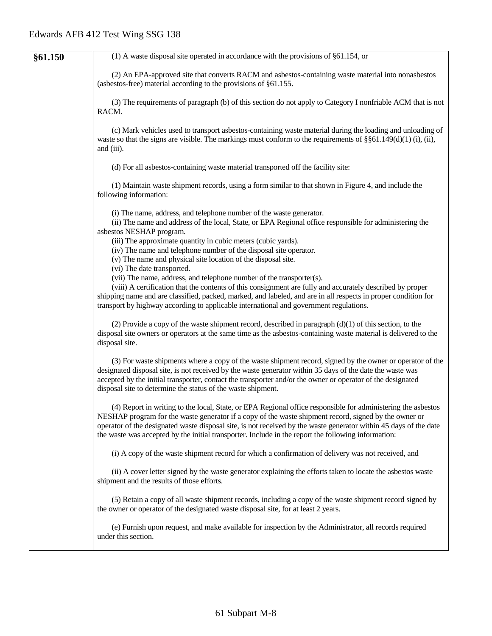| §61.150 | $(1)$ A waste disposal site operated in accordance with the provisions of §61.154, or                                                                                                                                                                                                                                                                                                                                                             |
|---------|---------------------------------------------------------------------------------------------------------------------------------------------------------------------------------------------------------------------------------------------------------------------------------------------------------------------------------------------------------------------------------------------------------------------------------------------------|
|         | (2) An EPA-approved site that converts RACM and asbestos-containing waste material into nonasbestos<br>(asbestos-free) material according to the provisions of §61.155.                                                                                                                                                                                                                                                                           |
|         | (3) The requirements of paragraph (b) of this section do not apply to Category I nonfriable ACM that is not<br>RACM.                                                                                                                                                                                                                                                                                                                              |
|         | (c) Mark vehicles used to transport asbestos-containing waste material during the loading and unloading of<br>waste so that the signs are visible. The markings must conform to the requirements of $\S$ $61.149(d)(1)$ (i), (ii),<br>and (iii).                                                                                                                                                                                                  |
|         | (d) For all asbestos-containing waste material transported off the facility site:                                                                                                                                                                                                                                                                                                                                                                 |
|         | (1) Maintain waste shipment records, using a form similar to that shown in Figure 4, and include the<br>following information:                                                                                                                                                                                                                                                                                                                    |
|         | (i) The name, address, and telephone number of the waste generator.<br>(ii) The name and address of the local, State, or EPA Regional office responsible for administering the<br>asbestos NESHAP program.<br>(iii) The approximate quantity in cubic meters (cubic yards).<br>(iv) The name and telephone number of the disposal site operator.<br>(v) The name and physical site location of the disposal site.                                 |
|         | (vi) The date transported.<br>(vii) The name, address, and telephone number of the transporter(s).<br>(viii) A certification that the contents of this consignment are fully and accurately described by proper<br>shipping name and are classified, packed, marked, and labeled, and are in all respects in proper condition for<br>transport by highway according to applicable international and government regulations.                       |
|         | (2) Provide a copy of the waste shipment record, described in paragraph $(d)(1)$ of this section, to the<br>disposal site owners or operators at the same time as the asbestos-containing waste material is delivered to the<br>disposal site.                                                                                                                                                                                                    |
|         | (3) For waste shipments where a copy of the waste shipment record, signed by the owner or operator of the<br>designated disposal site, is not received by the waste generator within 35 days of the date the waste was<br>accepted by the initial transporter, contact the transporter and/or the owner or operator of the designated<br>disposal site to determine the status of the waste shipment.                                             |
|         | (4) Report in writing to the local, State, or EPA Regional office responsible for administering the asbestos<br>NESHAP program for the waste generator if a copy of the waste shipment record, signed by the owner or<br>operator of the designated waste disposal site, is not received by the waste generator within 45 days of the date<br>the waste was accepted by the initial transporter. Include in the report the following information: |
|         | (i) A copy of the waste shipment record for which a confirmation of delivery was not received, and                                                                                                                                                                                                                                                                                                                                                |
|         | (ii) A cover letter signed by the waste generator explaining the efforts taken to locate the asbestos waste<br>shipment and the results of those efforts.                                                                                                                                                                                                                                                                                         |
|         | (5) Retain a copy of all waste shipment records, including a copy of the waste shipment record signed by<br>the owner or operator of the designated waste disposal site, for at least 2 years.                                                                                                                                                                                                                                                    |
|         | (e) Furnish upon request, and make available for inspection by the Administrator, all records required<br>under this section.                                                                                                                                                                                                                                                                                                                     |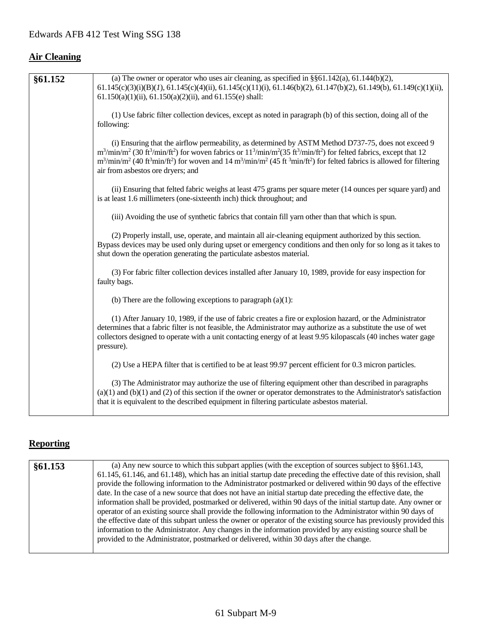# **Air Cleaning**

| §61.152 | (a) The owner or operator who uses air cleaning, as specified in $\S$ §61.142(a), 61.144(b)(2),                                                                                                                                                                                                                                                                                                                                                                                                                                                  |
|---------|--------------------------------------------------------------------------------------------------------------------------------------------------------------------------------------------------------------------------------------------------------------------------------------------------------------------------------------------------------------------------------------------------------------------------------------------------------------------------------------------------------------------------------------------------|
|         | $61.145(c)(3)(i)(B)(I), 61.145(c)(4)(ii), 61.145(c)(11)(i), 61.146(b)(2), 61.147(b)(2), 61.149(b), 61.149(c)(1)(ii),$<br>$61.150(a)(1)(ii)$ , $61.150(a)(2)(ii)$ , and $61.155(e)$ shall:                                                                                                                                                                                                                                                                                                                                                        |
|         | (1) Use fabric filter collection devices, except as noted in paragraph (b) of this section, doing all of the<br>following:                                                                                                                                                                                                                                                                                                                                                                                                                       |
|         | (i) Ensuring that the airflow permeability, as determined by ASTM Method D737-75, does not exceed 9<br>$m^3/\text{min/m}^2$ (30 ft <sup>3</sup> /min/ft <sup>2</sup> ) for woven fabrics or $11^3/\text{min/m}^2$ (35 ft <sup>3</sup> /min/ft <sup>2</sup> ) for felted fabrics, except that 12<br>$m^3/\text{min/m}^2$ (40 ft <sup>3</sup> min/ft <sup>2</sup> ) for woven and 14 m <sup>3</sup> /min/m <sup>2</sup> (45 ft <sup>3</sup> min/ft <sup>2</sup> ) for felted fabrics is allowed for filtering<br>air from asbestos ore dryers; and |
|         | (ii) Ensuring that felted fabric weighs at least 475 grams per square meter (14 ounces per square yard) and<br>is at least 1.6 millimeters (one-sixteenth inch) thick throughout; and                                                                                                                                                                                                                                                                                                                                                            |
|         | (iii) Avoiding the use of synthetic fabrics that contain fill yarn other than that which is spun.                                                                                                                                                                                                                                                                                                                                                                                                                                                |
|         | (2) Properly install, use, operate, and maintain all air-cleaning equipment authorized by this section.<br>Bypass devices may be used only during upset or emergency conditions and then only for so long as it takes to<br>shut down the operation generating the particulate asbestos material.                                                                                                                                                                                                                                                |
|         | (3) For fabric filter collection devices installed after January 10, 1989, provide for easy inspection for<br>faulty bags.                                                                                                                                                                                                                                                                                                                                                                                                                       |
|         | (b) There are the following exceptions to paragraph $(a)(1)$ :                                                                                                                                                                                                                                                                                                                                                                                                                                                                                   |
|         | (1) After January 10, 1989, if the use of fabric creates a fire or explosion hazard, or the Administrator<br>determines that a fabric filter is not feasible, the Administrator may authorize as a substitute the use of wet<br>collectors designed to operate with a unit contacting energy of at least 9.95 kilopascals (40 inches water gage<br>pressure).                                                                                                                                                                                    |
|         | (2) Use a HEPA filter that is certified to be at least 99.97 percent efficient for 0.3 micron particles.                                                                                                                                                                                                                                                                                                                                                                                                                                         |
|         | (3) The Administrator may authorize the use of filtering equipment other than described in paragraphs<br>$(a)(1)$ and $(b)(1)$ and $(2)$ of this section if the owner or operator demonstrates to the Administrator's satisfaction<br>that it is equivalent to the described equipment in filtering particulate asbestos material.                                                                                                                                                                                                               |

# **Reporting**

| §61.153 | (a) Any new source to which this subpart applies (with the exception of sources subject to $\S$ §61.143,            |
|---------|---------------------------------------------------------------------------------------------------------------------|
|         | 61.145, 61.146, and 61.148), which has an initial startup date preceding the effective date of this revision, shall |
|         | provide the following information to the Administrator postmarked or delivered within 90 days of the effective      |
|         | date. In the case of a new source that does not have an initial startup date preceding the effective date, the      |
|         | information shall be provided, postmarked or delivered, within 90 days of the initial startup date. Any owner or    |
|         | operator of an existing source shall provide the following information to the Administrator within 90 days of       |
|         | the effective date of this subpart unless the owner or operator of the existing source has previously provided this |
|         | information to the Administrator. Any changes in the information provided by any existing source shall be           |
|         | provided to the Administrator, postmarked or delivered, within 30 days after the change.                            |
|         |                                                                                                                     |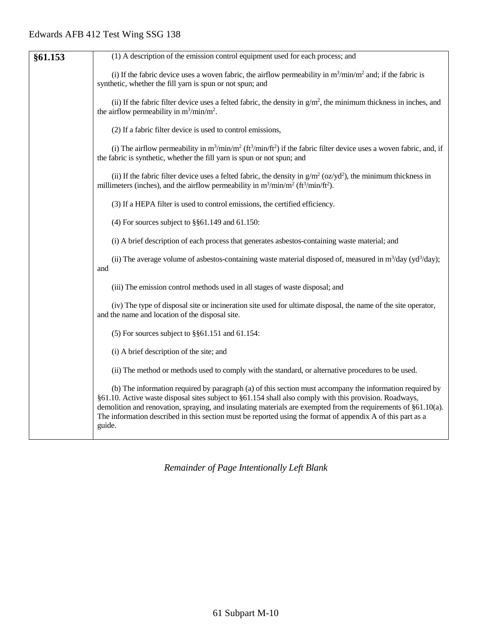| §61.153 | (1) A description of the emission control equipment used for each process; and                                                                                                                                                                                                                                                                                                                                                                                 |
|---------|----------------------------------------------------------------------------------------------------------------------------------------------------------------------------------------------------------------------------------------------------------------------------------------------------------------------------------------------------------------------------------------------------------------------------------------------------------------|
|         | (i) If the fabric device uses a woven fabric, the airflow permeability in $m^3/\text{min}/m^2$ and; if the fabric is<br>synthetic, whether the fill yarn is spun or not spun; and                                                                                                                                                                                                                                                                              |
|         | (ii) If the fabric filter device uses a felted fabric, the density in $g/m^2$ , the minimum thickness in inches, and<br>the airflow permeability in $m^3/\text{min}/m^2$ .                                                                                                                                                                                                                                                                                     |
|         | (2) If a fabric filter device is used to control emissions,                                                                                                                                                                                                                                                                                                                                                                                                    |
|         | (i) The airflow permeability in $m^3/\text{min}/m^2$ ( $ft^3/\text{min}/ft^2$ ) if the fabric filter device uses a woven fabric, and, if<br>the fabric is synthetic, whether the fill yarn is spun or not spun; and                                                                                                                                                                                                                                            |
|         | (ii) If the fabric filter device uses a felted fabric, the density in $g/m^2$ (oz/yd <sup>2</sup> ), the minimum thickness in<br>millimeters (inches), and the airflow permeability in $m^3 / min/m^2$ (ft <sup>3</sup> /min/ft <sup>2</sup> ).                                                                                                                                                                                                                |
|         | (3) If a HEPA filter is used to control emissions, the certified efficiency.                                                                                                                                                                                                                                                                                                                                                                                   |
|         | (4) For sources subject to $\S$ §61.149 and 61.150:                                                                                                                                                                                                                                                                                                                                                                                                            |
|         | (i) A brief description of each process that generates asbestos-containing waste material; and                                                                                                                                                                                                                                                                                                                                                                 |
|         | (ii) The average volume of asbestos-containing waste material disposed of, measured in $m^3$ /day (yd <sup>3</sup> /day);<br>and                                                                                                                                                                                                                                                                                                                               |
|         | (iii) The emission control methods used in all stages of waste disposal; and                                                                                                                                                                                                                                                                                                                                                                                   |
|         | (iv) The type of disposal site or incineration site used for ultimate disposal, the name of the site operator,<br>and the name and location of the disposal site.                                                                                                                                                                                                                                                                                              |
|         | $(5)$ For sources subject to §§61.151 and 61.154:                                                                                                                                                                                                                                                                                                                                                                                                              |
|         | (i) A brief description of the site; and                                                                                                                                                                                                                                                                                                                                                                                                                       |
|         | (ii) The method or methods used to comply with the standard, or alternative procedures to be used.                                                                                                                                                                                                                                                                                                                                                             |
|         | (b) The information required by paragraph (a) of this section must accompany the information required by<br>§61.10. Active waste disposal sites subject to §61.154 shall also comply with this provision. Roadways,<br>demolition and renovation, spraying, and insulating materials are exempted from the requirements of §61.10(a).<br>The information described in this section must be reported using the format of appendix A of this part as a<br>guide. |
|         |                                                                                                                                                                                                                                                                                                                                                                                                                                                                |

*Remainder of Page Intentionally Left Blank*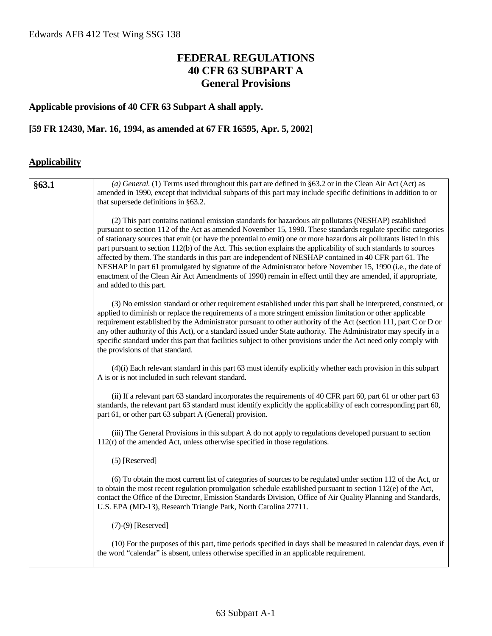## **FEDERAL REGULATIONS 40 CFR 63 SUBPART A General Provisions**

## **Applicable provisions of 40 CFR 63 Subpart A shall apply.**

## **[59 FR 12430, Mar. 16, 1994, as amended at 67 FR 16595, Apr. 5, 2002]**

## **Applicability**

| §63.1 | (a) General. (1) Terms used throughout this part are defined in §63.2 or in the Clean Air Act (Act) as<br>amended in 1990, except that individual subparts of this part may include specific definitions in addition to or<br>that supersede definitions in §63.2.                                                                                                                                                                                                                                                                                                                                                                                                                                                                                                                                                                   |
|-------|--------------------------------------------------------------------------------------------------------------------------------------------------------------------------------------------------------------------------------------------------------------------------------------------------------------------------------------------------------------------------------------------------------------------------------------------------------------------------------------------------------------------------------------------------------------------------------------------------------------------------------------------------------------------------------------------------------------------------------------------------------------------------------------------------------------------------------------|
|       | (2) This part contains national emission standards for hazardous air pollutants (NESHAP) established<br>pursuant to section 112 of the Act as amended November 15, 1990. These standards regulate specific categories<br>of stationary sources that emit (or have the potential to emit) one or more hazardous air pollutants listed in this<br>part pursuant to section 112(b) of the Act. This section explains the applicability of such standards to sources<br>affected by them. The standards in this part are independent of NESHAP contained in 40 CFR part 61. The<br>NESHAP in part 61 promulgated by signature of the Administrator before November 15, 1990 (i.e., the date of<br>enactment of the Clean Air Act Amendments of 1990) remain in effect until they are amended, if appropriate,<br>and added to this part. |
|       | (3) No emission standard or other requirement established under this part shall be interpreted, construed, or<br>applied to diminish or replace the requirements of a more stringent emission limitation or other applicable<br>requirement established by the Administrator pursuant to other authority of the Act (section 111, part C or D or<br>any other authority of this Act), or a standard issued under State authority. The Administrator may specify in a<br>specific standard under this part that facilities subject to other provisions under the Act need only comply with<br>the provisions of that standard.                                                                                                                                                                                                        |
|       | (4)(i) Each relevant standard in this part 63 must identify explicitly whether each provision in this subpart<br>A is or is not included in such relevant standard.                                                                                                                                                                                                                                                                                                                                                                                                                                                                                                                                                                                                                                                                  |
|       | (ii) If a relevant part 63 standard incorporates the requirements of 40 CFR part 60, part 61 or other part 63<br>standards, the relevant part 63 standard must identify explicitly the applicability of each corresponding part 60,<br>part 61, or other part 63 subpart A (General) provision.                                                                                                                                                                                                                                                                                                                                                                                                                                                                                                                                      |
|       | (iii) The General Provisions in this subpart A do not apply to regulations developed pursuant to section<br>$112(r)$ of the amended Act, unless otherwise specified in those regulations.                                                                                                                                                                                                                                                                                                                                                                                                                                                                                                                                                                                                                                            |
|       | $(5)$ [Reserved]                                                                                                                                                                                                                                                                                                                                                                                                                                                                                                                                                                                                                                                                                                                                                                                                                     |
|       | (6) To obtain the most current list of categories of sources to be regulated under section 112 of the Act, or<br>to obtain the most recent regulation promulgation schedule established pursuant to section 112(e) of the Act,<br>contact the Office of the Director, Emission Standards Division, Office of Air Quality Planning and Standards,<br>U.S. EPA (MD-13), Research Triangle Park, North Carolina 27711.                                                                                                                                                                                                                                                                                                                                                                                                                  |
|       | $(7)-(9)$ [Reserved]                                                                                                                                                                                                                                                                                                                                                                                                                                                                                                                                                                                                                                                                                                                                                                                                                 |
|       | (10) For the purposes of this part, time periods specified in days shall be measured in calendar days, even if<br>the word "calendar" is absent, unless otherwise specified in an applicable requirement.                                                                                                                                                                                                                                                                                                                                                                                                                                                                                                                                                                                                                            |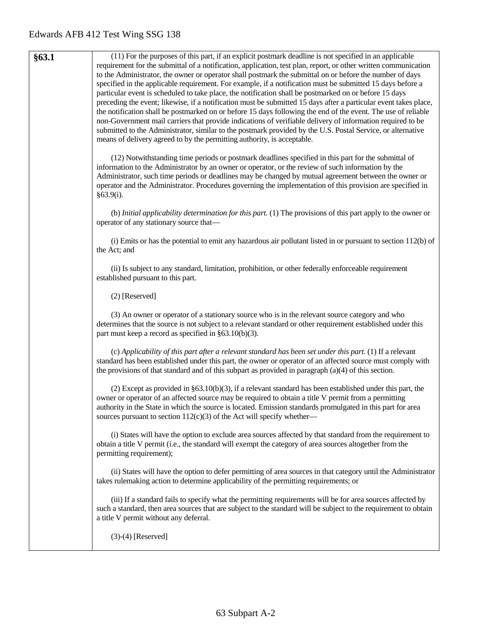**§63.1** (11) For the purposes of this part, if an explicit postmark deadline is not specified in an applicable requirement for the submittal of a notification, application, test plan, report, or other written communication to the Administrator, the owner or operator shall postmark the submittal on or before the number of days specified in the applicable requirement. For example, if a notification must be submitted 15 days before a particular event is scheduled to take place, the notification shall be postmarked on or before 15 days preceding the event; likewise, if a notification must be submitted 15 days after a particular event takes place, the notification shall be postmarked on or before 15 days following the end of the event. The use of reliable non-Government mail carriers that provide indications of verifiable delivery of information required to be submitted to the Administrator, similar to the postmark provided by the U.S. Postal Service, or alternative means of delivery agreed to by the permitting authority, is acceptable. (12) Notwithstanding time periods or postmark deadlines specified in this part for the submittal of information to the Administrator by an owner or operator, or the review of such information by the Administrator, such time periods or deadlines may be changed by mutual agreement between the owner or operator and the Administrator. Procedures governing the implementation of this provision are specified in §63.9(i). (b) *Initial applicability determination for this part.* (1) The provisions of this part apply to the owner or operator of any stationary source that— (i) Emits or has the potential to emit any hazardous air pollutant listed in or pursuant to section 112(b) of the Act; and (ii) Is subject to any standard, limitation, prohibition, or other federally enforceable requirement established pursuant to this part. (2) [Reserved] (3) An owner or operator of a stationary source who is in the relevant source category and who determines that the source is not subject to a relevant standard or other requirement established under this part must keep a record as specified in §63.10(b)(3). (c) *Applicability of this part after a relevant standard has been set under this part.* (1) If a relevant standard has been established under this part, the owner or operator of an affected source must comply with the provisions of that standard and of this subpart as provided in paragraph (a)(4) of this section. (2) Except as provided in §63.10(b)(3), if a relevant standard has been established under this part, the owner or operator of an affected source may be required to obtain a title V permit from a permitting authority in the State in which the source is located. Emission standards promulgated in this part for area sources pursuant to section  $112(c)(3)$  of the Act will specify whether— (i) States will have the option to exclude area sources affected by that standard from the requirement to obtain a title V permit (i.e., the standard will exempt the category of area sources altogether from the permitting requirement); (ii) States will have the option to defer permitting of area sources in that category until the Administrator takes rulemaking action to determine applicability of the permitting requirements; or (iii) If a standard fails to specify what the permitting requirements will be for area sources affected by such a standard, then area sources that are subject to the standard will be subject to the requirement to obtain a title V permit without any deferral. (3)-(4) [Reserved]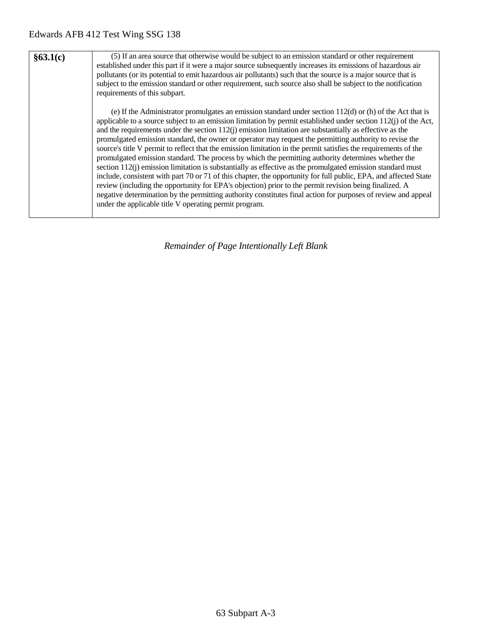| §63.1(c) | (5) If an area source that otherwise would be subject to an emission standard or other requirement<br>established under this part if it were a major source subsequently increases its emissions of hazardous air<br>pollutants (or its potential to emit hazardous air pollutants) such that the source is a major source that is<br>subject to the emission standard or other requirement, such source also shall be subject to the notification<br>requirements of this subpart.                                                                                                                                                                                                                                                                                                                                                                                                                                                                                                                                                                                                                                                                                                                        |
|----------|------------------------------------------------------------------------------------------------------------------------------------------------------------------------------------------------------------------------------------------------------------------------------------------------------------------------------------------------------------------------------------------------------------------------------------------------------------------------------------------------------------------------------------------------------------------------------------------------------------------------------------------------------------------------------------------------------------------------------------------------------------------------------------------------------------------------------------------------------------------------------------------------------------------------------------------------------------------------------------------------------------------------------------------------------------------------------------------------------------------------------------------------------------------------------------------------------------|
|          | (e) If the Administrator promulgates an emission standard under section $112(d)$ or (h) of the Act that is<br>applicable to a source subject to an emission limitation by permit established under section $112(i)$ of the Act,<br>and the requirements under the section $112(i)$ emission limitation are substantially as effective as the<br>promulgated emission standard, the owner or operator may request the permitting authority to revise the<br>source's title V permit to reflect that the emission limitation in the permit satisfies the requirements of the<br>promulgated emission standard. The process by which the permitting authority determines whether the<br>section $112(i)$ emission limitation is substantially as effective as the promulgated emission standard must<br>include, consistent with part 70 or 71 of this chapter, the opportunity for full public, EPA, and affected State<br>review (including the opportunity for EPA's objection) prior to the permit revision being finalized. A<br>negative determination by the permitting authority constitutes final action for purposes of review and appeal<br>under the applicable title V operating permit program. |

*Remainder of Page Intentionally Left Blank*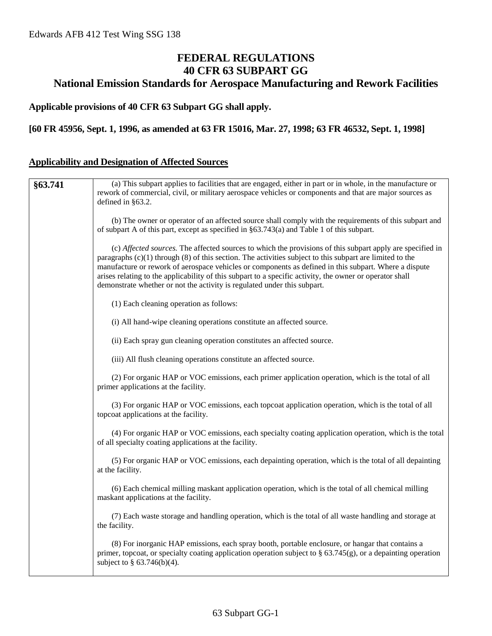## **FEDERAL REGULATIONS 40 CFR 63 SUBPART GG National Emission Standards for Aerospace Manufacturing and Rework Facilities**

### **Applicable provisions of 40 CFR 63 Subpart GG shall apply.**

#### **[60 FR 45956, Sept. 1, 1996, as amended at 63 FR 15016, Mar. 27, 1998; 63 FR 46532, Sept. 1, 1998]**

## **Applicability and Designation of Affected Sources**

| §63.741 | (a) This subpart applies to facilities that are engaged, either in part or in whole, in the manufacture or                                                                                                                                                                                                                                                                                                                                                                                                                 |
|---------|----------------------------------------------------------------------------------------------------------------------------------------------------------------------------------------------------------------------------------------------------------------------------------------------------------------------------------------------------------------------------------------------------------------------------------------------------------------------------------------------------------------------------|
|         | rework of commercial, civil, or military aerospace vehicles or components and that are major sources as                                                                                                                                                                                                                                                                                                                                                                                                                    |
|         | defined in §63.2.                                                                                                                                                                                                                                                                                                                                                                                                                                                                                                          |
|         | (b) The owner or operator of an affected source shall comply with the requirements of this subpart and<br>of subpart A of this part, except as specified in $\S 63.743(a)$ and Table 1 of this subpart.                                                                                                                                                                                                                                                                                                                    |
|         | (c) Affected sources. The affected sources to which the provisions of this subpart apply are specified in<br>paragraphs $(c)(1)$ through $(8)$ of this section. The activities subject to this subpart are limited to the<br>manufacture or rework of aerospace vehicles or components as defined in this subpart. Where a dispute<br>arises relating to the applicability of this subpart to a specific activity, the owner or operator shall<br>demonstrate whether or not the activity is regulated under this subpart. |
|         | (1) Each cleaning operation as follows:                                                                                                                                                                                                                                                                                                                                                                                                                                                                                    |
|         | (i) All hand-wipe cleaning operations constitute an affected source.                                                                                                                                                                                                                                                                                                                                                                                                                                                       |
|         | (ii) Each spray gun cleaning operation constitutes an affected source.                                                                                                                                                                                                                                                                                                                                                                                                                                                     |
|         | (iii) All flush cleaning operations constitute an affected source.                                                                                                                                                                                                                                                                                                                                                                                                                                                         |
|         | (2) For organic HAP or VOC emissions, each primer application operation, which is the total of all<br>primer applications at the facility.                                                                                                                                                                                                                                                                                                                                                                                 |
|         | (3) For organic HAP or VOC emissions, each topcoat application operation, which is the total of all<br>topcoat applications at the facility.                                                                                                                                                                                                                                                                                                                                                                               |
|         | (4) For organic HAP or VOC emissions, each specialty coating application operation, which is the total<br>of all specialty coating applications at the facility.                                                                                                                                                                                                                                                                                                                                                           |
|         | (5) For organic HAP or VOC emissions, each depainting operation, which is the total of all depainting<br>at the facility.                                                                                                                                                                                                                                                                                                                                                                                                  |
|         | (6) Each chemical milling maskant application operation, which is the total of all chemical milling<br>maskant applications at the facility.                                                                                                                                                                                                                                                                                                                                                                               |
|         | (7) Each waste storage and handling operation, which is the total of all waste handling and storage at<br>the facility.                                                                                                                                                                                                                                                                                                                                                                                                    |
|         | (8) For inorganic HAP emissions, each spray booth, portable enclosure, or hangar that contains a<br>primer, topcoat, or specialty coating application operation subject to $\S$ 63.745(g), or a depainting operation<br>subject to $\S$ 63.746(b)(4).                                                                                                                                                                                                                                                                      |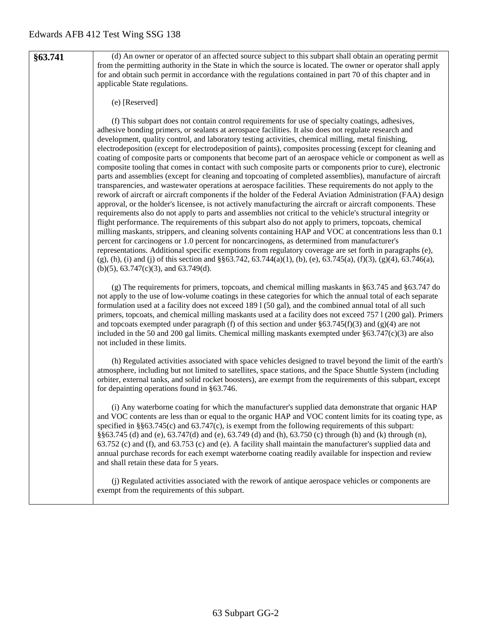**§63.741** (d) An owner or operator of an affected source subject to this subpart shall obtain an operating permit from the permitting authority in the State in which the source is located. The owner or operator shall apply for and obtain such permit in accordance with the regulations contained in part 70 of this chapter and in applicable State regulations.

#### (e) [Reserved]

(f) This subpart does not contain control requirements for use of specialty coatings, adhesives, adhesive bonding primers, or sealants at aerospace facilities. It also does not regulate research and development, quality control, and laboratory testing activities, chemical milling, metal finishing, electrodeposition (except for electrodeposition of paints), composites processing (except for cleaning and coating of composite parts or components that become part of an aerospace vehicle or component as well as composite tooling that comes in contact with such composite parts or components prior to cure), electronic parts and assemblies (except for cleaning and topcoating of completed assemblies), manufacture of aircraft transparencies, and wastewater operations at aerospace facilities. These requirements do not apply to the rework of aircraft or aircraft components if the holder of the Federal Aviation Administration (FAA) design approval, or the holder's licensee, is not actively manufacturing the aircraft or aircraft components. These requirements also do not apply to parts and assemblies not critical to the vehicle's structural integrity or flight performance. The requirements of this subpart also do not apply to primers, topcoats, chemical milling maskants, strippers, and cleaning solvents containing HAP and VOC at concentrations less than 0.1 percent for carcinogens or 1.0 percent for noncarcinogens, as determined from manufacturer's representations. Additional specific exemptions from regulatory coverage are set forth in paragraphs (e),  $(g)$ , (h), (i) and (j) of this section and §§63.742, 63.744(a)(1), (b), (e), 63.745(a), (f)(3), (g)(4), 63.746(a), (b)(5), 63.747(c)(3), and 63.749(d).

(g) The requirements for primers, topcoats, and chemical milling maskants in §63.745 and §63.747 do not apply to the use of low-volume coatings in these categories for which the annual total of each separate formulation used at a facility does not exceed 189 l (50 gal), and the combined annual total of all such primers, topcoats, and chemical milling maskants used at a facility does not exceed 757 l (200 gal). Primers and topcoats exempted under paragraph (f) of this section and under  $\S 63.745(f)(3)$  and (g)(4) are not included in the 50 and 200 gal limits. Chemical milling maskants exempted under  $\S63.747(c)(3)$  are also not included in these limits.

(h) Regulated activities associated with space vehicles designed to travel beyond the limit of the earth's atmosphere, including but not limited to satellites, space stations, and the Space Shuttle System (including orbiter, external tanks, and solid rocket boosters), are exempt from the requirements of this subpart, except for depainting operations found in §63.746.

(i) Any waterborne coating for which the manufacturer's supplied data demonstrate that organic HAP and VOC contents are less than or equal to the organic HAP and VOC content limits for its coating type, as specified in §§63.745(c) and 63.747(c), is exempt from the following requirements of this subpart: §§63.745 (d) and (e), 63.747(d) and (e), 63.749 (d) and (h), 63.750 (c) through (h) and (k) through (n), 63.752 (c) and (f), and 63.753 (c) and (e). A facility shall maintain the manufacturer's supplied data and annual purchase records for each exempt waterborne coating readily available for inspection and review and shall retain these data for 5 years.

(j) Regulated activities associated with the rework of antique aerospace vehicles or components are exempt from the requirements of this subpart.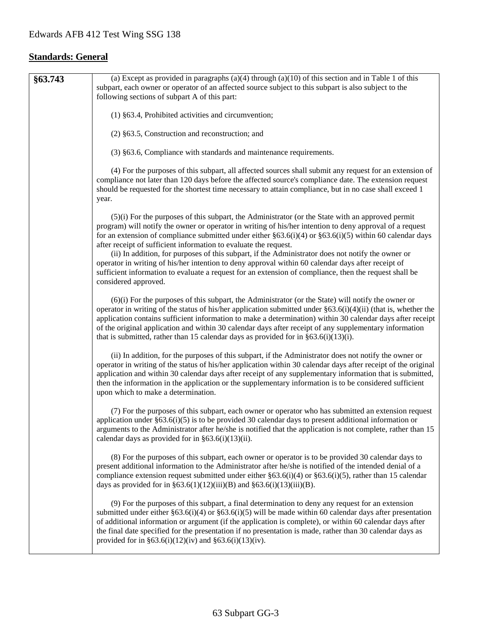## **Standards: General**

| §63.743 | (a) Except as provided in paragraphs (a)(4) through (a)(10) of this section and in Table 1 of this<br>subpart, each owner or operator of an affected source subject to this subpart is also subject to the                                                                                                                                                                                                                                                                                                                                                                                                                                                                                                                                  |
|---------|---------------------------------------------------------------------------------------------------------------------------------------------------------------------------------------------------------------------------------------------------------------------------------------------------------------------------------------------------------------------------------------------------------------------------------------------------------------------------------------------------------------------------------------------------------------------------------------------------------------------------------------------------------------------------------------------------------------------------------------------|
|         | following sections of subpart A of this part:                                                                                                                                                                                                                                                                                                                                                                                                                                                                                                                                                                                                                                                                                               |
|         | (1) §63.4, Prohibited activities and circumvention;                                                                                                                                                                                                                                                                                                                                                                                                                                                                                                                                                                                                                                                                                         |
|         | $(2)$ §63.5, Construction and reconstruction; and                                                                                                                                                                                                                                                                                                                                                                                                                                                                                                                                                                                                                                                                                           |
|         | (3) §63.6, Compliance with standards and maintenance requirements.                                                                                                                                                                                                                                                                                                                                                                                                                                                                                                                                                                                                                                                                          |
|         | (4) For the purposes of this subpart, all affected sources shall submit any request for an extension of<br>compliance not later than 120 days before the affected source's compliance date. The extension request<br>should be requested for the shortest time necessary to attain compliance, but in no case shall exceed 1<br>year.                                                                                                                                                                                                                                                                                                                                                                                                       |
|         | $(5)(i)$ For the purposes of this subpart, the Administrator (or the State with an approved permit<br>program) will notify the owner or operator in writing of his/her intention to deny approval of a request<br>for an extension of compliance submitted under either §63.6(i)(4) or §63.6(i)(5) within 60 calendar days<br>after receipt of sufficient information to evaluate the request.<br>(ii) In addition, for purposes of this subpart, if the Administrator does not notify the owner or<br>operator in writing of his/her intention to deny approval within 60 calendar days after receipt of<br>sufficient information to evaluate a request for an extension of compliance, then the request shall be<br>considered approved. |
|         | $(6)(i)$ For the purposes of this subpart, the Administrator (or the State) will notify the owner or<br>operator in writing of the status of his/her application submitted under $\S 63.6(i)(4)(ii)$ (that is, whether the<br>application contains sufficient information to make a determination) within 30 calendar days after receipt<br>of the original application and within 30 calendar days after receipt of any supplementary information<br>that is submitted, rather than 15 calendar days as provided for in $\S 63.6(i)(13)(i)$ .                                                                                                                                                                                              |
|         | (ii) In addition, for the purposes of this subpart, if the Administrator does not notify the owner or<br>operator in writing of the status of his/her application within 30 calendar days after receipt of the original<br>application and within 30 calendar days after receipt of any supplementary information that is submitted,<br>then the information in the application or the supplementary information is to be considered sufficient<br>upon which to make a determination.                                                                                                                                                                                                                                                      |
|         | (7) For the purposes of this subpart, each owner or operator who has submitted an extension request<br>application under $§63.6(i)(5)$ is to be provided 30 calendar days to present additional information or<br>arguments to the Administrator after he/she is notified that the application is not complete, rather than 15<br>calendar days as provided for in $\S 63.6(i)(13)(ii)$ .                                                                                                                                                                                                                                                                                                                                                   |
|         | (8) For the purposes of this subpart, each owner or operator is to be provided 30 calendar days to<br>present additional information to the Administrator after he/she is notified of the intended denial of a<br>compliance extension request submitted under either $\S 63.6(i)(4)$ or $\S 63.6(i)(5)$ , rather than 15 calendar<br>days as provided for in §63.6(1)(12)(iii)(B) and §63.6(i)(13)(iii)(B).                                                                                                                                                                                                                                                                                                                                |
|         | (9) For the purposes of this subpart, a final determination to deny any request for an extension<br>submitted under either $\S63.6(i)(4)$ or $\S63.6(i)(5)$ will be made within 60 calendar days after presentation<br>of additional information or argument (if the application is complete), or within 60 calendar days after<br>the final date specified for the presentation if no presentation is made, rather than 30 calendar days as<br>provided for in §63.6(i)(12)(iv) and §63.6(i)(13)(iv).                                                                                                                                                                                                                                      |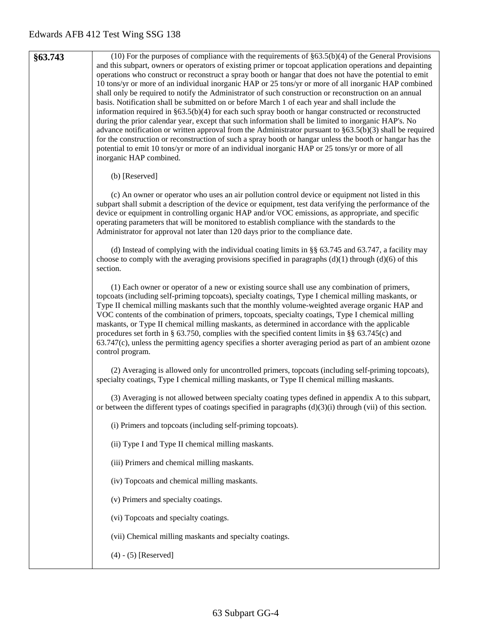| §63.743 | (10) For the purposes of compliance with the requirements of $§63.5(b)(4)$ of the General Provisions<br>and this subpart, owners or operators of existing primer or topcoat application operations and depainting<br>operations who construct or reconstruct a spray booth or hangar that does not have the potential to emit<br>10 tons/yr or more of an individual inorganic HAP or 25 tons/yr or more of all inorganic HAP combined<br>shall only be required to notify the Administrator of such construction or reconstruction on an annual<br>basis. Notification shall be submitted on or before March 1 of each year and shall include the<br>information required in $\S 63.5(b)(4)$ for each such spray booth or hangar constructed or reconstructed<br>during the prior calendar year, except that such information shall be limited to inorganic HAP's. No<br>advance notification or written approval from the Administrator pursuant to $\S 63.5(b)(3)$ shall be required<br>for the construction or reconstruction of such a spray booth or hangar unless the booth or hangar has the<br>potential to emit 10 tons/yr or more of an individual inorganic HAP or 25 tons/yr or more of all<br>inorganic HAP combined. |
|---------|-------------------------------------------------------------------------------------------------------------------------------------------------------------------------------------------------------------------------------------------------------------------------------------------------------------------------------------------------------------------------------------------------------------------------------------------------------------------------------------------------------------------------------------------------------------------------------------------------------------------------------------------------------------------------------------------------------------------------------------------------------------------------------------------------------------------------------------------------------------------------------------------------------------------------------------------------------------------------------------------------------------------------------------------------------------------------------------------------------------------------------------------------------------------------------------------------------------------------------------|
|         | (b) [Reserved]                                                                                                                                                                                                                                                                                                                                                                                                                                                                                                                                                                                                                                                                                                                                                                                                                                                                                                                                                                                                                                                                                                                                                                                                                      |
|         | (c) An owner or operator who uses an air pollution control device or equipment not listed in this<br>subpart shall submit a description of the device or equipment, test data verifying the performance of the<br>device or equipment in controlling organic HAP and/or VOC emissions, as appropriate, and specific<br>operating parameters that will be monitored to establish compliance with the standards to the<br>Administrator for approval not later than 120 days prior to the compliance date.                                                                                                                                                                                                                                                                                                                                                                                                                                                                                                                                                                                                                                                                                                                            |
|         | (d) Instead of complying with the individual coating limits in $\S$ 63.745 and 63.747, a facility may<br>choose to comply with the averaging provisions specified in paragraphs $(d)(1)$ through $(d)(6)$ of this<br>section.                                                                                                                                                                                                                                                                                                                                                                                                                                                                                                                                                                                                                                                                                                                                                                                                                                                                                                                                                                                                       |
|         | (1) Each owner or operator of a new or existing source shall use any combination of primers,<br>topcoats (including self-priming topcoats), specialty coatings, Type I chemical milling maskants, or<br>Type II chemical milling maskants such that the monthly volume-weighted average organic HAP and<br>VOC contents of the combination of primers, topcoats, specialty coatings, Type I chemical milling<br>maskants, or Type II chemical milling maskants, as determined in accordance with the applicable<br>procedures set forth in § 63.750, complies with the specified content limits in §§ 63.745(c) and<br>63.747(c), unless the permitting agency specifies a shorter averaging period as part of an ambient ozone<br>control program.                                                                                                                                                                                                                                                                                                                                                                                                                                                                                 |
|         | (2) Averaging is allowed only for uncontrolled primers, topcoats (including self-priming topcoats),<br>specialty coatings, Type I chemical milling maskants, or Type II chemical milling maskants.                                                                                                                                                                                                                                                                                                                                                                                                                                                                                                                                                                                                                                                                                                                                                                                                                                                                                                                                                                                                                                  |
|         | (3) Averaging is not allowed between specialty coating types defined in appendix A to this subpart,<br>or between the different types of coatings specified in paragraphs $(d)(3)(i)$ through (vii) of this section.                                                                                                                                                                                                                                                                                                                                                                                                                                                                                                                                                                                                                                                                                                                                                                                                                                                                                                                                                                                                                |
|         | (i) Primers and topcoats (including self-priming topcoats).                                                                                                                                                                                                                                                                                                                                                                                                                                                                                                                                                                                                                                                                                                                                                                                                                                                                                                                                                                                                                                                                                                                                                                         |
|         | (ii) Type I and Type II chemical milling maskants.                                                                                                                                                                                                                                                                                                                                                                                                                                                                                                                                                                                                                                                                                                                                                                                                                                                                                                                                                                                                                                                                                                                                                                                  |
|         | (iii) Primers and chemical milling maskants.                                                                                                                                                                                                                                                                                                                                                                                                                                                                                                                                                                                                                                                                                                                                                                                                                                                                                                                                                                                                                                                                                                                                                                                        |
|         | (iv) Topcoats and chemical milling maskants.                                                                                                                                                                                                                                                                                                                                                                                                                                                                                                                                                                                                                                                                                                                                                                                                                                                                                                                                                                                                                                                                                                                                                                                        |
|         | (v) Primers and specialty coatings.                                                                                                                                                                                                                                                                                                                                                                                                                                                                                                                                                                                                                                                                                                                                                                                                                                                                                                                                                                                                                                                                                                                                                                                                 |
|         | (vi) Topcoats and specialty coatings.                                                                                                                                                                                                                                                                                                                                                                                                                                                                                                                                                                                                                                                                                                                                                                                                                                                                                                                                                                                                                                                                                                                                                                                               |
|         | (vii) Chemical milling maskants and specialty coatings.                                                                                                                                                                                                                                                                                                                                                                                                                                                                                                                                                                                                                                                                                                                                                                                                                                                                                                                                                                                                                                                                                                                                                                             |
|         | $(4) - (5)$ [Reserved]                                                                                                                                                                                                                                                                                                                                                                                                                                                                                                                                                                                                                                                                                                                                                                                                                                                                                                                                                                                                                                                                                                                                                                                                              |
|         |                                                                                                                                                                                                                                                                                                                                                                                                                                                                                                                                                                                                                                                                                                                                                                                                                                                                                                                                                                                                                                                                                                                                                                                                                                     |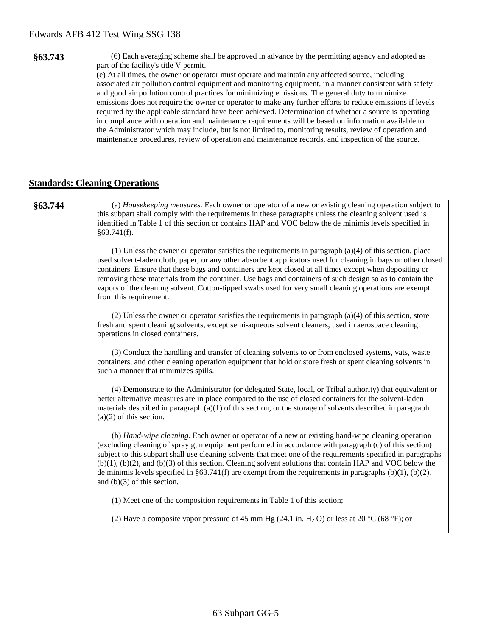| §63.743 | (6) Each averaging scheme shall be approved in advance by the permitting agency and adopted as             |
|---------|------------------------------------------------------------------------------------------------------------|
|         | part of the facility's title V permit.                                                                     |
|         | (e) At all times, the owner or operator must operate and maintain any affected source, including           |
|         | associated air pollution control equipment and monitoring equipment, in a manner consistent with safety    |
|         | and good air pollution control practices for minimizing emissions. The general duty to minimize            |
|         | emissions does not require the owner or operator to make any further efforts to reduce emissions if levels |
|         | required by the applicable standard have been achieved. Determination of whether a source is operating     |
|         | in compliance with operation and maintenance requirements will be based on information available to        |
|         | the Administrator which may include, but is not limited to, monitoring results, review of operation and    |
|         | maintenance procedures, review of operation and maintenance records, and inspection of the source.         |
|         |                                                                                                            |

# **Standards: Cleaning Operations**

| §63.744 | (a) <i>Housekeeping measures</i> . Each owner or operator of a new or existing cleaning operation subject to<br>this subpart shall comply with the requirements in these paragraphs unless the cleaning solvent used is<br>identified in Table 1 of this section or contains HAP and VOC below the de minimis levels specified in<br>§63.741(f).                                                                                                                                                                                                                                                    |
|---------|-----------------------------------------------------------------------------------------------------------------------------------------------------------------------------------------------------------------------------------------------------------------------------------------------------------------------------------------------------------------------------------------------------------------------------------------------------------------------------------------------------------------------------------------------------------------------------------------------------|
|         | $(1)$ Unless the owner or operator satisfies the requirements in paragraph $(a)(4)$ of this section, place<br>used solvent-laden cloth, paper, or any other absorbent applicators used for cleaning in bags or other closed<br>containers. Ensure that these bags and containers are kept closed at all times except when depositing or<br>removing these materials from the container. Use bags and containers of such design so as to contain the<br>vapors of the cleaning solvent. Cotton-tipped swabs used for very small cleaning operations are exempt<br>from this requirement.             |
|         | (2) Unless the owner or operator satisfies the requirements in paragraph $(a)(4)$ of this section, store<br>fresh and spent cleaning solvents, except semi-aqueous solvent cleaners, used in aerospace cleaning<br>operations in closed containers.                                                                                                                                                                                                                                                                                                                                                 |
|         | (3) Conduct the handling and transfer of cleaning solvents to or from enclosed systems, vats, waste<br>containers, and other cleaning operation equipment that hold or store fresh or spent cleaning solvents in<br>such a manner that minimizes spills.                                                                                                                                                                                                                                                                                                                                            |
|         | (4) Demonstrate to the Administrator (or delegated State, local, or Tribal authority) that equivalent or<br>better alternative measures are in place compared to the use of closed containers for the solvent-laden<br>materials described in paragraph $(a)(1)$ of this section, or the storage of solvents described in paragraph<br>$(a)(2)$ of this section.                                                                                                                                                                                                                                    |
|         | (b) Hand-wipe cleaning. Each owner or operator of a new or existing hand-wipe cleaning operation<br>(excluding cleaning of spray gun equipment performed in accordance with paragraph (c) of this section)<br>subject to this subpart shall use cleaning solvents that meet one of the requirements specified in paragraphs<br>$(b)(1)$ , $(b)(2)$ , and $(b)(3)$ of this section. Cleaning solvent solutions that contain HAP and VOC below the<br>de minimis levels specified in §63.741(f) are exempt from the requirements in paragraphs $(b)(1)$ , $(b)(2)$ ,<br>and $(b)(3)$ of this section. |
|         | (1) Meet one of the composition requirements in Table 1 of this section;                                                                                                                                                                                                                                                                                                                                                                                                                                                                                                                            |
|         | (2) Have a composite vapor pressure of 45 mm Hg (24.1 in. H <sub>2</sub> O) or less at 20 °C (68 °F); or                                                                                                                                                                                                                                                                                                                                                                                                                                                                                            |
|         |                                                                                                                                                                                                                                                                                                                                                                                                                                                                                                                                                                                                     |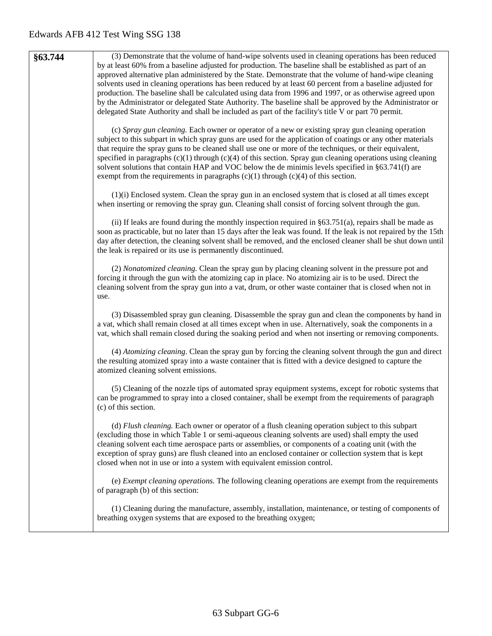| §63.744 | (3) Demonstrate that the volume of hand-wipe solvents used in cleaning operations has been reduced                                                                                                                    |
|---------|-----------------------------------------------------------------------------------------------------------------------------------------------------------------------------------------------------------------------|
|         | by at least 60% from a baseline adjusted for production. The baseline shall be established as part of an                                                                                                              |
|         | approved alternative plan administered by the State. Demonstrate that the volume of hand-wipe cleaning                                                                                                                |
|         | solvents used in cleaning operations has been reduced by at least 60 percent from a baseline adjusted for<br>production. The baseline shall be calculated using data from 1996 and 1997, or as otherwise agreed upon  |
|         | by the Administrator or delegated State Authority. The baseline shall be approved by the Administrator or                                                                                                             |
|         | delegated State Authority and shall be included as part of the facility's title V or part 70 permit.                                                                                                                  |
|         |                                                                                                                                                                                                                       |
|         | (c) Spray gun cleaning. Each owner or operator of a new or existing spray gun cleaning operation                                                                                                                      |
|         | subject to this subpart in which spray guns are used for the application of coatings or any other materials                                                                                                           |
|         | that require the spray guns to be cleaned shall use one or more of the techniques, or their equivalent,                                                                                                               |
|         | specified in paragraphs $(c)(1)$ through $(c)(4)$ of this section. Spray gun cleaning operations using cleaning<br>solvent solutions that contain HAP and VOC below the de minimis levels specified in §63.741(f) are |
|         | exempt from the requirements in paragraphs $(c)(1)$ through $(c)(4)$ of this section.                                                                                                                                 |
|         |                                                                                                                                                                                                                       |
|         | $(1)(i)$ Enclosed system. Clean the spray gun in an enclosed system that is closed at all times except                                                                                                                |
|         | when inserting or removing the spray gun. Cleaning shall consist of forcing solvent through the gun.                                                                                                                  |
|         | (ii) If leaks are found during the monthly inspection required in $\S 63.751(a)$ , repairs shall be made as                                                                                                           |
|         | soon as practicable, but no later than 15 days after the leak was found. If the leak is not repaired by the 15th                                                                                                      |
|         | day after detection, the cleaning solvent shall be removed, and the enclosed cleaner shall be shut down until                                                                                                         |
|         | the leak is repaired or its use is permanently discontinued.                                                                                                                                                          |
|         |                                                                                                                                                                                                                       |
|         | (2) Nonatomized cleaning. Clean the spray gun by placing cleaning solvent in the pressure pot and                                                                                                                     |
|         | forcing it through the gun with the atomizing cap in place. No atomizing air is to be used. Direct the                                                                                                                |
|         | cleaning solvent from the spray gun into a vat, drum, or other waste container that is closed when not in<br>use.                                                                                                     |
|         |                                                                                                                                                                                                                       |
|         | (3) Disassembled spray gun cleaning. Disassemble the spray gun and clean the components by hand in                                                                                                                    |
|         | a vat, which shall remain closed at all times except when in use. Alternatively, soak the components in a                                                                                                             |
|         | vat, which shall remain closed during the soaking period and when not inserting or removing components.                                                                                                               |
|         | (4) Atomizing cleaning. Clean the spray gun by forcing the cleaning solvent through the gun and direct                                                                                                                |
|         | the resulting atomized spray into a waste container that is fitted with a device designed to capture the                                                                                                              |
|         | atomized cleaning solvent emissions.                                                                                                                                                                                  |
|         |                                                                                                                                                                                                                       |
|         | (5) Cleaning of the nozzle tips of automated spray equipment systems, except for robotic systems that                                                                                                                 |
|         | can be programmed to spray into a closed container, shall be exempt from the requirements of paragraph<br>(c) of this section.                                                                                        |
|         |                                                                                                                                                                                                                       |
|         | (d) Flush cleaning. Each owner or operator of a flush cleaning operation subject to this subpart                                                                                                                      |
|         | (excluding those in which Table 1 or semi-aqueous cleaning solvents are used) shall empty the used                                                                                                                    |
|         | cleaning solvent each time aerospace parts or assemblies, or components of a coating unit (with the                                                                                                                   |
|         | exception of spray guns) are flush cleaned into an enclosed container or collection system that is kept                                                                                                               |
|         | closed when not in use or into a system with equivalent emission control.                                                                                                                                             |
|         | (e) <i>Exempt cleaning operations</i> . The following cleaning operations are exempt from the requirements                                                                                                            |
|         | of paragraph (b) of this section:                                                                                                                                                                                     |
|         |                                                                                                                                                                                                                       |
|         | (1) Cleaning during the manufacture, assembly, installation, maintenance, or testing of components of                                                                                                                 |
|         | breathing oxygen systems that are exposed to the breathing oxygen;                                                                                                                                                    |
|         |                                                                                                                                                                                                                       |
|         |                                                                                                                                                                                                                       |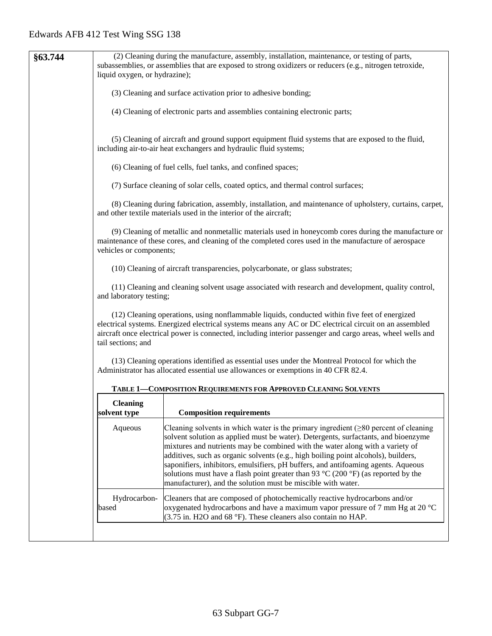| §63.744 | liquid oxygen, or hydrazine);   | (2) Cleaning during the manufacture, assembly, installation, maintenance, or testing of parts,<br>subassemblies, or assemblies that are exposed to strong oxidizers or reducers (e.g., nitrogen tetroxide,                                                                                                                                                                                                                                                                                                                                                                                                         |
|---------|---------------------------------|--------------------------------------------------------------------------------------------------------------------------------------------------------------------------------------------------------------------------------------------------------------------------------------------------------------------------------------------------------------------------------------------------------------------------------------------------------------------------------------------------------------------------------------------------------------------------------------------------------------------|
|         |                                 | (3) Cleaning and surface activation prior to adhesive bonding;                                                                                                                                                                                                                                                                                                                                                                                                                                                                                                                                                     |
|         |                                 | (4) Cleaning of electronic parts and assemblies containing electronic parts;                                                                                                                                                                                                                                                                                                                                                                                                                                                                                                                                       |
|         |                                 | (5) Cleaning of aircraft and ground support equipment fluid systems that are exposed to the fluid,<br>including air-to-air heat exchangers and hydraulic fluid systems;                                                                                                                                                                                                                                                                                                                                                                                                                                            |
|         |                                 | (6) Cleaning of fuel cells, fuel tanks, and confined spaces;                                                                                                                                                                                                                                                                                                                                                                                                                                                                                                                                                       |
|         |                                 | (7) Surface cleaning of solar cells, coated optics, and thermal control surfaces;                                                                                                                                                                                                                                                                                                                                                                                                                                                                                                                                  |
|         |                                 | (8) Cleaning during fabrication, assembly, installation, and maintenance of upholstery, curtains, carpet,<br>and other textile materials used in the interior of the aircraft;                                                                                                                                                                                                                                                                                                                                                                                                                                     |
|         | vehicles or components;         | (9) Cleaning of metallic and nonmetallic materials used in honeycomb cores during the manufacture or<br>maintenance of these cores, and cleaning of the completed cores used in the manufacture of aerospace                                                                                                                                                                                                                                                                                                                                                                                                       |
|         |                                 | (10) Cleaning of aircraft transparencies, polycarbonate, or glass substrates;                                                                                                                                                                                                                                                                                                                                                                                                                                                                                                                                      |
|         | and laboratory testing;         | (11) Cleaning and cleaning solvent usage associated with research and development, quality control,                                                                                                                                                                                                                                                                                                                                                                                                                                                                                                                |
|         | tail sections; and              | (12) Cleaning operations, using nonflammable liquids, conducted within five feet of energized<br>electrical systems. Energized electrical systems means any AC or DC electrical circuit on an assembled<br>aircraft once electrical power is connected, including interior passenger and cargo areas, wheel wells and                                                                                                                                                                                                                                                                                              |
|         |                                 | (13) Cleaning operations identified as essential uses under the Montreal Protocol for which the<br>Administrator has allocated essential use allowances or exemptions in 40 CFR 82.4.                                                                                                                                                                                                                                                                                                                                                                                                                              |
|         |                                 | TABLE 1-COMPOSITION REQUIREMENTS FOR APPROVED CLEANING SOLVENTS                                                                                                                                                                                                                                                                                                                                                                                                                                                                                                                                                    |
|         | <b>Cleaning</b><br>solvent type | <b>Composition requirements</b>                                                                                                                                                                                                                                                                                                                                                                                                                                                                                                                                                                                    |
|         | Aqueous                         | Cleaning solvents in which water is the primary ingredient $(\geq 80$ percent of cleaning<br>solvent solution as applied must be water). Detergents, surfactants, and bioenzyme<br>mixtures and nutrients may be combined with the water along with a variety of<br>additives, such as organic solvents (e.g., high boiling point alcohols), builders,<br>saponifiers, inhibitors, emulsifiers, pH buffers, and antifoaming agents. Aqueous<br>solutions must have a flash point greater than 93 $\degree$ C (200 $\degree$ F) (as reported by the<br>manufacturer), and the solution must be miscible with water. |
|         | Hydrocarbon-<br>based           | Cleaners that are composed of photochemically reactive hydrocarbons and/or<br>oxygenated hydrocarbons and have a maximum vapor pressure of 7 mm Hg at 20 $^{\circ}$ C<br>(3.75 in. H2O and 68 °F). These cleaners also contain no HAP.                                                                                                                                                                                                                                                                                                                                                                             |
|         |                                 |                                                                                                                                                                                                                                                                                                                                                                                                                                                                                                                                                                                                                    |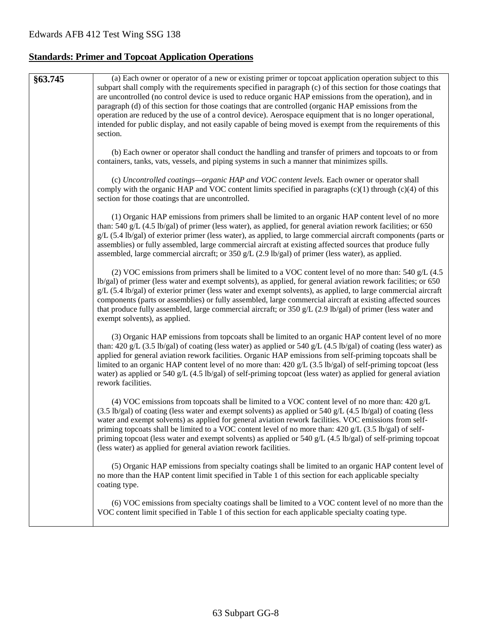## **Standards: Primer and Topcoat Application Operations**

| §63.745 | (a) Each owner or operator of a new or existing primer or topcoat application operation subject to this<br>subpart shall comply with the requirements specified in paragraph (c) of this section for those coatings that<br>are uncontrolled (no control device is used to reduce organic HAP emissions from the operation), and in<br>paragraph (d) of this section for those coatings that are controlled (organic HAP emissions from the<br>operation are reduced by the use of a control device). Aerospace equipment that is no longer operational,<br>intended for public display, and not easily capable of being moved is exempt from the requirements of this<br>section. |
|---------|------------------------------------------------------------------------------------------------------------------------------------------------------------------------------------------------------------------------------------------------------------------------------------------------------------------------------------------------------------------------------------------------------------------------------------------------------------------------------------------------------------------------------------------------------------------------------------------------------------------------------------------------------------------------------------|
|         | (b) Each owner or operator shall conduct the handling and transfer of primers and topcoats to or from<br>containers, tanks, vats, vessels, and piping systems in such a manner that minimizes spills.                                                                                                                                                                                                                                                                                                                                                                                                                                                                              |
|         | (c) Uncontrolled coatings—organic HAP and VOC content levels. Each owner or operator shall<br>comply with the organic HAP and VOC content limits specified in paragraphs (c)(1) through (c)(4) of this<br>section for those coatings that are uncontrolled.                                                                                                                                                                                                                                                                                                                                                                                                                        |
|         | (1) Organic HAP emissions from primers shall be limited to an organic HAP content level of no more<br>than: 540 g/L $(4.5 \text{ lb/gal})$ of primer (less water), as applied, for general aviation rework facilities; or 650<br>g/L (5.4 lb/gal) of exterior primer (less water), as applied, to large commercial aircraft components (parts or<br>assemblies) or fully assembled, large commercial aircraft at existing affected sources that produce fully<br>assembled, large commercial aircraft; or 350 g/L (2.9 lb/gal) of primer (less water), as applied.                                                                                                                 |
|         | (2) VOC emissions from primers shall be limited to a VOC content level of no more than: 540 $g/L$ (4.5)<br>lb/gal) of primer (less water and exempt solvents), as applied, for general aviation rework facilities; or 650<br>$g/L$ (5.4 lb/gal) of exterior primer (less water and exempt solvents), as applied, to large commercial aircraft<br>components (parts or assemblies) or fully assembled, large commercial aircraft at existing affected sources<br>that produce fully assembled, large commercial aircraft; or $350 g/L$ (2.9 lb/gal) of primer (less water and<br>exempt solvents), as applied.                                                                      |
|         | (3) Organic HAP emissions from topcoats shall be limited to an organic HAP content level of no more<br>than: 420 g/L (3.5 lb/gal) of coating (less water) as applied or 540 g/L (4.5 lb/gal) of coating (less water) as<br>applied for general aviation rework facilities. Organic HAP emissions from self-priming topcoats shall be<br>limited to an organic HAP content level of no more than: $420 g/L$ (3.5 lb/gal) of self-priming topcoat (less<br>water) as applied or 540 g/L (4.5 lb/gal) of self-priming topcoat (less water) as applied for general aviation<br>rework facilities.                                                                                      |
|         | (4) VOC emissions from topcoats shall be limited to a VOC content level of no more than: $420 g/L$<br>$(3.5 \text{ lb/gal})$ of coating (less water and exempt solvents) as applied or 540 g/L (4.5 lb/gal) of coating (less<br>water and exempt solvents) as applied for general aviation rework facilities. VOC emissions from self-<br>priming topcoats shall be limited to a VOC content level of no more than: $420 g/L$ (3.5 lb/gal) of self-<br>priming topcoat (less water and exempt solvents) as applied or 540 g/L $(4.5 \text{ lb/gal})$ of self-priming topcoat<br>(less water) as applied for general aviation rework facilities.                                    |
|         | (5) Organic HAP emissions from specialty coatings shall be limited to an organic HAP content level of<br>no more than the HAP content limit specified in Table 1 of this section for each applicable specialty<br>coating type.                                                                                                                                                                                                                                                                                                                                                                                                                                                    |
|         | (6) VOC emissions from specialty coatings shall be limited to a VOC content level of no more than the<br>VOC content limit specified in Table 1 of this section for each applicable specialty coating type.                                                                                                                                                                                                                                                                                                                                                                                                                                                                        |
|         |                                                                                                                                                                                                                                                                                                                                                                                                                                                                                                                                                                                                                                                                                    |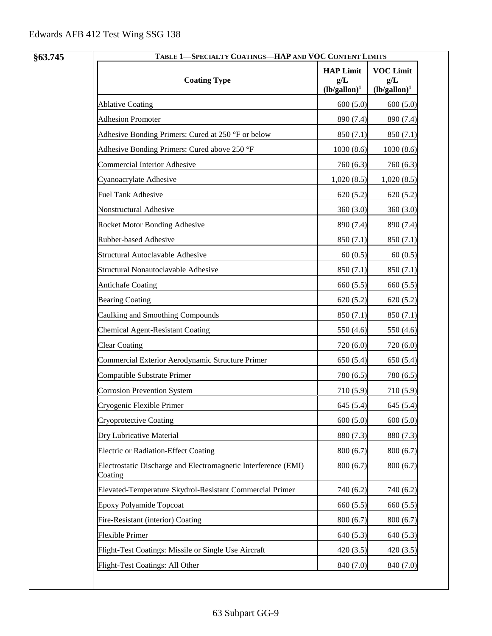| <b>HAP Limit</b><br><b>VOC Limit</b><br><b>Coating Type</b><br>$g/L$<br>g/L<br>$(lb/gallon)^1$<br>$(lb/gallon)^1$<br><b>Ablative Coating</b><br>600(5.0)<br>600(5.0)<br><b>Adhesion Promoter</b><br>890 (7.4)<br>890 (7.4)<br>Adhesive Bonding Primers: Cured at 250 °F or below<br>850 (7.1)<br>850(7.1)<br>Adhesive Bonding Primers: Cured above 250 °F<br>1030(8.6)<br>1030(8.6)<br>Commercial Interior Adhesive<br>760 (6.3)<br>760(6.3)<br>Cyanoacrylate Adhesive<br>1,020(8.5)<br>1,020(8.5)<br><b>Fuel Tank Adhesive</b><br>620(5.2)<br>620(5.2)<br>Nonstructural Adhesive<br>360(3.0)<br>360(3.0)<br>Rocket Motor Bonding Adhesive<br>890 (7.4)<br>890 (7.4)<br>Rubber-based Adhesive<br>850(7.1)<br>850(7.1)<br>Structural Autoclavable Adhesive<br>60(0.5)<br>60(0.5)<br>Structural Nonautoclavable Adhesive<br>850 (7.1)<br>850 (7.1)<br><b>Antichafe Coating</b><br>660 (5.5)<br>660 (5.5)<br><b>Bearing Coating</b><br>620(5.2)<br>620(5.2)<br>Caulking and Smoothing Compounds<br>850 (7.1)<br>850 (7.1)<br><b>Chemical Agent-Resistant Coating</b><br>550 (4.6)<br>550 (4.6)<br><b>Clear Coating</b><br>720 (6.0)<br>720 (6.0)<br>Commercial Exterior Aerodynamic Structure Primer<br>650 (5.4)<br>650 (5.4)<br>Compatible Substrate Primer<br>780 (6.5)<br>780 (6.5)<br><b>Corrosion Prevention System</b><br>710 (5.9)<br>710(5.9)<br>Cryogenic Flexible Primer<br>645 (5.4)<br>645 (5.4)<br>600(5.0)<br>600(5.0)<br><b>Cryoprotective Coating</b><br>Dry Lubricative Material<br>880 (7.3)<br>880 (7.3)<br>Electric or Radiation-Effect Coating<br>800(6.7)<br>800(6.7)<br>Electrostatic Discharge and Electromagnetic Interference (EMI)<br>800(6.7)<br>800(6.7)<br>Coating<br>Elevated-Temperature Skydrol-Resistant Commercial Primer<br>740 (6.2)<br>740 (6.2)<br><b>Epoxy Polyamide Topcoat</b><br>660 (5.5)<br>660(5.5)<br>Fire-Resistant (interior) Coating<br>800(6.7)<br>800 (6.7)<br><b>Flexible Primer</b><br>640(5.3)<br>640 (5.3)<br>Flight-Test Coatings: Missile or Single Use Aircraft<br>420(3.5)<br>420(3.5) | §63.745 | TABLE 1-SPECIALTY COATINGS-HAP AND VOC CONTENT LIMITS |           |           |
|--------------------------------------------------------------------------------------------------------------------------------------------------------------------------------------------------------------------------------------------------------------------------------------------------------------------------------------------------------------------------------------------------------------------------------------------------------------------------------------------------------------------------------------------------------------------------------------------------------------------------------------------------------------------------------------------------------------------------------------------------------------------------------------------------------------------------------------------------------------------------------------------------------------------------------------------------------------------------------------------------------------------------------------------------------------------------------------------------------------------------------------------------------------------------------------------------------------------------------------------------------------------------------------------------------------------------------------------------------------------------------------------------------------------------------------------------------------------------------------------------------------------------------------------------------------------------------------------------------------------------------------------------------------------------------------------------------------------------------------------------------------------------------------------------------------------------------------------------------------------------------------------------------------------------------------------------------------------------------------------------------------------------------------------------|---------|-------------------------------------------------------|-----------|-----------|
|                                                                                                                                                                                                                                                                                                                                                                                                                                                                                                                                                                                                                                                                                                                                                                                                                                                                                                                                                                                                                                                                                                                                                                                                                                                                                                                                                                                                                                                                                                                                                                                                                                                                                                                                                                                                                                                                                                                                                                                                                                                  |         |                                                       |           |           |
|                                                                                                                                                                                                                                                                                                                                                                                                                                                                                                                                                                                                                                                                                                                                                                                                                                                                                                                                                                                                                                                                                                                                                                                                                                                                                                                                                                                                                                                                                                                                                                                                                                                                                                                                                                                                                                                                                                                                                                                                                                                  |         |                                                       |           |           |
|                                                                                                                                                                                                                                                                                                                                                                                                                                                                                                                                                                                                                                                                                                                                                                                                                                                                                                                                                                                                                                                                                                                                                                                                                                                                                                                                                                                                                                                                                                                                                                                                                                                                                                                                                                                                                                                                                                                                                                                                                                                  |         |                                                       |           |           |
|                                                                                                                                                                                                                                                                                                                                                                                                                                                                                                                                                                                                                                                                                                                                                                                                                                                                                                                                                                                                                                                                                                                                                                                                                                                                                                                                                                                                                                                                                                                                                                                                                                                                                                                                                                                                                                                                                                                                                                                                                                                  |         |                                                       |           |           |
|                                                                                                                                                                                                                                                                                                                                                                                                                                                                                                                                                                                                                                                                                                                                                                                                                                                                                                                                                                                                                                                                                                                                                                                                                                                                                                                                                                                                                                                                                                                                                                                                                                                                                                                                                                                                                                                                                                                                                                                                                                                  |         |                                                       |           |           |
|                                                                                                                                                                                                                                                                                                                                                                                                                                                                                                                                                                                                                                                                                                                                                                                                                                                                                                                                                                                                                                                                                                                                                                                                                                                                                                                                                                                                                                                                                                                                                                                                                                                                                                                                                                                                                                                                                                                                                                                                                                                  |         |                                                       |           |           |
|                                                                                                                                                                                                                                                                                                                                                                                                                                                                                                                                                                                                                                                                                                                                                                                                                                                                                                                                                                                                                                                                                                                                                                                                                                                                                                                                                                                                                                                                                                                                                                                                                                                                                                                                                                                                                                                                                                                                                                                                                                                  |         |                                                       |           |           |
|                                                                                                                                                                                                                                                                                                                                                                                                                                                                                                                                                                                                                                                                                                                                                                                                                                                                                                                                                                                                                                                                                                                                                                                                                                                                                                                                                                                                                                                                                                                                                                                                                                                                                                                                                                                                                                                                                                                                                                                                                                                  |         |                                                       |           |           |
|                                                                                                                                                                                                                                                                                                                                                                                                                                                                                                                                                                                                                                                                                                                                                                                                                                                                                                                                                                                                                                                                                                                                                                                                                                                                                                                                                                                                                                                                                                                                                                                                                                                                                                                                                                                                                                                                                                                                                                                                                                                  |         |                                                       |           |           |
|                                                                                                                                                                                                                                                                                                                                                                                                                                                                                                                                                                                                                                                                                                                                                                                                                                                                                                                                                                                                                                                                                                                                                                                                                                                                                                                                                                                                                                                                                                                                                                                                                                                                                                                                                                                                                                                                                                                                                                                                                                                  |         |                                                       |           |           |
|                                                                                                                                                                                                                                                                                                                                                                                                                                                                                                                                                                                                                                                                                                                                                                                                                                                                                                                                                                                                                                                                                                                                                                                                                                                                                                                                                                                                                                                                                                                                                                                                                                                                                                                                                                                                                                                                                                                                                                                                                                                  |         |                                                       |           |           |
|                                                                                                                                                                                                                                                                                                                                                                                                                                                                                                                                                                                                                                                                                                                                                                                                                                                                                                                                                                                                                                                                                                                                                                                                                                                                                                                                                                                                                                                                                                                                                                                                                                                                                                                                                                                                                                                                                                                                                                                                                                                  |         |                                                       |           |           |
|                                                                                                                                                                                                                                                                                                                                                                                                                                                                                                                                                                                                                                                                                                                                                                                                                                                                                                                                                                                                                                                                                                                                                                                                                                                                                                                                                                                                                                                                                                                                                                                                                                                                                                                                                                                                                                                                                                                                                                                                                                                  |         |                                                       |           |           |
|                                                                                                                                                                                                                                                                                                                                                                                                                                                                                                                                                                                                                                                                                                                                                                                                                                                                                                                                                                                                                                                                                                                                                                                                                                                                                                                                                                                                                                                                                                                                                                                                                                                                                                                                                                                                                                                                                                                                                                                                                                                  |         |                                                       |           |           |
|                                                                                                                                                                                                                                                                                                                                                                                                                                                                                                                                                                                                                                                                                                                                                                                                                                                                                                                                                                                                                                                                                                                                                                                                                                                                                                                                                                                                                                                                                                                                                                                                                                                                                                                                                                                                                                                                                                                                                                                                                                                  |         |                                                       |           |           |
|                                                                                                                                                                                                                                                                                                                                                                                                                                                                                                                                                                                                                                                                                                                                                                                                                                                                                                                                                                                                                                                                                                                                                                                                                                                                                                                                                                                                                                                                                                                                                                                                                                                                                                                                                                                                                                                                                                                                                                                                                                                  |         |                                                       |           |           |
|                                                                                                                                                                                                                                                                                                                                                                                                                                                                                                                                                                                                                                                                                                                                                                                                                                                                                                                                                                                                                                                                                                                                                                                                                                                                                                                                                                                                                                                                                                                                                                                                                                                                                                                                                                                                                                                                                                                                                                                                                                                  |         |                                                       |           |           |
|                                                                                                                                                                                                                                                                                                                                                                                                                                                                                                                                                                                                                                                                                                                                                                                                                                                                                                                                                                                                                                                                                                                                                                                                                                                                                                                                                                                                                                                                                                                                                                                                                                                                                                                                                                                                                                                                                                                                                                                                                                                  |         |                                                       |           |           |
|                                                                                                                                                                                                                                                                                                                                                                                                                                                                                                                                                                                                                                                                                                                                                                                                                                                                                                                                                                                                                                                                                                                                                                                                                                                                                                                                                                                                                                                                                                                                                                                                                                                                                                                                                                                                                                                                                                                                                                                                                                                  |         |                                                       |           |           |
|                                                                                                                                                                                                                                                                                                                                                                                                                                                                                                                                                                                                                                                                                                                                                                                                                                                                                                                                                                                                                                                                                                                                                                                                                                                                                                                                                                                                                                                                                                                                                                                                                                                                                                                                                                                                                                                                                                                                                                                                                                                  |         |                                                       |           |           |
|                                                                                                                                                                                                                                                                                                                                                                                                                                                                                                                                                                                                                                                                                                                                                                                                                                                                                                                                                                                                                                                                                                                                                                                                                                                                                                                                                                                                                                                                                                                                                                                                                                                                                                                                                                                                                                                                                                                                                                                                                                                  |         |                                                       |           |           |
|                                                                                                                                                                                                                                                                                                                                                                                                                                                                                                                                                                                                                                                                                                                                                                                                                                                                                                                                                                                                                                                                                                                                                                                                                                                                                                                                                                                                                                                                                                                                                                                                                                                                                                                                                                                                                                                                                                                                                                                                                                                  |         |                                                       |           |           |
|                                                                                                                                                                                                                                                                                                                                                                                                                                                                                                                                                                                                                                                                                                                                                                                                                                                                                                                                                                                                                                                                                                                                                                                                                                                                                                                                                                                                                                                                                                                                                                                                                                                                                                                                                                                                                                                                                                                                                                                                                                                  |         |                                                       |           |           |
|                                                                                                                                                                                                                                                                                                                                                                                                                                                                                                                                                                                                                                                                                                                                                                                                                                                                                                                                                                                                                                                                                                                                                                                                                                                                                                                                                                                                                                                                                                                                                                                                                                                                                                                                                                                                                                                                                                                                                                                                                                                  |         |                                                       |           |           |
|                                                                                                                                                                                                                                                                                                                                                                                                                                                                                                                                                                                                                                                                                                                                                                                                                                                                                                                                                                                                                                                                                                                                                                                                                                                                                                                                                                                                                                                                                                                                                                                                                                                                                                                                                                                                                                                                                                                                                                                                                                                  |         |                                                       |           |           |
|                                                                                                                                                                                                                                                                                                                                                                                                                                                                                                                                                                                                                                                                                                                                                                                                                                                                                                                                                                                                                                                                                                                                                                                                                                                                                                                                                                                                                                                                                                                                                                                                                                                                                                                                                                                                                                                                                                                                                                                                                                                  |         |                                                       |           |           |
|                                                                                                                                                                                                                                                                                                                                                                                                                                                                                                                                                                                                                                                                                                                                                                                                                                                                                                                                                                                                                                                                                                                                                                                                                                                                                                                                                                                                                                                                                                                                                                                                                                                                                                                                                                                                                                                                                                                                                                                                                                                  |         |                                                       |           |           |
|                                                                                                                                                                                                                                                                                                                                                                                                                                                                                                                                                                                                                                                                                                                                                                                                                                                                                                                                                                                                                                                                                                                                                                                                                                                                                                                                                                                                                                                                                                                                                                                                                                                                                                                                                                                                                                                                                                                                                                                                                                                  |         |                                                       |           |           |
|                                                                                                                                                                                                                                                                                                                                                                                                                                                                                                                                                                                                                                                                                                                                                                                                                                                                                                                                                                                                                                                                                                                                                                                                                                                                                                                                                                                                                                                                                                                                                                                                                                                                                                                                                                                                                                                                                                                                                                                                                                                  |         |                                                       |           |           |
|                                                                                                                                                                                                                                                                                                                                                                                                                                                                                                                                                                                                                                                                                                                                                                                                                                                                                                                                                                                                                                                                                                                                                                                                                                                                                                                                                                                                                                                                                                                                                                                                                                                                                                                                                                                                                                                                                                                                                                                                                                                  |         |                                                       |           |           |
|                                                                                                                                                                                                                                                                                                                                                                                                                                                                                                                                                                                                                                                                                                                                                                                                                                                                                                                                                                                                                                                                                                                                                                                                                                                                                                                                                                                                                                                                                                                                                                                                                                                                                                                                                                                                                                                                                                                                                                                                                                                  |         |                                                       |           |           |
|                                                                                                                                                                                                                                                                                                                                                                                                                                                                                                                                                                                                                                                                                                                                                                                                                                                                                                                                                                                                                                                                                                                                                                                                                                                                                                                                                                                                                                                                                                                                                                                                                                                                                                                                                                                                                                                                                                                                                                                                                                                  |         | Flight-Test Coatings: All Other                       | 840 (7.0) | 840 (7.0) |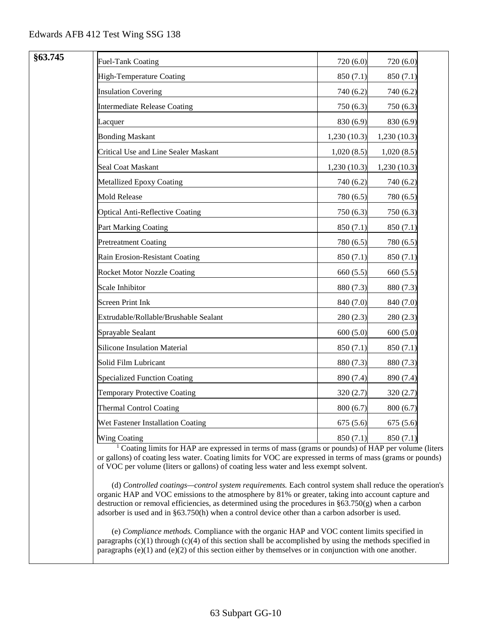| §63.745 | <b>Fuel-Tank Coating</b>               | 720 (6.0)   | 720 (6.0)    |
|---------|----------------------------------------|-------------|--------------|
|         | High-Temperature Coating               | 850 (7.1)   | 850 (7.1)    |
|         | <b>Insulation Covering</b>             | 740 (6.2)   | 740 (6.2)    |
|         | <b>Intermediate Release Coating</b>    | 750 (6.3)   | 750 (6.3)    |
|         | Lacquer                                | 830 (6.9)   | 830 (6.9)    |
|         | <b>Bonding Maskant</b>                 | 1,230(10.3) | 1,230 (10.3) |
|         | Critical Use and Line Sealer Maskant   | 1,020(8.5)  | 1,020(8.5)   |
|         | Seal Coat Maskant                      | 1,230(10.3) | 1,230(10.3)  |
|         | Metallized Epoxy Coating               | 740 (6.2)   | 740 (6.2)    |
|         | <b>Mold Release</b>                    | 780 (6.5)   | 780 (6.5)    |
|         | <b>Optical Anti-Reflective Coating</b> | 750 (6.3)   | 750 (6.3)    |
|         | Part Marking Coating                   | 850 (7.1)   | 850 (7.1)    |
|         | <b>Pretreatment Coating</b>            | 780 (6.5)   | 780 (6.5)    |
|         | Rain Erosion-Resistant Coating         | 850(7.1)    | 850 (7.1)    |
|         | <b>Rocket Motor Nozzle Coating</b>     | 660 (5.5)   | 660 (5.5)    |
|         | Scale Inhibitor                        | 880 (7.3)   | 880 (7.3)    |
|         | <b>Screen Print Ink</b>                | 840 (7.0)   | 840 (7.0)    |
|         | Extrudable/Rollable/Brushable Sealant  | 280(2.3)    | 280 (2.3)    |
|         | Sprayable Sealant                      | 600(5.0)    | 600(5.0)     |
|         | <b>Silicone Insulation Material</b>    | 850 (7.1)   | 850 (7.1)    |
|         | Solid Film Lubricant                   | 880 (7.3)   | 880 (7.3)    |
|         | <b>Specialized Function Coating</b>    | 890 (7.4)   | 890 (7.4)    |
|         | <b>Temporary Protective Coating</b>    | 320(2.7)    | 320(2.7)     |
|         | <b>Thermal Control Coating</b>         | 800(6.7)    | 800(6.7)     |
|         | Wet Fastener Installation Coating      | 675(5.6)    | 675(5.6)     |
|         | Wing Coating                           | 850(7.1)    | 850(7.1)     |

<sup>1</sup> Coating limits for HAP are expressed in terms of mass (grams or pounds) of HAP per volume (liters or gallons) of coating less water. Coating limits for VOC are expressed in terms of mass (grams or pounds) of VOC per volume (liters or gallons) of coating less water and less exempt solvent.

(d) *Controlled coatings—control system requirements.* Each control system shall reduce the operation's organic HAP and VOC emissions to the atmosphere by 81% or greater, taking into account capture and destruction or removal efficiencies, as determined using the procedures in §63.750(g) when a carbon adsorber is used and in §63.750(h) when a control device other than a carbon adsorber is used.

(e) *Compliance methods.* Compliance with the organic HAP and VOC content limits specified in paragraphs  $(c)(1)$  through  $(c)(4)$  of this section shall be accomplished by using the methods specified in paragraphs  $(e)(1)$  and  $(e)(2)$  of this section either by themselves or in conjunction with one another.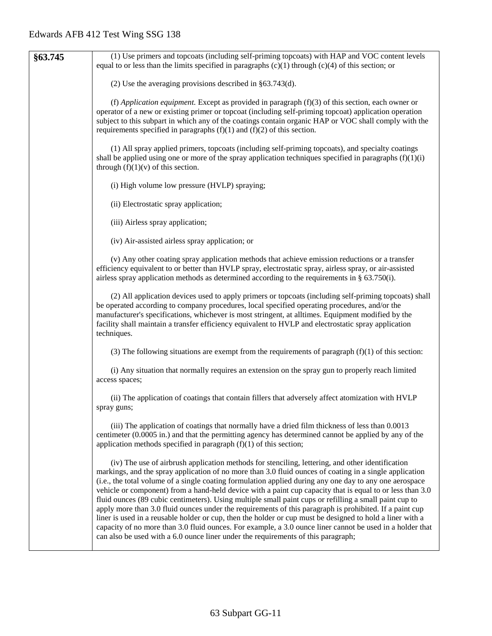| §63.745 | (1) Use primers and topcoats (including self-priming topcoats) with HAP and VOC content levels                                                                                                                                                                                                                                                                                                                                                                                                                                                                                                                                                                                                                                                                                                                                                                                                                                                                          |
|---------|-------------------------------------------------------------------------------------------------------------------------------------------------------------------------------------------------------------------------------------------------------------------------------------------------------------------------------------------------------------------------------------------------------------------------------------------------------------------------------------------------------------------------------------------------------------------------------------------------------------------------------------------------------------------------------------------------------------------------------------------------------------------------------------------------------------------------------------------------------------------------------------------------------------------------------------------------------------------------|
|         | equal to or less than the limits specified in paragraphs $(c)(1)$ through $(c)(4)$ of this section; or                                                                                                                                                                                                                                                                                                                                                                                                                                                                                                                                                                                                                                                                                                                                                                                                                                                                  |
|         | (2) Use the averaging provisions described in $§$ 63.743(d).                                                                                                                                                                                                                                                                                                                                                                                                                                                                                                                                                                                                                                                                                                                                                                                                                                                                                                            |
|         | (f) Application equipment. Except as provided in paragraph $(f)(3)$ of this section, each owner or<br>operator of a new or existing primer or topcoat (including self-priming topcoat) application operation<br>subject to this subpart in which any of the coatings contain organic HAP or VOC shall comply with the<br>requirements specified in paragraphs $(f)(1)$ and $(f)(2)$ of this section.                                                                                                                                                                                                                                                                                                                                                                                                                                                                                                                                                                    |
|         | (1) All spray applied primers, topcoats (including self-priming topcoats), and specialty coatings<br>shall be applied using one or more of the spray application techniques specified in paragraphs $(f)(1)(i)$<br>through $(f)(1)(v)$ of this section.                                                                                                                                                                                                                                                                                                                                                                                                                                                                                                                                                                                                                                                                                                                 |
|         | (i) High volume low pressure (HVLP) spraying;                                                                                                                                                                                                                                                                                                                                                                                                                                                                                                                                                                                                                                                                                                                                                                                                                                                                                                                           |
|         | (ii) Electrostatic spray application;                                                                                                                                                                                                                                                                                                                                                                                                                                                                                                                                                                                                                                                                                                                                                                                                                                                                                                                                   |
|         | (iii) Airless spray application;                                                                                                                                                                                                                                                                                                                                                                                                                                                                                                                                                                                                                                                                                                                                                                                                                                                                                                                                        |
|         | (iv) Air-assisted airless spray application; or                                                                                                                                                                                                                                                                                                                                                                                                                                                                                                                                                                                                                                                                                                                                                                                                                                                                                                                         |
|         | (v) Any other coating spray application methods that achieve emission reductions or a transfer<br>efficiency equivalent to or better than HVLP spray, electrostatic spray, airless spray, or air-assisted<br>airless spray application methods as determined according to the requirements in $\S$ 63.750(i).                                                                                                                                                                                                                                                                                                                                                                                                                                                                                                                                                                                                                                                           |
|         | (2) All application devices used to apply primers or topcoats (including self-priming topcoats) shall<br>be operated according to company procedures, local specified operating procedures, and/or the<br>manufacturer's specifications, whichever is most stringent, at all times. Equipment modified by the<br>facility shall maintain a transfer efficiency equivalent to HVLP and electrostatic spray application<br>techniques.                                                                                                                                                                                                                                                                                                                                                                                                                                                                                                                                    |
|         | (3) The following situations are exempt from the requirements of paragraph $(f)(1)$ of this section:                                                                                                                                                                                                                                                                                                                                                                                                                                                                                                                                                                                                                                                                                                                                                                                                                                                                    |
|         | (i) Any situation that normally requires an extension on the spray gun to properly reach limited<br>access spaces;                                                                                                                                                                                                                                                                                                                                                                                                                                                                                                                                                                                                                                                                                                                                                                                                                                                      |
|         | (ii) The application of coatings that contain fillers that adversely affect atomization with HVLP<br>spray guns;                                                                                                                                                                                                                                                                                                                                                                                                                                                                                                                                                                                                                                                                                                                                                                                                                                                        |
|         | (iii) The application of coatings that normally have a dried film thickness of less than 0.0013<br>centimeter (0.0005 in.) and that the permitting agency has determined cannot be applied by any of the<br>application methods specified in paragraph $(f)(1)$ of this section;                                                                                                                                                                                                                                                                                                                                                                                                                                                                                                                                                                                                                                                                                        |
|         | (iv) The use of airbrush application methods for stenciling, lettering, and other identification<br>markings, and the spray application of no more than 3.0 fluid ounces of coating in a single application<br>(i.e., the total volume of a single coating formulation applied during any one day to any one aerospace<br>vehicle or component) from a hand-held device with a paint cup capacity that is equal to or less than 3.0<br>fluid ounces (89 cubic centimeters). Using multiple small paint cups or refilling a small paint cup to<br>apply more than 3.0 fluid ounces under the requirements of this paragraph is prohibited. If a paint cup<br>liner is used in a reusable holder or cup, then the holder or cup must be designed to hold a liner with a<br>capacity of no more than 3.0 fluid ounces. For example, a 3.0 ounce liner cannot be used in a holder that<br>can also be used with a 6.0 ounce liner under the requirements of this paragraph; |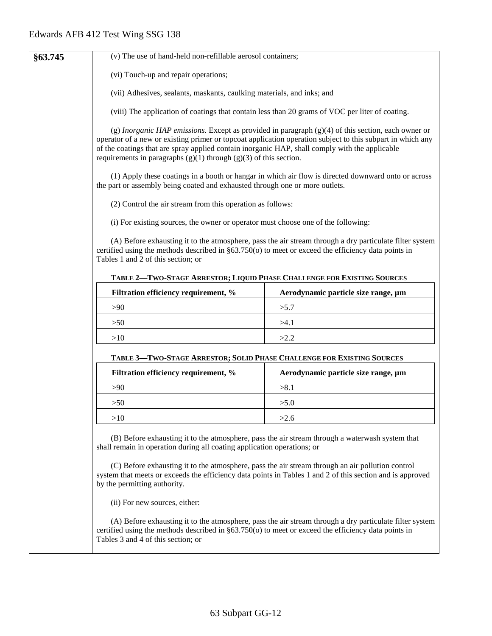| §63.745 | (v) The use of hand-held non-refillable aerosol containers;                                                                                                                                                                                                                                                                                                                                   |                                                                                                         |  |
|---------|-----------------------------------------------------------------------------------------------------------------------------------------------------------------------------------------------------------------------------------------------------------------------------------------------------------------------------------------------------------------------------------------------|---------------------------------------------------------------------------------------------------------|--|
|         | (vi) Touch-up and repair operations;                                                                                                                                                                                                                                                                                                                                                          |                                                                                                         |  |
|         | (vii) Adhesives, sealants, maskants, caulking materials, and inks; and                                                                                                                                                                                                                                                                                                                        |                                                                                                         |  |
|         | (viii) The application of coatings that contain less than 20 grams of VOC per liter of coating.                                                                                                                                                                                                                                                                                               |                                                                                                         |  |
|         | (g) Inorganic HAP emissions. Except as provided in paragraph $(g)(4)$ of this section, each owner or<br>operator of a new or existing primer or topcoat application operation subject to this subpart in which any<br>of the coatings that are spray applied contain inorganic HAP, shall comply with the applicable<br>requirements in paragraphs $(g)(1)$ through $(g)(3)$ of this section. |                                                                                                         |  |
|         | the part or assembly being coated and exhausted through one or more outlets.                                                                                                                                                                                                                                                                                                                  | (1) Apply these coatings in a booth or hangar in which air flow is directed downward onto or across     |  |
|         | (2) Control the air stream from this operation as follows:                                                                                                                                                                                                                                                                                                                                    |                                                                                                         |  |
|         | (i) For existing sources, the owner or operator must choose one of the following:                                                                                                                                                                                                                                                                                                             |                                                                                                         |  |
|         | (A) Before exhausting it to the atmosphere, pass the air stream through a dry particulate filter system<br>certified using the methods described in §63.750(o) to meet or exceed the efficiency data points in<br>Tables 1 and 2 of this section; or                                                                                                                                          |                                                                                                         |  |
|         | TABLE 2-TWO-STAGE ARRESTOR; LIQUID PHASE CHALLENGE FOR EXISTING SOURCES                                                                                                                                                                                                                                                                                                                       |                                                                                                         |  |
|         | Filtration efficiency requirement, %                                                                                                                                                                                                                                                                                                                                                          | Aerodynamic particle size range, µm                                                                     |  |
|         | >90                                                                                                                                                                                                                                                                                                                                                                                           | >5.7                                                                                                    |  |
|         | >50                                                                                                                                                                                                                                                                                                                                                                                           | >4.1                                                                                                    |  |
|         | >10<br>>2.2                                                                                                                                                                                                                                                                                                                                                                                   |                                                                                                         |  |
|         | TABLE 3-TWO-STAGE ARRESTOR; SOLID PHASE CHALLENGE FOR EXISTING SOURCES                                                                                                                                                                                                                                                                                                                        |                                                                                                         |  |
|         | Filtration efficiency requirement, %                                                                                                                                                                                                                                                                                                                                                          | Aerodynamic particle size range, µm                                                                     |  |
|         | >90                                                                                                                                                                                                                                                                                                                                                                                           | >8.1                                                                                                    |  |
|         | >50                                                                                                                                                                                                                                                                                                                                                                                           | >5.0                                                                                                    |  |
|         | >10                                                                                                                                                                                                                                                                                                                                                                                           | >2.6                                                                                                    |  |
|         | (B) Before exhausting it to the atmosphere, pass the air stream through a waterwash system that<br>shall remain in operation during all coating application operations; or<br>(C) Before exhausting it to the atmosphere, pass the air stream through an air pollution control<br>system that meets or exceeds the efficiency data points in Tables 1 and 2 of this section and is approved   |                                                                                                         |  |
|         | by the permitting authority.                                                                                                                                                                                                                                                                                                                                                                  |                                                                                                         |  |
|         | (ii) For new sources, either:                                                                                                                                                                                                                                                                                                                                                                 |                                                                                                         |  |
|         | certified using the methods described in $\S 63.750(o)$ to meet or exceed the efficiency data points in<br>Tables 3 and 4 of this section; or                                                                                                                                                                                                                                                 | (A) Before exhausting it to the atmosphere, pass the air stream through a dry particulate filter system |  |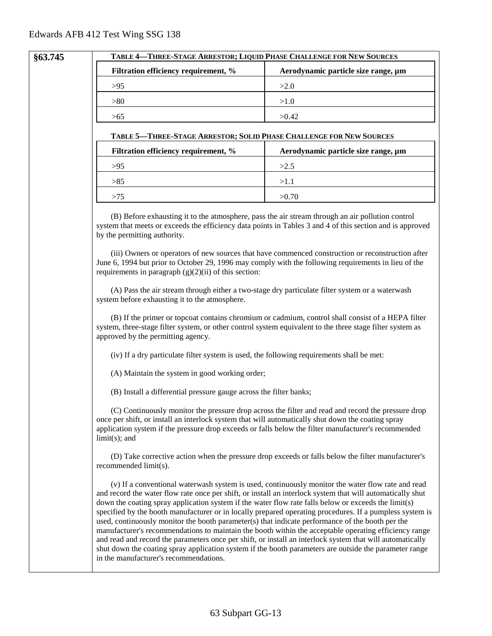#### **§63.745 TABLE 4—THREE-STAGE ARRESTOR; LIQUID PHASE CHALLENGE FOR NEW SOURCES**

| Filtration efficiency requirement, % | Aerodynamic particle size range, µm |
|--------------------------------------|-------------------------------------|
| >95                                  | >2.0                                |
| > 80                                 | >1.0                                |
| >65                                  | >0.42                               |

#### **TABLE 5—THREE-STAGE ARRESTOR; SOLID PHASE CHALLENGE FOR NEW SOURCES**

| Filtration efficiency requirement, % | Aerodynamic particle size range, um |
|--------------------------------------|-------------------------------------|
| >95                                  | >2.5                                |
| >85                                  | >1.1                                |
| -75                                  | >0.70                               |

(B) Before exhausting it to the atmosphere, pass the air stream through an air pollution control system that meets or exceeds the efficiency data points in Tables 3 and 4 of this section and is approved by the permitting authority.

(iii) Owners or operators of new sources that have commenced construction or reconstruction after June 6, 1994 but prior to October 29, 1996 may comply with the following requirements in lieu of the requirements in paragraph  $(g)(2)(ii)$  of this section:

(A) Pass the air stream through either a two-stage dry particulate filter system or a waterwash system before exhausting it to the atmosphere.

(B) If the primer or topcoat contains chromium or cadmium, control shall consist of a HEPA filter system, three-stage filter system, or other control system equivalent to the three stage filter system as approved by the permitting agency.

(iv) If a dry particulate filter system is used, the following requirements shall be met:

(A) Maintain the system in good working order;

(B) Install a differential pressure gauge across the filter banks;

(C) Continuously monitor the pressure drop across the filter and read and record the pressure drop once per shift, or install an interlock system that will automatically shut down the coating spray application system if the pressure drop exceeds or falls below the filter manufacturer's recommended limit(s); and

(D) Take corrective action when the pressure drop exceeds or falls below the filter manufacturer's recommended limit(s).

(v) If a conventional waterwash system is used, continuously monitor the water flow rate and read and record the water flow rate once per shift, or install an interlock system that will automatically shut down the coating spray application system if the water flow rate falls below or exceeds the limit(s) specified by the booth manufacturer or in locally prepared operating procedures. If a pumpless system is used, continuously monitor the booth parameter(s) that indicate performance of the booth per the manufacturer's recommendations to maintain the booth within the acceptable operating efficiency range and read and record the parameters once per shift, or install an interlock system that will automatically shut down the coating spray application system if the booth parameters are outside the parameter range in the manufacturer's recommendations.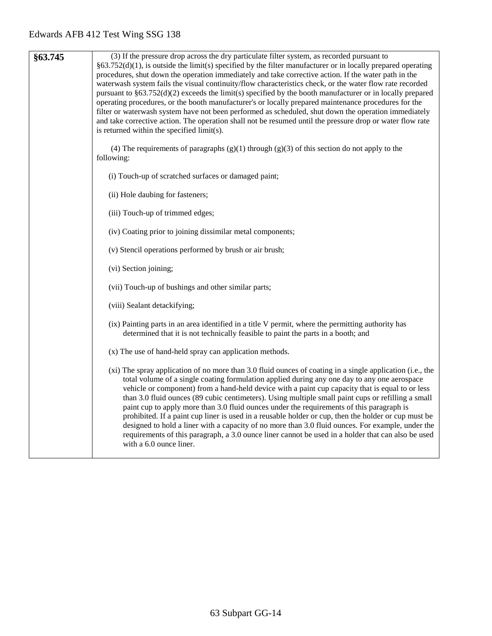| §63.745 | (3) If the pressure drop across the dry particulate filter system, as recorded pursuant to<br>$\S63.752(d)(1)$ , is outside the limit(s) specified by the filter manufacturer or in locally prepared operating<br>procedures, shut down the operation immediately and take corrective action. If the water path in the<br>waterwash system fails the visual continuity/flow characteristics check, or the water flow rate recorded<br>pursuant to §63.752(d)(2) exceeds the limit(s) specified by the booth manufacturer or in locally prepared<br>operating procedures, or the booth manufacturer's or locally prepared maintenance procedures for the<br>filter or waterwash system have not been performed as scheduled, shut down the operation immediately<br>and take corrective action. The operation shall not be resumed until the pressure drop or water flow rate<br>is returned within the specified limit(s). |
|---------|----------------------------------------------------------------------------------------------------------------------------------------------------------------------------------------------------------------------------------------------------------------------------------------------------------------------------------------------------------------------------------------------------------------------------------------------------------------------------------------------------------------------------------------------------------------------------------------------------------------------------------------------------------------------------------------------------------------------------------------------------------------------------------------------------------------------------------------------------------------------------------------------------------------------------|
|         | (4) The requirements of paragraphs $(g)(1)$ through $(g)(3)$ of this section do not apply to the<br>following:                                                                                                                                                                                                                                                                                                                                                                                                                                                                                                                                                                                                                                                                                                                                                                                                             |
|         | (i) Touch-up of scratched surfaces or damaged paint;                                                                                                                                                                                                                                                                                                                                                                                                                                                                                                                                                                                                                                                                                                                                                                                                                                                                       |
|         | (ii) Hole daubing for fasteners;                                                                                                                                                                                                                                                                                                                                                                                                                                                                                                                                                                                                                                                                                                                                                                                                                                                                                           |
|         | (iii) Touch-up of trimmed edges;                                                                                                                                                                                                                                                                                                                                                                                                                                                                                                                                                                                                                                                                                                                                                                                                                                                                                           |
|         | (iv) Coating prior to joining dissimilar metal components;                                                                                                                                                                                                                                                                                                                                                                                                                                                                                                                                                                                                                                                                                                                                                                                                                                                                 |
|         | (v) Stencil operations performed by brush or air brush;                                                                                                                                                                                                                                                                                                                                                                                                                                                                                                                                                                                                                                                                                                                                                                                                                                                                    |
|         | (vi) Section joining;                                                                                                                                                                                                                                                                                                                                                                                                                                                                                                                                                                                                                                                                                                                                                                                                                                                                                                      |
|         | (vii) Touch-up of bushings and other similar parts;                                                                                                                                                                                                                                                                                                                                                                                                                                                                                                                                                                                                                                                                                                                                                                                                                                                                        |
|         | (viii) Sealant detackifying;                                                                                                                                                                                                                                                                                                                                                                                                                                                                                                                                                                                                                                                                                                                                                                                                                                                                                               |
|         | (ix) Painting parts in an area identified in a title V permit, where the permitting authority has<br>determined that it is not technically feasible to paint the parts in a booth; and                                                                                                                                                                                                                                                                                                                                                                                                                                                                                                                                                                                                                                                                                                                                     |
|         | (x) The use of hand-held spray can application methods.                                                                                                                                                                                                                                                                                                                                                                                                                                                                                                                                                                                                                                                                                                                                                                                                                                                                    |
|         | (xi) The spray application of no more than 3.0 fluid ounces of coating in a single application (i.e., the<br>total volume of a single coating formulation applied during any one day to any one aerospace<br>vehicle or component) from a hand-held device with a paint cup capacity that is equal to or less<br>than 3.0 fluid ounces (89 cubic centimeters). Using multiple small paint cups or refilling a small<br>paint cup to apply more than 3.0 fluid ounces under the requirements of this paragraph is<br>prohibited. If a paint cup liner is used in a reusable holder or cup, then the holder or cup must be<br>designed to hold a liner with a capacity of no more than 3.0 fluid ounces. For example, under the<br>requirements of this paragraph, a 3.0 ounce liner cannot be used in a holder that can also be used<br>with a 6.0 ounce liner.                                                             |
|         |                                                                                                                                                                                                                                                                                                                                                                                                                                                                                                                                                                                                                                                                                                                                                                                                                                                                                                                            |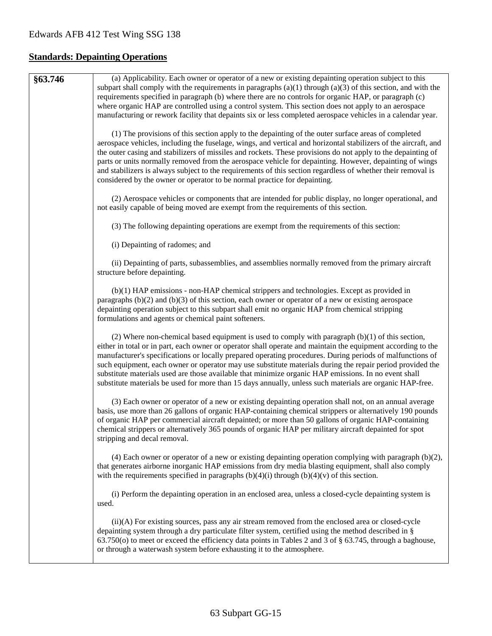# **Standards: Depainting Operations**

| §63.746 | (a) Applicability. Each owner or operator of a new or existing depainting operation subject to this<br>subpart shall comply with the requirements in paragraphs $(a)(1)$ through $(a)(3)$ of this section, and with the<br>requirements specified in paragraph (b) where there are no controls for organic HAP, or paragraph (c)<br>where organic HAP are controlled using a control system. This section does not apply to an aerospace<br>manufacturing or rework facility that depaints six or less completed aerospace vehicles in a calendar year.                                                                                                         |
|---------|-----------------------------------------------------------------------------------------------------------------------------------------------------------------------------------------------------------------------------------------------------------------------------------------------------------------------------------------------------------------------------------------------------------------------------------------------------------------------------------------------------------------------------------------------------------------------------------------------------------------------------------------------------------------|
|         | (1) The provisions of this section apply to the depainting of the outer surface areas of completed<br>aerospace vehicles, including the fuselage, wings, and vertical and horizontal stabilizers of the aircraft, and<br>the outer casing and stabilizers of missiles and rockets. These provisions do not apply to the depainting of<br>parts or units normally removed from the aerospace vehicle for depainting. However, depainting of wings<br>and stabilizers is always subject to the requirements of this section regardless of whether their removal is<br>considered by the owner or operator to be normal practice for depainting.                   |
|         | (2) Aerospace vehicles or components that are intended for public display, no longer operational, and<br>not easily capable of being moved are exempt from the requirements of this section.                                                                                                                                                                                                                                                                                                                                                                                                                                                                    |
|         | (3) The following depainting operations are exempt from the requirements of this section:                                                                                                                                                                                                                                                                                                                                                                                                                                                                                                                                                                       |
|         | (i) Depainting of radomes; and                                                                                                                                                                                                                                                                                                                                                                                                                                                                                                                                                                                                                                  |
|         | (ii) Depainting of parts, subassemblies, and assemblies normally removed from the primary aircraft<br>structure before depainting.                                                                                                                                                                                                                                                                                                                                                                                                                                                                                                                              |
|         | (b)(1) HAP emissions - non-HAP chemical strippers and technologies. Except as provided in<br>paragraphs $(b)(2)$ and $(b)(3)$ of this section, each owner or operator of a new or existing aerospace<br>depainting operation subject to this subpart shall emit no organic HAP from chemical stripping<br>formulations and agents or chemical paint softeners.                                                                                                                                                                                                                                                                                                  |
|         | (2) Where non-chemical based equipment is used to comply with paragraph $(b)(1)$ of this section,<br>either in total or in part, each owner or operator shall operate and maintain the equipment according to the<br>manufacturer's specifications or locally prepared operating procedures. During periods of malfunctions of<br>such equipment, each owner or operator may use substitute materials during the repair period provided the<br>substitute materials used are those available that minimize organic HAP emissions. In no event shall<br>substitute materials be used for more than 15 days annually, unless such materials are organic HAP-free. |
|         | (3) Each owner or operator of a new or existing depainting operation shall not, on an annual average<br>basis, use more than 26 gallons of organic HAP-containing chemical strippers or alternatively 190 pounds<br>of organic HAP per commercial aircraft depainted; or more than 50 gallons of organic HAP-containing<br>chemical strippers or alternatively 365 pounds of organic HAP per military aircraft depainted for spot<br>stripping and decal removal.                                                                                                                                                                                               |
|         | $(4)$ Each owner or operator of a new or existing depainting operation complying with paragraph $(b)(2)$ ,<br>that generates airborne inorganic HAP emissions from dry media blasting equipment, shall also comply<br>with the requirements specified in paragraphs $(b)(4)(i)$ through $(b)(4)(v)$ of this section.                                                                                                                                                                                                                                                                                                                                            |
|         | (i) Perform the depainting operation in an enclosed area, unless a closed-cycle depainting system is<br>used.                                                                                                                                                                                                                                                                                                                                                                                                                                                                                                                                                   |
|         | (ii)(A) For existing sources, pass any air stream removed from the enclosed area or closed-cycle<br>depainting system through a dry particulate filter system, certified using the method described in §<br>63.750(o) to meet or exceed the efficiency data points in Tables 2 and 3 of § 63.745, through a baghouse,<br>or through a waterwash system before exhausting it to the atmosphere.                                                                                                                                                                                                                                                                  |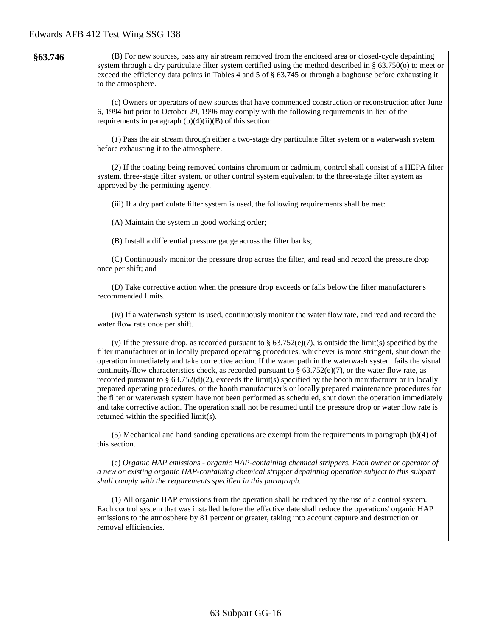| §63.746 | (B) For new sources, pass any air stream removed from the enclosed area or closed-cycle depainting<br>system through a dry particulate filter system certified using the method described in § 63.750(o) to meet or<br>exceed the efficiency data points in Tables 4 and 5 of $\S$ 63.745 or through a baghouse before exhausting it<br>to the atmosphere.                                                                                                                                                                                                                                                                                                                                                                                                                                                                                                                                                                                                       |
|---------|------------------------------------------------------------------------------------------------------------------------------------------------------------------------------------------------------------------------------------------------------------------------------------------------------------------------------------------------------------------------------------------------------------------------------------------------------------------------------------------------------------------------------------------------------------------------------------------------------------------------------------------------------------------------------------------------------------------------------------------------------------------------------------------------------------------------------------------------------------------------------------------------------------------------------------------------------------------|
|         | (c) Owners or operators of new sources that have commenced construction or reconstruction after June<br>6, 1994 but prior to October 29, 1996 may comply with the following requirements in lieu of the<br>requirements in paragraph $(b)(4)(ii)(B)$ of this section:                                                                                                                                                                                                                                                                                                                                                                                                                                                                                                                                                                                                                                                                                            |
|         | (1) Pass the air stream through either a two-stage dry particulate filter system or a waterwash system<br>before exhausting it to the atmosphere.                                                                                                                                                                                                                                                                                                                                                                                                                                                                                                                                                                                                                                                                                                                                                                                                                |
|         | (2) If the coating being removed contains chromium or cadmium, control shall consist of a HEPA filter<br>system, three-stage filter system, or other control system equivalent to the three-stage filter system as<br>approved by the permitting agency.                                                                                                                                                                                                                                                                                                                                                                                                                                                                                                                                                                                                                                                                                                         |
|         | (iii) If a dry particulate filter system is used, the following requirements shall be met:                                                                                                                                                                                                                                                                                                                                                                                                                                                                                                                                                                                                                                                                                                                                                                                                                                                                       |
|         | (A) Maintain the system in good working order;                                                                                                                                                                                                                                                                                                                                                                                                                                                                                                                                                                                                                                                                                                                                                                                                                                                                                                                   |
|         | (B) Install a differential pressure gauge across the filter banks;                                                                                                                                                                                                                                                                                                                                                                                                                                                                                                                                                                                                                                                                                                                                                                                                                                                                                               |
|         | (C) Continuously monitor the pressure drop across the filter, and read and record the pressure drop<br>once per shift; and                                                                                                                                                                                                                                                                                                                                                                                                                                                                                                                                                                                                                                                                                                                                                                                                                                       |
|         | (D) Take corrective action when the pressure drop exceeds or falls below the filter manufacturer's<br>recommended limits.                                                                                                                                                                                                                                                                                                                                                                                                                                                                                                                                                                                                                                                                                                                                                                                                                                        |
|         | (iv) If a waterwash system is used, continuously monitor the water flow rate, and read and record the<br>water flow rate once per shift.                                                                                                                                                                                                                                                                                                                                                                                                                                                                                                                                                                                                                                                                                                                                                                                                                         |
|         | (v) If the pressure drop, as recorded pursuant to $\S 63.752(e)(7)$ , is outside the limit(s) specified by the<br>filter manufacturer or in locally prepared operating procedures, whichever is more stringent, shut down the<br>operation immediately and take corrective action. If the water path in the waterwash system fails the visual<br>continuity/flow characteristics check, as recorded pursuant to § 63.752(e)(7), or the water flow rate, as<br>recorded pursuant to $\S$ 63.752(d)(2), exceeds the limit(s) specified by the booth manufacturer or in locally<br>prepared operating procedures, or the booth manufacturer's or locally prepared maintenance procedures for<br>the filter or waterwash system have not been performed as scheduled, shut down the operation immediately<br>and take corrective action. The operation shall not be resumed until the pressure drop or water flow rate is<br>returned within the specified limit(s). |
|         | $(5)$ Mechanical and hand sanding operations are exempt from the requirements in paragraph $(b)(4)$ of<br>this section.                                                                                                                                                                                                                                                                                                                                                                                                                                                                                                                                                                                                                                                                                                                                                                                                                                          |
|         | (c) Organic HAP emissions - organic HAP-containing chemical strippers. Each owner or operator of<br>a new or existing organic HAP-containing chemical stripper depainting operation subject to this subpart<br>shall comply with the requirements specified in this paragraph.                                                                                                                                                                                                                                                                                                                                                                                                                                                                                                                                                                                                                                                                                   |
|         | (1) All organic HAP emissions from the operation shall be reduced by the use of a control system.<br>Each control system that was installed before the effective date shall reduce the operations' organic HAP<br>emissions to the atmosphere by 81 percent or greater, taking into account capture and destruction or<br>removal efficiencies.                                                                                                                                                                                                                                                                                                                                                                                                                                                                                                                                                                                                                  |
|         |                                                                                                                                                                                                                                                                                                                                                                                                                                                                                                                                                                                                                                                                                                                                                                                                                                                                                                                                                                  |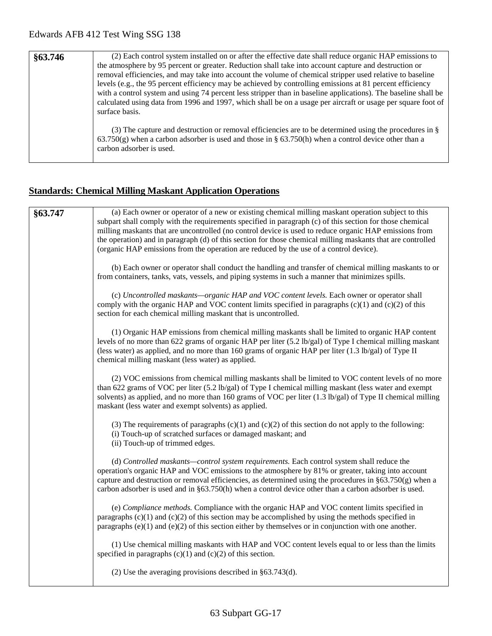| §63.746 | (2) Each control system installed on or after the effective date shall reduce organic HAP emissions to<br>the atmosphere by 95 percent or greater. Reduction shall take into account capture and destruction or<br>removal efficiencies, and may take into account the volume of chemical stripper used relative to baseline<br>levels (e.g., the 95 percent efficiency may be achieved by controlling emissions at 81 percent efficiency<br>with a control system and using 74 percent less stripper than in baseline applications). The baseline shall be<br>calculated using data from 1996 and 1997, which shall be on a usage per aircraft or usage per square foot of<br>surface basis. |
|---------|-----------------------------------------------------------------------------------------------------------------------------------------------------------------------------------------------------------------------------------------------------------------------------------------------------------------------------------------------------------------------------------------------------------------------------------------------------------------------------------------------------------------------------------------------------------------------------------------------------------------------------------------------------------------------------------------------|
|         | (3) The capture and destruction or removal efficiencies are to be determined using the procedures in $\S$<br>$63.750(g)$ when a carbon adsorber is used and those in § 63.750(h) when a control device other than a<br>carbon adsorber is used.                                                                                                                                                                                                                                                                                                                                                                                                                                               |

## **Standards: Chemical Milling Maskant Application Operations**

| §63.747 | (a) Each owner or operator of a new or existing chemical milling maskant operation subject to this<br>subpart shall comply with the requirements specified in paragraph (c) of this section for those chemical<br>milling maskants that are uncontrolled (no control device is used to reduce organic HAP emissions from<br>the operation) and in paragraph (d) of this section for those chemical milling maskants that are controlled<br>(organic HAP emissions from the operation are reduced by the use of a control device). |
|---------|-----------------------------------------------------------------------------------------------------------------------------------------------------------------------------------------------------------------------------------------------------------------------------------------------------------------------------------------------------------------------------------------------------------------------------------------------------------------------------------------------------------------------------------|
|         | (b) Each owner or operator shall conduct the handling and transfer of chemical milling maskants to or<br>from containers, tanks, vats, vessels, and piping systems in such a manner that minimizes spills.                                                                                                                                                                                                                                                                                                                        |
|         | (c) Uncontrolled maskants—organic HAP and VOC content levels. Each owner or operator shall<br>comply with the organic HAP and VOC content limits specified in paragraphs $(c)(1)$ and $(c)(2)$ of this<br>section for each chemical milling maskant that is uncontrolled.                                                                                                                                                                                                                                                         |
|         | (1) Organic HAP emissions from chemical milling maskants shall be limited to organic HAP content<br>levels of no more than 622 grams of organic HAP per liter (5.2 lb/gal) of Type I chemical milling maskant<br>(less water) as applied, and no more than 160 grams of organic HAP per liter (1.3 lb/gal) of Type II<br>chemical milling maskant (less water) as applied.                                                                                                                                                        |
|         | (2) VOC emissions from chemical milling maskants shall be limited to VOC content levels of no more<br>than 622 grams of VOC per liter $(5.2 \text{ lb/gal})$ of Type I chemical milling maskant (less water and exempt<br>solvents) as applied, and no more than 160 grams of VOC per liter $(1.3 \text{ lb/gal})$ of Type II chemical milling<br>maskant (less water and exempt solvents) as applied.                                                                                                                            |
|         | (3) The requirements of paragraphs $(c)(1)$ and $(c)(2)$ of this section do not apply to the following:<br>(i) Touch-up of scratched surfaces or damaged maskant; and<br>(ii) Touch-up of trimmed edges.                                                                                                                                                                                                                                                                                                                          |
|         | (d) Controlled maskants—control system requirements. Each control system shall reduce the<br>operation's organic HAP and VOC emissions to the atmosphere by 81% or greater, taking into account<br>capture and destruction or removal efficiencies, as determined using the procedures in $\S 63.750(g)$ when a<br>carbon adsorber is used and in $\S 63.750(h)$ when a control device other than a carbon adsorber is used.                                                                                                      |
|         | (e) Compliance methods. Compliance with the organic HAP and VOC content limits specified in<br>paragraphs $(c)(1)$ and $(c)(2)$ of this section may be accomplished by using the methods specified in<br>paragraphs $(e)(1)$ and $(e)(2)$ of this section either by themselves or in conjunction with one another.                                                                                                                                                                                                                |
|         | (1) Use chemical milling maskants with HAP and VOC content levels equal to or less than the limits<br>specified in paragraphs $(c)(1)$ and $(c)(2)$ of this section.                                                                                                                                                                                                                                                                                                                                                              |
|         | (2) Use the averaging provisions described in $§$ 63.743(d).                                                                                                                                                                                                                                                                                                                                                                                                                                                                      |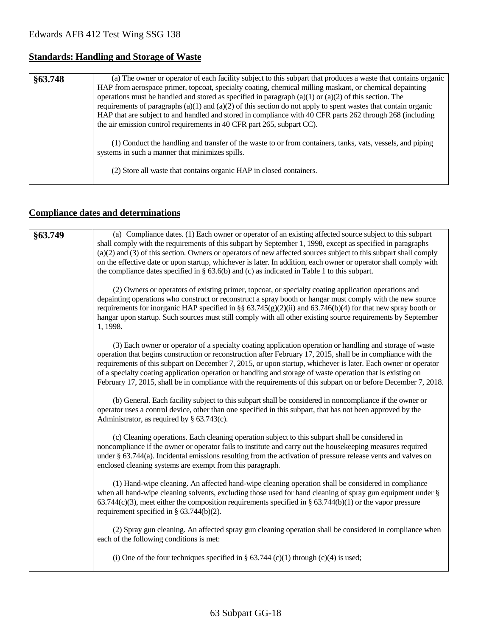## **Standards: Handling and Storage of Waste**

| §63.748 | (a) The owner or operator of each facility subject to this subpart that produces a waste that contains organic<br>HAP from aerospace primer, topcoat, specialty coating, chemical milling maskant, or chemical depainting<br>operations must be handled and stored as specified in paragraph $(a)(1)$ or $(a)(2)$ of this section. The<br>requirements of paragraphs $(a)(1)$ and $(a)(2)$ of this section do not apply to spent wastes that contain organic<br>HAP that are subject to and handled and stored in compliance with 40 CFR parts 262 through 268 (including<br>the air emission control requirements in 40 CFR part 265, subpart CC). |
|---------|-----------------------------------------------------------------------------------------------------------------------------------------------------------------------------------------------------------------------------------------------------------------------------------------------------------------------------------------------------------------------------------------------------------------------------------------------------------------------------------------------------------------------------------------------------------------------------------------------------------------------------------------------------|
|         | (1) Conduct the handling and transfer of the waste to or from containers, tanks, vats, vessels, and piping<br>systems in such a manner that minimizes spills.<br>(2) Store all waste that contains organic HAP in closed containers.                                                                                                                                                                                                                                                                                                                                                                                                                |

## **Compliance dates and determinations**

| §63.749 | (a) Compliance dates. (1) Each owner or operator of an existing affected source subject to this subpart<br>shall comply with the requirements of this subpart by September 1, 1998, except as specified in paragraphs<br>$(a)(2)$ and $(3)$ of this section. Owners or operators of new affected sources subject to this subpart shall comply<br>on the effective date or upon startup, whichever is later. In addition, each owner or operator shall comply with<br>the compliance dates specified in $\S$ 63.6(b) and (c) as indicated in Table 1 to this subpart.        |
|---------|-----------------------------------------------------------------------------------------------------------------------------------------------------------------------------------------------------------------------------------------------------------------------------------------------------------------------------------------------------------------------------------------------------------------------------------------------------------------------------------------------------------------------------------------------------------------------------|
|         | (2) Owners or operators of existing primer, topcoat, or specialty coating application operations and<br>depainting operations who construct or reconstruct a spray booth or hangar must comply with the new source<br>requirements for inorganic HAP specified in §§ 63.745(g)(2)(ii) and 63.746(b)(4) for that new spray booth or<br>hangar upon startup. Such sources must still comply with all other existing source requirements by September<br>1, 1998.                                                                                                              |
|         | (3) Each owner or operator of a specialty coating application operation or handling and storage of waste<br>operation that begins construction or reconstruction after February 17, 2015, shall be in compliance with the<br>requirements of this subpart on December 7, 2015, or upon startup, whichever is later. Each owner or operator<br>of a specialty coating application operation or handling and storage of waste operation that is existing on<br>February 17, 2015, shall be in compliance with the requirements of this subpart on or before December 7, 2018. |
|         | (b) General. Each facility subject to this subpart shall be considered in noncompliance if the owner or<br>operator uses a control device, other than one specified in this subpart, that has not been approved by the<br>Administrator, as required by $\S$ 63.743(c).                                                                                                                                                                                                                                                                                                     |
|         | (c) Cleaning operations. Each cleaning operation subject to this subpart shall be considered in<br>noncompliance if the owner or operator fails to institute and carry out the housekeeping measures required<br>under § 63.744(a). Incidental emissions resulting from the activation of pressure release vents and valves on<br>enclosed cleaning systems are exempt from this paragraph.                                                                                                                                                                                 |
|         | (1) Hand-wipe cleaning. An affected hand-wipe cleaning operation shall be considered in compliance<br>when all hand-wipe cleaning solvents, excluding those used for hand cleaning of spray gun equipment under §<br>$63.744(c)(3)$ , meet either the composition requirements specified in § 63.744(b)(1) or the vapor pressure<br>requirement specified in $\S$ 63.744(b)(2).                                                                                                                                                                                             |
|         | (2) Spray gun cleaning. An affected spray gun cleaning operation shall be considered in compliance when<br>each of the following conditions is met:                                                                                                                                                                                                                                                                                                                                                                                                                         |
|         | (i) One of the four techniques specified in § 63.744 (c)(1) through (c)(4) is used;                                                                                                                                                                                                                                                                                                                                                                                                                                                                                         |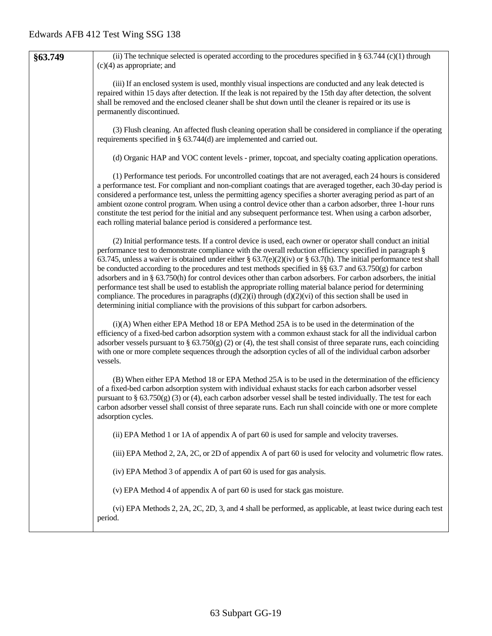| §63.749 | (ii) The technique selected is operated according to the procedures specified in § 63.744 (c)(1) through<br>$(c)(4)$ as appropriate; and                                                                                                                                                                                                                                                                                                                                                                                                                                                                                                                                                                                                                                                                                                                                                              |
|---------|-------------------------------------------------------------------------------------------------------------------------------------------------------------------------------------------------------------------------------------------------------------------------------------------------------------------------------------------------------------------------------------------------------------------------------------------------------------------------------------------------------------------------------------------------------------------------------------------------------------------------------------------------------------------------------------------------------------------------------------------------------------------------------------------------------------------------------------------------------------------------------------------------------|
|         | (iii) If an enclosed system is used, monthly visual inspections are conducted and any leak detected is<br>repaired within 15 days after detection. If the leak is not repaired by the 15th day after detection, the solvent<br>shall be removed and the enclosed cleaner shall be shut down until the cleaner is repaired or its use is<br>permanently discontinued.                                                                                                                                                                                                                                                                                                                                                                                                                                                                                                                                  |
|         | (3) Flush cleaning. An affected flush cleaning operation shall be considered in compliance if the operating<br>requirements specified in $\S$ 63.744(d) are implemented and carried out.                                                                                                                                                                                                                                                                                                                                                                                                                                                                                                                                                                                                                                                                                                              |
|         | (d) Organic HAP and VOC content levels - primer, topcoat, and specialty coating application operations.                                                                                                                                                                                                                                                                                                                                                                                                                                                                                                                                                                                                                                                                                                                                                                                               |
|         | (1) Performance test periods. For uncontrolled coatings that are not averaged, each 24 hours is considered<br>a performance test. For compliant and non-compliant coatings that are averaged together, each 30-day period is<br>considered a performance test, unless the permitting agency specifies a shorter averaging period as part of an<br>ambient ozone control program. When using a control device other than a carbon adsorber, three 1-hour runs<br>constitute the test period for the initial and any subsequent performance test. When using a carbon adsorber,<br>each rolling material balance period is considered a performance test.                                                                                                                                                                                                                                               |
|         | (2) Initial performance tests. If a control device is used, each owner or operator shall conduct an initial<br>performance test to demonstrate compliance with the overall reduction efficiency specified in paragraph §<br>63.745, unless a waiver is obtained under either § 63.7(e)(2)(iv) or § 63.7(h). The initial performance test shall<br>be conducted according to the procedures and test methods specified in §§ 63.7 and 63.750(g) for carbon<br>adsorbers and in § 63.750(h) for control devices other than carbon adsorbers. For carbon adsorbers, the initial<br>performance test shall be used to establish the appropriate rolling material balance period for determining<br>compliance. The procedures in paragraphs $(d)(2)(i)$ through $(d)(2)(vi)$ of this section shall be used in<br>determining initial compliance with the provisions of this subpart for carbon adsorbers. |
|         | $(i)(A)$ When either EPA Method 18 or EPA Method 25A is to be used in the determination of the<br>efficiency of a fixed-bed carbon adsorption system with a common exhaust stack for all the individual carbon<br>adsorber vessels pursuant to § $63.750(g)$ (2) or (4), the test shall consist of three separate runs, each coinciding<br>with one or more complete sequences through the adsorption cycles of all of the individual carbon adsorber<br>vessels.                                                                                                                                                                                                                                                                                                                                                                                                                                     |
|         | (B) When either EPA Method 18 or EPA Method 25A is to be used in the determination of the efficiency<br>of a fixed-bed carbon adsorption system with individual exhaust stacks for each carbon adsorber vessel<br>pursuant to $\S$ 63.750(g) (3) or (4), each carbon adsorber vessel shall be tested individually. The test for each<br>carbon adsorber vessel shall consist of three separate runs. Each run shall coincide with one or more complete<br>adsorption cycles.                                                                                                                                                                                                                                                                                                                                                                                                                          |
|         | (ii) EPA Method 1 or 1A of appendix A of part 60 is used for sample and velocity traverses.                                                                                                                                                                                                                                                                                                                                                                                                                                                                                                                                                                                                                                                                                                                                                                                                           |
|         | (iii) EPA Method 2, 2A, 2C, or 2D of appendix A of part 60 is used for velocity and volumetric flow rates.                                                                                                                                                                                                                                                                                                                                                                                                                                                                                                                                                                                                                                                                                                                                                                                            |
|         | (iv) EPA Method 3 of appendix A of part 60 is used for gas analysis.                                                                                                                                                                                                                                                                                                                                                                                                                                                                                                                                                                                                                                                                                                                                                                                                                                  |
|         | (v) EPA Method 4 of appendix A of part 60 is used for stack gas moisture.                                                                                                                                                                                                                                                                                                                                                                                                                                                                                                                                                                                                                                                                                                                                                                                                                             |
|         | (vi) EPA Methods 2, 2A, 2C, 2D, 3, and 4 shall be performed, as applicable, at least twice during each test<br>period.                                                                                                                                                                                                                                                                                                                                                                                                                                                                                                                                                                                                                                                                                                                                                                                |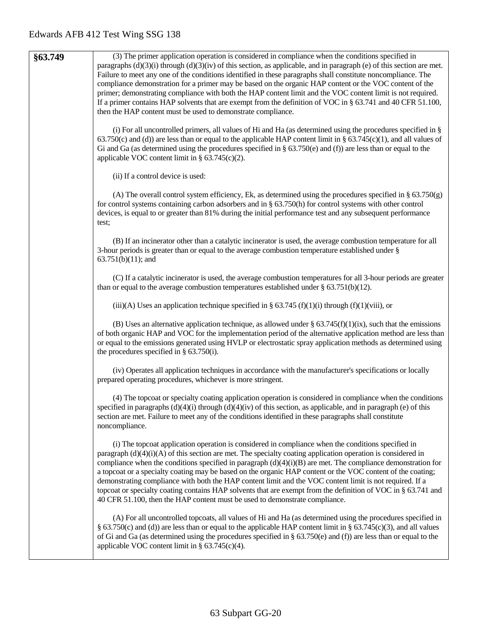|         | (3) The primer application operation is considered in compliance when the conditions specified in                                                                                                                                                                                                                                                                                                                                                                                                                                                                                                                                                                                                                                                                 |
|---------|-------------------------------------------------------------------------------------------------------------------------------------------------------------------------------------------------------------------------------------------------------------------------------------------------------------------------------------------------------------------------------------------------------------------------------------------------------------------------------------------------------------------------------------------------------------------------------------------------------------------------------------------------------------------------------------------------------------------------------------------------------------------|
| §63.749 | paragraphs $(d)(3)(i)$ through $(d)(3)(iv)$ of this section, as applicable, and in paragraph (e) of this section are met.<br>Failure to meet any one of the conditions identified in these paragraphs shall constitute noncompliance. The<br>compliance demonstration for a primer may be based on the organic HAP content or the VOC content of the<br>primer; demonstrating compliance with both the HAP content limit and the VOC content limit is not required.                                                                                                                                                                                                                                                                                               |
|         | If a primer contains HAP solvents that are exempt from the definition of VOC in $\S$ 63.741 and 40 CFR 51.100,<br>then the HAP content must be used to demonstrate compliance.                                                                                                                                                                                                                                                                                                                                                                                                                                                                                                                                                                                    |
|         | (i) For all uncontrolled primers, all values of Hi and Ha (as determined using the procedures specified in $\S$<br>63.750(c) and (d)) are less than or equal to the applicable HAP content limit in § 63.745(c)(1), and all values of<br>Gi and Ga (as determined using the procedures specified in $\S$ 63.750(e) and (f)) are less than or equal to the<br>applicable VOC content limit in $\S$ 63.745(c)(2).                                                                                                                                                                                                                                                                                                                                                   |
|         | (ii) If a control device is used:                                                                                                                                                                                                                                                                                                                                                                                                                                                                                                                                                                                                                                                                                                                                 |
|         | (A) The overall control system efficiency, Ek, as determined using the procedures specified in $\S$ 63.750(g)<br>for control systems containing carbon adsorbers and in $\S$ 63.750(h) for control systems with other control<br>devices, is equal to or greater than 81% during the initial performance test and any subsequent performance<br>test;                                                                                                                                                                                                                                                                                                                                                                                                             |
|         | (B) If an incinerator other than a catalytic incinerator is used, the average combustion temperature for all<br>3-hour periods is greater than or equal to the average combustion temperature established under §<br>$63.751(b)(11)$ ; and                                                                                                                                                                                                                                                                                                                                                                                                                                                                                                                        |
|         | (C) If a catalytic incinerator is used, the average combustion temperatures for all 3-hour periods are greater<br>than or equal to the average combustion temperatures established under $\S$ 63.751(b)(12).                                                                                                                                                                                                                                                                                                                                                                                                                                                                                                                                                      |
|         | (iii)(A) Uses an application technique specified in § 63.745 (f)(1)(i) through (f)(1)(viii), or                                                                                                                                                                                                                                                                                                                                                                                                                                                                                                                                                                                                                                                                   |
|         | (B) Uses an alternative application technique, as allowed under $\S 63.745(f)(1)(ix)$ , such that the emissions<br>of both organic HAP and VOC for the implementation period of the alternative application method are less than<br>or equal to the emissions generated using HVLP or electrostatic spray application methods as determined using<br>the procedures specified in $\S$ 63.750(i).                                                                                                                                                                                                                                                                                                                                                                  |
|         | (iv) Operates all application techniques in accordance with the manufacturer's specifications or locally<br>prepared operating procedures, whichever is more stringent.                                                                                                                                                                                                                                                                                                                                                                                                                                                                                                                                                                                           |
|         | (4) The topcoat or specialty coating application operation is considered in compliance when the conditions<br>specified in paragraphs $(d)(4)(i)$ through $(d)(4)(iv)$ of this section, as applicable, and in paragraph (e) of this<br>section are met. Failure to meet any of the conditions identified in these paragraphs shall constitute<br>noncompliance.                                                                                                                                                                                                                                                                                                                                                                                                   |
|         | (i) The topcoat application operation is considered in compliance when the conditions specified in<br>paragraph $(d)(4)(i)(A)$ of this section are met. The specialty coating application operation is considered in<br>compliance when the conditions specified in paragraph $(d)(4)(i)(B)$ are met. The compliance demonstration for<br>a topcoat or a specialty coating may be based on the organic HAP content or the VOC content of the coating;<br>demonstrating compliance with both the HAP content limit and the VOC content limit is not required. If a<br>topcoat or specialty coating contains HAP solvents that are exempt from the definition of VOC in § 63.741 and<br>40 CFR 51.100, then the HAP content must be used to demonstrate compliance. |
|         | (A) For all uncontrolled topcoats, all values of Hi and Ha (as determined using the procedures specified in<br>§ 63.750(c) and (d)) are less than or equal to the applicable HAP content limit in § 63.745(c)(3), and all values<br>of Gi and Ga (as determined using the procedures specified in $\S$ 63.750(e) and (f)) are less than or equal to the<br>applicable VOC content limit in $\S$ 63.745(c)(4).                                                                                                                                                                                                                                                                                                                                                     |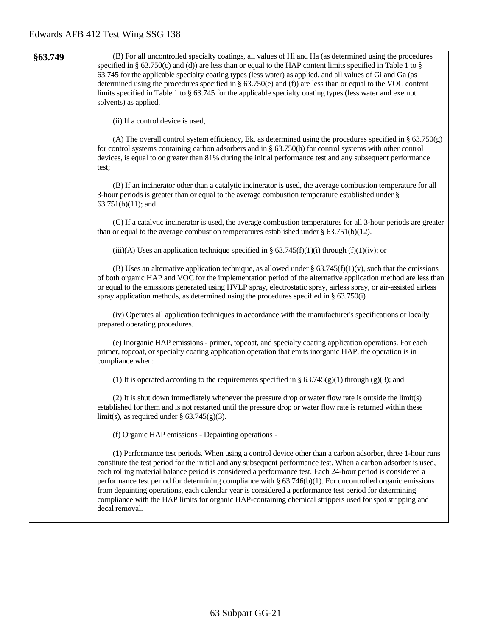| §63.749 | (B) For all uncontrolled specialty coatings, all values of Hi and Ha (as determined using the procedures                                                                                                                                                                                                                                                                                                                                                                                                                                                                                                                                                                                             |
|---------|------------------------------------------------------------------------------------------------------------------------------------------------------------------------------------------------------------------------------------------------------------------------------------------------------------------------------------------------------------------------------------------------------------------------------------------------------------------------------------------------------------------------------------------------------------------------------------------------------------------------------------------------------------------------------------------------------|
|         | specified in § 63.750(c) and (d)) are less than or equal to the HAP content limits specified in Table 1 to §                                                                                                                                                                                                                                                                                                                                                                                                                                                                                                                                                                                         |
|         | 63.745 for the applicable specialty coating types (less water) as applied, and all values of Gi and Ga (as                                                                                                                                                                                                                                                                                                                                                                                                                                                                                                                                                                                           |
|         | determined using the procedures specified in § 63.750(e) and (f)) are less than or equal to the VOC content                                                                                                                                                                                                                                                                                                                                                                                                                                                                                                                                                                                          |
|         | limits specified in Table 1 to $\S$ 63.745 for the applicable specialty coating types (less water and exempt                                                                                                                                                                                                                                                                                                                                                                                                                                                                                                                                                                                         |
|         | solvents) as applied.                                                                                                                                                                                                                                                                                                                                                                                                                                                                                                                                                                                                                                                                                |
|         | (ii) If a control device is used,                                                                                                                                                                                                                                                                                                                                                                                                                                                                                                                                                                                                                                                                    |
|         |                                                                                                                                                                                                                                                                                                                                                                                                                                                                                                                                                                                                                                                                                                      |
|         | (A) The overall control system efficiency, Ek, as determined using the procedures specified in $\S$ 63.750(g)<br>for control systems containing carbon adsorbers and in $\S$ 63.750(h) for control systems with other control<br>devices, is equal to or greater than 81% during the initial performance test and any subsequent performance<br>test;                                                                                                                                                                                                                                                                                                                                                |
|         | (B) If an incinerator other than a catalytic incinerator is used, the average combustion temperature for all<br>3-hour periods is greater than or equal to the average combustion temperature established under $\S$<br>$63.751(b)(11)$ ; and                                                                                                                                                                                                                                                                                                                                                                                                                                                        |
|         |                                                                                                                                                                                                                                                                                                                                                                                                                                                                                                                                                                                                                                                                                                      |
|         | (C) If a catalytic incinerator is used, the average combustion temperatures for all 3-hour periods are greater                                                                                                                                                                                                                                                                                                                                                                                                                                                                                                                                                                                       |
|         | than or equal to the average combustion temperatures established under $\S$ 63.751(b)(12).                                                                                                                                                                                                                                                                                                                                                                                                                                                                                                                                                                                                           |
|         | (iii)(A) Uses an application technique specified in § 63.745(f)(1)(i) through (f)(1)(iv); or                                                                                                                                                                                                                                                                                                                                                                                                                                                                                                                                                                                                         |
|         | (B) Uses an alternative application technique, as allowed under § $63.745(f)(1)(v)$ , such that the emissions<br>of both organic HAP and VOC for the implementation period of the alternative application method are less than<br>or equal to the emissions generated using HVLP spray, electrostatic spray, airless spray, or air-assisted airless<br>spray application methods, as determined using the procedures specified in $\S$ 63.750(i)                                                                                                                                                                                                                                                     |
|         | (iv) Operates all application techniques in accordance with the manufacturer's specifications or locally<br>prepared operating procedures.                                                                                                                                                                                                                                                                                                                                                                                                                                                                                                                                                           |
|         | (e) Inorganic HAP emissions - primer, topcoat, and specialty coating application operations. For each<br>primer, topcoat, or specialty coating application operation that emits inorganic HAP, the operation is in<br>compliance when:                                                                                                                                                                                                                                                                                                                                                                                                                                                               |
|         | (1) It is operated according to the requirements specified in § 63.745(g)(1) through (g)(3); and                                                                                                                                                                                                                                                                                                                                                                                                                                                                                                                                                                                                     |
|         | (2) It is shut down immediately whenever the pressure drop or water flow rate is outside the limit(s)<br>established for them and is not restarted until the pressure drop or water flow rate is returned within these<br>limit(s), as required under $\S$ 63.745(g)(3).                                                                                                                                                                                                                                                                                                                                                                                                                             |
|         | (f) Organic HAP emissions - Depainting operations -                                                                                                                                                                                                                                                                                                                                                                                                                                                                                                                                                                                                                                                  |
|         | (1) Performance test periods. When using a control device other than a carbon adsorber, three 1-hour runs<br>constitute the test period for the initial and any subsequent performance test. When a carbon adsorber is used,<br>each rolling material balance period is considered a performance test. Each 24-hour period is considered a<br>performance test period for determining compliance with $\S 63.746(b)(1)$ . For uncontrolled organic emissions<br>from depainting operations, each calendar year is considered a performance test period for determining<br>compliance with the HAP limits for organic HAP-containing chemical strippers used for spot stripping and<br>decal removal. |
|         |                                                                                                                                                                                                                                                                                                                                                                                                                                                                                                                                                                                                                                                                                                      |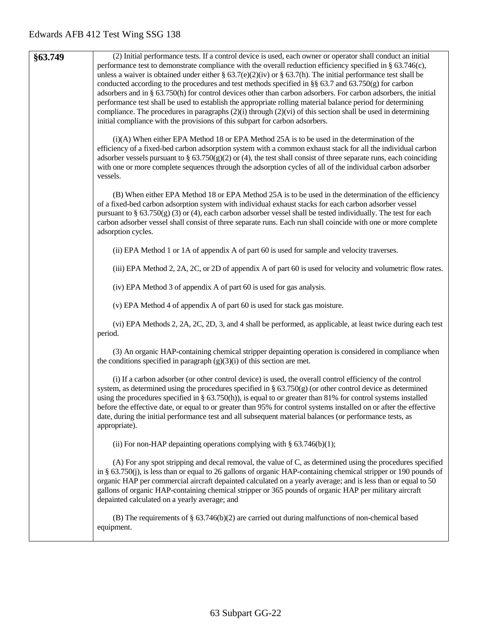| §63.749 | (2) Initial performance tests. If a control device is used, each owner or operator shall conduct an initial                                                                                                                                                                                                                                                                                                                                                                                                                                                                                     |
|---------|-------------------------------------------------------------------------------------------------------------------------------------------------------------------------------------------------------------------------------------------------------------------------------------------------------------------------------------------------------------------------------------------------------------------------------------------------------------------------------------------------------------------------------------------------------------------------------------------------|
|         | performance test to demonstrate compliance with the overall reduction efficiency specified in § 63.746(c),<br>unless a waiver is obtained under either § 63.7(e)(2)(iv) or § 63.7(h). The initial performance test shall be<br>conducted according to the procedures and test methods specified in §§ 63.7 and 63.750(g) for carbon<br>adsorbers and in § 63.750(h) for control devices other than carbon adsorbers. For carbon adsorbers, the initial<br>performance test shall be used to establish the appropriate rolling material balance period for determining                           |
|         | compliance. The procedures in paragraphs $(2)(i)$ through $(2)(vi)$ of this section shall be used in determining<br>initial compliance with the provisions of this subpart for carbon adsorbers.                                                                                                                                                                                                                                                                                                                                                                                                |
|         | $(i)(A)$ When either EPA Method 18 or EPA Method 25A is to be used in the determination of the<br>efficiency of a fixed-bed carbon adsorption system with a common exhaust stack for all the individual carbon<br>adsorber vessels pursuant to § $63.750(g)(2)$ or (4), the test shall consist of three separate runs, each coinciding<br>with one or more complete sequences through the adsorption cycles of all of the individual carbon adsorber<br>vessels.                                                                                                                                |
|         | (B) When either EPA Method 18 or EPA Method 25A is to be used in the determination of the efficiency<br>of a fixed-bed carbon adsorption system with individual exhaust stacks for each carbon adsorber vessel<br>pursuant to $\S$ 63.750(g) (3) or (4), each carbon adsorber vessel shall be tested individually. The test for each<br>carbon adsorber vessel shall consist of three separate runs. Each run shall coincide with one or more complete<br>adsorption cycles.                                                                                                                    |
|         | (ii) EPA Method 1 or 1A of appendix A of part 60 is used for sample and velocity traverses.                                                                                                                                                                                                                                                                                                                                                                                                                                                                                                     |
|         | (iii) EPA Method 2, 2A, 2C, or 2D of appendix A of part 60 is used for velocity and volumetric flow rates.                                                                                                                                                                                                                                                                                                                                                                                                                                                                                      |
|         | (iv) EPA Method 3 of appendix A of part 60 is used for gas analysis.                                                                                                                                                                                                                                                                                                                                                                                                                                                                                                                            |
|         | (v) EPA Method 4 of appendix A of part 60 is used for stack gas moisture.                                                                                                                                                                                                                                                                                                                                                                                                                                                                                                                       |
|         | (vi) EPA Methods 2, 2A, 2C, 2D, 3, and 4 shall be performed, as applicable, at least twice during each test<br>period.                                                                                                                                                                                                                                                                                                                                                                                                                                                                          |
|         | (3) An organic HAP-containing chemical stripper depainting operation is considered in compliance when<br>the conditions specified in paragraph $(g)(3)(i)$ of this section are met.                                                                                                                                                                                                                                                                                                                                                                                                             |
|         | (i) If a carbon adsorber (or other control device) is used, the overall control efficiency of the control<br>system, as determined using the procedures specified in § $63.750(g)$ (or other control device as determined<br>using the procedures specified in § $63.750(h)$ , is equal to or greater than 81% for control systems installed<br>before the effective date, or equal to or greater than 95% for control systems installed on or after the effective<br>date, during the initial performance test and all subsequent material balances (or performance tests, as<br>appropriate). |
|         | (ii) For non-HAP depainting operations complying with $\S$ 63.746(b)(1);                                                                                                                                                                                                                                                                                                                                                                                                                                                                                                                        |
|         | (A) For any spot stripping and decal removal, the value of C, as determined using the procedures specified<br>in § $63.750(j)$ , is less than or equal to 26 gallons of organic HAP-containing chemical stripper or 190 pounds of<br>organic HAP per commercial aircraft depainted calculated on a yearly average; and is less than or equal to 50<br>gallons of organic HAP-containing chemical stripper or 365 pounds of organic HAP per military aircraft<br>depainted calculated on a yearly average; and                                                                                   |
|         | (B) The requirements of $\S$ 63.746(b)(2) are carried out during malfunctions of non-chemical based<br>equipment.                                                                                                                                                                                                                                                                                                                                                                                                                                                                               |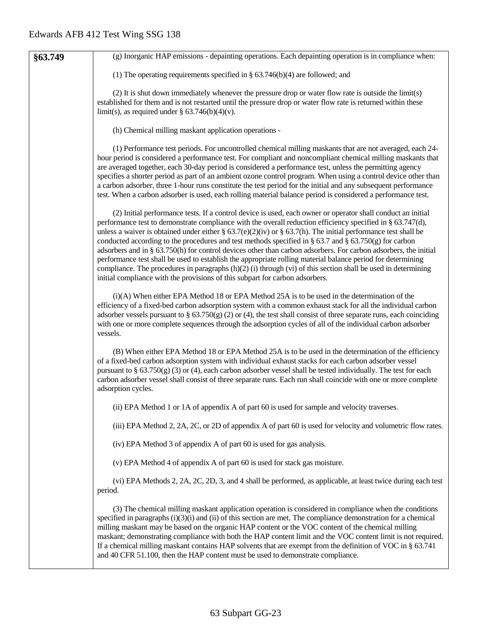| §63.749 | (g) Inorganic HAP emissions - depainting operations. Each depainting operation is in compliance when:                                                                                                                                                                                                                                                                                                                                                                                                                                                                                                                                                                                                                                                                                                                                                                                    |
|---------|------------------------------------------------------------------------------------------------------------------------------------------------------------------------------------------------------------------------------------------------------------------------------------------------------------------------------------------------------------------------------------------------------------------------------------------------------------------------------------------------------------------------------------------------------------------------------------------------------------------------------------------------------------------------------------------------------------------------------------------------------------------------------------------------------------------------------------------------------------------------------------------|
|         | (1) The operating requirements specified in $\S$ 63.746(b)(4) are followed; and                                                                                                                                                                                                                                                                                                                                                                                                                                                                                                                                                                                                                                                                                                                                                                                                          |
|         | (2) It is shut down immediately whenever the pressure drop or water flow rate is outside the limit(s)<br>established for them and is not restarted until the pressure drop or water flow rate is returned within these<br>limit(s), as required under $\S$ 63.746(b)(4)(v).                                                                                                                                                                                                                                                                                                                                                                                                                                                                                                                                                                                                              |
|         | (h) Chemical milling maskant application operations -                                                                                                                                                                                                                                                                                                                                                                                                                                                                                                                                                                                                                                                                                                                                                                                                                                    |
|         | (1) Performance test periods. For uncontrolled chemical milling maskants that are not averaged, each 24-<br>hour period is considered a performance test. For compliant and noncompliant chemical milling maskants that<br>are averaged together, each 30-day period is considered a performance test, unless the permitting agency<br>specifies a shorter period as part of an ambient ozone control program. When using a control device other than<br>a carbon adsorber, three 1-hour runs constitute the test period for the initial and any subsequent performance<br>test. When a carbon adsorber is used, each rolling material balance period is considered a performance test.                                                                                                                                                                                                  |
|         | (2) Initial performance tests. If a control device is used, each owner or operator shall conduct an initial<br>performance test to demonstrate compliance with the overall reduction efficiency specified in § 63.747(d),<br>unless a waiver is obtained under either § 63.7(e)(2)(iv) or § 63.7(h). The initial performance test shall be<br>conducted according to the procedures and test methods specified in § 63.7 and § 63.750(g) for carbon<br>adsorbers and in § 63.750(h) for control devices other than carbon adsorbers. For carbon adsorbers, the initial<br>performance test shall be used to establish the appropriate rolling material balance period for determining<br>compliance. The procedures in paragraphs $(h)(2)$ (i) through (vi) of this section shall be used in determining<br>initial compliance with the provisions of this subpart for carbon adsorbers. |
|         | (i)(A) When either EPA Method 18 or EPA Method 25A is to be used in the determination of the<br>efficiency of a fixed-bed carbon adsorption system with a common exhaust stack for all the individual carbon<br>adsorber vessels pursuant to § $63.750(g)$ (2) or (4), the test shall consist of three separate runs, each coinciding<br>with one or more complete sequences through the adsorption cycles of all of the individual carbon adsorber<br>vessels.                                                                                                                                                                                                                                                                                                                                                                                                                          |
|         | (B) When either EPA Method 18 or EPA Method 25A is to be used in the determination of the efficiency<br>of a fixed-bed carbon adsorption system with individual exhaust stacks for each carbon adsorber vessel<br>pursuant to $\S$ 63.750(g) (3) or (4), each carbon adsorber vessel shall be tested individually. The test for each<br>carbon adsorber vessel shall consist of three separate runs. Each run shall coincide with one or more complete<br>adsorption cycles.                                                                                                                                                                                                                                                                                                                                                                                                             |
|         | (ii) EPA Method 1 or 1A of appendix A of part 60 is used for sample and velocity traverses.                                                                                                                                                                                                                                                                                                                                                                                                                                                                                                                                                                                                                                                                                                                                                                                              |
|         | (iii) EPA Method 2, 2A, 2C, or 2D of appendix A of part 60 is used for velocity and volumetric flow rates.                                                                                                                                                                                                                                                                                                                                                                                                                                                                                                                                                                                                                                                                                                                                                                               |
|         | (iv) EPA Method 3 of appendix A of part 60 is used for gas analysis.                                                                                                                                                                                                                                                                                                                                                                                                                                                                                                                                                                                                                                                                                                                                                                                                                     |
|         | (v) EPA Method 4 of appendix A of part 60 is used for stack gas moisture.                                                                                                                                                                                                                                                                                                                                                                                                                                                                                                                                                                                                                                                                                                                                                                                                                |
|         | (vi) EPA Methods 2, 2A, 2C, 2D, 3, and 4 shall be performed, as applicable, at least twice during each test<br>period.                                                                                                                                                                                                                                                                                                                                                                                                                                                                                                                                                                                                                                                                                                                                                                   |
|         | (3) The chemical milling maskant application operation is considered in compliance when the conditions<br>specified in paragraphs $(i)(3)(i)$ and $(ii)$ of this section are met. The compliance demonstration for a chemical<br>milling maskant may be based on the organic HAP content or the VOC content of the chemical milling<br>maskant; demonstrating compliance with both the HAP content limit and the VOC content limit is not required.<br>If a chemical milling maskant contains HAP solvents that are exempt from the definition of VOC in § 63.741<br>and 40 CFR 51.100, then the HAP content must be used to demonstrate compliance.                                                                                                                                                                                                                                     |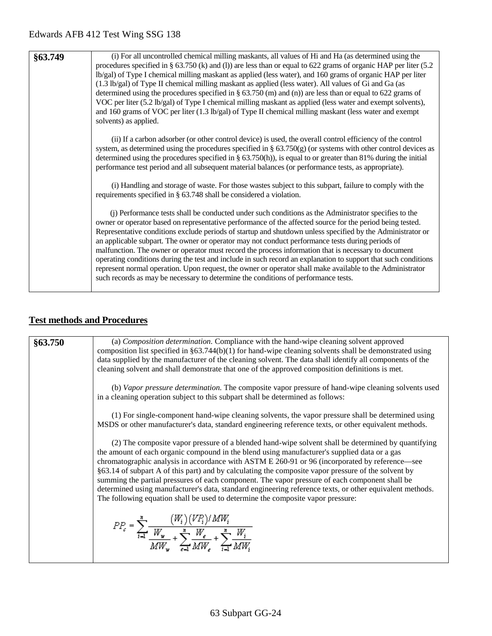| §63.749 | (i) For all uncontrolled chemical milling maskants, all values of Hi and Ha (as determined using the<br>procedures specified in § 63.750 (k) and (l)) are less than or equal to 622 grams of organic HAP per liter (5.2<br>lb/gal) of Type I chemical milling maskant as applied (less water), and 160 grams of organic HAP per liter<br>(1.3 lb/gal) of Type II chemical milling maskant as applied (less water). All values of Gi and Ga (as<br>determined using the procedures specified in $\S 63.750$ (m) and (n)) are less than or equal to 622 grams of<br>VOC per liter (5.2 lb/gal) of Type I chemical milling maskant as applied (less water and exempt solvents),<br>and 160 grams of VOC per liter (1.3 lb/gal) of Type II chemical milling maskant (less water and exempt<br>solvents) as applied.                                                  |
|---------|------------------------------------------------------------------------------------------------------------------------------------------------------------------------------------------------------------------------------------------------------------------------------------------------------------------------------------------------------------------------------------------------------------------------------------------------------------------------------------------------------------------------------------------------------------------------------------------------------------------------------------------------------------------------------------------------------------------------------------------------------------------------------------------------------------------------------------------------------------------|
|         | (ii) If a carbon adsorber (or other control device) is used, the overall control efficiency of the control<br>system, as determined using the procedures specified in $\S$ 63.750(g) (or systems with other control devices as<br>determined using the procedures specified in § $63.750(h)$ , is equal to or greater than 81% during the initial<br>performance test period and all subsequent material balances (or performance tests, as appropriate).                                                                                                                                                                                                                                                                                                                                                                                                        |
|         | (i) Handling and storage of waste. For those wastes subject to this subpart, failure to comply with the<br>requirements specified in § 63.748 shall be considered a violation.                                                                                                                                                                                                                                                                                                                                                                                                                                                                                                                                                                                                                                                                                   |
|         | (j) Performance tests shall be conducted under such conditions as the Administrator specifies to the<br>owner or operator based on representative performance of the affected source for the period being tested.<br>Representative conditions exclude periods of startup and shutdown unless specified by the Administrator or<br>an applicable subpart. The owner or operator may not conduct performance tests during periods of<br>malfunction. The owner or operator must record the process information that is necessary to document<br>operating conditions during the test and include in such record an explanation to support that such conditions<br>represent normal operation. Upon request, the owner or operator shall make available to the Administrator<br>such records as may be necessary to determine the conditions of performance tests. |

# **Test methods and Procedures**

| §63.750 | (a) Composition determination. Compliance with the hand-wipe cleaning solvent approved<br>composition list specified in $\S 63.744(b)(1)$ for hand-wipe cleaning solvents shall be demonstrated using<br>data supplied by the manufacturer of the cleaning solvent. The data shall identify all components of the<br>cleaning solvent and shall demonstrate that one of the approved composition definitions is met.                                                                                                                                                                                                                                                                                         |
|---------|--------------------------------------------------------------------------------------------------------------------------------------------------------------------------------------------------------------------------------------------------------------------------------------------------------------------------------------------------------------------------------------------------------------------------------------------------------------------------------------------------------------------------------------------------------------------------------------------------------------------------------------------------------------------------------------------------------------|
|         | (b) Vapor pressure determination. The composite vapor pressure of hand-wipe cleaning solvents used<br>in a cleaning operation subject to this subpart shall be determined as follows:                                                                                                                                                                                                                                                                                                                                                                                                                                                                                                                        |
|         | (1) For single-component hand-wipe cleaning solvents, the vapor pressure shall be determined using<br>MSDS or other manufacturer's data, standard engineering reference texts, or other equivalent methods.                                                                                                                                                                                                                                                                                                                                                                                                                                                                                                  |
|         | (2) The composite vapor pressure of a blended hand-wipe solvent shall be determined by quantifying<br>the amount of each organic compound in the blend using manufacturer's supplied data or a gas<br>chromatographic analysis in accordance with ASTM E 260-91 or 96 (incorporated by reference—see<br>§63.14 of subpart A of this part) and by calculating the composite vapor pressure of the solvent by<br>summing the partial pressures of each component. The vapor pressure of each component shall be<br>determined using manufacturer's data, standard engineering reference texts, or other equivalent methods.<br>The following equation shall be used to determine the composite vapor pressure: |
|         | $PP_e = \sum_{i=1}^{n} \frac{(W_i)(VE_i')/MW_i}{W_w} + \sum_{i=1}^{n} \frac{W_e}{MW_i} + \sum_{i=1}^{n} \frac{W_i}{MW_i}$                                                                                                                                                                                                                                                                                                                                                                                                                                                                                                                                                                                    |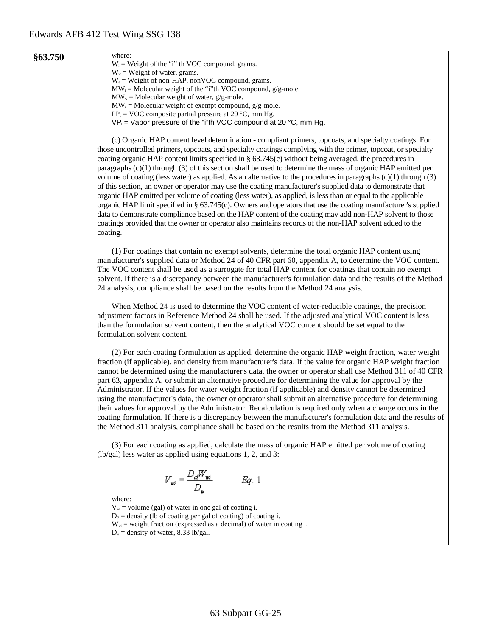| §63.750 | where:<br>$W_i$ = Weight of the "i" th VOC compound, grams.                                                                                                                                                                                                                                                                                                                                                                                                                                                                                                                                                                                                                                                                                                                                                                                                                                                                                                                                                                                                                                                                                                    |
|---------|----------------------------------------------------------------------------------------------------------------------------------------------------------------------------------------------------------------------------------------------------------------------------------------------------------------------------------------------------------------------------------------------------------------------------------------------------------------------------------------------------------------------------------------------------------------------------------------------------------------------------------------------------------------------------------------------------------------------------------------------------------------------------------------------------------------------------------------------------------------------------------------------------------------------------------------------------------------------------------------------------------------------------------------------------------------------------------------------------------------------------------------------------------------|
|         | $W_{w}$ = Weight of water, grams.                                                                                                                                                                                                                                                                                                                                                                                                                                                                                                                                                                                                                                                                                                                                                                                                                                                                                                                                                                                                                                                                                                                              |
|         | $W_e$ = Weight of non-HAP, nonVOC compound, grams.                                                                                                                                                                                                                                                                                                                                                                                                                                                                                                                                                                                                                                                                                                                                                                                                                                                                                                                                                                                                                                                                                                             |
|         | $MW_i = Molecular weight of the "i"th VOC compound, g/g-mole.$                                                                                                                                                                                                                                                                                                                                                                                                                                                                                                                                                                                                                                                                                                                                                                                                                                                                                                                                                                                                                                                                                                 |
|         | $MWw = Molecular weight of water, g/g-mole.$<br>$MW_{e} = Molecular weight of exempt compound, g/g-mole.$                                                                                                                                                                                                                                                                                                                                                                                                                                                                                                                                                                                                                                                                                                                                                                                                                                                                                                                                                                                                                                                      |
|         | $PP_c = VOC$ composite partial pressure at 20 °C, mm Hg.                                                                                                                                                                                                                                                                                                                                                                                                                                                                                                                                                                                                                                                                                                                                                                                                                                                                                                                                                                                                                                                                                                       |
|         | $VP_i$ = Vapor pressure of the "i"th VOC compound at 20 °C, mm Hg.                                                                                                                                                                                                                                                                                                                                                                                                                                                                                                                                                                                                                                                                                                                                                                                                                                                                                                                                                                                                                                                                                             |
|         | (c) Organic HAP content level determination - compliant primers, topcoats, and specialty coatings. For<br>those uncontrolled primers, topcoats, and specialty coatings complying with the primer, topcoat, or specialty<br>coating organic HAP content limits specified in $\S$ 63.745(c) without being averaged, the procedures in<br>paragraphs $(c)(1)$ through $(3)$ of this section shall be used to determine the mass of organic HAP emitted per<br>volume of coating (less water) as applied. As an alternative to the procedures in paragraphs $(c)(1)$ through $(3)$<br>of this section, an owner or operator may use the coating manufacturer's supplied data to demonstrate that<br>organic HAP emitted per volume of coating (less water), as applied, is less than or equal to the applicable<br>organic HAP limit specified in § 63.745(c). Owners and operators that use the coating manufacturer's supplied<br>data to demonstrate compliance based on the HAP content of the coating may add non-HAP solvent to those<br>coatings provided that the owner or operator also maintains records of the non-HAP solvent added to the<br>coating. |
|         | (1) For coatings that contain no exempt solvents, determine the total organic HAP content using<br>manufacturer's supplied data or Method 24 of 40 CFR part 60, appendix A, to determine the VOC content.<br>The VOC content shall be used as a surrogate for total HAP content for coatings that contain no exempt<br>solvent. If there is a discrepancy between the manufacturer's formulation data and the results of the Method<br>24 analysis, compliance shall be based on the results from the Method 24 analysis.                                                                                                                                                                                                                                                                                                                                                                                                                                                                                                                                                                                                                                      |
|         | When Method 24 is used to determine the VOC content of water-reducible coatings, the precision<br>adjustment factors in Reference Method 24 shall be used. If the adjusted analytical VOC content is less<br>than the formulation solvent content, then the analytical VOC content should be set equal to the<br>formulation solvent content.                                                                                                                                                                                                                                                                                                                                                                                                                                                                                                                                                                                                                                                                                                                                                                                                                  |
|         | (2) For each coating formulation as applied, determine the organic HAP weight fraction, water weight<br>fraction (if applicable), and density from manufacturer's data. If the value for organic HAP weight fraction<br>cannot be determined using the manufacturer's data, the owner or operator shall use Method 311 of 40 CFR<br>part 63, appendix A, or submit an alternative procedure for determining the value for approval by the<br>Administrator. If the values for water weight fraction (if applicable) and density cannot be determined<br>using the manufacturer's data, the owner or operator shall submit an alternative procedure for determining<br>their values for approval by the Administrator. Recalculation is required only when a change occurs in the<br>coating formulation. If there is a discrepancy between the manufacturer's formulation data and the results of<br>the Method 311 analysis, compliance shall be based on the results from the Method 311 analysis.                                                                                                                                                           |
|         | (3) For each coating as applied, calculate the mass of organic HAP emitted per volume of coating<br>$(lb/gal)$ less water as applied using equations 1, 2, and 3:                                                                                                                                                                                                                                                                                                                                                                                                                                                                                                                                                                                                                                                                                                                                                                                                                                                                                                                                                                                              |
|         | $V_{wi} = \frac{D_d W_{wi}}{D_w}$<br>Eq. 1                                                                                                                                                                                                                                                                                                                                                                                                                                                                                                                                                                                                                                                                                                                                                                                                                                                                                                                                                                                                                                                                                                                     |
|         | where:<br>$V_{wi}$ = volume (gal) of water in one gal of coating i.<br>$D_{\alpha}$ = density (lb of coating per gal of coating) of coating i.<br>$W_{wi}$ = weight fraction (expressed as a decimal) of water in coating i.<br>$D_w$ = density of water, 8.33 lb/gal.                                                                                                                                                                                                                                                                                                                                                                                                                                                                                                                                                                                                                                                                                                                                                                                                                                                                                         |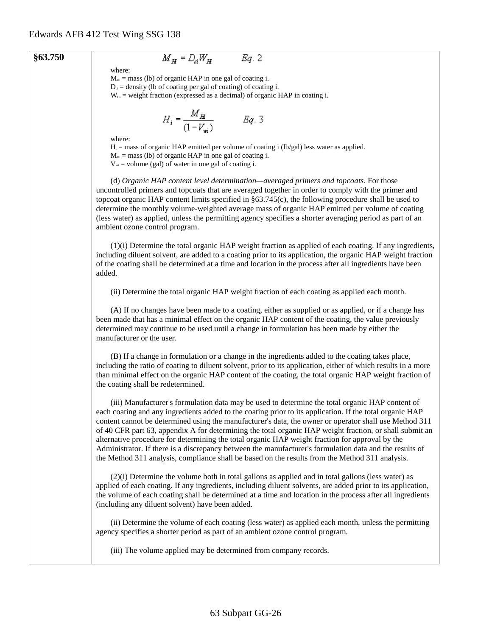#### **§63.750**

# $M_H = D_d W_H$  Eq. 2

where:  $M_{Hi}$  = mass (lb) of organic HAP in one gal of coating i.

 $D_{\alpha}$  = density (lb of coating per gal of coating) of coating i.

 $W_{Hi}$  = weight fraction (expressed as a decimal) of organic HAP in coating i.

$$
H_i = \frac{M_{H_i}}{(1 - V_{wi})}
$$
 Eq. 3

where:

 $H_i$  = mass of organic HAP emitted per volume of coating i (lb/gal) less water as applied.

 $M<sub>Hi</sub> = mass$  (lb) of organic HAP in one gal of coating i.

 $V_{\text{wi}}$  = volume (gal) of water in one gal of coating i.

(d) *Organic HAP content level determination—averaged primers and topcoats.* For those uncontrolled primers and topcoats that are averaged together in order to comply with the primer and topcoat organic HAP content limits specified in §63.745(c), the following procedure shall be used to determine the monthly volume-weighted average mass of organic HAP emitted per volume of coating (less water) as applied, unless the permitting agency specifies a shorter averaging period as part of an ambient ozone control program.

(1)(i) Determine the total organic HAP weight fraction as applied of each coating. If any ingredients, including diluent solvent, are added to a coating prior to its application, the organic HAP weight fraction of the coating shall be determined at a time and location in the process after all ingredients have been added.

(ii) Determine the total organic HAP weight fraction of each coating as applied each month.

(A) If no changes have been made to a coating, either as supplied or as applied, or if a change has been made that has a minimal effect on the organic HAP content of the coating, the value previously determined may continue to be used until a change in formulation has been made by either the manufacturer or the user.

(B) If a change in formulation or a change in the ingredients added to the coating takes place, including the ratio of coating to diluent solvent, prior to its application, either of which results in a more than minimal effect on the organic HAP content of the coating, the total organic HAP weight fraction of the coating shall be redetermined.

(iii) Manufacturer's formulation data may be used to determine the total organic HAP content of each coating and any ingredients added to the coating prior to its application. If the total organic HAP content cannot be determined using the manufacturer's data, the owner or operator shall use Method 311 of 40 CFR part 63, appendix A for determining the total organic HAP weight fraction, or shall submit an alternative procedure for determining the total organic HAP weight fraction for approval by the Administrator. If there is a discrepancy between the manufacturer's formulation data and the results of the Method 311 analysis, compliance shall be based on the results from the Method 311 analysis.

(2)(i) Determine the volume both in total gallons as applied and in total gallons (less water) as applied of each coating. If any ingredients, including diluent solvents, are added prior to its application, the volume of each coating shall be determined at a time and location in the process after all ingredients (including any diluent solvent) have been added.

(ii) Determine the volume of each coating (less water) as applied each month, unless the permitting agency specifies a shorter period as part of an ambient ozone control program.

(iii) The volume applied may be determined from company records.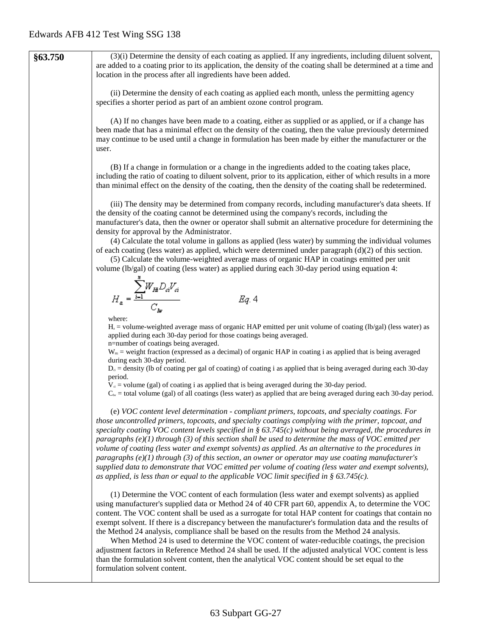**§63.750** (3)(i) Determine the density of each coating as applied. If any ingredients, including diluent solvent, are added to a coating prior to its application, the density of the coating shall be determined at a time and location in the process after all ingredients have been added. (ii) Determine the density of each coating as applied each month, unless the permitting agency specifies a shorter period as part of an ambient ozone control program. (A) If no changes have been made to a coating, either as supplied or as applied, or if a change has been made that has a minimal effect on the density of the coating, then the value previously determined may continue to be used until a change in formulation has been made by either the manufacturer or the user. (B) If a change in formulation or a change in the ingredients added to the coating takes place, including the ratio of coating to diluent solvent, prior to its application, either of which results in a more than minimal effect on the density of the coating, then the density of the coating shall be redetermined. (iii) The density may be determined from company records, including manufacturer's data sheets. If the density of the coating cannot be determined using the company's records, including the manufacturer's data, then the owner or operator shall submit an alternative procedure for determining the density for approval by the Administrator. (4) Calculate the total volume in gallons as applied (less water) by summing the individual volumes of each coating (less water) as applied, which were determined under paragraph  $(d)(2)$  of this section. (5) Calculate the volume-weighted average mass of organic HAP in coatings emitted per unit volume (lb/gal) of coating (less water) as applied during each 30-day period using equation 4:  $H_a = \frac{\sum_{i=1}^{n} W_{H_i} D_{ci} V_{ci}}{C_{in}}$  $Eq. 4$ where:  $H<sub>a</sub>$  = volume-weighted average mass of organic HAP emitted per unit volume of coating (lb/gal) (less water) as applied during each 30-day period for those coatings being averaged. n=number of coatings being averaged.  $W_{\text{Hi}}$  = weight fraction (expressed as a decimal) of organic HAP in coating i as applied that is being averaged during each 30-day period.  $D_{\alpha}$  = density (Ib of coating per gal of coating) of coating i as applied that is being averaged during each 30-day period.  $V_{ci}$  = volume (gal) of coating i as applied that is being averaged during the 30-day period.  $C_{\text{lw}}$  = total volume (gal) of all coatings (less water) as applied that are being averaged during each 30-day period. (e) *VOC content level determination - compliant primers, topcoats, and specialty coatings. For those uncontrolled primers, topcoats, and specialty coatings complying with the primer, topcoat, and specialty coating VOC content levels specified in § 63.745(c) without being averaged, the procedures in paragraphs (e)(1) through (3) of this section shall be used to determine the mass of VOC emitted per volume of coating (less water and exempt solvents) as applied. As an alternative to the procedures in paragraphs (e)(1) through (3) of this section, an owner or operator may use coating manufacturer's supplied data to demonstrate that VOC emitted per volume of coating (less water and exempt solvents), as applied, is less than or equal to the applicable VOC limit specified in § 63.745(c).* (1) Determine the VOC content of each formulation (less water and exempt solvents) as applied using manufacturer's supplied data or Method 24 of 40 CFR part 60, appendix A, to determine the VOC content. The VOC content shall be used as a surrogate for total HAP content for coatings that contain no exempt solvent. If there is a discrepancy between the manufacturer's formulation data and the results of the Method 24 analysis, compliance shall be based on the results from the Method 24 analysis. When Method 24 is used to determine the VOC content of water-reducible coatings, the precision adjustment factors in Reference Method 24 shall be used. If the adjusted analytical VOC content is less than the formulation solvent content, then the analytical VOC content should be set equal to the formulation solvent content.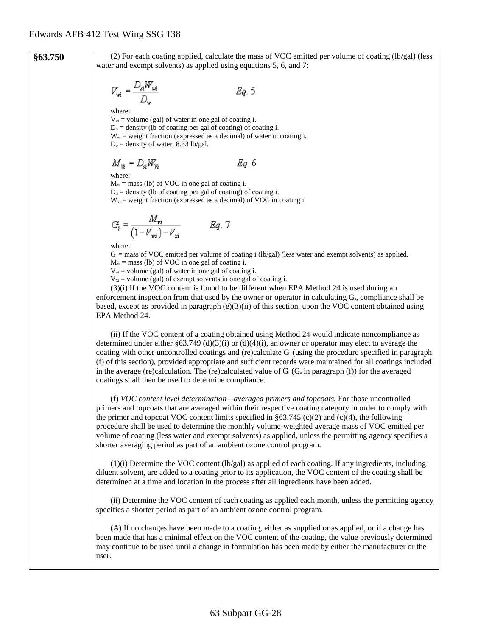**§63.750** (2) For each coating applied, calculate the mass of VOC emitted per volume of coating (lb/gal) (less water and exempt solvents) as applied using equations 5, 6, and 7:  $V_{wi} = \frac{D_d W_{wi}}{D_w}$ Eg. 5 where:  $V_{wi}$  = volume (gal) of water in one gal of coating i.  $D_{ci}$  = density (lb of coating per gal of coating) of coating i.  $W_{wi}$  = weight fraction (expressed as a decimal) of water in coating i.  $D_w$  = density of water, 8.33 lb/gal.  $M_{\nu} = D_{\alpha} W_{\nu}$ Eg. 6 where:  $M_{\text{Vi}}$  = mass (lb) of VOC in one gal of coating i.  $D_{ci}$  = density (lb of coating per gal of coating) of coating i.  $W_{\text{vi}}$  = weight fraction (expressed as a decimal) of VOC in coating i.  $G_i = \frac{M_{vi}}{(1 - V_{wi}) - V_{xi}}$  Eq. 7 where:  $G_i$  = mass of VOC emitted per volume of coating i (lb/gal) (less water and exempt solvents) as applied.  $M_{\rm vi}$  = mass (lb) of VOC in one gal of coating i.  $V_{w_i}$  = volume (gal) of water in one gal of coating i.  $V_{x}$  = volume (gal) of exempt solvents in one gal of coating i. (3)(i) If the VOC content is found to be different when EPA Method 24 is used during an enforcement inspection from that used by the owner or operator in calculating  $G_a$ , compliance shall be based, except as provided in paragraph  $(e)(3)(ii)$  of this section, upon the VOC content obtained using EPA Method 24. (ii) If the VOC content of a coating obtained using Method 24 would indicate noncompliance as determined under either §63.749 (d)(3)(i) or (d)(4)(i), an owner or operator may elect to average the coating with other uncontrolled coatings and (re)calculate Gi (using the procedure specified in paragraph (f) of this section), provided appropriate and sufficient records were maintained for all coatings included in the average (re)calculation. The (re)calculated value of  $G_i$  ( $G_i$  in paragraph (f)) for the averaged coatings shall then be used to determine compliance. (f) *VOC content level determination—averaged primers and topcoats.* For those uncontrolled primers and topcoats that are averaged within their respective coating category in order to comply with the primer and topcoat VOC content limits specified in  $\S 63.745$  (c)(2) and (c)(4), the following procedure shall be used to determine the monthly volume-weighted average mass of VOC emitted per volume of coating (less water and exempt solvents) as applied, unless the permitting agency specifies a shorter averaging period as part of an ambient ozone control program.  $(1)(i)$  Determine the VOC content  $(lb/gal)$  as applied of each coating. If any ingredients, including diluent solvent, are added to a coating prior to its application, the VOC content of the coating shall be determined at a time and location in the process after all ingredients have been added. (ii) Determine the VOC content of each coating as applied each month, unless the permitting agency specifies a shorter period as part of an ambient ozone control program.

> (A) If no changes have been made to a coating, either as supplied or as applied, or if a change has been made that has a minimal effect on the VOC content of the coating, the value previously determined may continue to be used until a change in formulation has been made by either the manufacturer or the user.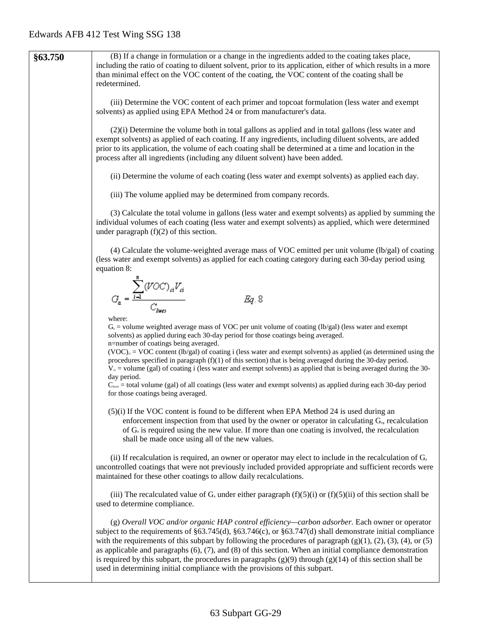| §63.750 | (B) If a change in formulation or a change in the ingredients added to the coating takes place,<br>including the ratio of coating to diluent solvent, prior to its application, either of which results in a more<br>than minimal effect on the VOC content of the coating, the VOC content of the coating shall be<br>redetermined.                                                                                                                                                                                                                                                                                                                                    |
|---------|-------------------------------------------------------------------------------------------------------------------------------------------------------------------------------------------------------------------------------------------------------------------------------------------------------------------------------------------------------------------------------------------------------------------------------------------------------------------------------------------------------------------------------------------------------------------------------------------------------------------------------------------------------------------------|
|         | (iii) Determine the VOC content of each primer and topcoat formulation (less water and exempt<br>solvents) as applied using EPA Method 24 or from manufacturer's data.                                                                                                                                                                                                                                                                                                                                                                                                                                                                                                  |
|         | $(2)(i)$ Determine the volume both in total gallons as applied and in total gallons (less water and<br>exempt solvents) as applied of each coating. If any ingredients, including diluent solvents, are added<br>prior to its application, the volume of each coating shall be determined at a time and location in the<br>process after all ingredients (including any diluent solvent) have been added.                                                                                                                                                                                                                                                               |
|         | (ii) Determine the volume of each coating (less water and exempt solvents) as applied each day.                                                                                                                                                                                                                                                                                                                                                                                                                                                                                                                                                                         |
|         | (iii) The volume applied may be determined from company records.                                                                                                                                                                                                                                                                                                                                                                                                                                                                                                                                                                                                        |
|         | (3) Calculate the total volume in gallons (less water and exempt solvents) as applied by summing the<br>individual volumes of each coating (less water and exempt solvents) as applied, which were determined<br>under paragraph $(f)(2)$ of this section.                                                                                                                                                                                                                                                                                                                                                                                                              |
|         | $(4)$ Calculate the volume-weighted average mass of VOC emitted per unit volume (lb/gal) of coating<br>(less water and exempt solvents) as applied for each coating category during each 30-day period using<br>equation 8:                                                                                                                                                                                                                                                                                                                                                                                                                                             |
|         | $G_a = \frac{\sum_{i=1}^{n} (VOC)_{ai} V_{ai}}{C_{\text{max}}}$<br>Eq. 8                                                                                                                                                                                                                                                                                                                                                                                                                                                                                                                                                                                                |
|         | where:<br>$G_a$ = volume weighted average mass of VOC per unit volume of coating (lb/gal) (less water and exempt<br>solvents) as applied during each 30-day period for those coatings being averaged.<br>n=number of coatings being averaged.                                                                                                                                                                                                                                                                                                                                                                                                                           |
|         | $(VOC)_{\alpha} = VOC$ content (lb/gal) of coating i (less water and exempt solvents) as applied (as determined using the<br>procedures specified in paragraph $(f)(1)$ of this section) that is being averaged during the 30-day period.<br>$V_{d}$ = volume (gal) of coating i (less water and exempt solvents) as applied that is being averaged during the 30-<br>day period.                                                                                                                                                                                                                                                                                       |
|         | $C_{\text{hess}}$ = total volume (gal) of all coatings (less water and exempt solvents) as applied during each 30-day period<br>for those coatings being averaged.                                                                                                                                                                                                                                                                                                                                                                                                                                                                                                      |
|         | (5)(i) If the VOC content is found to be different when EPA Method 24 is used during an<br>enforcement inspection from that used by the owner or operator in calculating $G_a$ , recalculation<br>of $G_a$ is required using the new value. If more than one coating is involved, the recalculation<br>shall be made once using all of the new values.                                                                                                                                                                                                                                                                                                                  |
|         | (ii) If recalculation is required, an owner or operator may elect to include in the recalculation of $G_a$<br>uncontrolled coatings that were not previously included provided appropriate and sufficient records were<br>maintained for these other coatings to allow daily recalculations.                                                                                                                                                                                                                                                                                                                                                                            |
|         | (iii) The recalculated value of $G_a$ under either paragraph $(f)(5)(i)$ or $(f)(5)(ii)$ of this section shall be<br>used to determine compliance.                                                                                                                                                                                                                                                                                                                                                                                                                                                                                                                      |
|         | (g) Overall VOC and/or organic HAP control efficiency—carbon adsorber. Each owner or operator<br>subject to the requirements of $\S63.745(d)$ , $\S63.746(c)$ , or $\S63.747(d)$ shall demonstrate initial compliance<br>with the requirements of this subpart by following the procedures of paragraph $(g)(1)$ , $(2)$ , $(3)$ , $(4)$ , or $(5)$<br>as applicable and paragraphs $(6)$ , $(7)$ , and $(8)$ of this section. When an initial compliance demonstration<br>is required by this subpart, the procedures in paragraphs $(g)(9)$ through $(g)(14)$ of this section shall be<br>used in determining initial compliance with the provisions of this subpart. |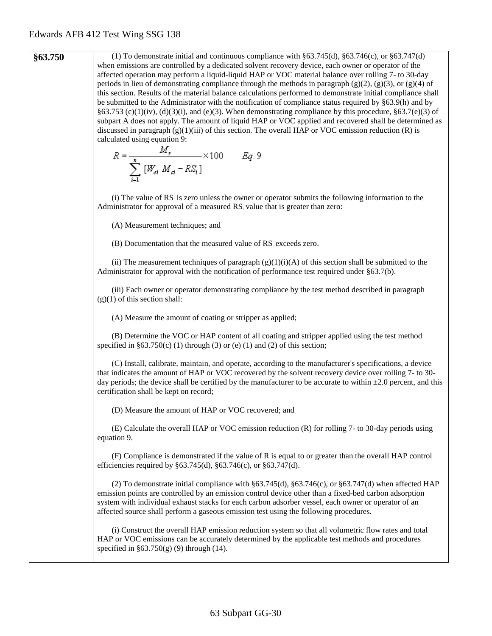**§63.750** (1) To demonstrate initial and continuous compliance with §63.745(d), §63.746(c), or §63.747(d) when emissions are controlled by a dedicated solvent recovery device, each owner or operator of the affected operation may perform a liquid-liquid HAP or VOC material balance over rolling 7- to 30-day periods in lieu of demonstrating compliance through the methods in paragraph  $(g)(2)$ ,  $(g)(3)$ , or  $(g)(4)$  of this section. Results of the material balance calculations performed to demonstrate initial compliance shall be submitted to the Administrator with the notification of compliance status required by §63.9(h) and by §63.753 (c)(1)(iv), (d)(3)(i), and (e)(3). When demonstrating compliance by this procedure, §63.7(e)(3) of subpart A does not apply. The amount of liquid HAP or VOC applied and recovered shall be determined as discussed in paragraph  $(g)(1)(iii)$  of this section. The overall HAP or VOC emission reduction  $(R)$  is calculated using equation 9:<br>  $R = \frac{M_r}{\sum_{i=1}^{8} [W_{oi} M_{ci} - RS_i]} \times 100$   $Eq. 9$ (i) The value of RSi is zero unless the owner or operator submits the following information to the Administrator for approval of a measured RS<sub>i</sub> value that is greater than zero: (A) Measurement techniques; and (B) Documentation that the measured value of RSi exceeds zero. (ii) The measurement techniques of paragraph  $(g)(1)(i)(A)$  of this section shall be submitted to the Administrator for approval with the notification of performance test required under §63.7(b). (iii) Each owner or operator demonstrating compliance by the test method described in paragraph  $(g)(1)$  of this section shall: (A) Measure the amount of coating or stripper as applied; (B) Determine the VOC or HAP content of all coating and stripper applied using the test method specified in  $§63.750(c)$  (1) through (3) or (e) (1) and (2) of this section; (C) Install, calibrate, maintain, and operate, according to the manufacturer's specifications, a device that indicates the amount of HAP or VOC recovered by the solvent recovery device over rolling 7- to 30 day periods; the device shall be certified by the manufacturer to be accurate to within  $\pm 2.0$  percent, and this certification shall be kept on record; (D) Measure the amount of HAP or VOC recovered; and (E) Calculate the overall HAP or VOC emission reduction (R) for rolling 7- to 30-day periods using equation 9. (F) Compliance is demonstrated if the value of R is equal to or greater than the overall HAP control efficiencies required by §63.745(d), §63.746(c), or §63.747(d). (2) To demonstrate initial compliance with  $\S 63.745(d)$ ,  $\S 63.746(c)$ , or  $\S 63.747(d)$  when affected HAP emission points are controlled by an emission control device other than a fixed-bed carbon adsorption system with individual exhaust stacks for each carbon adsorber vessel, each owner or operator of an affected source shall perform a gaseous emission test using the following procedures. (i) Construct the overall HAP emission reduction system so that all volumetric flow rates and total HAP or VOC emissions can be accurately determined by the applicable test methods and procedures specified in  $§63.750(g)$  (9) through (14).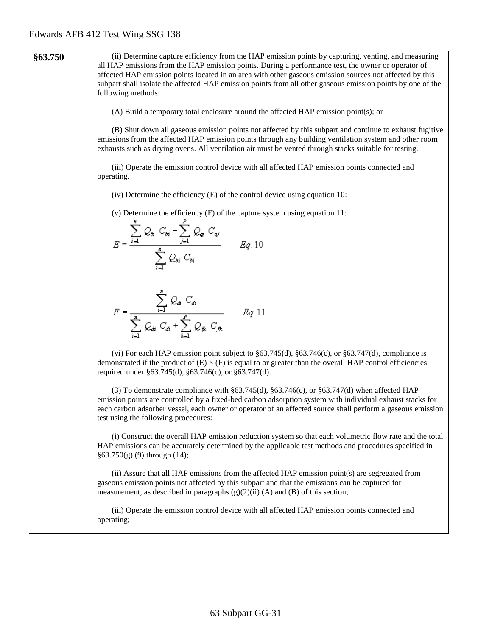| §63.750 | (ii) Determine capture efficiency from the HAP emission points by capturing, venting, and measuring<br>all HAP emissions from the HAP emission points. During a performance test, the owner or operator of<br>affected HAP emission points located in an area with other gaseous emission sources not affected by this<br>subpart shall isolate the affected HAP emission points from all other gaseous emission points by one of the<br>following methods: |
|---------|-------------------------------------------------------------------------------------------------------------------------------------------------------------------------------------------------------------------------------------------------------------------------------------------------------------------------------------------------------------------------------------------------------------------------------------------------------------|
|         | (A) Build a temporary total enclosure around the affected HAP emission point(s); or                                                                                                                                                                                                                                                                                                                                                                         |
|         | (B) Shut down all gaseous emission points not affected by this subpart and continue to exhaust fugitive<br>emissions from the affected HAP emission points through any building ventilation system and other room<br>exhausts such as drying ovens. All ventilation air must be vented through stacks suitable for testing.                                                                                                                                 |
|         | (iii) Operate the emission control device with all affected HAP emission points connected and<br>operating.                                                                                                                                                                                                                                                                                                                                                 |
|         | (iv) Determine the efficiency $(E)$ of the control device using equation 10:                                                                                                                                                                                                                                                                                                                                                                                |
|         | (v) Determine the efficiency $(F)$ of the capture system using equation 11:                                                                                                                                                                                                                                                                                                                                                                                 |
|         | $E = \frac{\sum_{i=1}^{n} Q_{ij} C_{ki} - \sum_{j=1}^{p} Q_{ij} C_{ij}}{\sum_{i=1}^{n} Q_{ij} C_{ki}} Eq.10$                                                                                                                                                                                                                                                                                                                                                |
|         | $F = \frac{\sum_{i=1}^{n} Q_{a} C_{di}}{\sum_{i=1}^{n} Q_{di} C_{di} + \sum_{i=1}^{p} Q_{ik} C_{jk}} \qquad Eq. 11$                                                                                                                                                                                                                                                                                                                                         |
|         | (vi) For each HAP emission point subject to $\S63.745(d)$ , $\S63.746(c)$ , or $\S63.747(d)$ , compliance is<br>demonstrated if the product of $(E) \times (F)$ is equal to or greater than the overall HAP control efficiencies<br>required under §63.745(d), §63.746(c), or §63.747(d).                                                                                                                                                                   |
|         | (3) To demonstrate compliance with $\S63.745(d)$ , $\S63.746(c)$ , or $\S63.747(d)$ when affected HAP<br>emission points are controlled by a fixed-bed carbon adsorption system with individual exhaust stacks for<br>each carbon adsorber vessel, each owner or operator of an affected source shall perform a gaseous emission<br>test using the following procedures:                                                                                    |
|         | (i) Construct the overall HAP emission reduction system so that each volumetric flow rate and the total<br>HAP emissions can be accurately determined by the applicable test methods and procedures specified in<br>$§63.750(g) (9)$ through (14);                                                                                                                                                                                                          |
|         | (ii) Assure that all HAP emissions from the affected HAP emission point(s) are segregated from<br>gaseous emission points not affected by this subpart and that the emissions can be captured for<br>measurement, as described in paragraphs $(g)(2)(ii)$ (A) and (B) of this section;                                                                                                                                                                      |
|         | (iii) Operate the emission control device with all affected HAP emission points connected and<br>operating;                                                                                                                                                                                                                                                                                                                                                 |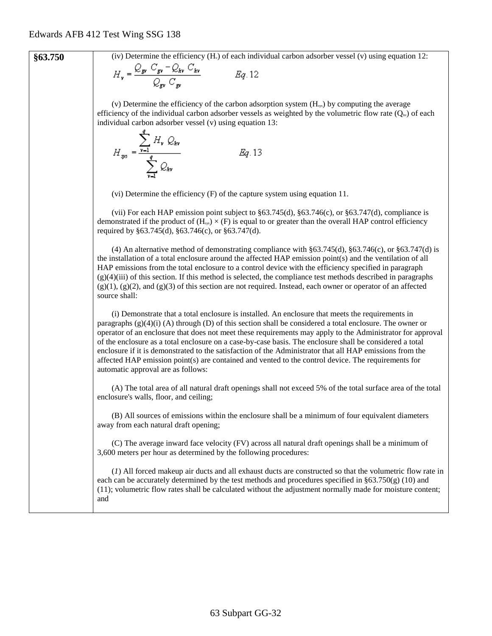**§63.750** (iv) Determine the efficiency (H<sub>v</sub>) of each individual carbon adsorber vessel (v) using equation 12:

$$
H_v = \frac{\sum_{\mathbf{g}v} \sum_{\mathbf{g}v} \sum_{kv} \sum_{kv}}{\mathcal{Q}_{\mathbf{g}v} \mathcal{C}_{\mathbf{g}v}} \qquad \qquad Eq. 12
$$

(v) Determine the efficiency of the carbon adsorption system  $(H_{ss})$  by computing the average efficiency of the individual carbon adsorber vessels as weighted by the volumetric flow rate  $(Q_w)$  of each individual carbon adsorber vessel (v) using equation 13: a

$$
H_{\rm sys} = \frac{\sum_{\mathbf{v} = 1} H_{\mathbf{v}} Q_{\rm sky}}{\sum_{\mathbf{v} = 1}^{q} Q_{\rm sky}} \qquad \qquad Eq. 13
$$

(vi) Determine the efficiency (F) of the capture system using equation 11.

(vii) For each HAP emission point subject to §63.745(d), §63.746(c), or §63.747(d), compliance is demonstrated if the product of  $(H_{sys}) \times (F)$  is equal to or greater than the overall HAP control efficiency required by §63.745(d), §63.746(c), or §63.747(d).

(4) An alternative method of demonstrating compliance with  $\S 63.745(d)$ ,  $\S 63.746(c)$ , or  $\S 63.747(d)$  is the installation of a total enclosure around the affected HAP emission point(s) and the ventilation of all HAP emissions from the total enclosure to a control device with the efficiency specified in paragraph  $(g)(4)(iii)$  of this section. If this method is selected, the compliance test methods described in paragraphs  $(g)(1)$ ,  $(g)(2)$ , and  $(g)(3)$  of this section are not required. Instead, each owner or operator of an affected source shall:

(i) Demonstrate that a total enclosure is installed. An enclosure that meets the requirements in paragraphs  $(g)(4)(i)$  (A) through (D) of this section shall be considered a total enclosure. The owner or operator of an enclosure that does not meet these requirements may apply to the Administrator for approval of the enclosure as a total enclosure on a case-by-case basis. The enclosure shall be considered a total enclosure if it is demonstrated to the satisfaction of the Administrator that all HAP emissions from the affected HAP emission point(s) are contained and vented to the control device. The requirements for automatic approval are as follows:

(A) The total area of all natural draft openings shall not exceed 5% of the total surface area of the total enclosure's walls, floor, and ceiling;

(B) All sources of emissions within the enclosure shall be a minimum of four equivalent diameters away from each natural draft opening;

(C) The average inward face velocity (FV) across all natural draft openings shall be a minimum of 3,600 meters per hour as determined by the following procedures:

(*1*) All forced makeup air ducts and all exhaust ducts are constructed so that the volumetric flow rate in each can be accurately determined by the test methods and procedures specified in  $\S63.750(g)$  (10) and (11); volumetric flow rates shall be calculated without the adjustment normally made for moisture content; and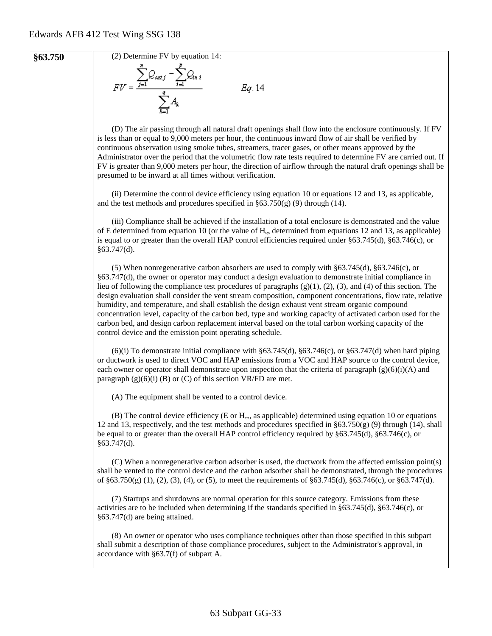

**§63.750** (2) Determine FV by equation 14:<br> $FV = \frac{\sum_{j=1}^{n} Q_{outj} - \sum_{i=1}^{p} Q_{ini}}{\sum_{i=1}^{q} A_{k}}$ 

Eq. 14

(D) The air passing through all natural draft openings shall flow into the enclosure continuously. If FV is less than or equal to 9,000 meters per hour, the continuous inward flow of air shall be verified by continuous observation using smoke tubes, streamers, tracer gases, or other means approved by the Administrator over the period that the volumetric flow rate tests required to determine FV are carried out. If FV is greater than 9,000 meters per hour, the direction of airflow through the natural draft openings shall be presumed to be inward at all times without verification.

(ii) Determine the control device efficiency using equation 10 or equations 12 and 13, as applicable, and the test methods and procedures specified in  $\S 63.750(g)$  (9) through (14).

(iii) Compliance shall be achieved if the installation of a total enclosure is demonstrated and the value of E determined from equation 10 (or the value of  $H_{\text{ss}}$  determined from equations 12 and 13, as applicable) is equal to or greater than the overall HAP control efficiencies required under §63.745(d), §63.746(c), or  $§63.747(d)$ .

(5) When nonregenerative carbon absorbers are used to comply with §63.745(d), §63.746(c), or §63.747(d), the owner or operator may conduct a design evaluation to demonstrate initial compliance in lieu of following the compliance test procedures of paragraphs (g)(1), (2), (3), and (4) of this section. The design evaluation shall consider the vent stream composition, component concentrations, flow rate, relative humidity, and temperature, and shall establish the design exhaust vent stream organic compound concentration level, capacity of the carbon bed, type and working capacity of activated carbon used for the carbon bed, and design carbon replacement interval based on the total carbon working capacity of the control device and the emission point operating schedule.

 $(6)(i)$  To demonstrate initial compliance with §63.745(d), §63.746(c), or §63.747(d) when hard piping or ductwork is used to direct VOC and HAP emissions from a VOC and HAP source to the control device, each owner or operator shall demonstrate upon inspection that the criteria of paragraph  $(g)(6)(i)$ (A) and paragraph  $(g)(6)(i)$  (B) or (C) of this section VR/FD are met.

(A) The equipment shall be vented to a control device.

(B) The control device efficiency (E or  $H<sub>sys</sub>$ , as applicable) determined using equation 10 or equations 12 and 13, respectively, and the test methods and procedures specified in §63.750(g) (9) through (14), shall be equal to or greater than the overall HAP control efficiency required by §63.745(d), §63.746(c), or §63.747(d).

(C) When a nonregenerative carbon adsorber is used, the ductwork from the affected emission point(s) shall be vented to the control device and the carbon adsorber shall be demonstrated, through the procedures of §63.750(g) (1), (2), (3), (4), or (5), to meet the requirements of §63.745(d), §63.746(c), or §63.747(d).

(7) Startups and shutdowns are normal operation for this source category. Emissions from these activities are to be included when determining if the standards specified in §63.745(d), §63.746(c), or §63.747(d) are being attained.

(8) An owner or operator who uses compliance techniques other than those specified in this subpart shall submit a description of those compliance procedures, subject to the Administrator's approval, in accordance with §63.7(f) of subpart A.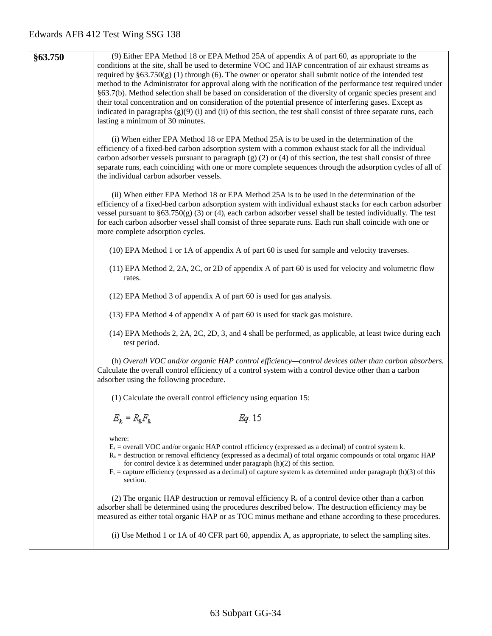| §63.750 | (9) Either EPA Method 18 or EPA Method 25A of appendix A of part 60, as appropriate to the<br>conditions at the site, shall be used to determine VOC and HAP concentration of air exhaust streams as                           |
|---------|--------------------------------------------------------------------------------------------------------------------------------------------------------------------------------------------------------------------------------|
|         | required by $\S63.750(g)$ (1) through (6). The owner or operator shall submit notice of the intended test                                                                                                                      |
|         | method to the Administrator for approval along with the notification of the performance test required under                                                                                                                    |
|         | §63.7(b). Method selection shall be based on consideration of the diversity of organic species present and                                                                                                                     |
|         | their total concentration and on consideration of the potential presence of interfering gases. Except as<br>indicated in paragraphs $(g)(9)$ (i) and (ii) of this section, the test shall consist of three separate runs, each |
|         | lasting a minimum of 30 minutes.                                                                                                                                                                                               |
|         |                                                                                                                                                                                                                                |
|         | (i) When either EPA Method 18 or EPA Method 25A is to be used in the determination of the                                                                                                                                      |
|         | efficiency of a fixed-bed carbon adsorption system with a common exhaust stack for all the individual<br>carbon adsorber vessels pursuant to paragraph $(g)$ (2) or (4) of this section, the test shall consist of three       |
|         | separate runs, each coinciding with one or more complete sequences through the adsorption cycles of all of                                                                                                                     |
|         | the individual carbon adsorber vessels.                                                                                                                                                                                        |
|         | (ii) When either EPA Method 18 or EPA Method 25A is to be used in the determination of the                                                                                                                                     |
|         | efficiency of a fixed-bed carbon adsorption system with individual exhaust stacks for each carbon adsorber                                                                                                                     |
|         | vessel pursuant to $\S 63.750(g)$ (3) or (4), each carbon adsorber vessel shall be tested individually. The test                                                                                                               |
|         | for each carbon adsorber vessel shall consist of three separate runs. Each run shall coincide with one or                                                                                                                      |
|         | more complete adsorption cycles.                                                                                                                                                                                               |
|         | (10) EPA Method 1 or 1A of appendix A of part 60 is used for sample and velocity traverses.                                                                                                                                    |
|         | (11) EPA Method 2, 2A, 2C, or 2D of appendix A of part 60 is used for velocity and volumetric flow                                                                                                                             |
|         | rates.                                                                                                                                                                                                                         |
|         | (12) EPA Method 3 of appendix A of part 60 is used for gas analysis.                                                                                                                                                           |
|         | (13) EPA Method 4 of appendix A of part 60 is used for stack gas moisture.                                                                                                                                                     |
|         | (14) EPA Methods 2, 2A, 2C, 2D, 3, and 4 shall be performed, as applicable, at least twice during each<br>test period.                                                                                                         |
|         | (h) Overall VOC and/or organic HAP control efficiency—control devices other than carbon absorbers.                                                                                                                             |
|         | Calculate the overall control efficiency of a control system with a control device other than a carbon<br>adsorber using the following procedure.                                                                              |
|         |                                                                                                                                                                                                                                |
|         | (1) Calculate the overall control efficiency using equation 15:                                                                                                                                                                |
|         | $E_k = R_k F_k$<br>Eg. 15                                                                                                                                                                                                      |
|         | where:                                                                                                                                                                                                                         |
|         | $Ek$ = overall VOC and/or organic HAP control efficiency (expressed as a decimal) of control system k.                                                                                                                         |
|         | $Rk$ = destruction or removal efficiency (expressed as a decimal) of total organic compounds or total organic HAP<br>for control device k as determined under paragraph (h)(2) of this section.                                |
|         | $F_k$ = capture efficiency (expressed as a decimal) of capture system k as determined under paragraph (h)(3) of this                                                                                                           |
|         | section.                                                                                                                                                                                                                       |
|         | (2) The organic HAP destruction or removal efficiency $R_k$ of a control device other than a carbon                                                                                                                            |
|         | adsorber shall be determined using the procedures described below. The destruction efficiency may be                                                                                                                           |
|         | measured as either total organic HAP or as TOC minus methane and ethane according to these procedures.                                                                                                                         |

(i) Use Method 1 or 1A of 40 CFR part 60, appendix A, as appropriate, to select the sampling sites.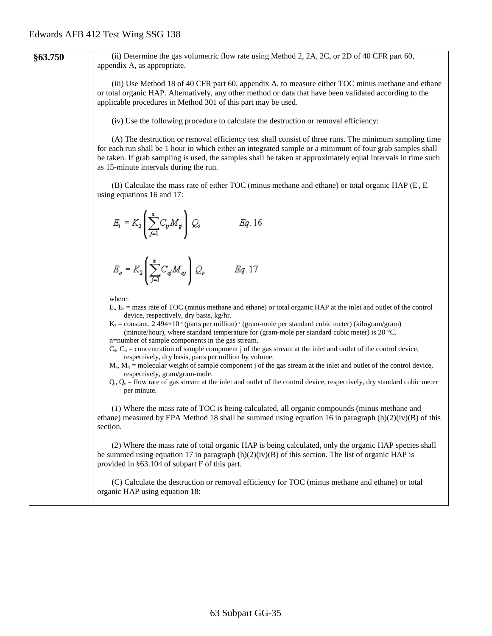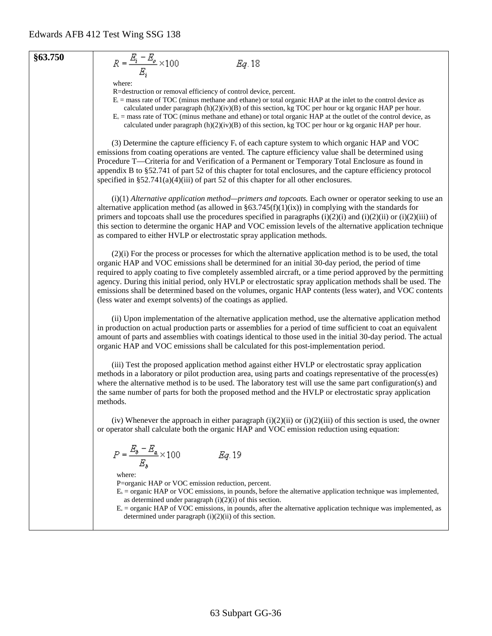### **§63.750**

$$
Eq. 18
$$

where:

 $R = \frac{E_i - E_o}{E_i} \times 100$ 

R=destruction or removal efficiency of control device, percent.

- $E_i$  = mass rate of TOC (minus methane and ethane) or total organic HAP at the inlet to the control device as
- calculated under paragraph  $(h)(2)(iv)(B)$  of this section, kg TOC per hour or kg organic HAP per hour.
- $E<sub>o</sub>$  = mass rate of TOC (minus methane and ethane) or total organic HAP at the outlet of the control device, as calculated under paragraph  $(h)(2)(iv)(B)$  of this section, kg TOC per hour or kg organic HAP per hour.

(3) Determine the capture efficiency  $F_k$  of each capture system to which organic HAP and VOC emissions from coating operations are vented. The capture efficiency value shall be determined using Procedure T—Criteria for and Verification of a Permanent or Temporary Total Enclosure as found in appendix B to §52.741 of part 52 of this chapter for total enclosures, and the capture efficiency protocol specified in §52.741(a)(4)(iii) of part 52 of this chapter for all other enclosures.

(i)(1) *Alternative application method—primers and topcoats.* Each owner or operator seeking to use an alternative application method (as allowed in  $\S63.745(f)(1)(ix)$ ) in complying with the standards for primers and topcoats shall use the procedures specified in paragraphs  $(i)(2)(i)$  and  $(i)(2)(ii)$  or  $(i)(2)(iii)$  of this section to determine the organic HAP and VOC emission levels of the alternative application technique as compared to either HVLP or electrostatic spray application methods.

(2)(i) For the process or processes for which the alternative application method is to be used, the total organic HAP and VOC emissions shall be determined for an initial 30-day period, the period of time required to apply coating to five completely assembled aircraft, or a time period approved by the permitting agency. During this initial period, only HVLP or electrostatic spray application methods shall be used. The emissions shall be determined based on the volumes, organic HAP contents (less water), and VOC contents (less water and exempt solvents) of the coatings as applied.

(ii) Upon implementation of the alternative application method, use the alternative application method in production on actual production parts or assemblies for a period of time sufficient to coat an equivalent amount of parts and assemblies with coatings identical to those used in the initial 30-day period. The actual organic HAP and VOC emissions shall be calculated for this post-implementation period.

(iii) Test the proposed application method against either HVLP or electrostatic spray application methods in a laboratory or pilot production area, using parts and coatings representative of the process(es) where the alternative method is to be used. The laboratory test will use the same part configuration(s) and the same number of parts for both the proposed method and the HVLP or electrostatic spray application methods.

(iv) Whenever the approach in either paragraph  $(i)(2)(ii)$  or  $(i)(2)(iii)$  of this section is used, the owner or operator shall calculate both the organic HAP and VOC emission reduction using equation:

$$
P = \frac{E_b - E_a}{E_b} \times 100 \hspace{1cm} Eq. 19
$$

where:

P=organic HAP or VOC emission reduction, percent.

- $E<sub>b</sub>$  = organic HAP or VOC emissions, in pounds, before the alternative application technique was implemented, as determined under paragraph  $(i)(2)(i)$  of this section.
- $E_a$  = organic HAP of VOC emissions, in pounds, after the alternative application technique was implemented, as determined under paragraph (i)(2)(ii) of this section.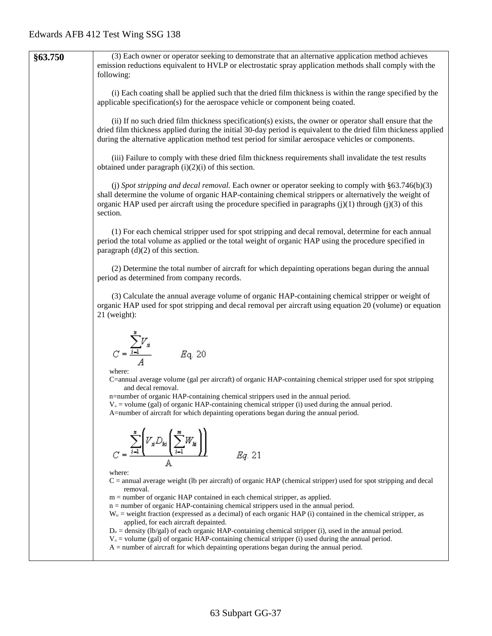| §63.750 | (3) Each owner or operator seeking to demonstrate that an alternative application method achieves<br>emission reductions equivalent to HVLP or electrostatic spray application methods shall comply with the<br>following:                                                                                                                 |
|---------|--------------------------------------------------------------------------------------------------------------------------------------------------------------------------------------------------------------------------------------------------------------------------------------------------------------------------------------------|
|         | (i) Each coating shall be applied such that the dried film thickness is within the range specified by the<br>applicable specification(s) for the aerospace vehicle or component being coated.                                                                                                                                              |
|         | (ii) If no such dried film thickness specification(s) exists, the owner or operator shall ensure that the<br>dried film thickness applied during the initial 30-day period is equivalent to the dried film thickness applied<br>during the alternative application method test period for similar aerospace vehicles or components.        |
|         | (iii) Failure to comply with these dried film thickness requirements shall invalidate the test results<br>obtained under paragraph $(i)(2)(i)$ of this section.                                                                                                                                                                            |
|         | (j) Spot stripping and decal removal. Each owner or operator seeking to comply with $\S 63.746(b)(3)$<br>shall determine the volume of organic HAP-containing chemical strippers or alternatively the weight of<br>organic HAP used per aircraft using the procedure specified in paragraphs $(j)(1)$ through $(j)(3)$ of this<br>section. |
|         | (1) For each chemical stripper used for spot stripping and decal removal, determine for each annual<br>period the total volume as applied or the total weight of organic HAP using the procedure specified in<br>paragraph $(d)(2)$ of this section.                                                                                       |
|         | (2) Determine the total number of aircraft for which depainting operations began during the annual<br>period as determined from company records.                                                                                                                                                                                           |
|         | (3) Calculate the annual average volume of organic HAP-containing chemical stripper or weight of<br>organic HAP used for spot stripping and decal removal per aircraft using equation 20 (volume) or equation<br>$21$ (weight):                                                                                                            |
|         | $C = \frac{\sum_{i=1}^{n} V_{si}}{A}$ $Eq. 20$<br>where:                                                                                                                                                                                                                                                                                   |
|         | C=annual average volume (gal per aircraft) of organic HAP-containing chemical stripper used for spot stripping<br>and decal removal.                                                                                                                                                                                                       |
|         | n=number of organic HAP-containing chemical strippers used in the annual period.<br>$Vs$ = volume (gal) of organic HAP-containing chemical stripper (i) used during the annual period.<br>A=number of aircraft for which depainting operations began during the annual period.                                                             |
|         | $V_s D_{ki} \sum_{i=1}^{N} W_i$<br>Eg. 21                                                                                                                                                                                                                                                                                                  |
|         | where:<br>$C =$ annual average weight (lb per aircraft) of organic HAP (chemical stripper) used for spot stripping and decal<br>removal.                                                                                                                                                                                                   |
|         | m = number of organic HAP contained in each chemical stripper, as applied.<br>$n =$ number of organic HAP-containing chemical strippers used in the annual period.                                                                                                                                                                         |
|         | $W_{hi}$ = weight fraction (expressed as a decimal) of each organic HAP (i) contained in the chemical stripper, as<br>applied, for each aircraft depainted.                                                                                                                                                                                |
|         | $D_{\rm ii}$ = density (lb/gal) of each organic HAP-containing chemical stripper (i), used in the annual period.<br>$Vs$ = volume (gal) of organic HAP-containing chemical stripper (i) used during the annual period.<br>$A =$ number of aircraft for which depainting operations began during the annual period.                         |
|         |                                                                                                                                                                                                                                                                                                                                            |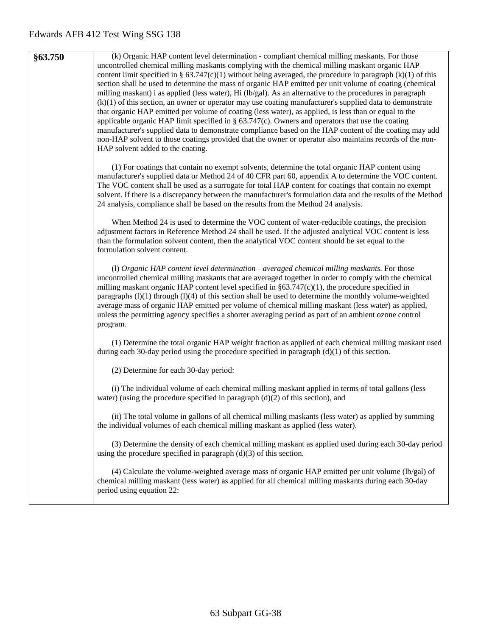| §63.750 | (k) Organic HAP content level determination - compliant chemical milling maskants. For those<br>uncontrolled chemical milling maskants complying with the chemical milling maskant organic HAP<br>content limit specified in § 63.747(c)(1) without being averaged, the procedure in paragraph (k)(1) of this<br>section shall be used to determine the mass of organic HAP emitted per unit volume of coating (chemical<br>milling maskant) i as applied (less water), Hi (lb/gal). As an alternative to the procedures in paragraph<br>$(k)(1)$ of this section, an owner or operator may use coating manufacturer's supplied data to demonstrate<br>that organic HAP emitted per volume of coating (less water), as applied, is less than or equal to the<br>applicable organic HAP limit specified in $\S$ 63.747(c). Owners and operators that use the coating<br>manufacturer's supplied data to demonstrate compliance based on the HAP content of the coating may add<br>non-HAP solvent to those coatings provided that the owner or operator also maintains records of the non-<br>HAP solvent added to the coating. |
|---------|--------------------------------------------------------------------------------------------------------------------------------------------------------------------------------------------------------------------------------------------------------------------------------------------------------------------------------------------------------------------------------------------------------------------------------------------------------------------------------------------------------------------------------------------------------------------------------------------------------------------------------------------------------------------------------------------------------------------------------------------------------------------------------------------------------------------------------------------------------------------------------------------------------------------------------------------------------------------------------------------------------------------------------------------------------------------------------------------------------------------------------|
|         | (1) For coatings that contain no exempt solvents, determine the total organic HAP content using<br>manufacturer's supplied data or Method 24 of 40 CFR part 60, appendix A to determine the VOC content.<br>The VOC content shall be used as a surrogate for total HAP content for coatings that contain no exempt<br>solvent. If there is a discrepancy between the manufacturer's formulation data and the results of the Method<br>24 analysis, compliance shall be based on the results from the Method 24 analysis.                                                                                                                                                                                                                                                                                                                                                                                                                                                                                                                                                                                                       |
|         | When Method 24 is used to determine the VOC content of water-reducible coatings, the precision<br>adjustment factors in Reference Method 24 shall be used. If the adjusted analytical VOC content is less<br>than the formulation solvent content, then the analytical VOC content should be set equal to the<br>formulation solvent content.                                                                                                                                                                                                                                                                                                                                                                                                                                                                                                                                                                                                                                                                                                                                                                                  |
|         | (1) Organic HAP content level determination—averaged chemical milling maskants. For those<br>uncontrolled chemical milling maskants that are averaged together in order to comply with the chemical<br>milling maskant organic HAP content level specified in $\S 63.747(c)(1)$ , the procedure specified in<br>paragraphs (1)(1) through (1)(4) of this section shall be used to determine the monthly volume-weighted<br>average mass of organic HAP emitted per volume of chemical milling maskant (less water) as applied,<br>unless the permitting agency specifies a shorter averaging period as part of an ambient ozone control<br>program.                                                                                                                                                                                                                                                                                                                                                                                                                                                                            |
|         | (1) Determine the total organic HAP weight fraction as applied of each chemical milling maskant used<br>during each 30-day period using the procedure specified in paragraph $(d)(1)$ of this section.                                                                                                                                                                                                                                                                                                                                                                                                                                                                                                                                                                                                                                                                                                                                                                                                                                                                                                                         |
|         | (2) Determine for each 30-day period:                                                                                                                                                                                                                                                                                                                                                                                                                                                                                                                                                                                                                                                                                                                                                                                                                                                                                                                                                                                                                                                                                          |
|         | (i) The individual volume of each chemical milling maskant applied in terms of total gallons (less<br>water) (using the procedure specified in paragraph $(d)(2)$ of this section), and                                                                                                                                                                                                                                                                                                                                                                                                                                                                                                                                                                                                                                                                                                                                                                                                                                                                                                                                        |
|         | (ii) The total volume in gallons of all chemical milling maskants (less water) as applied by summing<br>the individual volumes of each chemical milling maskant as applied (less water).                                                                                                                                                                                                                                                                                                                                                                                                                                                                                                                                                                                                                                                                                                                                                                                                                                                                                                                                       |
|         | (3) Determine the density of each chemical milling maskant as applied used during each 30-day period<br>using the procedure specified in paragraph $(d)(3)$ of this section.                                                                                                                                                                                                                                                                                                                                                                                                                                                                                                                                                                                                                                                                                                                                                                                                                                                                                                                                                   |
|         | (4) Calculate the volume-weighted average mass of organic HAP emitted per unit volume (lb/gal) of<br>chemical milling maskant (less water) as applied for all chemical milling maskants during each 30-day<br>period using equation 22:                                                                                                                                                                                                                                                                                                                                                                                                                                                                                                                                                                                                                                                                                                                                                                                                                                                                                        |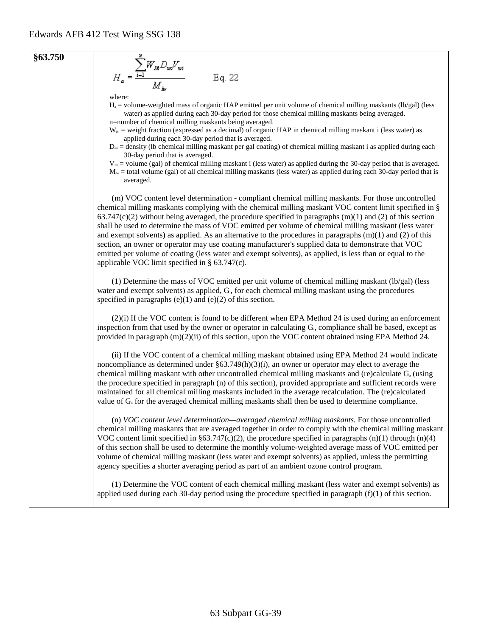$$
\begin{array}{ccc}\n\text{863.750} & & \sum_{u=1}^{N} W_{H} D_{mi} V_{mi} \\
& H_a = \frac{\sum_{i=1}^{N} W_{H} D_{mi} V_{mi}}{M_{au}} & \text{Eq. 22}\n\end{array}
$$

where:

Ha = volume-weighted mass of organic HAP emitted per unit volume of chemical milling maskants (lb/gal) (less water) as applied during each 30-day period for those chemical milling maskants being averaged. n=number of chemical milling maskants being averaged.

 $W_{\text{H}}$  = weight fraction (expressed as a decimal) of organic HAP in chemical milling maskant i (less water) as applied during each 30-day period that is averaged.

 $D<sub>mi</sub> =$  density (Ib chemical milling maskant per gal coating) of chemical milling maskant i as applied during each 30-day period that is averaged.

 $V_m$  = volume (gal) of chemical milling maskant i (less water) as applied during the 30-day period that is averaged.  $M_{\text{lw}}$  = total volume (gal) of all chemical milling maskants (less water) as applied during each 30-day period that is

averaged.

(m) VOC content level determination - compliant chemical milling maskants. For those uncontrolled chemical milling maskants complying with the chemical milling maskant VOC content limit specified in §  $63.747(c)(2)$  without being averaged, the procedure specified in paragraphs (m)(1) and (2) of this section shall be used to determine the mass of VOC emitted per volume of chemical milling maskant (less water and exempt solvents) as applied. As an alternative to the procedures in paragraphs  $(m)(1)$  and (2) of this section, an owner or operator may use coating manufacturer's supplied data to demonstrate that VOC emitted per volume of coating (less water and exempt solvents), as applied, is less than or equal to the applicable VOC limit specified in § 63.747(c).

(1) Determine the mass of VOC emitted per unit volume of chemical milling maskant (lb/gal) (less water and exempt solvents) as applied, G<sub>i</sub>, for each chemical milling maskant using the procedures specified in paragraphs  $(e)(1)$  and  $(e)(2)$  of this section.

(2)(i) If the VOC content is found to be different when EPA Method 24 is used during an enforcement inspection from that used by the owner or operator in calculating Gi, compliance shall be based, except as provided in paragraph (m)(2)(ii) of this section, upon the VOC content obtained using EPA Method 24.

(ii) If the VOC content of a chemical milling maskant obtained using EPA Method 24 would indicate noncompliance as determined under  $\S 63.749(h)(3)(i)$ , an owner or operator may elect to average the chemical milling maskant with other uncontrolled chemical milling maskants and (re)calculate  $G_a$  (using the procedure specified in paragraph (n) of this section), provided appropriate and sufficient records were maintained for all chemical milling maskants included in the average recalculation. The (re)calculated value of G<sub>a</sub> for the averaged chemical milling maskants shall then be used to determine compliance.

(n) *VOC content level determination—averaged chemical milling maskants.* For those uncontrolled chemical milling maskants that are averaged together in order to comply with the chemical milling maskant VOC content limit specified in §63.747(c)(2), the procedure specified in paragraphs  $(n)(1)$  through  $(n)(4)$ of this section shall be used to determine the monthly volume-weighted average mass of VOC emitted per volume of chemical milling maskant (less water and exempt solvents) as applied, unless the permitting agency specifies a shorter averaging period as part of an ambient ozone control program.

(1) Determine the VOC content of each chemical milling maskant (less water and exempt solvents) as applied used during each 30-day period using the procedure specified in paragraph  $(f)(1)$  of this section.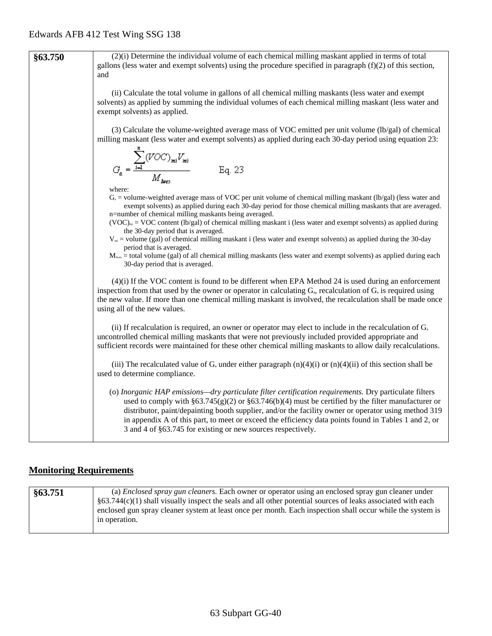| §63.750 | (2)(i) Determine the individual volume of each chemical milling maskant applied in terms of total<br>gallons (less water and exempt solvents) using the procedure specified in paragraph $(f)(2)$ of this section,<br>and                                                                                                                                                                                                                                                                            |
|---------|------------------------------------------------------------------------------------------------------------------------------------------------------------------------------------------------------------------------------------------------------------------------------------------------------------------------------------------------------------------------------------------------------------------------------------------------------------------------------------------------------|
|         | (ii) Calculate the total volume in gallons of all chemical milling maskants (less water and exempt<br>solvents) as applied by summing the individual volumes of each chemical milling maskant (less water and<br>exempt solvents) as applied.                                                                                                                                                                                                                                                        |
|         | (3) Calculate the volume-weighted average mass of VOC emitted per unit volume (lb/gal) of chemical<br>milling maskant (less water and exempt solvents) as applied during each 30-day period using equation 23:                                                                                                                                                                                                                                                                                       |
|         | $G_a = \frac{\displaystyle\sum_{i=1}^{n} (VOC)_{mi} V_{mi}}{M_{hues}}$<br>Eq. 23                                                                                                                                                                                                                                                                                                                                                                                                                     |
|         | where:<br>$G_a$ = volume-weighted average mass of VOC per unit volume of chemical milling maskant (lb/gal) (less water and<br>exempt solvents) as applied during each 30-day period for those chemical milling maskants that are averaged.<br>n=number of chemical milling maskants being averaged.<br>$(VOC)_{m}$ = VOC content (lb/gal) of chemical milling maskant i (less water and exempt solvents) as applied during<br>the 30-day period that is averaged.                                    |
|         | $Vmi$ = volume (gal) of chemical milling maskant i (less water and exempt solvents) as applied during the 30-day<br>period that is averaged.<br>$M_{\text{lws}}$ = total volume (gal) of all chemical milling maskants (less water and exempt solvents) as applied during each<br>30-day period that is averaged.                                                                                                                                                                                    |
|         | $(4)(i)$ If the VOC content is found to be different when EPA Method 24 is used during an enforcement<br>inspection from that used by the owner or operator in calculating $G_a$ , recalculation of $G_a$ is required using<br>the new value. If more than one chemical milling maskant is involved, the recalculation shall be made once<br>using all of the new values.                                                                                                                            |
|         | (ii) If recalculation is required, an owner or operator may elect to include in the recalculation of $G_a$<br>uncontrolled chemical milling maskants that were not previously included provided appropriate and<br>sufficient records were maintained for these other chemical milling maskants to allow daily recalculations.                                                                                                                                                                       |
|         | (iii) The recalculated value of $G_a$ under either paragraph $(n)(4)(i)$ or $(n)(4)(ii)$ of this section shall be<br>used to determine compliance.                                                                                                                                                                                                                                                                                                                                                   |
|         | (o) Inorganic HAP emissions—dry particulate filter certification requirements. Dry particulate filters<br>used to comply with $\S 63.745(g)(2)$ or $\S 63.746(b)(4)$ must be certified by the filter manufacturer or<br>distributor, paint/depainting booth supplier, and/or the facility owner or operator using method 319<br>in appendix A of this part, to meet or exceed the efficiency data points found in Tables 1 and 2, or<br>3 and 4 of §63.745 for existing or new sources respectively. |

# **Monitoring Requirements**

| §63.751 | (a) <i>Enclosed spray gun cleaners</i> . Each owner or operator using an enclosed spray gun cleaner under        |
|---------|------------------------------------------------------------------------------------------------------------------|
|         | $\S$ 63.744(c)(1) shall visually inspect the seals and all other potential sources of leaks associated with each |
|         | enclosed gun spray cleaner system at least once per month. Each inspection shall occur while the system is       |
|         | in operation.                                                                                                    |
|         |                                                                                                                  |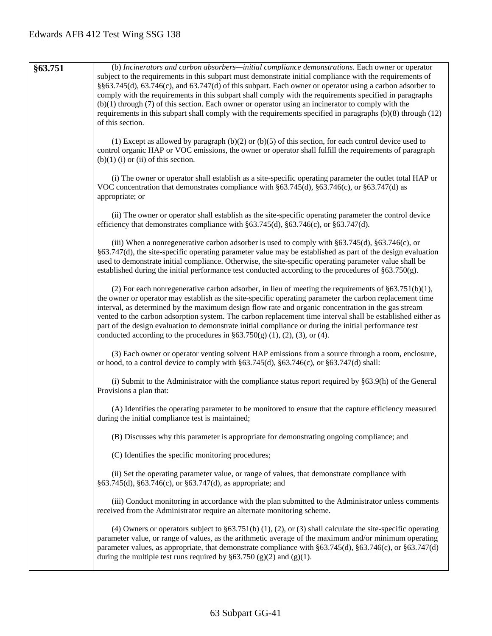**§63.751** (b) *Incinerators and carbon absorbers—initial compliance demonstrations.* Each owner or operator subject to the requirements in this subpart must demonstrate initial compliance with the requirements of §§63.745(d), 63.746(c), and 63.747(d) of this subpart. Each owner or operator using a carbon adsorber to comply with the requirements in this subpart shall comply with the requirements specified in paragraphs (b)(1) through (7) of this section. Each owner or operator using an incinerator to comply with the requirements in this subpart shall comply with the requirements specified in paragraphs (b)(8) through (12) of this section. (1) Except as allowed by paragraph (b)(2) or (b)(5) of this section, for each control device used to control organic HAP or VOC emissions, the owner or operator shall fulfill the requirements of paragraph  $(b)(1)$  (i) or (ii) of this section. (i) The owner or operator shall establish as a site-specific operating parameter the outlet total HAP or VOC concentration that demonstrates compliance with §63.745(d), §63.746(c), or §63.747(d) as appropriate; or (ii) The owner or operator shall establish as the site-specific operating parameter the control device efficiency that demonstrates compliance with §63.745(d), §63.746(c), or §63.747(d). (iii) When a nonregenerative carbon adsorber is used to comply with §63.745(d), §63.746(c), or §63.747(d), the site-specific operating parameter value may be established as part of the design evaluation used to demonstrate initial compliance. Otherwise, the site-specific operating parameter value shall be established during the initial performance test conducted according to the procedures of §63.750(g). (2) For each nonregenerative carbon adsorber, in lieu of meeting the requirements of  $§63.751(b)(1)$ , the owner or operator may establish as the site-specific operating parameter the carbon replacement time interval, as determined by the maximum design flow rate and organic concentration in the gas stream vented to the carbon adsorption system. The carbon replacement time interval shall be established either as part of the design evaluation to demonstrate initial compliance or during the initial performance test conducted according to the procedures in  $\S 63.750(g)$  (1), (2), (3), or (4). (3) Each owner or operator venting solvent HAP emissions from a source through a room, enclosure, or hood, to a control device to comply with §63.745(d), §63.746(c), or §63.747(d) shall: (i) Submit to the Administrator with the compliance status report required by §63.9(h) of the General Provisions a plan that: (A) Identifies the operating parameter to be monitored to ensure that the capture efficiency measured during the initial compliance test is maintained; (B) Discusses why this parameter is appropriate for demonstrating ongoing compliance; and (C) Identifies the specific monitoring procedures; (ii) Set the operating parameter value, or range of values, that demonstrate compliance with §63.745(d), §63.746(c), or §63.747(d), as appropriate; and (iii) Conduct monitoring in accordance with the plan submitted to the Administrator unless comments received from the Administrator require an alternate monitoring scheme. (4) Owners or operators subject to §63.751(b) (1), (2), or (3) shall calculate the site-specific operating parameter value, or range of values, as the arithmetic average of the maximum and/or minimum operating parameter values, as appropriate, that demonstrate compliance with §63.745(d), §63.746(c), or §63.747(d) during the multiple test runs required by  $\S 63.750 (g)(2)$  and  $(g)(1)$ .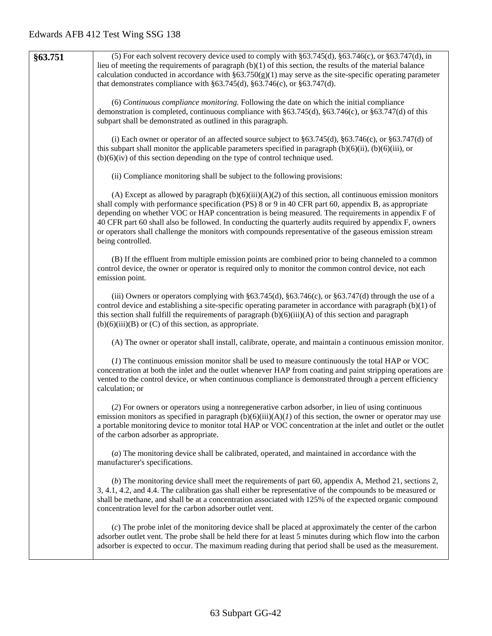| §63.751 | (5) For each solvent recovery device used to comply with $\S 63.745(d)$ , $\S 63.746(c)$ , or $\S 63.747(d)$ , in<br>lieu of meeting the requirements of paragraph $(b)(1)$ of this section, the results of the material balance<br>calculation conducted in accordance with $\S 63.750(g)(1)$ may serve as the site-specific operating parameter<br>that demonstrates compliance with $\S 63.745(d)$ , $\S 63.746(c)$ , or $\S 63.747(d)$ .                                                                                                                       |
|---------|--------------------------------------------------------------------------------------------------------------------------------------------------------------------------------------------------------------------------------------------------------------------------------------------------------------------------------------------------------------------------------------------------------------------------------------------------------------------------------------------------------------------------------------------------------------------|
|         | (6) Continuous compliance monitoring. Following the date on which the initial compliance<br>demonstration is completed, continuous compliance with §63.745(d), §63.746(c), or §63.747(d) of this<br>subpart shall be demonstrated as outlined in this paragraph.                                                                                                                                                                                                                                                                                                   |
|         | (i) Each owner or operator of an affected source subject to $\S 63.745(d)$ , $\S 63.746(c)$ , or $\S 63.747(d)$ of<br>this subpart shall monitor the applicable parameters specified in paragraph $(b)(6)(ii)$ , $(b)(6)(iii)$ , or<br>$(b)(6)(iv)$ of this section depending on the type of control technique used.                                                                                                                                                                                                                                               |
|         | (ii) Compliance monitoring shall be subject to the following provisions:                                                                                                                                                                                                                                                                                                                                                                                                                                                                                           |
|         | (A) Except as allowed by paragraph $(b)(6)(iii)(A)(2)$ of this section, all continuous emission monitors<br>shall comply with performance specification (PS) 8 or 9 in 40 CFR part 60, appendix B, as appropriate<br>depending on whether VOC or HAP concentration is being measured. The requirements in appendix F of<br>40 CFR part 60 shall also be followed. In conducting the quarterly audits required by appendix F, owners<br>or operators shall challenge the monitors with compounds representative of the gaseous emission stream<br>being controlled. |
|         | (B) If the effluent from multiple emission points are combined prior to being channeled to a common<br>control device, the owner or operator is required only to monitor the common control device, not each<br>emission point.                                                                                                                                                                                                                                                                                                                                    |
|         | (iii) Owners or operators complying with $\S 63.745(d)$ , $\S 63.746(c)$ , or $\S 63.747(d)$ through the use of a<br>control device and establishing a site-specific operating parameter in accordance with paragraph $(b)(1)$ of<br>this section shall fulfill the requirements of paragraph $(b)(6)(iii)(A)$ of this section and paragraph<br>$(b)(6)(iii)(B)$ or $(C)$ of this section, as appropriate.                                                                                                                                                         |
|         | (A) The owner or operator shall install, calibrate, operate, and maintain a continuous emission monitor.                                                                                                                                                                                                                                                                                                                                                                                                                                                           |
|         | (1) The continuous emission monitor shall be used to measure continuously the total HAP or VOC<br>concentration at both the inlet and the outlet whenever HAP from coating and paint stripping operations are<br>vented to the control device, or when continuous compliance is demonstrated through a percent efficiency<br>calculation; or                                                                                                                                                                                                                       |
|         | (2) For owners or operators using a nonregenerative carbon adsorber, in lieu of using continuous<br>emission monitors as specified in paragraph $(b)(6)(iii)(A)(I)$ of this section, the owner or operator may use<br>a portable monitoring device to monitor total HAP or VOC concentration at the inlet and outlet or the outlet<br>of the carbon adsorber as appropriate.                                                                                                                                                                                       |
|         | (a) The monitoring device shall be calibrated, operated, and maintained in accordance with the<br>manufacturer's specifications.                                                                                                                                                                                                                                                                                                                                                                                                                                   |
|         | (b) The monitoring device shall meet the requirements of part 60, appendix A, Method 21, sections 2,<br>3, 4.1, 4.2, and 4.4. The calibration gas shall either be representative of the compounds to be measured or<br>shall be methane, and shall be at a concentration associated with 125% of the expected organic compound<br>concentration level for the carbon adsorber outlet vent.                                                                                                                                                                         |
|         | (c) The probe inlet of the monitoring device shall be placed at approximately the center of the carbon<br>adsorber outlet vent. The probe shall be held there for at least 5 minutes during which flow into the carbon<br>adsorber is expected to occur. The maximum reading during that period shall be used as the measurement.                                                                                                                                                                                                                                  |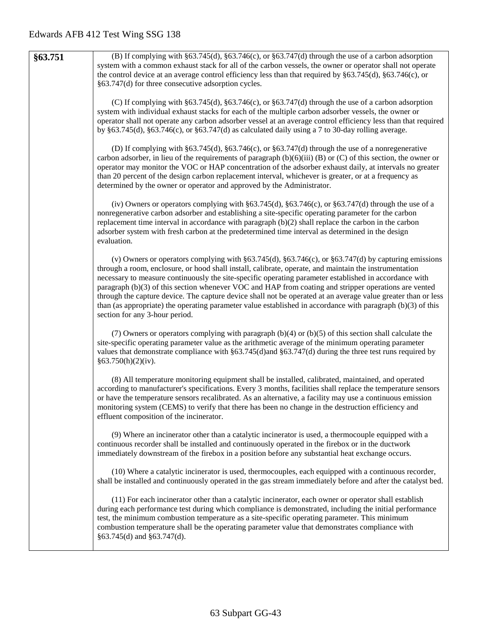| §63.751 | (B) If complying with $\S 63.745(d)$ , $\S 63.746(c)$ , or $\S 63.747(d)$ through the use of a carbon adsorption    |
|---------|---------------------------------------------------------------------------------------------------------------------|
|         | system with a common exhaust stack for all of the carbon vessels, the owner or operator shall not operate           |
|         | the control device at an average control efficiency less than that required by $\S 63.745(d)$ , $\S 63.746(c)$ , or |
|         |                                                                                                                     |
|         | §63.747(d) for three consecutive adsorption cycles.                                                                 |
|         |                                                                                                                     |
|         | (C) If complying with $\S63.745(d)$ , $\S63.746(c)$ , or $\S63.747(d)$ through the use of a carbon adsorption       |
|         | system with individual exhaust stacks for each of the multiple carbon adsorber vessels, the owner or                |
|         | operator shall not operate any carbon adsorber vessel at an average control efficiency less than that required      |
|         | by §63.745(d), §63.746(c), or §63.747(d) as calculated daily using a 7 to 30-day rolling average.                   |
|         |                                                                                                                     |
|         | (D) If complying with $\S 63.745(d)$ , $\S 63.746(c)$ , or $\S 63.747(d)$ through the use of a nonregenerative      |
|         | carbon adsorber, in lieu of the requirements of paragraph $(b)(6)(iii)$ (B) or (C) of this section, the owner or    |
|         |                                                                                                                     |
|         | operator may monitor the VOC or HAP concentration of the adsorber exhaust daily, at intervals no greater            |
|         | than 20 percent of the design carbon replacement interval, whichever is greater, or at a frequency as               |
|         | determined by the owner or operator and approved by the Administrator.                                              |
|         |                                                                                                                     |
|         | (iv) Owners or operators complying with $\S 63.745(d)$ , $\S 63.746(c)$ , or $\S 63.747(d)$ through the use of a    |
|         | nonregenerative carbon adsorber and establishing a site-specific operating parameter for the carbon                 |
|         | replacement time interval in accordance with paragraph $(b)(2)$ shall replace the carbon in the carbon              |
|         | adsorber system with fresh carbon at the predetermined time interval as determined in the design                    |
|         | evaluation.                                                                                                         |
|         |                                                                                                                     |
|         |                                                                                                                     |
|         | (v) Owners or operators complying with $\S 63.745(d)$ , $\S 63.746(c)$ , or $\S 63.747(d)$ by capturing emissions   |
|         | through a room, enclosure, or hood shall install, calibrate, operate, and maintain the instrumentation              |
|         | necessary to measure continuously the site-specific operating parameter established in accordance with              |
|         | paragraph (b)(3) of this section whenever VOC and HAP from coating and stripper operations are vented               |
|         | through the capture device. The capture device shall not be operated at an average value greater than or less       |
|         | than (as appropriate) the operating parameter value established in accordance with paragraph (b)(3) of this         |
|         | section for any 3-hour period.                                                                                      |
|         |                                                                                                                     |
|         | (7) Owners or operators complying with paragraph $(b)(4)$ or $(b)(5)$ of this section shall calculate the           |
|         | site-specific operating parameter value as the arithmetic average of the minimum operating parameter                |
|         | values that demonstrate compliance with $\S 63.745(d)$ and $\S 63.747(d)$ during the three test runs required by    |
|         |                                                                                                                     |
|         | §63.750(h)(2)(iv).                                                                                                  |
|         |                                                                                                                     |
|         | (8) All temperature monitoring equipment shall be installed, calibrated, maintained, and operated                   |
|         | according to manufacturer's specifications. Every 3 months, facilities shall replace the temperature sensors        |
|         | or have the temperature sensors recalibrated. As an alternative, a facility may use a continuous emission           |
|         | monitoring system (CEMS) to verify that there has been no change in the destruction efficiency and                  |
|         | effluent composition of the incinerator.                                                                            |
|         |                                                                                                                     |
|         | (9) Where an incinerator other than a catalytic incinerator is used, a thermocouple equipped with a                 |
|         | continuous recorder shall be installed and continuously operated in the firebox or in the ductwork                  |
|         | immediately downstream of the firebox in a position before any substantial heat exchange occurs.                    |
|         |                                                                                                                     |
|         | (10) Where a catalytic incinerator is used, thermocouples, each equipped with a continuous recorder,                |
|         |                                                                                                                     |
|         | shall be installed and continuously operated in the gas stream immediately before and after the catalyst bed.       |
|         |                                                                                                                     |
|         | (11) For each incinerator other than a catalytic incinerator, each owner or operator shall establish                |
|         | during each performance test during which compliance is demonstrated, including the initial performance             |
|         | test, the minimum combustion temperature as a site-specific operating parameter. This minimum                       |
|         | combustion temperature shall be the operating parameter value that demonstrates compliance with                     |
|         | §63.745(d) and §63.747(d).                                                                                          |
|         |                                                                                                                     |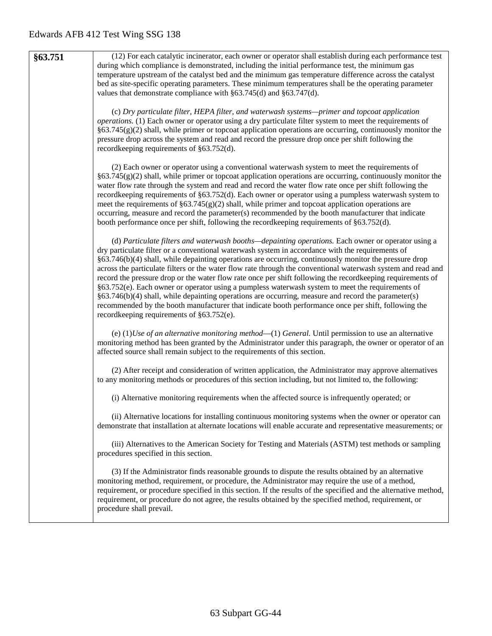| §63.751 | (12) For each catalytic incinerator, each owner or operator shall establish during each performance test                                                                                                                             |
|---------|--------------------------------------------------------------------------------------------------------------------------------------------------------------------------------------------------------------------------------------|
|         | during which compliance is demonstrated, including the initial performance test, the minimum gas                                                                                                                                     |
|         | temperature upstream of the catalyst bed and the minimum gas temperature difference across the catalyst                                                                                                                              |
|         | bed as site-specific operating parameters. These minimum temperatures shall be the operating parameter                                                                                                                               |
|         | values that demonstrate compliance with $\S 63.745(d)$ and $\S 63.747(d)$ .                                                                                                                                                          |
|         | (c) Dry particulate filter, HEPA filter, and waterwash systems—primer and topcoat application                                                                                                                                        |
|         | <i>operations.</i> (1) Each owner or operator using a dry particulate filter system to meet the requirements of                                                                                                                      |
|         | §63.745(g)(2) shall, while primer or topcoat application operations are occurring, continuously monitor the                                                                                                                          |
|         | pressure drop across the system and read and record the pressure drop once per shift following the<br>recordkeeping requirements of §63.752(d).                                                                                      |
|         |                                                                                                                                                                                                                                      |
|         | (2) Each owner or operator using a conventional waterwash system to meet the requirements of                                                                                                                                         |
|         | $\S63.745(g)(2)$ shall, while primer or topcoat application operations are occurring, continuously monitor the                                                                                                                       |
|         | water flow rate through the system and read and record the water flow rate once per shift following the                                                                                                                              |
|         | recordkeeping requirements of §63.752(d). Each owner or operator using a pumpless waterwash system to<br>meet the requirements of $\S63.745(g)(2)$ shall, while primer and topcoat application operations are                        |
|         | occurring, measure and record the parameter(s) recommended by the booth manufacturer that indicate                                                                                                                                   |
|         | booth performance once per shift, following the recordkeeping requirements of §63.752(d).                                                                                                                                            |
|         | (d) Particulate filters and waterwash booths—depainting operations. Each owner or operator using a                                                                                                                                   |
|         | dry particulate filter or a conventional waterwash system in accordance with the requirements of                                                                                                                                     |
|         | §63.746(b)(4) shall, while depainting operations are occurring, continuously monitor the pressure drop                                                                                                                               |
|         | across the particulate filters or the water flow rate through the conventional waterwash system and read and                                                                                                                         |
|         | record the pressure drop or the water flow rate once per shift following the recordkeeping requirements of                                                                                                                           |
|         | §63.752(e). Each owner or operator using a pumpless waterwash system to meet the requirements of<br>$§63.746(b)(4)$ shall, while depainting operations are occurring, measure and record the parameter(s)                            |
|         | recommended by the booth manufacturer that indicate booth performance once per shift, following the                                                                                                                                  |
|         | recordkeeping requirements of §63.752(e).                                                                                                                                                                                            |
|         |                                                                                                                                                                                                                                      |
|         | (e) $(1)$ <i>Use of an alternative monitoring method</i> — $(1)$ <i>General.</i> Until permission to use an alternative<br>monitoring method has been granted by the Administrator under this paragraph, the owner or operator of an |
|         | affected source shall remain subject to the requirements of this section.                                                                                                                                                            |
|         |                                                                                                                                                                                                                                      |
|         | (2) After receipt and consideration of written application, the Administrator may approve alternatives                                                                                                                               |
|         | to any monitoring methods or procedures of this section including, but not limited to, the following:                                                                                                                                |
|         | (i) Alternative monitoring requirements when the affected source is infrequently operated; or                                                                                                                                        |
|         | (ii) Alternative locations for installing continuous monitoring systems when the owner or operator can                                                                                                                               |
|         | demonstrate that installation at alternate locations will enable accurate and representative measurements; or                                                                                                                        |
|         |                                                                                                                                                                                                                                      |
|         | (iii) Alternatives to the American Society for Testing and Materials (ASTM) test methods or sampling<br>procedures specified in this section.                                                                                        |
|         |                                                                                                                                                                                                                                      |
|         | (3) If the Administrator finds reasonable grounds to dispute the results obtained by an alternative                                                                                                                                  |
|         | monitoring method, requirement, or procedure, the Administrator may require the use of a method,                                                                                                                                     |
|         | requirement, or procedure specified in this section. If the results of the specified and the alternative method,<br>requirement, or procedure do not agree, the results obtained by the specified method, requirement, or            |
|         | procedure shall prevail.                                                                                                                                                                                                             |
|         |                                                                                                                                                                                                                                      |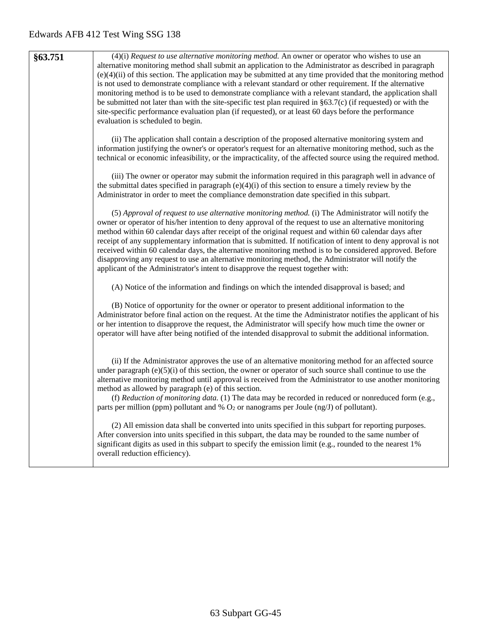| \$63.751 | $(4)(i)$ Request to use alternative monitoring method. An owner or operator who wishes to use an                 |
|----------|------------------------------------------------------------------------------------------------------------------|
|          | alternative monitoring method shall submit an application to the Administrator as described in paragraph         |
|          | $(e)(4)(ii)$ of this section. The application may be submitted at any time provided that the monitoring method   |
|          | is not used to demonstrate compliance with a relevant standard or other requirement. If the alternative          |
|          | monitoring method is to be used to demonstrate compliance with a relevant standard, the application shall        |
|          | be submitted not later than with the site-specific test plan required in $\S 63.7(c)$ (if requested) or with the |
|          | site-specific performance evaluation plan (if requested), or at least 60 days before the performance             |
|          | evaluation is scheduled to begin.                                                                                |
|          |                                                                                                                  |

(ii) The application shall contain a description of the proposed alternative monitoring system and information justifying the owner's or operator's request for an alternative monitoring method, such as the technical or economic infeasibility, or the impracticality, of the affected source using the required method.

(iii) The owner or operator may submit the information required in this paragraph well in advance of the submittal dates specified in paragraph  $(e)(4)(i)$  of this section to ensure a timely review by the Administrator in order to meet the compliance demonstration date specified in this subpart.

(5) *Approval of request to use alternative monitoring method.* (i) The Administrator will notify the owner or operator of his/her intention to deny approval of the request to use an alternative monitoring method within 60 calendar days after receipt of the original request and within 60 calendar days after receipt of any supplementary information that is submitted. If notification of intent to deny approval is not received within 60 calendar days, the alternative monitoring method is to be considered approved. Before disapproving any request to use an alternative monitoring method, the Administrator will notify the applicant of the Administrator's intent to disapprove the request together with:

(A) Notice of the information and findings on which the intended disapproval is based; and

(B) Notice of opportunity for the owner or operator to present additional information to the Administrator before final action on the request. At the time the Administrator notifies the applicant of his or her intention to disapprove the request, the Administrator will specify how much time the owner or operator will have after being notified of the intended disapproval to submit the additional information.

(ii) If the Administrator approves the use of an alternative monitoring method for an affected source under paragraph  $(e)(5)(i)$  of this section, the owner or operator of such source shall continue to use the alternative monitoring method until approval is received from the Administrator to use another monitoring method as allowed by paragraph (e) of this section.

(f) *Reduction of monitoring data.* (1) The data may be recorded in reduced or nonreduced form (e.g., parts per million (ppm) pollutant and  $%$  O<sub>2</sub> or nanograms per Joule (ng/J) of pollutant).

(2) All emission data shall be converted into units specified in this subpart for reporting purposes. After conversion into units specified in this subpart, the data may be rounded to the same number of significant digits as used in this subpart to specify the emission limit (e.g., rounded to the nearest 1%) overall reduction efficiency).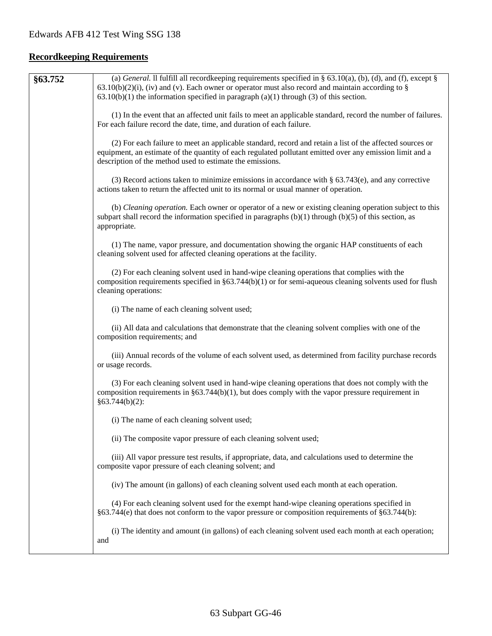# **Recordkeeping Requirements**

| §63.752 | (a) General. Il fulfill all record keeping requirements specified in § 63.10(a), (b), (d), and (f), except §<br>$63.10(b)(2)(i)$ , (iv) and (v). Each owner or operator must also record and maintain according to §                                                              |
|---------|-----------------------------------------------------------------------------------------------------------------------------------------------------------------------------------------------------------------------------------------------------------------------------------|
|         | $63.10(b)(1)$ the information specified in paragraph $(a)(1)$ through $(3)$ of this section.                                                                                                                                                                                      |
|         | (1) In the event that an affected unit fails to meet an applicable standard, record the number of failures.<br>For each failure record the date, time, and duration of each failure.                                                                                              |
|         | (2) For each failure to meet an applicable standard, record and retain a list of the affected sources or<br>equipment, an estimate of the quantity of each regulated pollutant emitted over any emission limit and a<br>description of the method used to estimate the emissions. |
|         | (3) Record actions taken to minimize emissions in accordance with $\S$ 63.743(e), and any corrective<br>actions taken to return the affected unit to its normal or usual manner of operation.                                                                                     |
|         | (b) Cleaning operation. Each owner or operator of a new or existing cleaning operation subject to this<br>subpart shall record the information specified in paragraphs $(b)(1)$ through $(b)(5)$ of this section, as<br>appropriate.                                              |
|         | (1) The name, vapor pressure, and documentation showing the organic HAP constituents of each<br>cleaning solvent used for affected cleaning operations at the facility.                                                                                                           |
|         | (2) For each cleaning solvent used in hand-wipe cleaning operations that complies with the<br>composition requirements specified in $\S 63.744(b)(1)$ or for semi-aqueous cleaning solvents used for flush<br>cleaning operations:                                                |
|         | (i) The name of each cleaning solvent used;                                                                                                                                                                                                                                       |
|         | (ii) All data and calculations that demonstrate that the cleaning solvent complies with one of the<br>composition requirements; and                                                                                                                                               |
|         | (iii) Annual records of the volume of each solvent used, as determined from facility purchase records<br>or usage records.                                                                                                                                                        |
|         | (3) For each cleaning solvent used in hand-wipe cleaning operations that does not comply with the<br>composition requirements in $\S63.744(b)(1)$ , but does comply with the vapor pressure requirement in<br>§63.744(b)(2):                                                      |
|         | (i) The name of each cleaning solvent used;                                                                                                                                                                                                                                       |
|         | (ii) The composite vapor pressure of each cleaning solvent used;                                                                                                                                                                                                                  |
|         | (iii) All vapor pressure test results, if appropriate, data, and calculations used to determine the<br>composite vapor pressure of each cleaning solvent; and                                                                                                                     |
|         | (iv) The amount (in gallons) of each cleaning solvent used each month at each operation.                                                                                                                                                                                          |
|         | (4) For each cleaning solvent used for the exempt hand-wipe cleaning operations specified in<br>$§63.744(e)$ that does not conform to the vapor pressure or composition requirements of $§63.744(b)$ :                                                                            |
|         | (i) The identity and amount (in gallons) of each cleaning solvent used each month at each operation;<br>and                                                                                                                                                                       |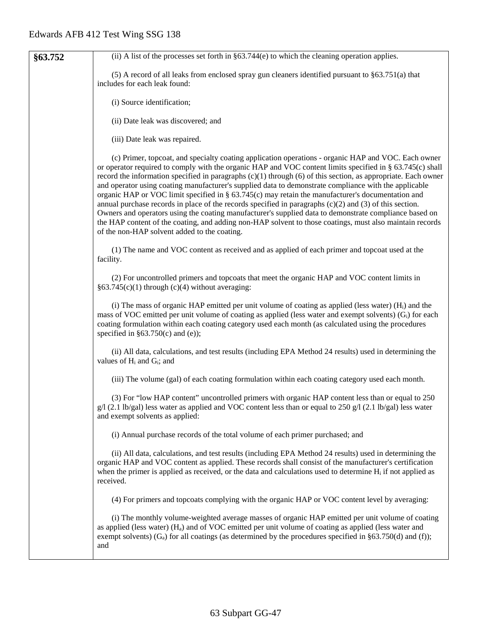| §63.752 | (ii) A list of the processes set forth in $\S 63.744(e)$ to which the cleaning operation applies.                                                                                                                                                                                                                                                                                                                                                                                                                                                                                                                                                                                                                                                                                                                                                                                                                                           |
|---------|---------------------------------------------------------------------------------------------------------------------------------------------------------------------------------------------------------------------------------------------------------------------------------------------------------------------------------------------------------------------------------------------------------------------------------------------------------------------------------------------------------------------------------------------------------------------------------------------------------------------------------------------------------------------------------------------------------------------------------------------------------------------------------------------------------------------------------------------------------------------------------------------------------------------------------------------|
|         | (5) A record of all leaks from enclosed spray gun cleaners identified pursuant to §63.751(a) that<br>includes for each leak found:                                                                                                                                                                                                                                                                                                                                                                                                                                                                                                                                                                                                                                                                                                                                                                                                          |
|         | (i) Source identification;                                                                                                                                                                                                                                                                                                                                                                                                                                                                                                                                                                                                                                                                                                                                                                                                                                                                                                                  |
|         | (ii) Date leak was discovered; and                                                                                                                                                                                                                                                                                                                                                                                                                                                                                                                                                                                                                                                                                                                                                                                                                                                                                                          |
|         | (iii) Date leak was repaired.                                                                                                                                                                                                                                                                                                                                                                                                                                                                                                                                                                                                                                                                                                                                                                                                                                                                                                               |
|         | (c) Primer, topcoat, and specialty coating application operations - organic HAP and VOC. Each owner<br>or operator required to comply with the organic HAP and VOC content limits specified in § 63.745(c) shall<br>record the information specified in paragraphs $(c)(1)$ through $(6)$ of this section, as appropriate. Each owner<br>and operator using coating manufacturer's supplied data to demonstrate compliance with the applicable<br>organic HAP or VOC limit specified in $\S$ 63.745(c) may retain the manufacturer's documentation and<br>annual purchase records in place of the records specified in paragraphs $(c)(2)$ and $(3)$ of this section.<br>Owners and operators using the coating manufacturer's supplied data to demonstrate compliance based on<br>the HAP content of the coating, and adding non-HAP solvent to those coatings, must also maintain records<br>of the non-HAP solvent added to the coating. |
|         | (1) The name and VOC content as received and as applied of each primer and topcoat used at the<br>facility.                                                                                                                                                                                                                                                                                                                                                                                                                                                                                                                                                                                                                                                                                                                                                                                                                                 |
|         | (2) For uncontrolled primers and topcoats that meet the organic HAP and VOC content limits in<br>$§63.745(c)(1)$ through (c)(4) without averaging:                                                                                                                                                                                                                                                                                                                                                                                                                                                                                                                                                                                                                                                                                                                                                                                          |
|         | (i) The mass of organic HAP emitted per unit volume of coating as applied (less water) $(Hi)$ and the<br>mass of VOC emitted per unit volume of coating as applied (less water and exempt solvents) (G <sub>i</sub> ) for each<br>coating formulation within each coating category used each month (as calculated using the procedures<br>specified in $§63.750(c)$ and (e));                                                                                                                                                                                                                                                                                                                                                                                                                                                                                                                                                               |
|         | (ii) All data, calculations, and test results (including EPA Method 24 results) used in determining the<br>values of H <sub>i</sub> and G <sub>i</sub> ; and                                                                                                                                                                                                                                                                                                                                                                                                                                                                                                                                                                                                                                                                                                                                                                                |
|         | (iii) The volume (gal) of each coating formulation within each coating category used each month.                                                                                                                                                                                                                                                                                                                                                                                                                                                                                                                                                                                                                                                                                                                                                                                                                                            |
|         | (3) For "low HAP content" uncontrolled primers with organic HAP content less than or equal to 250<br>$g/1$ (2.1 lb/gal) less water as applied and VOC content less than or equal to 250 g/l (2.1 lb/gal) less water<br>and exempt solvents as applied:                                                                                                                                                                                                                                                                                                                                                                                                                                                                                                                                                                                                                                                                                      |
|         | (i) Annual purchase records of the total volume of each primer purchased; and                                                                                                                                                                                                                                                                                                                                                                                                                                                                                                                                                                                                                                                                                                                                                                                                                                                               |
|         | (ii) All data, calculations, and test results (including EPA Method 24 results) used in determining the<br>organic HAP and VOC content as applied. These records shall consist of the manufacturer's certification<br>when the primer is applied as received, or the data and calculations used to determine $H_i$ if not applied as<br>received.                                                                                                                                                                                                                                                                                                                                                                                                                                                                                                                                                                                           |
|         | (4) For primers and topcoats complying with the organic HAP or VOC content level by averaging:                                                                                                                                                                                                                                                                                                                                                                                                                                                                                                                                                                                                                                                                                                                                                                                                                                              |
|         | (i) The monthly volume-weighted average masses of organic HAP emitted per unit volume of coating<br>as applied (less water) $(H_a)$ and of VOC emitted per unit volume of coating as applied (less water and<br>exempt solvents) ( $G_a$ ) for all coatings (as determined by the procedures specified in §63.750(d) and (f));<br>and                                                                                                                                                                                                                                                                                                                                                                                                                                                                                                                                                                                                       |
|         |                                                                                                                                                                                                                                                                                                                                                                                                                                                                                                                                                                                                                                                                                                                                                                                                                                                                                                                                             |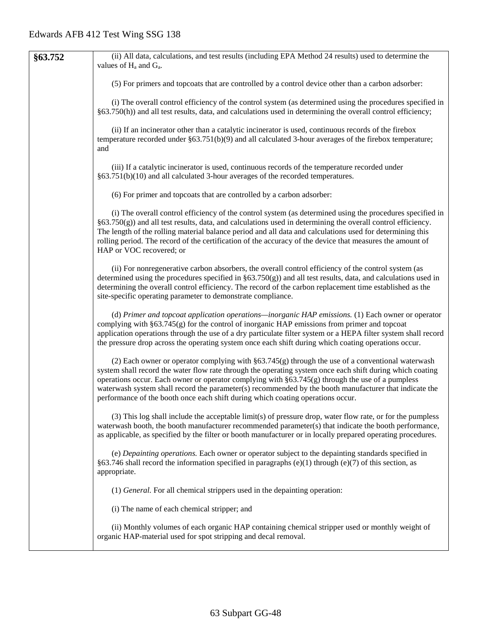| §63.752 | (ii) All data, calculations, and test results (including EPA Method 24 results) used to determine the<br>values of H <sub>a</sub> and G <sub>a</sub> .                                                                                                                                                                                                                                                                                                                                                                |
|---------|-----------------------------------------------------------------------------------------------------------------------------------------------------------------------------------------------------------------------------------------------------------------------------------------------------------------------------------------------------------------------------------------------------------------------------------------------------------------------------------------------------------------------|
|         | (5) For primers and topcoats that are controlled by a control device other than a carbon adsorber:                                                                                                                                                                                                                                                                                                                                                                                                                    |
|         | (i) The overall control efficiency of the control system (as determined using the procedures specified in<br>§63.750(h)) and all test results, data, and calculations used in determining the overall control efficiency;                                                                                                                                                                                                                                                                                             |
|         | (ii) If an incinerator other than a catalytic incinerator is used, continuous records of the firebox<br>temperature recorded under $\S63.751(b)(9)$ and all calculated 3-hour averages of the firebox temperature;<br>and                                                                                                                                                                                                                                                                                             |
|         | (iii) If a catalytic incinerator is used, continuous records of the temperature recorded under<br>§63.751(b)(10) and all calculated 3-hour averages of the recorded temperatures.                                                                                                                                                                                                                                                                                                                                     |
|         | (6) For primer and topcoats that are controlled by a carbon adsorber:                                                                                                                                                                                                                                                                                                                                                                                                                                                 |
|         | (i) The overall control efficiency of the control system (as determined using the procedures specified in<br>$\S63.750(g)$ ) and all test results, data, and calculations used in determining the overall control efficiency.<br>The length of the rolling material balance period and all data and calculations used for determining this<br>rolling period. The record of the certification of the accuracy of the device that measures the amount of<br>HAP or VOC recovered; or                                   |
|         | (ii) For nonregenerative carbon absorbers, the overall control efficiency of the control system (as<br>determined using the procedures specified in $\S 63.750(g)$ and all test results, data, and calculations used in<br>determining the overall control efficiency. The record of the carbon replacement time established as the<br>site-specific operating parameter to demonstrate compliance.                                                                                                                   |
|         | (d) Primer and topcoat application operations-inorganic HAP emissions. (1) Each owner or operator<br>complying with §63.745(g) for the control of inorganic HAP emissions from primer and topcoat<br>application operations through the use of a dry particulate filter system or a HEPA filter system shall record<br>the pressure drop across the operating system once each shift during which coating operations occur.                                                                                           |
|         | (2) Each owner or operator complying with $\S63.745(g)$ through the use of a conventional waterwash<br>system shall record the water flow rate through the operating system once each shift during which coating<br>operations occur. Each owner or operator complying with $\S 63.745(g)$ through the use of a pumpless<br>waterwash system shall record the parameter(s) recommended by the booth manufacturer that indicate the<br>performance of the booth once each shift during which coating operations occur. |
|         | (3) This log shall include the acceptable limit(s) of pressure drop, water flow rate, or for the pumpless<br>waterwash booth, the booth manufacturer recommended parameter(s) that indicate the booth performance,<br>as applicable, as specified by the filter or booth manufacturer or in locally prepared operating procedures.                                                                                                                                                                                    |
|         | (e) Depainting operations. Each owner or operator subject to the depainting standards specified in<br>§63.746 shall record the information specified in paragraphs (e)(1) through (e)(7) of this section, as<br>appropriate.                                                                                                                                                                                                                                                                                          |
|         | (1) General. For all chemical strippers used in the depainting operation:                                                                                                                                                                                                                                                                                                                                                                                                                                             |
|         | (i) The name of each chemical stripper; and                                                                                                                                                                                                                                                                                                                                                                                                                                                                           |
|         | (ii) Monthly volumes of each organic HAP containing chemical stripper used or monthly weight of<br>organic HAP-material used for spot stripping and decal removal.                                                                                                                                                                                                                                                                                                                                                    |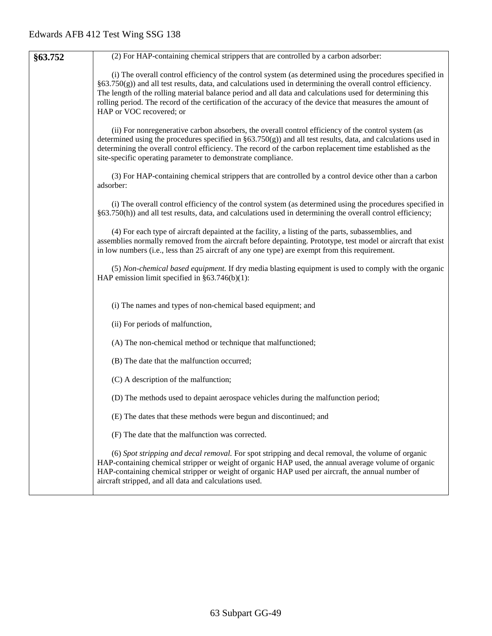| §63.752 | (2) For HAP-containing chemical strippers that are controlled by a carbon adsorber:                                                                                                                                                                                                                                                                                                                                                                                                 |
|---------|-------------------------------------------------------------------------------------------------------------------------------------------------------------------------------------------------------------------------------------------------------------------------------------------------------------------------------------------------------------------------------------------------------------------------------------------------------------------------------------|
|         | (i) The overall control efficiency of the control system (as determined using the procedures specified in<br>$\S63.750(g)$ ) and all test results, data, and calculations used in determining the overall control efficiency.<br>The length of the rolling material balance period and all data and calculations used for determining this<br>rolling period. The record of the certification of the accuracy of the device that measures the amount of<br>HAP or VOC recovered; or |
|         | (ii) For nonregenerative carbon absorbers, the overall control efficiency of the control system (as<br>determined using the procedures specified in $\S 63.750(g)$ and all test results, data, and calculations used in<br>determining the overall control efficiency. The record of the carbon replacement time established as the<br>site-specific operating parameter to demonstrate compliance.                                                                                 |
|         | (3) For HAP-containing chemical strippers that are controlled by a control device other than a carbon<br>adsorber:                                                                                                                                                                                                                                                                                                                                                                  |
|         | (i) The overall control efficiency of the control system (as determined using the procedures specified in<br>§63.750(h)) and all test results, data, and calculations used in determining the overall control efficiency;                                                                                                                                                                                                                                                           |
|         | (4) For each type of aircraft depainted at the facility, a listing of the parts, subassemblies, and<br>assemblies normally removed from the aircraft before depainting. Prototype, test model or aircraft that exist<br>in low numbers (i.e., less than 25 aircraft of any one type) are exempt from this requirement.                                                                                                                                                              |
|         | (5) Non-chemical based equipment. If dry media blasting equipment is used to comply with the organic<br>HAP emission limit specified in $§63.746(b)(1)$ :                                                                                                                                                                                                                                                                                                                           |
|         | (i) The names and types of non-chemical based equipment; and                                                                                                                                                                                                                                                                                                                                                                                                                        |
|         | (ii) For periods of malfunction,                                                                                                                                                                                                                                                                                                                                                                                                                                                    |
|         | (A) The non-chemical method or technique that malfunctioned;                                                                                                                                                                                                                                                                                                                                                                                                                        |
|         | (B) The date that the malfunction occurred;                                                                                                                                                                                                                                                                                                                                                                                                                                         |
|         | (C) A description of the malfunction;                                                                                                                                                                                                                                                                                                                                                                                                                                               |
|         | (D) The methods used to depaint aerospace vehicles during the malfunction period;                                                                                                                                                                                                                                                                                                                                                                                                   |
|         | (E) The dates that these methods were begun and discontinued; and                                                                                                                                                                                                                                                                                                                                                                                                                   |
|         | (F) The date that the malfunction was corrected.                                                                                                                                                                                                                                                                                                                                                                                                                                    |
|         | (6) Spot stripping and decal removal. For spot stripping and decal removal, the volume of organic<br>HAP-containing chemical stripper or weight of organic HAP used, the annual average volume of organic<br>HAP-containing chemical stripper or weight of organic HAP used per aircraft, the annual number of<br>aircraft stripped, and all data and calculations used.                                                                                                            |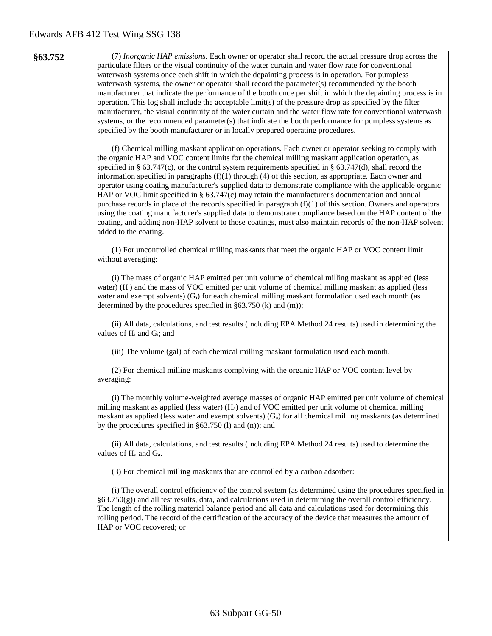**§63.752** (7) *Inorganic HAP emissions.* Each owner or operator shall record the actual pressure drop across the particulate filters or the visual continuity of the water curtain and water flow rate for conventional waterwash systems once each shift in which the depainting process is in operation. For pumpless waterwash systems, the owner or operator shall record the parameter(s) recommended by the booth manufacturer that indicate the performance of the booth once per shift in which the depainting process is in operation. This log shall include the acceptable limit(s) of the pressure drop as specified by the filter manufacturer, the visual continuity of the water curtain and the water flow rate for conventional waterwash systems, or the recommended parameter(s) that indicate the booth performance for pumpless systems as specified by the booth manufacturer or in locally prepared operating procedures.

> (f) Chemical milling maskant application operations. Each owner or operator seeking to comply with the organic HAP and VOC content limits for the chemical milling maskant application operation, as specified in § 63.747(c), or the control system requirements specified in § 63.747(d), shall record the information specified in paragraphs  $(f)(1)$  through  $(4)$  of this section, as appropriate. Each owner and operator using coating manufacturer's supplied data to demonstrate compliance with the applicable organic HAP or VOC limit specified in § 63.747(c) may retain the manufacturer's documentation and annual purchase records in place of the records specified in paragraph  $(f)(1)$  of this section. Owners and operators using the coating manufacturer's supplied data to demonstrate compliance based on the HAP content of the coating, and adding non-HAP solvent to those coatings, must also maintain records of the non-HAP solvent added to the coating.

(1) For uncontrolled chemical milling maskants that meet the organic HAP or VOC content limit without averaging:

(i) The mass of organic HAP emitted per unit volume of chemical milling maskant as applied (less water) (Hi) and the mass of VOC emitted per unit volume of chemical milling maskant as applied (less water and exempt solvents)  $(G_i)$  for each chemical milling maskant formulation used each month (as determined by the procedures specified in §63.750 (k) and (m));

(ii) All data, calculations, and test results (including EPA Method 24 results) used in determining the values of  $H_i$  and  $G_i$ ; and

(iii) The volume (gal) of each chemical milling maskant formulation used each month.

(2) For chemical milling maskants complying with the organic HAP or VOC content level by averaging:

(i) The monthly volume-weighted average masses of organic HAP emitted per unit volume of chemical milling maskant as applied (less water)  $(H_a)$  and of VOC emitted per unit volume of chemical milling maskant as applied (less water and exempt solvents)  $(G_a)$  for all chemical milling maskants (as determined by the procedures specified in §63.750 (l) and (n)); and

(ii) All data, calculations, and test results (including EPA Method 24 results) used to determine the values of  $H_a$  and  $G_a$ .

(3) For chemical milling maskants that are controlled by a carbon adsorber:

(i) The overall control efficiency of the control system (as determined using the procedures specified in §63.750(g)) and all test results, data, and calculations used in determining the overall control efficiency. The length of the rolling material balance period and all data and calculations used for determining this rolling period. The record of the certification of the accuracy of the device that measures the amount of HAP or VOC recovered; or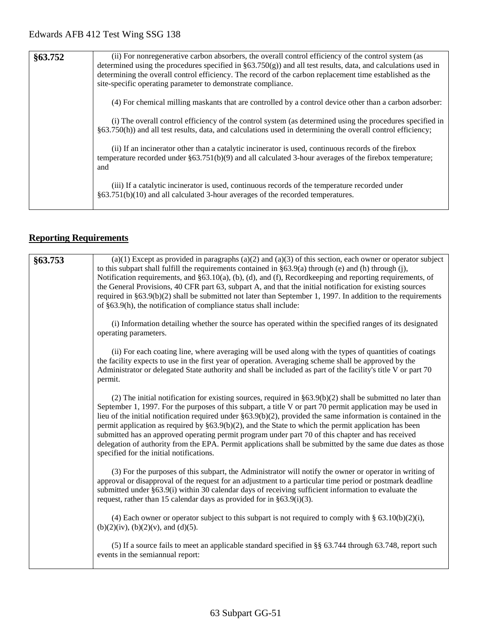| §63.752 | (ii) For nonregenerative carbon absorbers, the overall control efficiency of the control system (as<br>determined using the procedures specified in $\S 63.750(g)$ and all test results, data, and calculations used in<br>determining the overall control efficiency. The record of the carbon replacement time established as the<br>site-specific operating parameter to demonstrate compliance. |
|---------|-----------------------------------------------------------------------------------------------------------------------------------------------------------------------------------------------------------------------------------------------------------------------------------------------------------------------------------------------------------------------------------------------------|
|         | (4) For chemical milling maskants that are controlled by a control device other than a carbon adsorber:                                                                                                                                                                                                                                                                                             |
|         | (i) The overall control efficiency of the control system (as determined using the procedures specified in<br>$§$ 63.750(h)) and all test results, data, and calculations used in determining the overall control efficiency;                                                                                                                                                                        |
|         | (ii) If an incinerator other than a catalytic incinerator is used, continuous records of the firebox<br>temperature recorded under $\S 63.751(b)(9)$ and all calculated 3-hour averages of the firebox temperature;<br>and                                                                                                                                                                          |
|         | (iii) If a catalytic incinerator is used, continuous records of the temperature recorded under<br>$§63.751(b)(10)$ and all calculated 3-hour averages of the recorded temperatures.                                                                                                                                                                                                                 |

# **Reporting Requirements**

| §63.753 | $(a)(1)$ Except as provided in paragraphs $(a)(2)$ and $(a)(3)$ of this section, each owner or operator subject<br>to this subpart shall fulfill the requirements contained in $\S 63.9(a)$ through (e) and (h) through (j),<br>Notification requirements, and §63.10(a), (b), (d), and (f), Recordkeeping and reporting requirements, of<br>the General Provisions, 40 CFR part 63, subpart A, and that the initial notification for existing sources<br>required in $\S 63.9(b)(2)$ shall be submitted not later than September 1, 1997. In addition to the requirements<br>of §63.9(h), the notification of compliance status shall include:                                                                                     |
|---------|-------------------------------------------------------------------------------------------------------------------------------------------------------------------------------------------------------------------------------------------------------------------------------------------------------------------------------------------------------------------------------------------------------------------------------------------------------------------------------------------------------------------------------------------------------------------------------------------------------------------------------------------------------------------------------------------------------------------------------------|
|         | (i) Information detailing whether the source has operated within the specified ranges of its designated<br>operating parameters.                                                                                                                                                                                                                                                                                                                                                                                                                                                                                                                                                                                                    |
|         | (ii) For each coating line, where averaging will be used along with the types of quantities of coatings<br>the facility expects to use in the first year of operation. Averaging scheme shall be approved by the<br>Administrator or delegated State authority and shall be included as part of the facility's title V or part 70<br>permit.                                                                                                                                                                                                                                                                                                                                                                                        |
|         | (2) The initial notification for existing sources, required in $\S 63.9(b)(2)$ shall be submitted no later than<br>September 1, 1997. For the purposes of this subpart, a title V or part 70 permit application may be used in<br>lieu of the initial notification required under $\S 63.9(b)(2)$ , provided the same information is contained in the<br>permit application as required by $\S 63.9(b)(2)$ , and the State to which the permit application has been<br>submitted has an approved operating permit program under part 70 of this chapter and has received<br>delegation of authority from the EPA. Permit applications shall be submitted by the same due dates as those<br>specified for the initial notifications. |
|         | (3) For the purposes of this subpart, the Administrator will notify the owner or operator in writing of<br>approval or disapproval of the request for an adjustment to a particular time period or postmark deadline<br>submitted under §63.9(i) within 30 calendar days of receiving sufficient information to evaluate the<br>request, rather than 15 calendar days as provided for in $\S 63.9(i)(3)$ .                                                                                                                                                                                                                                                                                                                          |
|         | (4) Each owner or operator subject to this subpart is not required to comply with § $63.10(b)(2)(i)$ ,<br>$(b)(2)(iv)$ , $(b)(2)(v)$ , and $(d)(5)$ .                                                                                                                                                                                                                                                                                                                                                                                                                                                                                                                                                                               |
|         | (5) If a source fails to meet an applicable standard specified in §§ 63.744 through 63.748, report such<br>events in the semiannual report:                                                                                                                                                                                                                                                                                                                                                                                                                                                                                                                                                                                         |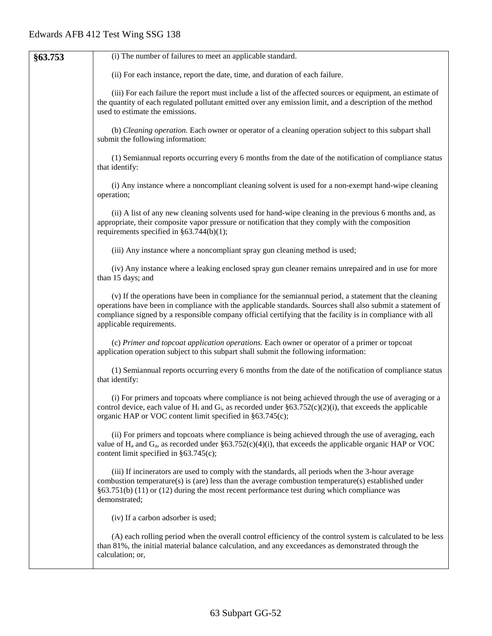| §63.753 | (i) The number of failures to meet an applicable standard.                                                                                                                                                                                                                                                                                                     |
|---------|----------------------------------------------------------------------------------------------------------------------------------------------------------------------------------------------------------------------------------------------------------------------------------------------------------------------------------------------------------------|
|         | (ii) For each instance, report the date, time, and duration of each failure.                                                                                                                                                                                                                                                                                   |
|         | (iii) For each failure the report must include a list of the affected sources or equipment, an estimate of<br>the quantity of each regulated pollutant emitted over any emission limit, and a description of the method<br>used to estimate the emissions.                                                                                                     |
|         | (b) Cleaning operation. Each owner or operator of a cleaning operation subject to this subpart shall<br>submit the following information:                                                                                                                                                                                                                      |
|         | (1) Semiannual reports occurring every 6 months from the date of the notification of compliance status<br>that identify:                                                                                                                                                                                                                                       |
|         | (i) Any instance where a noncompliant cleaning solvent is used for a non-exempt hand-wipe cleaning<br>operation;                                                                                                                                                                                                                                               |
|         | (ii) A list of any new cleaning solvents used for hand-wipe cleaning in the previous 6 months and, as<br>appropriate, their composite vapor pressure or notification that they comply with the composition<br>requirements specified in $\S 63.744(b)(1)$ ;                                                                                                    |
|         | (iii) Any instance where a noncompliant spray gun cleaning method is used;                                                                                                                                                                                                                                                                                     |
|         | (iv) Any instance where a leaking enclosed spray gun cleaner remains unrepaired and in use for more<br>than 15 days; and                                                                                                                                                                                                                                       |
|         | (v) If the operations have been in compliance for the semiannual period, a statement that the cleaning<br>operations have been in compliance with the applicable standards. Sources shall also submit a statement of<br>compliance signed by a responsible company official certifying that the facility is in compliance with all<br>applicable requirements. |
|         | (c) Primer and topcoat application operations. Each owner or operator of a primer or topcoat<br>application operation subject to this subpart shall submit the following information:                                                                                                                                                                          |
|         | (1) Semiannual reports occurring every 6 months from the date of the notification of compliance status<br>that identify:                                                                                                                                                                                                                                       |
|         | (i) For primers and topcoats where compliance is not being achieved through the use of averaging or a<br>control device, each value of $H_i$ and $G_i$ , as recorded under §63.752(c)(2)(i), that exceeds the applicable<br>organic HAP or VOC content limit specified in §63.745(c);                                                                          |
|         | (ii) For primers and topcoats where compliance is being achieved through the use of averaging, each<br>value of $H_a$ and $G_a$ , as recorded under §63.752(c)(4)(i), that exceeds the applicable organic HAP or VOC<br>content limit specified in $§63.745(c)$ ;                                                                                              |
|         | (iii) If incinerators are used to comply with the standards, all periods when the 3-hour average<br>combustion temperature(s) is (are) less than the average combustion temperature(s) established under<br>$§63.751(b)$ (11) or (12) during the most recent performance test during which compliance was<br>demonstrated;                                     |
|         | (iv) If a carbon adsorber is used;                                                                                                                                                                                                                                                                                                                             |
|         | (A) each rolling period when the overall control efficiency of the control system is calculated to be less<br>than 81%, the initial material balance calculation, and any exceedances as demonstrated through the<br>calculation; or,                                                                                                                          |
|         |                                                                                                                                                                                                                                                                                                                                                                |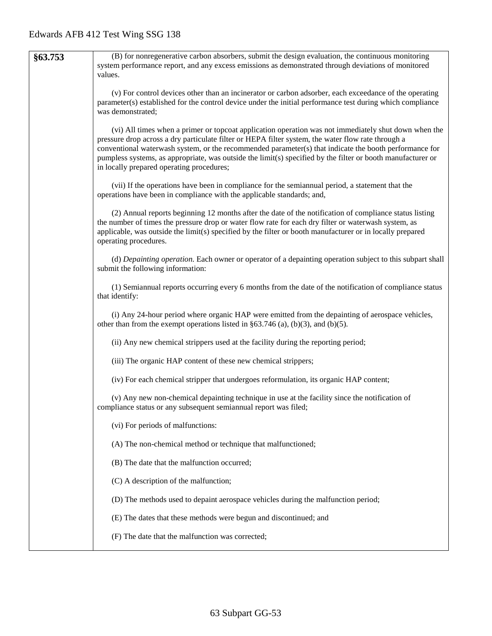| §63.753 | (B) for nonregenerative carbon absorbers, submit the design evaluation, the continuous monitoring<br>system performance report, and any excess emissions as demonstrated through deviations of monitored<br>values.                                                                                                                                                                                                                                                              |  |  |  |  |  |
|---------|----------------------------------------------------------------------------------------------------------------------------------------------------------------------------------------------------------------------------------------------------------------------------------------------------------------------------------------------------------------------------------------------------------------------------------------------------------------------------------|--|--|--|--|--|
|         | (v) For control devices other than an incinerator or carbon adsorber, each exceedance of the operating<br>parameter(s) established for the control device under the initial performance test during which compliance<br>was demonstrated;                                                                                                                                                                                                                                        |  |  |  |  |  |
|         | (vi) All times when a primer or topcoat application operation was not immediately shut down when the<br>pressure drop across a dry particulate filter or HEPA filter system, the water flow rate through a<br>conventional waterwash system, or the recommended parameter(s) that indicate the booth performance for<br>pumpless systems, as appropriate, was outside the limit(s) specified by the filter or booth manufacturer or<br>in locally prepared operating procedures; |  |  |  |  |  |
|         | (vii) If the operations have been in compliance for the semiannual period, a statement that the<br>operations have been in compliance with the applicable standards; and,                                                                                                                                                                                                                                                                                                        |  |  |  |  |  |
|         | (2) Annual reports beginning 12 months after the date of the notification of compliance status listing<br>the number of times the pressure drop or water flow rate for each dry filter or waterwash system, as<br>applicable, was outside the limit(s) specified by the filter or booth manufacturer or in locally prepared<br>operating procedures.                                                                                                                             |  |  |  |  |  |
|         | (d) Depainting operation. Each owner or operator of a depainting operation subject to this subpart shall<br>submit the following information:                                                                                                                                                                                                                                                                                                                                    |  |  |  |  |  |
|         | (1) Semiannual reports occurring every 6 months from the date of the notification of compliance status<br>that identify:                                                                                                                                                                                                                                                                                                                                                         |  |  |  |  |  |
|         | (i) Any 24-hour period where organic HAP were emitted from the depainting of aerospace vehicles,<br>other than from the exempt operations listed in $\S 63.746$ (a), (b)(3), and (b)(5).                                                                                                                                                                                                                                                                                         |  |  |  |  |  |
|         | (ii) Any new chemical strippers used at the facility during the reporting period;                                                                                                                                                                                                                                                                                                                                                                                                |  |  |  |  |  |
|         | (iii) The organic HAP content of these new chemical strippers;                                                                                                                                                                                                                                                                                                                                                                                                                   |  |  |  |  |  |
|         | (iv) For each chemical stripper that undergoes reformulation, its organic HAP content;                                                                                                                                                                                                                                                                                                                                                                                           |  |  |  |  |  |
|         | (v) Any new non-chemical depainting technique in use at the facility since the notification of<br>compliance status or any subsequent semiannual report was filed;                                                                                                                                                                                                                                                                                                               |  |  |  |  |  |
|         | (vi) For periods of malfunctions:                                                                                                                                                                                                                                                                                                                                                                                                                                                |  |  |  |  |  |
|         | (A) The non-chemical method or technique that malfunctioned;                                                                                                                                                                                                                                                                                                                                                                                                                     |  |  |  |  |  |
|         | (B) The date that the malfunction occurred;                                                                                                                                                                                                                                                                                                                                                                                                                                      |  |  |  |  |  |
|         | (C) A description of the malfunction;                                                                                                                                                                                                                                                                                                                                                                                                                                            |  |  |  |  |  |
|         | (D) The methods used to depaint aerospace vehicles during the malfunction period;                                                                                                                                                                                                                                                                                                                                                                                                |  |  |  |  |  |
|         | (E) The dates that these methods were begun and discontinued; and                                                                                                                                                                                                                                                                                                                                                                                                                |  |  |  |  |  |
|         | (F) The date that the malfunction was corrected;                                                                                                                                                                                                                                                                                                                                                                                                                                 |  |  |  |  |  |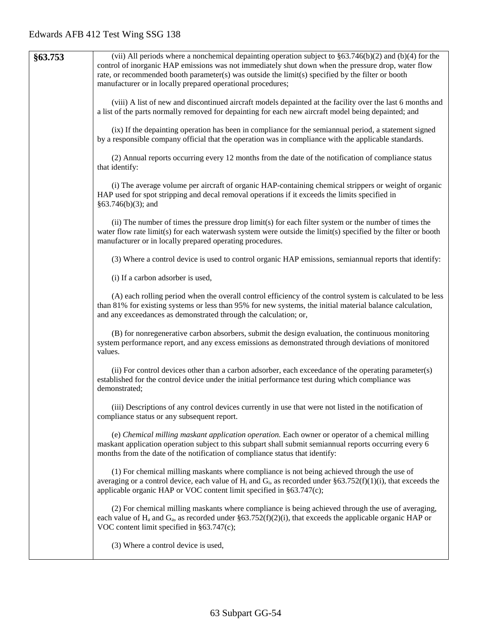| §63.753 | (vii) All periods where a nonchemical depainting operation subject to $\S 63.746(b)(2)$ and (b)(4) for the<br>control of inorganic HAP emissions was not immediately shut down when the pressure drop, water flow<br>rate, or recommended booth parameter(s) was outside the limit(s) specified by the filter or booth<br>manufacturer or in locally prepared operational procedures; |
|---------|---------------------------------------------------------------------------------------------------------------------------------------------------------------------------------------------------------------------------------------------------------------------------------------------------------------------------------------------------------------------------------------|
|         | (viii) A list of new and discontinued aircraft models depainted at the facility over the last 6 months and<br>a list of the parts normally removed for depainting for each new aircraft model being depainted; and                                                                                                                                                                    |
|         | (ix) If the depainting operation has been in compliance for the semiannual period, a statement signed<br>by a responsible company official that the operation was in compliance with the applicable standards.                                                                                                                                                                        |
|         | (2) Annual reports occurring every 12 months from the date of the notification of compliance status<br>that identify:                                                                                                                                                                                                                                                                 |
|         | (i) The average volume per aircraft of organic HAP-containing chemical strippers or weight of organic<br>HAP used for spot stripping and decal removal operations if it exceeds the limits specified in<br>$§63.746(b)(3);$ and                                                                                                                                                       |
|         | (ii) The number of times the pressure drop limit(s) for each filter system or the number of times the<br>water flow rate limit(s) for each waterwash system were outside the limit(s) specified by the filter or booth<br>manufacturer or in locally prepared operating procedures.                                                                                                   |
|         | (3) Where a control device is used to control organic HAP emissions, semiannual reports that identify:                                                                                                                                                                                                                                                                                |
|         | (i) If a carbon adsorber is used,                                                                                                                                                                                                                                                                                                                                                     |
|         | (A) each rolling period when the overall control efficiency of the control system is calculated to be less<br>than 81% for existing systems or less than 95% for new systems, the initial material balance calculation,<br>and any exceedances as demonstrated through the calculation; or,                                                                                           |
|         | (B) for nonregenerative carbon absorbers, submit the design evaluation, the continuous monitoring<br>system performance report, and any excess emissions as demonstrated through deviations of monitored<br>values.                                                                                                                                                                   |
|         | (ii) For control devices other than a carbon adsorber, each exceedance of the operating parameter(s)<br>established for the control device under the initial performance test during which compliance was<br>demonstrated;                                                                                                                                                            |
|         | (iii) Descriptions of any control devices currently in use that were not listed in the notification of<br>compliance status or any subsequent report.                                                                                                                                                                                                                                 |
|         | (e) Chemical milling maskant application operation. Each owner or operator of a chemical milling<br>maskant application operation subject to this subpart shall submit semiannual reports occurring every 6<br>months from the date of the notification of compliance status that identify:                                                                                           |
|         | (1) For chemical milling maskants where compliance is not being achieved through the use of<br>averaging or a control device, each value of $H_i$ and $G_i$ , as recorded under §63.752(f)(1)(i), that exceeds the<br>applicable organic HAP or VOC content limit specified in §63.747(c);                                                                                            |
|         | (2) For chemical milling maskants where compliance is being achieved through the use of averaging,<br>each value of $H_a$ and $G_a$ , as recorded under §63.752(f)(2)(i), that exceeds the applicable organic HAP or<br>VOC content limit specified in $§63.747(c)$ ;                                                                                                                 |
|         | (3) Where a control device is used,                                                                                                                                                                                                                                                                                                                                                   |
|         |                                                                                                                                                                                                                                                                                                                                                                                       |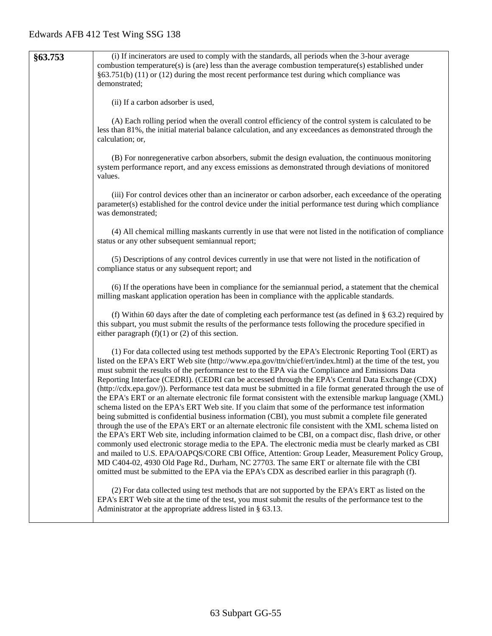| §63.753 | (i) If incinerators are used to comply with the standards, all periods when the 3-hour average                                                                                                                                                                                                                                                                                                                                                                                                                                                                                                                                                                                                                                                                                                                                                                                                                                                                                                                                                                                                                                                                                                                                                                                                                                                                                                                                                                                                                         |
|---------|------------------------------------------------------------------------------------------------------------------------------------------------------------------------------------------------------------------------------------------------------------------------------------------------------------------------------------------------------------------------------------------------------------------------------------------------------------------------------------------------------------------------------------------------------------------------------------------------------------------------------------------------------------------------------------------------------------------------------------------------------------------------------------------------------------------------------------------------------------------------------------------------------------------------------------------------------------------------------------------------------------------------------------------------------------------------------------------------------------------------------------------------------------------------------------------------------------------------------------------------------------------------------------------------------------------------------------------------------------------------------------------------------------------------------------------------------------------------------------------------------------------------|
|         | combustion temperature(s) is (are) less than the average combustion temperature(s) established under<br>$§63.751(b)$ (11) or (12) during the most recent performance test during which compliance was                                                                                                                                                                                                                                                                                                                                                                                                                                                                                                                                                                                                                                                                                                                                                                                                                                                                                                                                                                                                                                                                                                                                                                                                                                                                                                                  |
|         | demonstrated;                                                                                                                                                                                                                                                                                                                                                                                                                                                                                                                                                                                                                                                                                                                                                                                                                                                                                                                                                                                                                                                                                                                                                                                                                                                                                                                                                                                                                                                                                                          |
|         |                                                                                                                                                                                                                                                                                                                                                                                                                                                                                                                                                                                                                                                                                                                                                                                                                                                                                                                                                                                                                                                                                                                                                                                                                                                                                                                                                                                                                                                                                                                        |
|         | (ii) If a carbon adsorber is used,                                                                                                                                                                                                                                                                                                                                                                                                                                                                                                                                                                                                                                                                                                                                                                                                                                                                                                                                                                                                                                                                                                                                                                                                                                                                                                                                                                                                                                                                                     |
|         | (A) Each rolling period when the overall control efficiency of the control system is calculated to be<br>less than 81%, the initial material balance calculation, and any exceedances as demonstrated through the<br>calculation; or,                                                                                                                                                                                                                                                                                                                                                                                                                                                                                                                                                                                                                                                                                                                                                                                                                                                                                                                                                                                                                                                                                                                                                                                                                                                                                  |
|         | (B) For nonregenerative carbon absorbers, submit the design evaluation, the continuous monitoring<br>system performance report, and any excess emissions as demonstrated through deviations of monitored<br>values.                                                                                                                                                                                                                                                                                                                                                                                                                                                                                                                                                                                                                                                                                                                                                                                                                                                                                                                                                                                                                                                                                                                                                                                                                                                                                                    |
|         | (iii) For control devices other than an incinerator or carbon adsorber, each exceedance of the operating<br>parameter(s) established for the control device under the initial performance test during which compliance<br>was demonstrated;                                                                                                                                                                                                                                                                                                                                                                                                                                                                                                                                                                                                                                                                                                                                                                                                                                                                                                                                                                                                                                                                                                                                                                                                                                                                            |
|         | (4) All chemical milling maskants currently in use that were not listed in the notification of compliance<br>status or any other subsequent semiannual report;                                                                                                                                                                                                                                                                                                                                                                                                                                                                                                                                                                                                                                                                                                                                                                                                                                                                                                                                                                                                                                                                                                                                                                                                                                                                                                                                                         |
|         | (5) Descriptions of any control devices currently in use that were not listed in the notification of<br>compliance status or any subsequent report; and                                                                                                                                                                                                                                                                                                                                                                                                                                                                                                                                                                                                                                                                                                                                                                                                                                                                                                                                                                                                                                                                                                                                                                                                                                                                                                                                                                |
|         | (6) If the operations have been in compliance for the semiannual period, a statement that the chemical<br>milling maskant application operation has been in compliance with the applicable standards.                                                                                                                                                                                                                                                                                                                                                                                                                                                                                                                                                                                                                                                                                                                                                                                                                                                                                                                                                                                                                                                                                                                                                                                                                                                                                                                  |
|         | (f) Within 60 days after the date of completing each performance test (as defined in $\S$ 63.2) required by<br>this subpart, you must submit the results of the performance tests following the procedure specified in<br>either paragraph $(f)(1)$ or $(2)$ of this section.                                                                                                                                                                                                                                                                                                                                                                                                                                                                                                                                                                                                                                                                                                                                                                                                                                                                                                                                                                                                                                                                                                                                                                                                                                          |
|         | (1) For data collected using test methods supported by the EPA's Electronic Reporting Tool (ERT) as<br>listed on the EPA's ERT Web site (http://www.epa.gov/ttn/chief/ert/index.html) at the time of the test, you<br>must submit the results of the performance test to the EPA via the Compliance and Emissions Data<br>Reporting Interface (CEDRI). (CEDRI can be accessed through the EPA's Central Data Exchange (CDX)<br>(http://cdx.epa.gov/)). Performance test data must be submitted in a file format generated through the use of<br>the EPA's ERT or an alternate electronic file format consistent with the extensible markup language (XML)<br>schema listed on the EPA's ERT Web site. If you claim that some of the performance test information<br>being submitted is confidential business information (CBI), you must submit a complete file generated<br>through the use of the EPA's ERT or an alternate electronic file consistent with the XML schema listed on<br>the EPA's ERT Web site, including information claimed to be CBI, on a compact disc, flash drive, or other<br>commonly used electronic storage media to the EPA. The electronic media must be clearly marked as CBI<br>and mailed to U.S. EPA/OAPQS/CORE CBI Office, Attention: Group Leader, Measurement Policy Group,<br>MD C404-02, 4930 Old Page Rd., Durham, NC 27703. The same ERT or alternate file with the CBI<br>omitted must be submitted to the EPA via the EPA's CDX as described earlier in this paragraph (f). |
|         | (2) For data collected using test methods that are not supported by the EPA's ERT as listed on the<br>EPA's ERT Web site at the time of the test, you must submit the results of the performance test to the<br>Administrator at the appropriate address listed in $\S$ 63.13.                                                                                                                                                                                                                                                                                                                                                                                                                                                                                                                                                                                                                                                                                                                                                                                                                                                                                                                                                                                                                                                                                                                                                                                                                                         |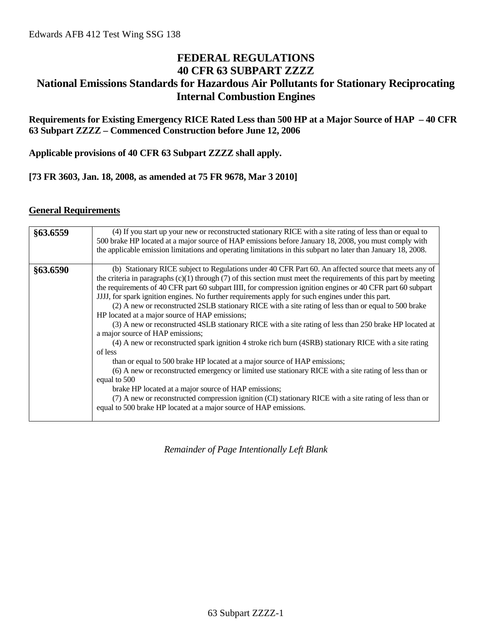## **FEDERAL REGULATIONS 40 CFR 63 SUBPART ZZZZ National Emissions Standards for Hazardous Air Pollutants for Stationary Reciprocating Internal Combustion Engines**

### **Requirements for Existing Emergency RICE Rated Less than 500 HP at a Major Source of HAP – 40 CFR 63 Subpart ZZZZ – Commenced Construction before June 12, 2006**

**Applicable provisions of 40 CFR 63 Subpart ZZZZ shall apply.**

### **[73 FR 3603, Jan. 18, 2008, as amended at 75 FR 9678, Mar 3 2010]**

### **General Requirements**

| §63.6559 | (4) If you start up your new or reconstructed stationary RICE with a site rating of less than or equal to<br>500 brake HP located at a major source of HAP emissions before January 18, 2008, you must comply with<br>the applicable emission limitations and operating limitations in this subpart no later than January 18, 2008.                                                                                                                                                                                                                                                                                                                                                                                                                                                                                                                                                                                                                                                                                                                                                                                                                                                                                                                                                                                             |
|----------|---------------------------------------------------------------------------------------------------------------------------------------------------------------------------------------------------------------------------------------------------------------------------------------------------------------------------------------------------------------------------------------------------------------------------------------------------------------------------------------------------------------------------------------------------------------------------------------------------------------------------------------------------------------------------------------------------------------------------------------------------------------------------------------------------------------------------------------------------------------------------------------------------------------------------------------------------------------------------------------------------------------------------------------------------------------------------------------------------------------------------------------------------------------------------------------------------------------------------------------------------------------------------------------------------------------------------------|
| §63.6590 | (b) Stationary RICE subject to Regulations under 40 CFR Part 60. An affected source that meets any of<br>the criteria in paragraphs $(c)(1)$ through $(7)$ of this section must meet the requirements of this part by meeting<br>the requirements of 40 CFR part 60 subpart IIII, for compression ignition engines or 40 CFR part 60 subpart<br>JJJJ, for spark ignition engines. No further requirements apply for such engines under this part.<br>(2) A new or reconstructed 2SLB stationary RICE with a site rating of less than or equal to 500 brake<br>HP located at a major source of HAP emissions;<br>(3) A new or reconstructed 4SLB stationary RICE with a site rating of less than 250 brake HP located at<br>a major source of HAP emissions;<br>(4) A new or reconstructed spark ignition 4 stroke rich burn (4SRB) stationary RICE with a site rating<br>of less<br>than or equal to 500 brake HP located at a major source of HAP emissions;<br>(6) A new or reconstructed emergency or limited use stationary RICE with a site rating of less than or<br>equal to 500<br>brake HP located at a major source of HAP emissions;<br>(7) A new or reconstructed compression ignition (CI) stationary RICE with a site rating of less than or<br>equal to 500 brake HP located at a major source of HAP emissions. |

*Remainder of Page Intentionally Left Blank*